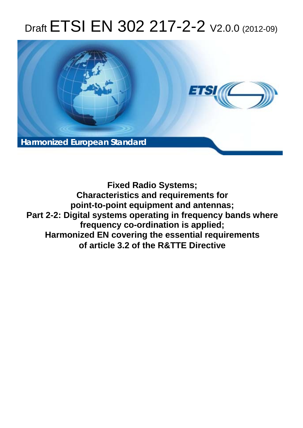# Draft ETSI EN 302 217-2-2  $V2.0.0$  (2012-09)



**Fixed Radio Systems; Characteristics and requirements for point-to-point equipment and antennas; Part 2-2: Digital systems operating in frequency bands where frequency co-ordination is applied; Harmonized EN covering the essential requirements of article 3.2 of the R&TTE Directive**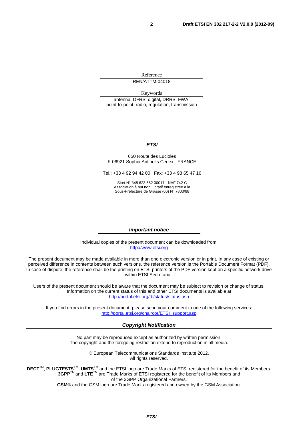Reference

REN/ATTM-04018

Keywords

antenna, DFRS, digital, DRRS, FWA, point-to-point, radio, regulation, transmission

#### *ETSI*

#### 650 Route des Lucioles F-06921 Sophia Antipolis Cedex - FRANCE

Tel.: +33 4 92 94 42 00 Fax: +33 4 93 65 47 16

Siret N° 348 623 562 00017 - NAF 742 C Association à but non lucratif enregistrée à la Sous-Préfecture de Grasse (06) N° 7803/88

#### *Important notice*

Individual copies of the present document can be downloaded from: [http://www.etsi.org](http://www.etsi.org/)

The present document may be made available in more than one electronic version or in print. In any case of existing or perceived difference in contents between such versions, the reference version is the Portable Document Format (PDF). In case of dispute, the reference shall be the printing on ETSI printers of the PDF version kept on a specific network drive within ETSI Secretariat.

Users of the present document should be aware that the document may be subject to revision or change of status. Information on the current status of this and other ETSI documents is available at <http://portal.etsi.org/tb/status/status.asp>

If you find errors in the present document, please send your comment to one of the following services: [http://portal.etsi.org/chaircor/ETSI\\_support.asp](http://portal.etsi.org/chaircor/ETSI_support.asp)

#### *Copyright Notification*

No part may be reproduced except as authorized by written permission. The copyright and the foregoing restriction extend to reproduction in all media.

> © European Telecommunications Standards Institute 2012. All rights reserved.

DECT<sup>™</sup>, PLUGTESTS<sup>™</sup>, UMTS<sup>™</sup> and the ETSI logo are Trade Marks of ETSI registered for the benefit of its Members. **3GPP**TM and **LTE**TM are Trade Marks of ETSI registered for the benefit of its Members and of the 3GPP Organizational Partners.

**GSM**® and the GSM logo are Trade Marks registered and owned by the GSM Association.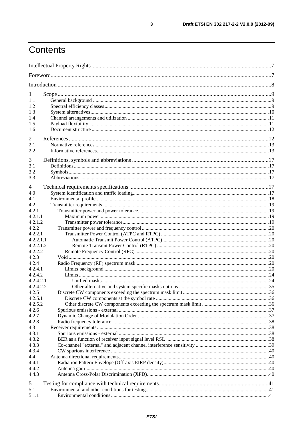## Contents

| 1                |  |
|------------------|--|
| 1.1              |  |
| 1.2              |  |
| 1.3              |  |
| 1.4              |  |
| 1.5              |  |
| 1.6              |  |
| 2                |  |
| 2.1              |  |
| 2.2              |  |
| 3                |  |
| 3.1              |  |
| 3.2              |  |
| 3.3              |  |
| 4                |  |
| 4.0              |  |
| 4.1              |  |
| 4.2              |  |
| 4.2.1            |  |
| 4.2.1.1          |  |
| 4.2.1.2          |  |
| 4.2.2            |  |
| 4.2.2.1          |  |
| 4.2.2.1.1        |  |
| 4.2.2.1.2        |  |
| 4.2.2.2          |  |
| 4.2.3            |  |
| 4.2.4            |  |
| 4.2.4.1          |  |
| 4.2.4.2          |  |
| 4.2.4.2.1        |  |
| 4.2.4.2.2        |  |
| 4.2.5            |  |
| 4.2.5.1          |  |
| 4.2.5.2<br>4.2.6 |  |
| 4.2.7            |  |
| 4.2.8            |  |
| 4.3              |  |
| 4.3.1            |  |
| 4.3.2            |  |
| 4.3.3            |  |
| 4.3.4            |  |
| 4.4              |  |
| 4.4.1            |  |
| 4.4.2            |  |
| 4.4.3            |  |
| 5                |  |
| 5.1              |  |
| 5.1.1            |  |
|                  |  |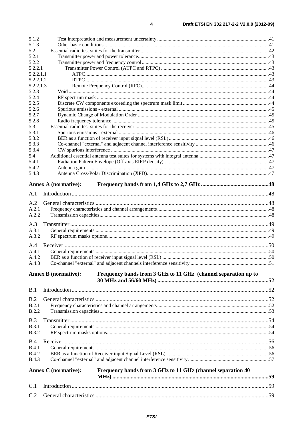| 5.1.2        |                                                                                               |  |
|--------------|-----------------------------------------------------------------------------------------------|--|
| 5.1.3        |                                                                                               |  |
| 5.2          |                                                                                               |  |
| 5.2.1        |                                                                                               |  |
| 5.2.2        |                                                                                               |  |
| 5.2.2.1      |                                                                                               |  |
| 5.2.2.1.1    |                                                                                               |  |
| 5.2.2.1.2    |                                                                                               |  |
| 5.2.2.1.3    |                                                                                               |  |
| 5.2.3        |                                                                                               |  |
| 5.2.4        |                                                                                               |  |
| 5.2.5        |                                                                                               |  |
| 5.2.6        |                                                                                               |  |
| 5.2.7        |                                                                                               |  |
| 5.2.8        |                                                                                               |  |
| 5.3          |                                                                                               |  |
| 5.3.1        |                                                                                               |  |
| 5.3.2        |                                                                                               |  |
| 5.3.3        |                                                                                               |  |
| 5.3.4        |                                                                                               |  |
| 5.4          |                                                                                               |  |
| 5.4.1        |                                                                                               |  |
| 5.4.2        |                                                                                               |  |
| 5.4.3        |                                                                                               |  |
|              | <b>Annex A (normative):</b>                                                                   |  |
|              |                                                                                               |  |
| A.1          |                                                                                               |  |
| A.2          |                                                                                               |  |
| A.2.1        |                                                                                               |  |
| A.2.2        |                                                                                               |  |
|              |                                                                                               |  |
| A.3          |                                                                                               |  |
| A.3.1        |                                                                                               |  |
| A.3.2        |                                                                                               |  |
| A.4          |                                                                                               |  |
| A.4.1        |                                                                                               |  |
| A.4.2        |                                                                                               |  |
| A.4.3        |                                                                                               |  |
|              |                                                                                               |  |
|              | <b>Annex B</b> (normative):<br>Frequency bands from 3 GHz to 11 GHz (channel separation up to |  |
|              |                                                                                               |  |
| B.1          |                                                                                               |  |
|              |                                                                                               |  |
| B.2          |                                                                                               |  |
| B.2.1        |                                                                                               |  |
| B.2.2        |                                                                                               |  |
| B.3          |                                                                                               |  |
| <b>B.3.1</b> |                                                                                               |  |
| <b>B.3.2</b> |                                                                                               |  |
|              |                                                                                               |  |
| B.4          |                                                                                               |  |
| B.4.1        |                                                                                               |  |
| <b>B.4.2</b> |                                                                                               |  |
| <b>B.4.3</b> |                                                                                               |  |
|              |                                                                                               |  |
|              | Frequency bands from 3 GHz to 11 GHz (channel separation 40<br><b>Annex C</b> (normative):    |  |
|              |                                                                                               |  |
| C.1          |                                                                                               |  |
| C.2          |                                                                                               |  |
|              |                                                                                               |  |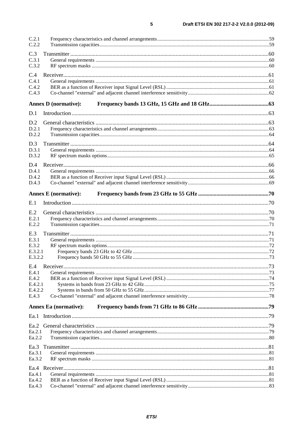| C.2.1<br>C.2.2               |  |
|------------------------------|--|
|                              |  |
| C.3<br>C.3.1                 |  |
| C.3.2                        |  |
| C.4                          |  |
| C.4.1                        |  |
| C.4.2                        |  |
| C.4.3                        |  |
| <b>Annex D</b> (normative):  |  |
| D.1                          |  |
| D.2                          |  |
| D.2.1                        |  |
| D.2.2                        |  |
| D.3                          |  |
| D.3.1                        |  |
| D.3.2                        |  |
| D.4                          |  |
| D.4.1                        |  |
| D.4.2<br>D.4.3               |  |
|                              |  |
| <b>Annex E</b> (normative):  |  |
| E.1                          |  |
| E.2                          |  |
| E.2.1                        |  |
| E.2.2                        |  |
| E.3                          |  |
| E.3.1                        |  |
| E.3.2<br>E.3.2.1             |  |
| E.3.2.2                      |  |
|                              |  |
| E.4.1                        |  |
| E.4.2                        |  |
| E.4.2.1                      |  |
| E.4.2.2<br>E.4.3             |  |
|                              |  |
| <b>Annex Ea</b> (normative): |  |
|                              |  |
|                              |  |
| Ea.2.1                       |  |
| Ea.2.2                       |  |
|                              |  |
| Ea.3.1                       |  |
| Ea.3.2                       |  |
|                              |  |
| Ea.4.1<br>Ea.4.2             |  |
| Ea.4.3                       |  |
|                              |  |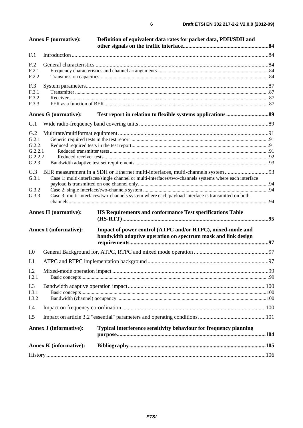|                                                                                                                                                                                                                                                                                                                                                                                                                                                                                                                                                                                                                            | <b>Annex F</b> (normative): | Definition of equivalent data rates for packet data, PDH/SDH and                                                            |  |
|----------------------------------------------------------------------------------------------------------------------------------------------------------------------------------------------------------------------------------------------------------------------------------------------------------------------------------------------------------------------------------------------------------------------------------------------------------------------------------------------------------------------------------------------------------------------------------------------------------------------------|-----------------------------|-----------------------------------------------------------------------------------------------------------------------------|--|
| F.1                                                                                                                                                                                                                                                                                                                                                                                                                                                                                                                                                                                                                        |                             |                                                                                                                             |  |
| F <sub>.2</sub>                                                                                                                                                                                                                                                                                                                                                                                                                                                                                                                                                                                                            |                             |                                                                                                                             |  |
| F.2.1                                                                                                                                                                                                                                                                                                                                                                                                                                                                                                                                                                                                                      |                             |                                                                                                                             |  |
| F.2.2                                                                                                                                                                                                                                                                                                                                                                                                                                                                                                                                                                                                                      |                             |                                                                                                                             |  |
|                                                                                                                                                                                                                                                                                                                                                                                                                                                                                                                                                                                                                            |                             |                                                                                                                             |  |
| F.3.1                                                                                                                                                                                                                                                                                                                                                                                                                                                                                                                                                                                                                      |                             |                                                                                                                             |  |
| F.3.2                                                                                                                                                                                                                                                                                                                                                                                                                                                                                                                                                                                                                      |                             |                                                                                                                             |  |
|                                                                                                                                                                                                                                                                                                                                                                                                                                                                                                                                                                                                                            |                             |                                                                                                                             |  |
|                                                                                                                                                                                                                                                                                                                                                                                                                                                                                                                                                                                                                            |                             |                                                                                                                             |  |
| G.1                                                                                                                                                                                                                                                                                                                                                                                                                                                                                                                                                                                                                        |                             |                                                                                                                             |  |
| G.2                                                                                                                                                                                                                                                                                                                                                                                                                                                                                                                                                                                                                        |                             |                                                                                                                             |  |
|                                                                                                                                                                                                                                                                                                                                                                                                                                                                                                                                                                                                                            |                             |                                                                                                                             |  |
|                                                                                                                                                                                                                                                                                                                                                                                                                                                                                                                                                                                                                            |                             |                                                                                                                             |  |
|                                                                                                                                                                                                                                                                                                                                                                                                                                                                                                                                                                                                                            |                             |                                                                                                                             |  |
| G.2.3                                                                                                                                                                                                                                                                                                                                                                                                                                                                                                                                                                                                                      |                             |                                                                                                                             |  |
|                                                                                                                                                                                                                                                                                                                                                                                                                                                                                                                                                                                                                            |                             |                                                                                                                             |  |
|                                                                                                                                                                                                                                                                                                                                                                                                                                                                                                                                                                                                                            |                             |                                                                                                                             |  |
|                                                                                                                                                                                                                                                                                                                                                                                                                                                                                                                                                                                                                            |                             |                                                                                                                             |  |
| G.3.2                                                                                                                                                                                                                                                                                                                                                                                                                                                                                                                                                                                                                      |                             |                                                                                                                             |  |
|                                                                                                                                                                                                                                                                                                                                                                                                                                                                                                                                                                                                                            |                             |                                                                                                                             |  |
|                                                                                                                                                                                                                                                                                                                                                                                                                                                                                                                                                                                                                            |                             | HS Requirements and conformance Test specifications Table                                                                   |  |
|                                                                                                                                                                                                                                                                                                                                                                                                                                                                                                                                                                                                                            |                             | Impact of power control (ATPC and/or RTPC), mixed-mode and<br>bandwidth adaptive operation on spectrum mask and link design |  |
| I.0                                                                                                                                                                                                                                                                                                                                                                                                                                                                                                                                                                                                                        |                             |                                                                                                                             |  |
| I.1                                                                                                                                                                                                                                                                                                                                                                                                                                                                                                                                                                                                                        |                             |                                                                                                                             |  |
| I.2<br>I.2.1                                                                                                                                                                                                                                                                                                                                                                                                                                                                                                                                                                                                               |                             |                                                                                                                             |  |
| I.3<br>I.3.1<br>I.3.2                                                                                                                                                                                                                                                                                                                                                                                                                                                                                                                                                                                                      |                             |                                                                                                                             |  |
| I.4                                                                                                                                                                                                                                                                                                                                                                                                                                                                                                                                                                                                                        |                             |                                                                                                                             |  |
| F.3<br>F.3.3<br><b>Annex G</b> (normative):<br>G.2.1<br>G.2.2<br>G.2.2.1<br>G.2.2.2<br>BER measurement in a SDH or Ethernet multi-interfaces, multi-channels system 93<br>G.3<br>Case 1: multi-interfaces/single channel or multi-interfaces/two-channels systems where each interface<br>G.3.1<br>Case 3: multi-interfaces/two-channels system where each payload interface is transmitted on both<br>G.3.3<br>Annex H (normative):<br><b>Annex I</b> (informative):<br>I.5<br><b>Annex J</b> (informative):<br><b>Typical interference sensitivity behaviour for frequency planning</b><br><b>Annex K</b> (informative): |                             |                                                                                                                             |  |
|                                                                                                                                                                                                                                                                                                                                                                                                                                                                                                                                                                                                                            |                             |                                                                                                                             |  |
|                                                                                                                                                                                                                                                                                                                                                                                                                                                                                                                                                                                                                            |                             |                                                                                                                             |  |
|                                                                                                                                                                                                                                                                                                                                                                                                                                                                                                                                                                                                                            |                             |                                                                                                                             |  |
|                                                                                                                                                                                                                                                                                                                                                                                                                                                                                                                                                                                                                            |                             |                                                                                                                             |  |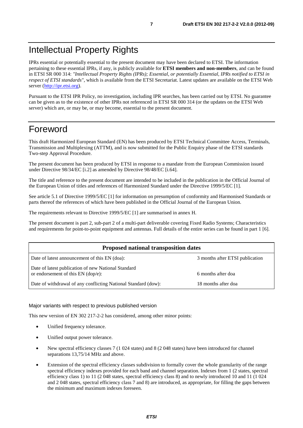IPRs essential or potentially essential to the present document may have been declared to ETSI. The information pertaining to these essential IPRs, if any, is publicly available for **ETSI members and non-members**, and can be found in ETSI SR 000 314: *"Intellectual Property Rights (IPRs); Essential, or potentially Essential, IPRs notified to ETSI in respect of ETSI standards"*, which is available from the ETSI Secretariat. Latest updates are available on the ETSI Web server [\(http://ipr.etsi.org](http://webapp.etsi.org/IPR/home.asp)).

Pursuant to the ETSI IPR Policy, no investigation, including IPR searches, has been carried out by ETSI. No guarantee can be given as to the existence of other IPRs not referenced in ETSI SR 000 314 (or the updates on the ETSI Web server) which are, or may be, or may become, essential to the present document.

## Foreword

This draft Harmonized European Standard (EN) has been produced by ETSI Technical Committee Access, Terminals, Transmission and Multiplexing (ATTM), and is now submitted for the Public Enquiry phase of the ETSI standards Two-step Approval Procedure.

The present document has been produced by ETSI in response to a mandate from the European Commission issued under Directive 98/34/EC [i.2] as amended by Directive 98/48/EC [i.64].

The title and reference to the present document are intended to be included in the publication in the Official Journal of the European Union of titles and references of Harmonized Standard under the Directive 1999/5/EC [1].

See article 5.1 of Directive 1999/5/EC [1] for information on presumption of conformity and Harmonised Standards or parts thereof the references of which have been published in the Official Journal of the European Union.

The requirements relevant to Directive 1999/5/EC [1] are summarised in annex H.

The present document is part 2, sub-part 2 of a multi-part deliverable covering Fixed Radio Systems; Characteristics and requirements for point-to-point equipment and antennas. Full details of the entire series can be found in part 1 [6].

| <b>Proposed national transposition dates</b>                                                |                                 |  |  |  |  |  |  |  |  |  |
|---------------------------------------------------------------------------------------------|---------------------------------|--|--|--|--|--|--|--|--|--|
| Date of latest announcement of this EN (doa):                                               | 3 months after ETSI publication |  |  |  |  |  |  |  |  |  |
| Date of latest publication of new National Standard<br>or endorsement of this $EN$ (dop/e): | 6 months after doa              |  |  |  |  |  |  |  |  |  |
| Date of withdrawal of any conflicting National Standard (dow):                              | 18 months after doa             |  |  |  |  |  |  |  |  |  |

#### Major variants with respect to previous published version

This new version of EN 302 217-2-2 has considered, among other minor points:

- Unified frequency tolerance.
- Unified output power tolerance.
- New spectral efficiency classes 7 (1 024 states) and 8 (2 048 states) have been introduced for channel separations 13,75/14 MHz and above.
- Extension of the spectral efficiency classes subdivision to formally cover the whole granularity of the range spectral efficiency indexes provided for each band and channel separation. Indexes from 1 (2 states, spectral efficiency class 1) to 11 (2 048 states, spectral efficiency class 8) and to newly introduced 10 and 11 (1 024 and 2 048 states, spectral efficiency class 7 and 8) are introduced, as appropriate, for filling the gaps between the minimum and maximum indexes foreseen.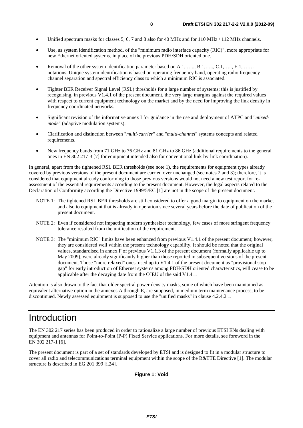- Unified spectrum masks for classes 5, 6, 7 and 8 also for 40 MHz and for 110 MHz / 112 MHz channels.
- Use, as system identification method, of the "minimum radio interface capacity (RIC)", more appropriate for new Ethernet oriented systems, in place of the previous PDH/SDH oriented one.
- Removal of the other system identification parameter based on A.1, ……, B.1,……, C.1,……, E.1, …… notations. Unique system identification is based on operating frequency band, operating radio frequency channel separation and spectral efficiency class to which a minimum RIC is associated.
- Tighter BER Receiver Signal Level (RSL) thresholds for a large number of systems; this is justified by recognising, in previous V1.4.1 of the present document, the very large margins against the required values with respect to current equipment technology on the market and by the need for improving the link density in frequency coordinated networks.
- Significant revision of the informative annex I for guidance in the use and deployment of ATPC and "*mixedmode*" (adaptive modulation systems).
- Clarification and distinction between "*multi-carrier*" and "*multi-channel*" systems concepts and related requirements.
- New frequency bands from 71 GHz to 76 GHz and 81 GHz to 86 GHz (additional requirements to the general ones in EN 302 217-3 [7] for equipment intended also for conventional link-by-link coordination).

In general, apart from the tightened RSL BER thresholds (see note 1), the requirements for equipment types already covered by previous versions of the present document are carried over unchanged (see notes 2 and 3); therefore, it is considered that equipment already conforming to those previous versions would not need a new test report for reassessment of the essential requirements according to the present document. However, the legal aspects related to the Declaration of Conformity according the Directive 1999/5/EC [1] are not in the scope of the present document.

- NOTE 1: The tightened RSL BER thresholds are still considered to offer a good margin to equipment on the market and also to equipment that is already in operation since several years before the date of publication of the present document.
- NOTE 2: Even if considered not impacting modern synthesizer technology, few cases of more stringent frequency tolerance resulted from the unification of the requirement.
- NOTE 3: The "minimum RIC" limits have been enhanced from previous V1.4.1 of the present document; however, they are considered well within the present technology capability. It should be noted that the original values, standardised in annex F of previous V1.1.3 of the present document (formally applicable up to May 2009), were already significantly higher than those reported in subsequent versions of the present document. Those "more relaxed" ones, used up to V1.4.1 of the present document as "provisional stopgap" for early introduction of Ethernet systems among PDH/SDH oriented characteristics, will cease to be applicable after the decaying date from the OJEU of the said V1.4.1.

Attention is also drawn to the fact that older spectral power density masks, some of which have been maintained as equivalent alternative option in the annexes A through E, are supposed, in medium term maintenance process, to be discontinued. Newly assessed equipment is supposed to use the "unified masks" in clause 4.2.4.2.1.

## Introduction

The EN 302 217 series has been produced in order to rationalize a large number of previous ETSI ENs dealing with equipment and antennas for Point-to-Point (P-P) Fixed Service applications. For more details, see foreword in the EN 302 217-1 [6].

The present document is part of a set of standards developed by ETSI and is designed to fit in a modular structure to cover all radio and telecommunications terminal equipment within the scope of the R&TTE Directive [1]. The modular structure is described in EG 201 399 [i.24].

#### **Figure 1: Void**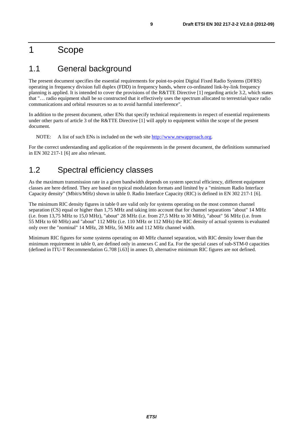## 1 Scope

## 1.1 General background

The present document specifies the essential requirements for point-to-point Digital Fixed Radio Systems (DFRS) operating in frequency division full duplex (FDD) in frequency bands, where co-ordinated link-by-link frequency planning is applied. It is intended to cover the provisions of the R&TTE Directive [1] regarding article 3.2, which states that "… radio equipment shall be so constructed that it effectively uses the spectrum allocated to terrestrial/space radio communications and orbital resources so as to avoid harmful interference".

In addition to the present document, other ENs that specify technical requirements in respect of essential requirements under other parts of article 3 of the R&TTE Directive [1] will apply to equipment within the scope of the present document.

NOTE: A list of such ENs is included on the web site [http://www.newapproach.org.](http://www.newapproach.org/)

For the correct understanding and application of the requirements in the present document, the definitions summarised in EN 302 217-1 [6] are also relevant.

## 1.2 Spectral efficiency classes

As the maximum transmission rate in a given bandwidth depends on system spectral efficiency, different equipment classes are here defined. They are based on typical modulation formats and limited by a "minimum Radio Interface Capacity density" (Mbit/s/MHz) shown in table 0. Radio Interface Capacity (RIC) is defined in EN 302 217-1 [6].

The minimum RIC density figures in table 0 are valid only for systems operating on the most common channel separation (CS) equal or higher than 1,75 MHz and taking into account that for channel separations "about" 14 MHz (i.e. from 13,75 MHz to 15,0 MHz), "about" 28 MHz (i.e. from 27,5 MHz to 30 MHz), "about" 56 MHz (i.e. from 55 MHz to 60 MHz) and "about" 112 MHz (i.e. 110 MHz or 112 MHz) the RIC density of actual systems is evaluated only over the "nominal" 14 MHz, 28 MHz, 56 MHz and 112 MHz channel width.

Minimum RIC figures for some systems operating on 40 MHz channel separation, with RIC density lower than the minimum requirement in table 0, are defined only in annexes C and Ea. For the special cases of sub-STM-0 capacities (defined in ITU-T Recommendation G.708 [i.63] in annex D, alternative minimum RIC figures are not defined.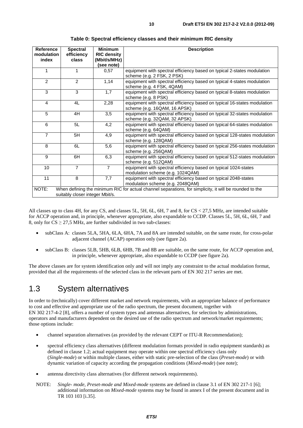| <b>Reference</b><br>modulation | <b>Spectral</b><br>efficiency   | <b>Minimum</b><br><b>RIC density</b> | <b>Description</b>                                                                                       |
|--------------------------------|---------------------------------|--------------------------------------|----------------------------------------------------------------------------------------------------------|
| index                          | class                           | (Mbit/s/MHz)                         |                                                                                                          |
|                                |                                 | (see note)                           |                                                                                                          |
| 1                              | 1                               | 0,57                                 | equipment with spectral efficiency based on typical 2-states modulation<br>scheme (e.g. 2 FSK, 2 PSK)    |
| 2                              | 2                               | 1,14                                 | equipment with spectral efficiency based on typical 4-states modulation<br>scheme (e.g. 4 FSK, 4QAM)     |
| 3                              | 3                               | 1,7                                  | equipment with spectral efficiency based on typical 8-states modulation<br>scheme (e.g. 8 PSK)           |
| 4                              | 4L                              | 2,28                                 | equipment with spectral efficiency based on typical 16-states modulation<br>scheme (e.g. 16QAM, 16 APSK) |
| 5                              | 4H                              | 3,5                                  | equipment with spectral efficiency based on typical 32-states modulation<br>scheme (e.g. 32QAM, 32 APSK) |
| 6                              | 5L                              | 4,2                                  | equipment with spectral efficiency based on typical 64-states modulation<br>scheme (e.g. 64QAM)          |
| $\overline{7}$                 | 5H                              | 4,9                                  | equipment with spectral efficiency based on typical 128-states modulation<br>scheme (e.g. 128QAM)        |
| 8                              | 6L                              | 5,6                                  | equipment with spectral efficiency based on typical 256-states modulation<br>scheme (e.g. 256QAM)        |
| 9                              | 6H                              | 6,3                                  | equipment with spectral efficiency based on typical 512-states modulation<br>scheme (e.g. 512QAM)        |
| 10                             | $\overline{7}$                  | $\overline{7}$                       | equipment with spectral efficiency based on typical 1024-states<br>modulation scheme (e.g. 1024QAM)      |
| 11                             | 8                               | 7,7                                  | equipment with spectral efficiency based on typical 2048-states<br>modulation scheme (e.g. 2048QAM)      |
| NOTE:                          | suitably closer integer Mbit/s. |                                      | When defining the minimum RIC for actual channel separations, for simplicity, it will be rounded to the  |

**Table 0: Spectral efficiency classes and their minimum RIC density** 

All classes up to class 4H, for any CS, and classes 5L, 5H, 6L, 6H, 7 and 8, for CS < 27,5 MHz, are intended suitable for ACCP operation and, in principle, whenever appropriate, also expandable to CCDP. Classes 5L, 5H, 6L, 6H, 7 and 8, only for  $CS \geq 27.5$  MHz, are further subdivided in two sub-classes:

- subClass A: classes 5LA, 5HA, 6LA, 6HA, 7A and 8A are intended suitable, on the same route, for cross-polar adjacent channel (ACAP) operation only (see figure 2a).
- subClass B: classes 5LB, 5HB, 6LB, 6HB, 7B and 8B are suitable, on the same route, for ACCP operation and, in principle, whenever appropriate, also expandable to CCDP (see figure 2a).

The above classes are for system identification only and will not imply any constraint to the actual modulation format, provided that all the requirements of the selected class in the relevant parts of EN 302 217 series are met.

## 1.3 System alternatives

In order to (technically) cover different market and network requirements, with an appropriate balance of performance to cost and effective and appropriate use of the radio spectrum, the present document, together with EN 302 217-4-2 [8], offers a number of system types and antennas alternatives, for selection by administrations, operators and manufacturers dependent on the desired use of the radio spectrum and network/market requirements; those options include:

- channel separation alternatives (as provided by the relevant CEPT or ITU-R Recommendation);
- spectral efficiency class alternatives (different modulation formats provided in radio equipment standards) as defined in clause 1.2; actual equipment may operate within one spectral efficiency class only (*Single-mode*) or within multiple classes, either with static pre-selection of the class (*Preset-mode*) or with dynamic variation of capacity according the propagation conditions (*Mixed-mode*) (see note);
- antenna directivity class alternatives (for different network requirements).
- NOTE: *Single- mode, Preset-mode and Mixed-mode* systems are defined in clause 3.1 of EN 302 217-1 [6]; additional information on *Mixed-mode* systems may be found in annex I of the present document and in TR 103 103 [i.35].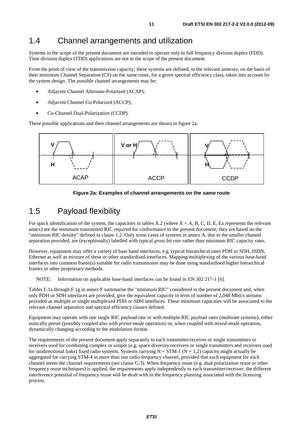## 1.4 Channel arrangements and utilization

Systems in the scope of the present document are intended to operate only in full frequency division duplex (FDD). Time division duplex (TDD) applications are not in the scope of the present document.

From the point of view of the transmission capacity, these systems are defined, in the relevant annexes, on the basis of their minimum Channel Separation (CS) on the same route, for a given spectral efficiency class, taken into account by the system design. The possible channel arrangements may be:

- Adjacent Channel Alternate-Polarized (ACAP);
- Adjacent Channel Co-Polarized (ACCP);
- Co-Channel Dual-Polarization (CCDP).

These possible applications and their channel arrangements are shown in figure 2a.





## 1.5 Payload flexibility

For quick identification of the system, the capacities in tables X.2 (where  $X = A$ , B, C, D, E, Ea represents the relevant annex) are the minimum transmitted RIC required for conformance to the present document; they are based on the "minimum RIC density" defined in clause 1.2. Only some cases of systems in annex A, due to the smaller channel separation provided, are (exceptionally) labelled with typical *gross bit rate* rather than minimum RIC capacity rates.

However, equipment may offer a variety of base band interfaces, e.g. typical hierarchical rates PDH or SDH, ISDN, Ethernet as well as mixture of these or other standardised interfaces. Mapping/multiplexing of the various base-band interfaces into common frame(s) suitable for radio transmission may be done using standardised higher hierarchical frames or other proprietary methods.

NOTE: Information on applicable base-band interfaces can be found in EN 302 217-1 [6].

Tables F.1a through F.1g in annex F summarise the "minimum RIC" considered in the present document and, when only PDH or SDH interfaces are provided, give the equivalent capacity in term of number of 2,048 Mbit/s streams provided as multiple or single multiplexed PDH or SDH interfaces. These minimum capacities will be associated to the relevant channel separation and spectral efficiency classes defined.

Equipment may operate with one single RIC payload rate or with multiple RIC payload rates (multirate systems), either statically preset (possibly coupled also with *preset-mode* operation) or, when coupled with *mixed-mode* operation, dynamically changing according to the modulation format.

The requirements of the present document apply separately to each transmitter/receiver or single transmitters or receivers used for combining complex or simple (e.g. space diversity receivers or single transmitters and receivers used for unidirectional links) fixed radio systems. Systems carrying  $N \times STM-1$  ( $N = 1,2$ ) capacity might actually be aggregated for carrying STM-4 in more than one radio frequency channel, provided that each equipment for each channel meets the channel requirements (see clause G.3). When frequency reuse (e.g. dual polarization reuse or other frequency reuse techniques) is applied, the requirements apply independently to each transmitter/receiver; the different interference potential of frequency reuse will be dealt with in the frequency planning associated with the licensing process.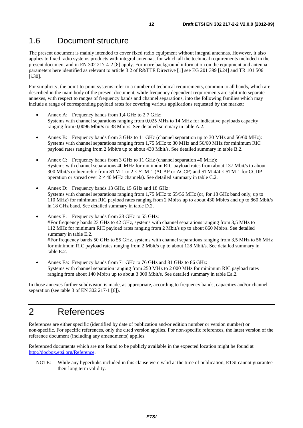## 1.6 Document structure

The present document is mainly intended to cover fixed radio equipment without integral antennas. However, it also applies to fixed radio systems products with integral antennas, for which all the technical requirements included in the present document and in EN 302 217-4-2 [8] apply. For more background information on the equipment and antenna parameters here identified as relevant to article 3.2 of R&TTE Directive [1] see EG 201 399 [i.24] and TR 101 506 [i.30].

For simplicity, the point-to-point systems refer to a number of technical requirements, common to all bands, which are described in the main body of the present document, while frequency dependent requirements are split into separate annexes, with respect to ranges of frequency bands and channel separations, into the following families which may include a range of corresponding payload rates for covering various applications requested by the market:

- Annex A: Frequency bands from 1,4 GHz to 2,7 GHz: Systems with channel separations ranging from 0,025 MHz to 14 MHz for indicative payloads capacity ranging from 0,0096 Mbit/s to 38 Mbit/s. See detailed summary in table A.2.
- Annex B: Frequency bands from 3 GHz to 11 GHz (channel separation up to 30 MHz and 56/60 MHz): Systems with channel separations ranging from 1,75 MHz to 30 MHz and 56/60 MHz for minimum RIC payload rates ranging from 2 Mbit/s up to about 430 Mbit/s. See detailed summary in table B.2.
- Annex C: Frequency bands from 3 GHz to 11 GHz (channel separation 40 MHz): Systems with channel separations 40 MHz for minimum RIC payload rates from about 137 Mbit/s to about 300 Mbit/s or hierarchic from STM-1 to  $2 \times$  STM-1 (ACAP or ACCP) and STM-4/4  $\times$  STM-1 for CCDP operation or spread over  $2 \times 40$  MHz channels). See detailed summary in table C.2.
- Annex D: Frequency bands 13 GHz, 15 GHz and 18 GHz: Systems with channel separations ranging from 1,75 MHz to 55/56 MHz (or, for 18 GHz band only, up to 110 MHz) for minimum RIC payload rates ranging from 2 Mbit/s up to about 430 Mbit/s and up to 860 Mbit/s in 18 GHz band. See detailed summary in table D.2.
- Annex E: Frequency bands from 23 GHz to 55 GHz: # For frequency bands 23 GHz to 42 GHz, systems with channel separations ranging from 3,5 MHz to 112 MHz for minimum RIC payload rates ranging from 2 Mbit/s up to about 860 Mbit/s. See detailed summary in table E.2. # For frequency bands 50 GHz to 55 GHz, systems with channel separations ranging from 3,5 MHz to 56 MHz for minimum RIC payload rates ranging from 2 Mbit/s up to about 128 Mbit/s. See detailed summary in table E.2.
- Annex Ea: Frequency bands from 71 GHz to 76 GHz and 81 GHz to 86 GHz: Systems with channel separation ranging from 250 MHz to 2 000 MHz for minimum RIC payload rates ranging from about 140 Mbit/s up to about 3 000 Mbit/s. See detailed summary in table Ea.2.

In those annexes further subdivision is made, as appropriate, according to frequency bands, capacities and/or channel separation (see table 3 of EN 302 217-1 [6]).

## 2 References

References are either specific (identified by date of publication and/or edition number or version number) or non-specific. For specific references, only the cited version applies. For non-specific references, the latest version of the reference document (including any amendments) applies.

Referenced documents which are not found to be publicly available in the expected location might be found at [http://docbox.etsi.org/Reference.](http://docbox.etsi.org/Reference)

NOTE: While any hyperlinks included in this clause were valid at the time of publication, ETSI cannot guarantee their long term validity.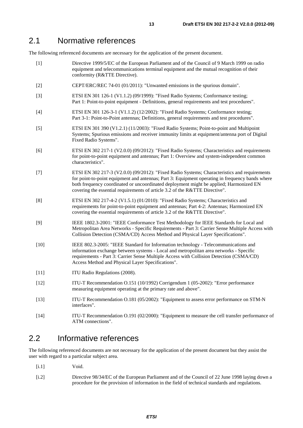## 2.1 Normative references

The following referenced documents are necessary for the application of the present document.

- [1] Directive 1999/5/EC of the European Parliament and of the Council of 9 March 1999 on radio equipment and telecommunications terminal equipment and the mutual recognition of their conformity (R&TTE Directive).
- [2] CEPT/ERC/REC 74-01 (01/2011): "Unwanted emissions in the spurious domain".
- [3] ETSI EN 301 126-1 (V1.1.2) (09/1999): "Fixed Radio Systems; Conformance testing; Part 1: Point-to-point equipment - Definitions, general requirements and test procedures".
- [4] ETSI EN 301 126-3-1 (V1.1.2) (12/2002): "Fixed Radio Systems; Conformance testing; Part 3-1: Point-to-Point antennas; Definitions, general requirements and test procedures".
- [5] ETSI EN 301 390 (V1.2.1) (11/2003): "Fixed Radio Systems; Point-to-point and Multipoint Systems; Spurious emissions and receiver immunity limits at equipment/antenna port of Digital Fixed Radio Systems".
- [6] ETSI EN 302 217-1 (V2.0.0) (09/2012): "Fixed Radio Systems; Characteristics and requirements for point-to-point equipment and antennas; Part 1: Overview and system-independent common characteristics".
- [7] ETSI EN 302 217-3 (V2.0.0) (09/2012): "Fixed Radio Systems; Characteristics and requirements for point-to-point equipment and antennas; Part 3: Equipment operating in frequency bands where both frequency coordinated or uncoordinated deployment might be applied; Harmonized EN covering the essential requirements of article 3.2 of the R&TTE Directive".
- [8] ETSI EN 302 217-4-2 (V1.5.1) (01/2010): "Fixed Radio Systems; Characteristics and requirements for point-to-point equipment and antennas; Part 4-2: Antennas; Harmonized EN covering the essential requirements of article 3.2 of the R&TTE Directive".
- [9] IEEE 1802.3-2001: "IEEE Conformance Test Methodology for IEEE Standards for Local and Metropolitan Area Networks - Specific Requirements - Part 3: Carrier Sense Multiple Access with Collision Detection (CSMA/CD) Access Method and Physical Layer Specifications".
- [10] IEEE 802.3-2005: "IEEE Standard for Information technology Telecommunications and information exchange between systems - Local and metropolitan area networks - Specific requirements - Part 3: Carrier Sense Multiple Access with Collision Detection (CSMA/CD) Access Method and Physical Layer Specifications".
- [11] ITU Radio Regulations (2008).
- [12] ITU-T Recommendation O.151 (10/1992) Corrigendum 1 (05-2002): "Error performance measuring equipment operating at the primary rate and above".
- [13] ITU-T Recommendation O.181 (05/2002): "Equipment to assess error performance on STM-N interfaces".
- [14] ITU-T Recommendation O.191 (02/2000): "Equipment to measure the cell transfer performance of ATM connections".

## 2.2 Informative references

The following referenced documents are not necessary for the application of the present document but they assist the user with regard to a particular subject area.

- [i.1] Void.
- [i.2] Directive 98/34/EC of the European Parliament and of the Council of 22 June 1998 laying down a procedure for the provision of information in the field of technical standards and regulations.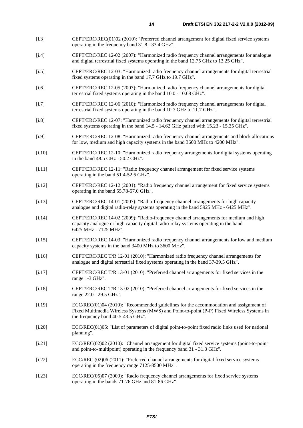- [i.3] CEPT/ERC/REC(01)02 (2010): "Preferred channel arrangement for digital fixed service systems operating in the frequency band 31.8 - 33.4 GHz".
- [i.4] CEPT/ERC/REC 12-02 (2007): "Harmonized radio frequency channel arrangements for analogue and digital terrestrial fixed systems operating in the band 12.75 GHz to 13.25 GHz".
- [i.5] CEPT/ERC/REC 12-03: "Harmonized radio frequency channel arrangements for digital terrestrial fixed systems operating in the band 17.7 GHz to 19.7 GHz".
- [i.6] CEPT/ERC/REC 12-05 (2007): "Harmonized radio frequency channel arrangements for digital terrestrial fixed systems operating in the band 10.0 - 10.68 GHz".
- [i.7] CEPT/ERC/REC 12-06 (2010): "Harmonized radio frequency channel arrangements for digital terrestrial fixed systems operating in the band 10.7 GHz to 11.7 GHz".
- [i.8] CEPT/ERC/REC 12-07: "Harmonized radio frequency channel arrangements for digital terrestrial fixed systems operating in the band 14.5 - 14.62 GHz paired with 15.23 - 15.35 GHz".
- [i.9] CEPT/ERC/REC 12-08: "Harmonized radio frequency channel arrangements and block allocations for low, medium and high capacity systems in the band 3600 MHz to 4200 MHz".
- [i.10] CEPT/ERC/REC 12-10: "Harmonized radio frequency arrangements for digital systems operating in the band 48.5 GHz - 50.2 GHz".
- [i.11] CEPT/ERC/REC 12-11: "Radio frequency channel arrangement for fixed service systems operating in the band 51.4-52.6 GHz".
- [i.12] CEPT/ERC/REC 12-12 (2001): "Radio frequency channel arrangement for fixed service systems operating in the band 55.78-57.0 GHz".
- [i.13] CEPT/ERC/REC 14-01 (2007): "Radio-frequency channel arrangements for high capacity analogue and digital radio-relay systems operating in the band 5925 MHz - 6425 MHz".
- [i.14] CEPT/ERC/REC 14-02 (2009): "Radio-frequency channel arrangements for medium and high capacity analogue or high capacity digital radio-relay systems operating in the band 6425 MHz - 7125 MHz".
- [i.15] CEPT/ERC/REC 14-03: "Harmonized radio frequency channel arrangements for low and medium capacity systems in the band 3400 MHz to 3600 MHz".
- [i.16] CEPT/ERC/REC T/R 12-01 (2010): "Harmonized radio frequency channel arrangements for analogue and digital terrestrial fixed systems operating in the band 37-39.5 GHz".
- [i.17] CEPT/ERC/REC T/R 13-01 (2010): "Preferred channel arrangements for fixed services in the range 1-3 GHz".
- [i.18] CEPT/ERC/REC T/R 13-02 (2010): "Preferred channel arrangements for fixed services in the range 22.0 - 29.5 GHz".
- [i.19] ECC/REC(01)04 (2010): "Recommended guidelines for the accommodation and assignment of Fixed Multimedia Wireless Systems (MWS) and Point-to-point (P-P) Fixed Wireless Systems in the frequency band 40.5-43.5 GHz".
- [i.20] ECC/REC(01)05: "List of parameters of digital point-to-point fixed radio links used for national planning".
- [i.21] ECC/REC(02)02 (2010): "Channel arrangement for digital fixed service systems (point-to-point and point-to-multipoint) operating in the frequency band 31 - 31.3 GHz".
- [i.22] ECC/REC (02)06 (2011): "Preferred channel arrangements for digital fixed service systems operating in the frequency range 7125-8500 MHz".
- [i.23] ECC/REC(05)07 (2009): "Radio frequency channel arrangements for fixed service systems operating in the bands 71-76 GHz and 81-86 GHz".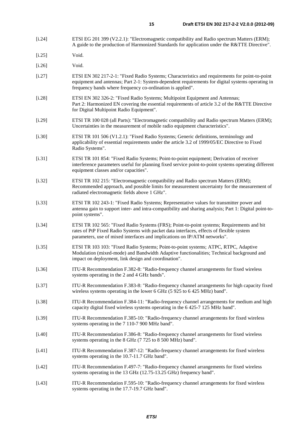- [i.24] ETSI EG 201 399 (V2.2.1): "Electromagnetic compatibility and Radio spectrum Matters (ERM); A guide to the production of Harmonized Standards for application under the R&TTE Directive".
- [i.25] Void.
- [i.26] Void.
- [i.27] ETSI EN 302 217-2-1: "Fixed Radio Systems; Characteristics and requirements for point-to-point equipment and antennas; Part 2-1: System-dependent requirements for digital systems operating in frequency bands where frequency co-ordination is applied".
- [i.28] ETSI EN 302 326-2: "Fixed Radio Systems; Multipoint Equipment and Antennas; Part 2: Harmonized EN covering the essential requirements of article 3.2 of the R&TTE Directive for Digital Multipoint Radio Equipment".
- [i.29] ETSI TR 100 028 (all Parts): "Electromagnetic compatibility and Radio spectrum Matters (ERM); Uncertainties in the measurement of mobile radio equipment characteristics".
- [i.30] ETSI TR 101 506 (V1.2.1): "Fixed Radio Systems; Generic definitions, terminology and applicability of essential requirements under the article 3.2 of 1999/05/EC Directive to Fixed Radio Systems".
- [i.31] ETSI TR 101 854: "Fixed Radio Systems; Point-to-point equipment; Derivation of receiver interference parameters useful for planning fixed service point-to-point systems operating different equipment classes and/or capacities".
- [i.32] ETSI TR 102 215: "Electromagnetic compatibility and Radio spectrum Matters (ERM); Recommended approach, and possible limits for measurement uncertainty for the measurement of radiated electromagnetic fields above 1 GHz".
- [i.33] ETSI TR 102 243-1: "Fixed Radio Systems; Representative values for transmitter power and antenna gain to support inter- and intra-compatibility and sharing analysis; Part 1: Digital point-topoint systems".
- [i.34] ETSI TR 102 565: "Fixed Radio Systems (FRS); Point-to-point systems; Requirements and bit rates of PtP Fixed Radio Systems with packet data interfaces, effects of flexible system parameters, use of mixed interfaces and implications on IP/ATM networks".
- [i.35] ETSI TR 103 103: "Fixed Radio Systems; Point-to-point systems; ATPC, RTPC, Adaptive Modulation (mixed-mode) and Bandwidth Adaptive functionalities; Technical background and impact on deployment, link design and coordination".
- [i.36] ITU-R Recommendation F.382-8: "Radio-frequency channel arrangements for fixed wireless systems operating in the 2 and 4 GHz bands".
- [i.37] ITU-R Recommendation F.383-8: "Radio-frequency channel arrangements for high capacity fixed wireless systems operating in the lower 6 GHz (5 925 to 6 425 MHz) band".
- [i.38] ITU-R Recommendation F.384-11: "Radio-frequency channel arrangements for medium and high capacity digital fixed wireless systems operating in the 6 425-7 125 MHz band".
- [i.39] ITU-R Recommendation F.385-10: "Radio-frequency channel arrangements for fixed wireless systems operating in the 7 110-7 900 MHz band".
- [i.40] ITU-R Recommendation F.386-8: "Radio-frequency channel arrangements for fixed wireless systems operating in the 8 GHz (7 725 to 8 500 MHz) band".
- [i.41] ITU-R Recommendation F.387-12: "Radio-frequency channel arrangements for fixed wireless systems operating in the 10.7-11.7 GHz band".
- [i.42] ITU-R Recommendation F.497-7: "Radio-frequency channel arrangements for fixed wireless systems operating in the 13 GHz (12.75-13.25 GHz) frequency band".
- [i.43] ITU-R Recommendation F.595-10: "Radio-frequency channel arrangements for fixed wireless systems operating in the 17.7-19.7 GHz band".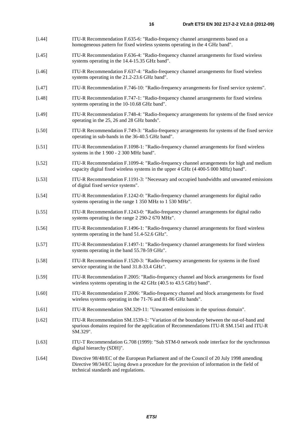- [i.44] ITU-R Recommendation F.635-6: "Radio-frequency channel arrangements based on a homogeneous pattern for fixed wireless systems operating in the 4 GHz band".
- [i.45] ITU-R Recommendation F.636-4: "Radio-frequency channel arrangements for fixed wireless systems operating in the 14.4-15.35 GHz band".
- [i.46] ITU-R Recommendation F.637-4: "Radio-frequency channel arrangements for fixed wireless systems operating in the 21.2-23.6 GHz band".
- [i.47] ITU-R Recommendation F.746-10: "Radio-frequency arrangements for fixed service systems".
- [i.48] ITU-R Recommendation F.747-1: "Radio-frequency channel arrangements for fixed wireless systems operating in the 10-10.68 GHz band".
- [i.49] ITU-R Recommendation F.748-4: "Radio-frequency arrangements for systems of the fixed service operating in the 25, 26 and 28 GHz bands".
- [i.50] ITU-R Recommendation F.749-3: "Radio-frequency arrangements for systems of the fixed service operating in sub-bands in the 36-40.5 GHz band".
- [i.51] ITU-R Recommendation F.1098-1: "Radio-frequency channel arrangements for fixed wireless systems in the 1 900 - 2 300 MHz band".
- [i.52] ITU-R Recommendation F.1099-4: "Radio-frequency channel arrangements for high and medium capacity digital fixed wireless systems in the upper 4 GHz (4 400-5 000 MHz) band".
- [i.53] ITU-R Recommendation F.1191-3: "Necessary and occupied bandwidths and unwanted emissions of digital fixed service systems".
- [i.54] ITU-R Recommendation F.1242-0: "Radio-frequency channel arrangements for digital radio systems operating in the range 1 350 MHz to 1 530 MHz".
- [i.55] ITU-R Recommendation F.1243-0: "Radio-frequency channel arrangements for digital radio systems operating in the range 2 290-2 670 MHz".
- [i.56] ITU-R Recommendation F.1496-1: "Radio-frequency channel arrangements for fixed wireless systems operating in the band 51.4-52.6 GHz".
- [i.57] ITU-R Recommendation F.1497-1: "Radio-frequency channel arrangements for fixed wireless systems operating in the band 55.78-59 GHz".
- [i.58] ITU-R Recommendation F.1520-3: "Radio-frequency arrangements for systems in the fixed service operating in the band 31.8-33.4 GHz".
- [i.59] ITU-R Recommendation F.2005: "Radio-frequency channel and block arrangements for fixed wireless systems operating in the 42 GHz (40.5 to 43.5 GHz) band".
- [i.60] ITU-R Recommendation F.2006: "Radio-frequency channel and block arrangements for fixed wireless systems operating in the 71-76 and 81-86 GHz bands".
- [i.61] ITU-R Recommendation SM.329-11: "Unwanted emissions in the spurious domain".
- [i.62] ITU-R Recommendation SM.1539-1: "Variation of the boundary between the out-of-band and spurious domains required for the application of Recommendations ITU-R SM.1541 and ITU-R SM.329".
- [i.63] ITU-T Recommendation G.708 (1999): "Sub STM-0 network node interface for the synchronous digital hierarchy (SDH)".
- [i.64] Directive 98/48/EC of the European Parliament and of the Council of 20 July 1998 amending Directive 98/34/EC laying down a procedure for the provision of information in the field of technical standards and regulations.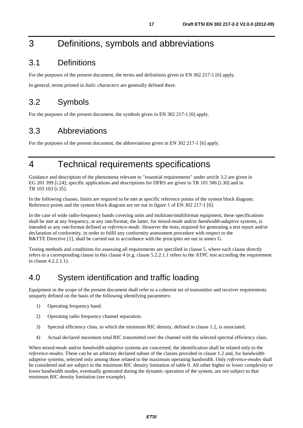## 3 Definitions, symbols and abbreviations

## 3.1 Definitions

For the purposes of the present document, the terms and definitions given in EN 302 217-1 [6] apply.

In general, terms printed in *Italic characters* are generally defined there.

## 3.2 Symbols

For the purposes of the present document, the symbols given in EN 302 217-1 [6] apply.

## 3.3 Abbreviations

For the purposes of the present document, the abbreviations given in EN 302 217-1 [6] apply.

## 4 Technical requirements specifications

Guidance and description of the phenomena relevant to "essential requirements" under article 3.2 are given in EG 201 399 [i.24]; specific applications and descriptions for DFRS are given in TR 101 506 [i.30] and in TR 103 103 [i.35].

In the following clauses, limits are required to be met at specific reference points of the system block diagram. Reference points and the system block diagram are set out in figure 1 of EN 302 217-1 [6].

In the case of wide radio-frequency bands covering units and multirate/multiformat equipment, these specifications shall be met at any frequency, at any rate/format; the latter, for *mixed-mode* and/or *bandwidth-adaptive* systems, is intended as any rate/format defined as *reference-mode*. However the tests, required for generating a test report and/or declaration of conformity, in order to fulfil any conformity assessment procedure with respect to the R&TTE Directive [1], shall be carried out in accordance with the principles set out in annex G.

Testing methods and conditions for assessing all requirements are specified in clause 5, where each clause directly refers to a corresponding clause in this clause 4 (e.g. clause 5.2.2.1.1 refers to the ATPC test according the requirement in clause 4.2.2.1.1).

## 4.0 System identification and traffic loading

Equipment in the scope of the present document shall refer to a coherent set of transmitter and receiver requirements uniquely defined on the basis of the following identifying parameters:

- 1) Operating frequency band.
- 2) Operating radio frequency channel separation.
- 3) Spectral efficiency class, to which the minimum RIC density, defined in clause 1.2, is associated.
- 4) Actual declared maximum total RIC transmitted over the channel with the selected spectral efficiency class.

When *mixed-mode* and/or *bandwidth-adaptive* systems are concerned, the identification shall be related only to the *reference-modes*. These can be an arbitrary declared subset of the classes provided in clause 1.2 and, for *bandwidthadaptive* systems, selected only among those related to the maximum operating bandwidth. Only *reference-modes* shall be considered and are subject to the minimum RIC density limitation of table 0. All other higher or lower complexity or lower bandwidth modes, eventually generated during the dynamic operation of the system, are not subject to that minimum RIC density limitation (see example).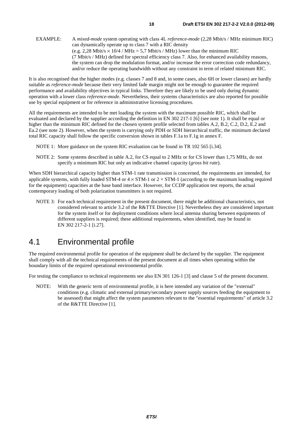It is also recognised that the higher modes (e.g. classes 7 and 8 and, in some cases, also 6H or lower classes) are hardly suitable as *reference-mode* because their very limited fade margin might not be enough to guarantee the required performance and availability objectives in typical links. Therefore they are likely to be used only during dynamic operation with a lower class *reference-mode*. Nevertheless, their systems characteristics are also reported for possible use by special equipment or for reference in administrative licensing procedures.

All the requirements are intended to be met loading the system with the maximum possible RIC, which shall be evaluated and declared by the supplier according the definition in EN 302 217-1 [6] (see note 1). It shall be equal or higher than the minimum RIC defined for the chosen system profile selected from tables A.2, B.2, C.2, D.2, E.2 and Ea.2 (see note 2). However, when the system is carrying only PDH or SDH hierarchical traffic, the minimum declared total RIC capacity shall follow the specific conversion shown in tables F.1a to F.1g in annex F.

NOTE 1: More guidance on the system RIC evaluation can be found in TR 102 565 [i.34].

NOTE 2: Some systems described in table A.2, for CS equal to 2 MHz or for CS lower than 1,75 MHz, do not specify a minimum RIC but only an indicative channel capacity (*gross bit rate*).

When SDH hierarchical capacity higher than STM-1 rate transmission is concerned, the requirements are intended, for applicable systems, with fully loaded STM-4 or  $4 \times$  STM-1 or  $2 \times$  STM-1 (according to the maximum loading required for the equipment) capacities at the base band interface. However, for CCDP application test reports, the actual contemporary loading of both polarization transmitters is not required.

NOTE 3: For each technical requirement in the present document, there might be additional characteristics, not considered relevant to article 3.2 of the R&TTE Directive [1]. Nevertheless they are considered important for the system itself or for deployment conditions where local antenna sharing between equipments of different suppliers is required; these additional requirements, when identified, may be found in EN 302 217-2-1 [i.27].

## 4.1 Environmental profile

The required environmental profile for operation of the equipment shall be declared by the supplier. The equipment shall comply with all the technical requirements of the present document at all times when operating within the boundary limits of the required operational environmental profile.

For testing the compliance to technical requirements see also EN 301 126-1 [3] and clause 5 of the present document.

NOTE: With the generic term of environmental profile, it is here intended any variation of the "external" conditions (e.g. climatic and external primary/secondary power supply sources feeding the equipment to be assessed) that might affect the system parameters relevant to the "essential requirements" of article 3.2 of the R&TTE Directive [1].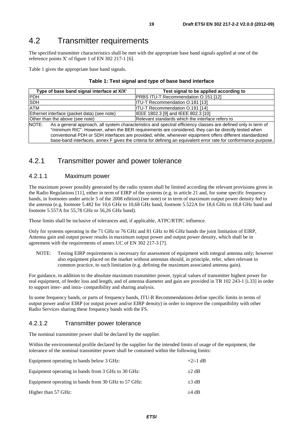## 4.2 Transmitter requirements

The specified transmitter characteristics shall be met with the appropriate base band signals applied at one of the reference points X' of figure 1 of EN 302 217-1 [6].

Table 1 gives the appropriate base band signals.

| Type of base band signal interface at X/X'  | Test signal to be applied according to                                                                          |  |  |  |  |  |
|---------------------------------------------|-----------------------------------------------------------------------------------------------------------------|--|--|--|--|--|
| <b>PDH</b>                                  | PRBS ITU-T Recommendation 0.151 [12]                                                                            |  |  |  |  |  |
| <b>SDH</b>                                  | <b>ITU-T Recommendation 0.181 [13]</b>                                                                          |  |  |  |  |  |
| <b>ATM</b>                                  | ITU-T Recommendation O.191 [14]                                                                                 |  |  |  |  |  |
| Ethernet interface (packet data) (see note) | IEEE 1802.3 [9] and IEEE 802.3 [10]                                                                             |  |  |  |  |  |
| Other than the above (see note)             | Relevant standards which the interface refers to                                                                |  |  |  |  |  |
| NOTE:                                       | As a general approach, all system characteristics and spectral efficiency classes are defined only in term of   |  |  |  |  |  |
|                                             | "minimum RIC". However, when the BER requirements are considered, they can be directly tested when              |  |  |  |  |  |
|                                             | conventional PDH or SDH interfaces are provided; while, whenever equipment offers different standardized        |  |  |  |  |  |
|                                             | base-band interfaces, annex F gives the criteria for defining an equivalent error rate for conformance purpose. |  |  |  |  |  |

## 4.2.1 Transmitter power and power tolerance

### 4.2.1.1 Maximum power

The maximum power possibly generated by the radio system shall be limited according the relevant provisions given in the Radio Regulations [11], either in term of EIRP of the systems (e.g. in article 21 and, for some specific frequency bands, in footnotes under article 5 of the 2008 edition) (see note) or in term of maximum output power density fed to the antenna (e.g. footnote 5.482 for 10,6 GHz to 10,68 GHz band, footnote 5.522A for 18,6 GHz to 18,8 GHz band and footnote 5.557A for 55,78 GHz to 56,26 GHz band).

Those limits shall be inclusive of tolerances and, if applicable, ATPC/RTPC influence.

Only for systems operating in the 71 GHz to 76 GHz and 81 GHz to 86 GHz bands the joint limitation of EIRP, Antenna gain and output power results in maximum output power and output power density, which shall be in agreement with the requirements of annex UC of EN 302 217-3 [7].

NOTE: Testing EIRP requirements is necessary for assessment of equipment with integral antenna only; however also equipment placed on the market without antennas should, in principle, refer, when relevant in common practice, to such limitation (e.g. defining the maximum associated antenna gain).

For guidance, in addition to the absolute maximum transmitter power, typical values of transmitter highest power for real equipment, of feeder loss and length, and of antenna diameter and gain are provided in TR 102 243-1 [i.33] in order to support inter- and intra- compatibility and sharing analysis.

In some frequency bands, or parts of frequency bands, ITU-R Recommendations define specific limits in terms of output power and/or EIRP (or output power and/or EIRP density) in order to improve the compatibility with other Radio Services sharing these frequency bands with the FS.

### 4.2.1.2 Transmitter power tolerance

The nominal transmitter power shall be declared by the supplier.

Within the environmental profile declared by the supplier for the intended limits of usage of the equipment, the tolerance of the nominal transmitter power shall be contained within the following limits:

| Equipment operating in bands below 3 GHz:           | $+2/-1$ dB |
|-----------------------------------------------------|------------|
| Equipment operating in bands from 3 GHz to 30 GHz:  | $+2$ dB    |
| Equipment operating in bands from 30 GHz to 57 GHz: | $\pm 3$ dB |
| Higher than 57 GHz:                                 | $+4$ dB    |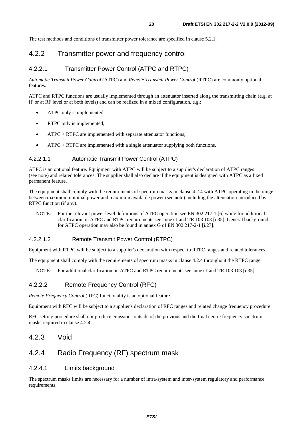The test methods and conditions of transmitter power tolerance are specified in clause 5.2.1.

## 4.2.2 Transmitter power and frequency control

### 4.2.2.1 Transmitter Power Control (ATPC and RTPC)

*Automatic Transmit Power Control* (ATPC) and *Remote Transmit Power Control* (RTPC) are commonly optional features.

ATPC and RTPC functions are usually implemented through an attenuator inserted along the transmitting chain (e.g. at IF or at RF level or at both levels) and can be realized in a mixed configuration, e.g.:

- ATPC only is implemented;
- RTPC only is implemented;
- ATPC + RTPC are implemented with separate attenuator functions;
- $ATPC + RTPC$  are implemented with a single attenuator supplying both functions.

#### 4.2.2.1.1 Automatic Transmit Power Control (ATPC)

ATPC is an optional feature. Equipment with ATPC will be subject to a supplier's declaration of ATPC ranges (see note) and related tolerances. The supplier shall also declare if the equipment is designed with ATPC as a fixed permanent feature.

The equipment shall comply with the requirements of spectrum masks in clause 4.2.4 with ATPC operating in the range between maximum nominal power and maximum available power (see note) including the attenuation introduced by RTPC function (if any).

NOTE: For the relevant power level definitions of ATPC operation see EN 302 217-1 [6] while for additional clarification on ATPC and RTPC requirements see annex I and TR 103 103 [i.35]. General background for ATPC operation may also be found in annex G of EN 302 217-2-1 [i.27].

#### 4.2.2.1.2 Remote Transmit Power Control (RTPC)

Equipment with RTPC will be subject to a supplier's declaration with respect to RTPC ranges and related tolerances.

The equipment shall comply with the requirements of spectrum masks in clause 4.2.4 throughout the RTPC range.

NOTE: For additional clarification on ATPC and RTPC requirements see annex I and TR 103 103 [i.35].

### 4.2.2.2 Remote Frequency Control (RFC)

*Remote Frequency Control* (RFC) functionality is an optional feature.

Equipment with RFC will be subject to a supplier's declaration of RFC ranges and related change frequency procedure.

RFC setting procedure shall not produce emissions outside of the previous and the final centre frequency spectrum masks required in clause 4.2.4.

### 4.2.3 Void

## 4.2.4 Radio Frequency (RF) spectrum mask

### 4.2.4.1 Limits background

The spectrum masks limits are necessary for a number of intra-system and inter-system regulatory and performance requirements.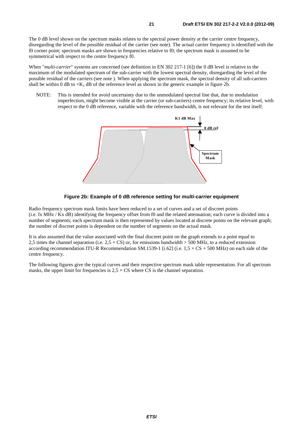The 0 dB level shown on the spectrum masks relates to the spectral power density at the carrier centre frequency, disregarding the level of the possible residual of the carrier (see note). The actual carrier frequency is identified with the f0 corner point; spectrum masks are shown in frequencies relative to f0; the spectrum mask is assumed to be symmetrical with respect to the centre frequency f0.

When "*multi-carrier*" systems are concerned (see definition in EN 302 217-1 [6]) the 0 dB level is relative to the maximum of the modulated spectrum of the sub-carrier with the lowest spectral density, disregarding the level of the possible residual of the carriers (see note ). When applying the spectrum mask, the spectral density of all sub-carriers shall be within 0 dB to  $+K_1$  dB of the reference level as shown in the generic example in figure 2b.

NOTE: This is intended for avoid uncertainty due to the unmodulated spectral line that, due to modulation imperfection, might become visible at the carrier (or sub-carriers) centre frequency; its relative level, with respect to the 0 dB reference, variable with the reference bandwidth, is not relevant for the test itself.





Radio frequency spectrum mask limits have been reduced to a set of curves and a set of discreet points (i.e. fx MHz / Kx dB) identifying the frequency offset from f0 and the related attenuation; each curve is divided into a number of segments; each spectrum mask is then represented by values located at discrete points on the relevant graph; the number of discreet points is dependent on the number of segments on the actual mask.

It is also assumed that the value associated with the final discreet point on the graph extends to a point equal to 2.5 times the channel separation (i.e.  $2.5 \times CS$ ) or, for emissions bandwidth  $> 500$  MHz, to a reduced extension according recommendation ITU-R Recommendation SM.1539-1 [i.62] (i.e.  $1.5 \times CS + 500$  MHz) on each side of the centre frequency.

The following figures give the typical curves and their respective spectrum mask table representation. For all spectrum masks, the upper limit for frequencies is  $2.5 \times CS$  where CS is the channel separation.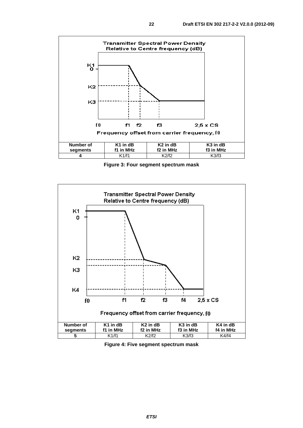

**Figure 3: Four segment spectrum mask** 



**Figure 4: Five segment spectrum mask**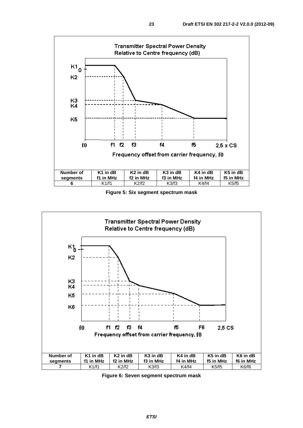

**Figure 5: Six segment spectrum mask** 



**Figure 6: Seven segment spectrum mask**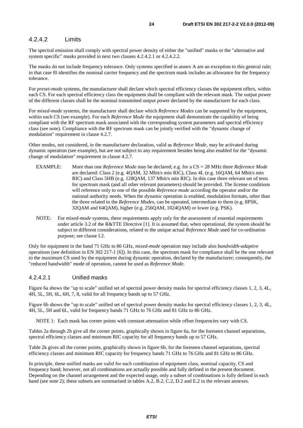### 4.2.4.2 Limits

The spectral emission shall comply with spectral power density of either the "unified" masks or the "alternative and system specific" masks provided in next two clauses 4.2.4.2.1 or 4.2.4.2.2.

The masks do not include frequency tolerance. Only systems specified in annex A are an exception to this general rule; in that case f0 identifies the nominal carrier frequency and the spectrum mask includes an allowance for the frequency tolerance.

For *preset-mode* systems, the manufacturer shall declare which spectral efficiency classes the equipment offers, within each CS. For each spectral efficiency class the equipment shall be compliant with the relevant mask. The output power of the different classes shall be the nominal transmitted output power declared by the manufacturer for each class.

For *mixed-mode* systems, the manufacturer shall declare which *Reference Modes* can be supported by the equipment, within each CS (see example). For each *Reference Mode* the equipment shall demonstrate the capability of being compliant with the RF spectrum mask associated with the corresponding system parameters and spectral efficiency class (see note). Compliance with the RF spectrum mask can be jointly verified with the "dynamic change of modulation" requirement in clause 4.2.7.

Other modes, not considered, in the manufacturer declaration, valid as *Reference Mode*, may be activated during dynamic operation (see example), but are not subject to any requirement besides being also enabled for the "dynamic change of modulation" requirement in clause 4.2.7.

- EXAMPLE: More than one *Reference Mode* may be declared; e.g. for a CS = 28 MHz three *Reference Mode* are declared: Class 2 (e.g. 4QAM, 32 Mbit/s min RIC), Class 4L (e.g. 16QAM, 64 Mbit/s min RIC) and Class 5HB (e.g. 128QAM, 137 Mbit/s min RIC). In this case three relevant set of tests for spectrum mask (and all other relevant parameters) should be provided. The license conditions will reference only to one of the possible *Reference mode* according the operator and/or the national authority needs. When the dynamic operation is enabled, modulation formats, other than the three related to the *Reference Modes*, can be operated, intermediate to them (e.g. 8PSK, 32QAM and 64QAM), higher (e.g. 256QAM, 1024QAM) or lower (e.g. PSK).
- NOTE: For *mixed-mode* systems, these requirements apply only for the assessment of essential requirements under article 3.2 of the R&TTE Directive [1]. It is assumed that, when operational, the system should be subject to different considerations, related to the unique actual *Reference Mode* used for co-ordination purpose; see clause I.2.

Only for equipment in the band 71 GHz to 86 GHz, *mixed-mode* operation may include also *bandwidth-adaptive* operations (see definition in EN 302 217-1 [6]). In this case, the spectrum mask for compliance shall be the one relevant to the maximum CS used by the equipment during dynamic operation, declared by the manufacturer; consequently, the "reduced bandwidth" mode of operation, cannot be used as *Reference Mode*.

#### 4.2.4.2.1 Unified masks

Figure 6a shows the "up to scale" unified set of spectral power density masks for spectral efficiency classes 1, 2, 3, 4L, 4H, 5L, 5H, 6L, 6H, 7, 8, valid for all frequency bands up to 57 GHz.

Figure 6b shows the "up to scale" unified set of spectral power density masks for spectral efficiency classes 1, 2, 3, 4L, 4H, 5L, 5H and 6L, valid for frequency bands 71 GHz to 76 GHz and 81 GHz to 86 GHz.

NOTE 1: Each mask has corner points with constant attenuation while offset frequencies vary with CS.

Tables 2a through 2h give all the corner points, graphically shown in figure 6a, for the foreseen channel separations, spectral efficiency classes and minimum RIC capacity for all frequency bands up to 57 GHz.

Table 2k gives all the corner points, graphically shown in figure 6b, for the foreseen channel separations, spectral efficiency classes and minimum RIC capacity for frequency bands 71 GHz to 76 GHz and 81 GHz to 86 GHz.

In principle, these unified masks are valid for each combination of equipment class, nominal capacity, CS and frequency band; however, not all combinations are actually possible and fully defined in the present document. Depending on the channel arrangement and the expected usage, only a subset of combinations is fully defined in each band (see note 2); these subsets are summarised in tables A.2, B.2, C.2, D.2 and E.2 in the relevant annexes.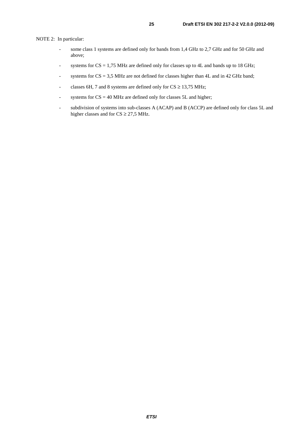NOTE 2: In particular:

- some class 1 systems are defined only for bands from 1,4 GHz to 2,7 GHz and for 50 GHz and above;
- systems for  $CS = 1.75$  MHz are defined only for classes up to 4L and bands up to 18 GHz;
- systems for  $CS = 3.5$  MHz are not defined for classes higher than 4L and in 42 GHz band;
- classes 6H, 7 and 8 systems are defined only for  $CS \ge 13,75$  MHz;
- systems for  $CS = 40$  MHz are defined only for classes 5L and higher;
- subdivision of systems into sub-classes A (ACAP) and B (ACCP) are defined only for class 5L and higher classes and for  $CS \ge 27,5$  MHz.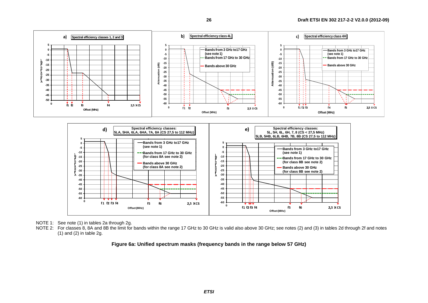



NOTE 1: See note (1) in tables 2a through 2g.

NOTE 2: For classes 8, 8A and 8B the limit for bands within the range 17 GHz to 30 GHz is valid also above 30 GHz; see notes (2) and (3) in tables 2d through 2f and notes (1) and (2) in table 2g.

**Figure 6a: Unified spectrum masks (frequency bands in the range below 57 GHz)**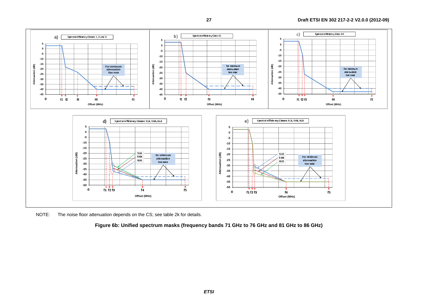

NOTE: The noise floor attenuation depends on the CS; see table 2k for details.

**Figure 6b: Unified spectrum masks (frequency bands 71 GHz to 76 GHz and 81 GHz to 86 GHz)**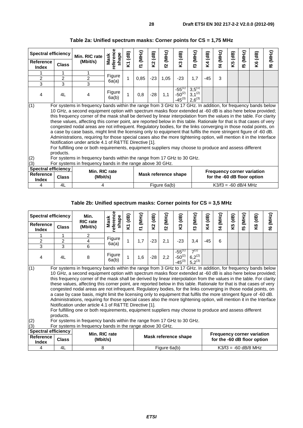| <b>Spectral efficiency</b>                                                                                                                                                                                                                                                                                                                                                                                                                                                                                                                                                                                                                                                                                                                                                                                                                                                                                                                                                                                                                                                                                               |                                                                                                                                                                                                                                  | Min. RIC rate  | shape<br>Mask   | (MHz)<br>$\mathbf{a}$ | $\mathbf{d}$ B) | (MHz)                   |                                           | (MHz)                                     |         | (MHz)                  | (dB) |                 |         |              |
|--------------------------------------------------------------------------------------------------------------------------------------------------------------------------------------------------------------------------------------------------------------------------------------------------------------------------------------------------------------------------------------------------------------------------------------------------------------------------------------------------------------------------------------------------------------------------------------------------------------------------------------------------------------------------------------------------------------------------------------------------------------------------------------------------------------------------------------------------------------------------------------------------------------------------------------------------------------------------------------------------------------------------------------------------------------------------------------------------------------------------|----------------------------------------------------------------------------------------------------------------------------------------------------------------------------------------------------------------------------------|----------------|-----------------|-----------------------|-----------------|-------------------------|-------------------------------------------|-------------------------------------------|---------|------------------------|------|-----------------|---------|--------------|
| Reference<br><b>Index</b>                                                                                                                                                                                                                                                                                                                                                                                                                                                                                                                                                                                                                                                                                                                                                                                                                                                                                                                                                                                                                                                                                                | <b>Class</b>                                                                                                                                                                                                                     | (Mbit/s)       | reference       | Σ<br>E                | Σ,              | $\overline{\mathbf{c}}$ | K3 (dB)                                   | ო                                         | K4 (dB) | 4                      | Κ5   | <b>(5 (MHz)</b> | K6 (dB) | <b>(MHz)</b> |
|                                                                                                                                                                                                                                                                                                                                                                                                                                                                                                                                                                                                                                                                                                                                                                                                                                                                                                                                                                                                                                                                                                                          |                                                                                                                                                                                                                                  |                |                 |                       |                 |                         |                                           |                                           |         |                        |      |                 |         |              |
| $\overline{2}$                                                                                                                                                                                                                                                                                                                                                                                                                                                                                                                                                                                                                                                                                                                                                                                                                                                                                                                                                                                                                                                                                                           | $\overline{c}$                                                                                                                                                                                                                   | $\overline{c}$ | Figure<br>6a(a) | 1<br>0,85             | $-23$           | 1,05                    | $-23$                                     | 1,7                                       | $-45$   | 3                      |      |                 |         |              |
| 3                                                                                                                                                                                                                                                                                                                                                                                                                                                                                                                                                                                                                                                                                                                                                                                                                                                                                                                                                                                                                                                                                                                        | 3                                                                                                                                                                                                                                | 3              |                 |                       |                 |                         |                                           |                                           |         |                        |      |                 |         |              |
| 4                                                                                                                                                                                                                                                                                                                                                                                                                                                                                                                                                                                                                                                                                                                                                                                                                                                                                                                                                                                                                                                                                                                        | 4L                                                                                                                                                                                                                               | 4              | Figure<br>6a(b) | 0,8                   | $-28$           | 1,1                     | $-55^{(1)}$<br>$-50^{(2)}$<br>$-45^{(3)}$ | $3,5^{(1)}$<br>$3,1^{(2)}$<br>$2,6^{(3)}$ |         |                        |      |                 |         |              |
| (1)<br>For systems in frequency bands within the range from 3 GHz to 17 GHz. In addition, for frequency bands below<br>10 GHz, a second equipment option with spectrum masks floor extended at -60 dB is also here below provided;<br>this frequency corner of the mask shall be derived by linear interpolation from the values in the table. For clarity<br>these values, affecting this corner point, are reported below in this table. Rationale for that is that cases of very<br>congested nodal areas are not infrequent. Regulatory bodies, for the links converging in those nodal points, on<br>a case by case basis, might limit the licensing only to equipment that fulfils the more stringent figure of -60 dB.<br>Administrations, requiring for those special cases also the more tightening option, will mention it in the Interface<br>Notification under article 4.1 of R&TTE Directive [1].<br>For fulfilling one or both requirements, equipment suppliers may choose to produce and assess different<br>products.<br>(2)<br>For systems in frequency bands within the range from 17 GHz to 30 GHz. |                                                                                                                                                                                                                                  |                |                 |                       |                 |                         |                                           |                                           |         |                        |      |                 |         |              |
| (3)<br>Reference<br><b>Index</b>                                                                                                                                                                                                                                                                                                                                                                                                                                                                                                                                                                                                                                                                                                                                                                                                                                                                                                                                                                                                                                                                                         | For systems in frequency bands in the range above 30 GHz.<br><b>Spectral efficiency</b><br>Min. RIC rate<br><b>Frequency corner variation</b><br>Mask reference shape<br><b>Class</b><br>(Mbit/s)<br>for the -60 dB floor option |                |                 |                       |                 |                         |                                           |                                           |         |                        |      |                 |         |              |
| 4                                                                                                                                                                                                                                                                                                                                                                                                                                                                                                                                                                                                                                                                                                                                                                                                                                                                                                                                                                                                                                                                                                                        | 4L                                                                                                                                                                                                                               | 4              |                 |                       |                 | Figure 6a(b)            |                                           |                                           |         | $K3/f3 = -60$ dB/4 MHz |      |                 |         |              |

## **Table 2a: Unified spectrum masks: Corner points for CS = 1,75 MHz**

### **Table 2b: Unified spectrum masks: Corner points for CS = 3,5 MHz**

| <b>Spectral efficiency</b>                                              |                                                                                                                                                                                                                                                                                                                                                                                                                                                                                                                                                                                                                                                                                                                                                                                                                                                                                                                                                                                                                                                                                                                                                                                | Min.                        | Φ                         | (dB) | (MHz) | (dB)  | (MHz)                | (dB)                                      |                                                                  | (dB)  |          | $\mathbf{a}$ | (MHz) |                        |                 |
|-------------------------------------------------------------------------|--------------------------------------------------------------------------------------------------------------------------------------------------------------------------------------------------------------------------------------------------------------------------------------------------------------------------------------------------------------------------------------------------------------------------------------------------------------------------------------------------------------------------------------------------------------------------------------------------------------------------------------------------------------------------------------------------------------------------------------------------------------------------------------------------------------------------------------------------------------------------------------------------------------------------------------------------------------------------------------------------------------------------------------------------------------------------------------------------------------------------------------------------------------------------------|-----------------------------|---------------------------|------|-------|-------|----------------------|-------------------------------------------|------------------------------------------------------------------|-------|----------|--------------|-------|------------------------|-----------------|
| Reference<br><b>Index</b>                                               | <b>Class</b>                                                                                                                                                                                                                                                                                                                                                                                                                                                                                                                                                                                                                                                                                                                                                                                                                                                                                                                                                                                                                                                                                                                                                                   | <b>RIC</b> rate<br>(Mbit/s) | referenc<br>shape<br>Mask | Σ    | Z,    | Σ,    | 5                    | Š,                                        | <b>[3 (MHz)</b>                                                  | ξ4    | 14 (MHz) | Κ5           | 53    | K6 (dB)                | <b>16 (MHz)</b> |
|                                                                         | 1                                                                                                                                                                                                                                                                                                                                                                                                                                                                                                                                                                                                                                                                                                                                                                                                                                                                                                                                                                                                                                                                                                                                                                              | 2                           | Figure                    |      |       |       |                      |                                           |                                                                  |       |          |              |       |                        |                 |
| $\overline{\mathbf{c}}$                                                 | $\overline{c}$                                                                                                                                                                                                                                                                                                                                                                                                                                                                                                                                                                                                                                                                                                                                                                                                                                                                                                                                                                                                                                                                                                                                                                 | 4                           | 6a(a)                     | 1    | 1,7   | $-23$ | 2,1                  | $-23$                                     | 3,4                                                              | $-45$ | 6        |              |       |                        |                 |
| $\overline{3}$                                                          | 3                                                                                                                                                                                                                                                                                                                                                                                                                                                                                                                                                                                                                                                                                                                                                                                                                                                                                                                                                                                                                                                                                                                                                                              | 6                           |                           |      |       |       |                      |                                           |                                                                  |       |          |              |       |                        |                 |
| 4                                                                       | 4L                                                                                                                                                                                                                                                                                                                                                                                                                                                                                                                                                                                                                                                                                                                                                                                                                                                                                                                                                                                                                                                                                                                                                                             | 8                           | Figure<br>6a(b)           | 1    | 1,6   | -28   | 2,2                  | $-55^{(1)}$<br>$-50^{(2)}$<br>$-45^{(3)}$ | $7^{(1)}$<br>$6,2^{(2)}$<br>$5,2^{(3)}$                          |       |          |              |       |                        |                 |
| (2)<br>(3)                                                              | (1)<br>For systems in frequency bands within the range from 3 GHz to 17 GHz. In addition, for frequency bands below<br>10 GHz, a second equipment option with spectrum masks floor extended at -60 dB is also here below provided;<br>this frequency corner of the mask shall be derived by linear interpolation from the values in the table. For clarity<br>these values, affecting this corner point, are reported below in this table. Rationale for that is that cases of very<br>congested nodal areas are not infrequent. Regulatory bodies, for the links converging in those nodal points, on<br>a case by case basis, might limit the licensing only to equipment that fulfils the more stringent figure of -60 dB.<br>Administrations, requiring for those special cases also the more tightening option, will mention it in the Interface<br>Notification under article 4.1 of R&TTE Directive [1].<br>For fulfilling one or both requirements, equipment suppliers may choose to produce and assess different<br>products.<br>For systems in frequency bands within the range from 17 GHz to 30 GHz.<br>For systems in frequency bands in the range above 30 GHz. |                             |                           |      |       |       |                      |                                           |                                                                  |       |          |              |       |                        |                 |
| <b>Spectral efficiency</b><br>Reference<br><b>Class</b><br><b>Index</b> |                                                                                                                                                                                                                                                                                                                                                                                                                                                                                                                                                                                                                                                                                                                                                                                                                                                                                                                                                                                                                                                                                                                                                                                | Min. RIC rate<br>(Mbit/s)   |                           |      |       |       | Mask reference shape |                                           | <b>Frequency corner variation</b><br>for the -60 dB floor option |       |          |              |       |                        |                 |
| 4                                                                       | 4L                                                                                                                                                                                                                                                                                                                                                                                                                                                                                                                                                                                                                                                                                                                                                                                                                                                                                                                                                                                                                                                                                                                                                                             | 8                           |                           |      |       |       | Figure 6a(b)         |                                           |                                                                  |       |          |              |       | $K3/f3 = -60$ dB/8 MHz |                 |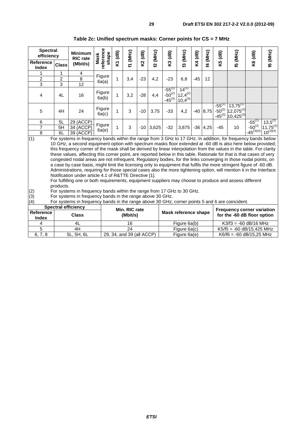| <b>Spectral</b><br>efficiency                                                                                                                                                                                                                                                                                                                                                                                                                                                                                                                                                                                                                                                                                                                                                                                                                                                                                                                                                                                                           |                | <b>Minimum</b>                                                                                  |                      | $\overline{AB}$ | (MHz) | K2 (dB) |                 | K3 (dB)                                   |                                            |         | (MHz)      | K5 (dB)                                   |                                                   | <b>K6 (dB)</b> |                 |
|-----------------------------------------------------------------------------------------------------------------------------------------------------------------------------------------------------------------------------------------------------------------------------------------------------------------------------------------------------------------------------------------------------------------------------------------------------------------------------------------------------------------------------------------------------------------------------------------------------------------------------------------------------------------------------------------------------------------------------------------------------------------------------------------------------------------------------------------------------------------------------------------------------------------------------------------------------------------------------------------------------------------------------------------|----------------|-------------------------------------------------------------------------------------------------|----------------------|-----------------|-------|---------|-----------------|-------------------------------------------|--------------------------------------------|---------|------------|-------------------------------------------|---------------------------------------------------|----------------|-----------------|
|                                                                                                                                                                                                                                                                                                                                                                                                                                                                                                                                                                                                                                                                                                                                                                                                                                                                                                                                                                                                                                         |                | <b>RIC</b> rate                                                                                 | shape<br><b>Mask</b> |                 |       |         |                 |                                           |                                            | K4 (dB) |            |                                           |                                                   |                |                 |
| <b>Reference</b><br>Index                                                                                                                                                                                                                                                                                                                                                                                                                                                                                                                                                                                                                                                                                                                                                                                                                                                                                                                                                                                                               | <b>Class</b>   | (Mbit/s)                                                                                        | reference            | Σ               |       |         | <b>f2 (MHz)</b> |                                           | [3 (MHz)                                   |         | ΣŢ         |                                           | E5 (MHz)                                          |                | <b>f6 (MHz)</b> |
|                                                                                                                                                                                                                                                                                                                                                                                                                                                                                                                                                                                                                                                                                                                                                                                                                                                                                                                                                                                                                                         |                | 4                                                                                               |                      |                 |       |         |                 |                                           |                                            |         |            |                                           |                                                   |                |                 |
| $\overline{2}$                                                                                                                                                                                                                                                                                                                                                                                                                                                                                                                                                                                                                                                                                                                                                                                                                                                                                                                                                                                                                          | $\overline{2}$ | $\overline{8}$                                                                                  | Figure<br>6a(a)      | 1               | 3,4   | $-23$   | 4,2             | $-23$                                     | 6,8                                        | $-45$   | 12         |                                           |                                                   |                |                 |
| $\overline{3}$                                                                                                                                                                                                                                                                                                                                                                                                                                                                                                                                                                                                                                                                                                                                                                                                                                                                                                                                                                                                                          | 3              | 12                                                                                              |                      |                 |       |         |                 |                                           |                                            |         |            |                                           |                                                   |                |                 |
| 4                                                                                                                                                                                                                                                                                                                                                                                                                                                                                                                                                                                                                                                                                                                                                                                                                                                                                                                                                                                                                                       | 4L             | 16                                                                                              | Figure<br>6a(b)      | 1               | 3,2   | $-28$   | 4,4             | $-55^{(1)}$<br>$-50^{(2)}$<br>$-45^{(3)}$ | $14^{(1)}$<br>$12,4^{(2)}$<br>$10,4^{(3)}$ |         |            |                                           |                                                   |                |                 |
| 5                                                                                                                                                                                                                                                                                                                                                                                                                                                                                                                                                                                                                                                                                                                                                                                                                                                                                                                                                                                                                                       | 4H             | 24                                                                                              | Figure<br>6a(c)      | 1               | 3     | $-10$   | 3,75            | $-33$                                     | 4,2                                        |         | $-40$ 8,75 | $-55^{(1)}$<br>$-50^{(2)}$<br>$-45^{(3)}$ | $13,75^{(1)}$<br>$12,075^{(2)}$<br>$10,425^{(3)}$ |                |                 |
| 6                                                                                                                                                                                                                                                                                                                                                                                                                                                                                                                                                                                                                                                                                                                                                                                                                                                                                                                                                                                                                                       | 5L             | 29 (ACCP)                                                                                       |                      |                 |       |         |                 |                                           |                                            |         |            |                                           |                                                   | $-55^{(1)}$    | $13,5^{(1)}$    |
| $\overline{7}$                                                                                                                                                                                                                                                                                                                                                                                                                                                                                                                                                                                                                                                                                                                                                                                                                                                                                                                                                                                                                          | 5H             | 34 (ACCP)                                                                                       | Figure               | 1               | 3     | $-10$   | 3,625           | $-32$                                     | 3,875                                      |         | $-36$ 4,25 | $-45$                                     | 10                                                | $-50^{(2)}$    | $11,75^{(2)}$   |
| 8                                                                                                                                                                                                                                                                                                                                                                                                                                                                                                                                                                                                                                                                                                                                                                                                                                                                                                                                                                                                                                       | 6L             | 39 (ACCP)                                                                                       | 6a(e)                |                 |       |         |                 |                                           |                                            |         |            |                                           |                                                   | $-45^{(3)(4)}$ | $10^{(3)(4)}$   |
| (1)<br>For systems in frequency bands within the range from 3 GHz to 17 GHz. In addition, for frequency bands below<br>10 GHz, a second equipment option with spectrum masks floor extended at -60 dB is also here below provided;<br>this frequency corner of the mask shall be derived by linear interpolation from the values in the table. For clarity<br>these values, affecting this corner point, are reported below in this table. Rationale for that is that cases of very<br>congested nodal areas are not infrequent. Regulatory bodies, for the links converging in those nodal points, on<br>a case by case basis, might limit the licensing only to equipment that fulfils the more stringent figure of -60 dB.<br>Administrations, requiring for those special cases also the more tightening option, will mention it in the Interface<br>Notification under article 4.1 of R&TTE Directive [1].<br>For fulfilling one or both requirements, equipment suppliers may choose to produce and assess different<br>products. |                |                                                                                                 |                      |                 |       |         |                 |                                           |                                            |         |            |                                           |                                                   |                |                 |
| $(2)$<br>$(3)$                                                                                                                                                                                                                                                                                                                                                                                                                                                                                                                                                                                                                                                                                                                                                                                                                                                                                                                                                                                                                          |                | For systems in frequency bands within the range from 17 GHz to 30 GHz.                          |                      |                 |       |         |                 |                                           |                                            |         |            |                                           |                                                   |                |                 |
|                                                                                                                                                                                                                                                                                                                                                                                                                                                                                                                                                                                                                                                                                                                                                                                                                                                                                                                                                                                                                                         |                | For systems in frequency bands in the range above 30 GHz.                                       |                      |                 |       |         |                 |                                           |                                            |         |            |                                           |                                                   |                |                 |
| (4)                                                                                                                                                                                                                                                                                                                                                                                                                                                                                                                                                                                                                                                                                                                                                                                                                                                                                                                                                                                                                                     |                | For systems in frequency bands in the range above 30 GHz; corner points 5 and 6 are coincident. |                      |                 |       |         |                 |                                           |                                            |         |            |                                           |                                                   |                |                 |

| Table 2c: Unified spectrum masks: Corner points for CS = 7 MHz |  |
|----------------------------------------------------------------|--|
|----------------------------------------------------------------|--|

|                                  | <b>Spectral efficiency</b> | Min. RIC rate             |                      | <b>Frequency corner variation</b> |  |  |  |  |
|----------------------------------|----------------------------|---------------------------|----------------------|-----------------------------------|--|--|--|--|
| <b>Reference</b><br><b>Index</b> | <b>Class</b>               | (Mbit/s)                  | Mask reference shape | for the -60 dB floor option       |  |  |  |  |
|                                  | 4L                         | 16                        | Figure 6a(b)         | $K3/f3 = -60$ dB/16 MHz           |  |  |  |  |
|                                  | 4H                         | 24                        | Figure 6a(c)         | $K5/f5 = -60$ dB/15.425 MHz       |  |  |  |  |
| 6.7.8                            | 5L. 5H. 6L                 | 29, 34, and 39 (all ACCP) | Figure 6a(e)         | $K6/f6 = -60$ dB/15.25 MHz        |  |  |  |  |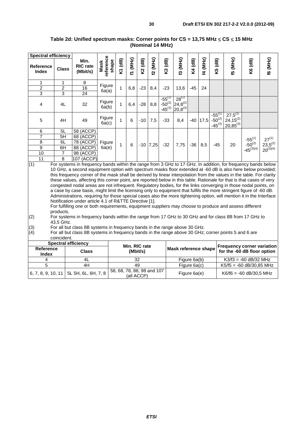| <b>Spectral efficiency</b>                                                                                                                                                                                                             |                |                                                                                                                      |                            |         |             |         |            |                                                    |                                            |         |          |                                                     |                                                |                |                 |
|----------------------------------------------------------------------------------------------------------------------------------------------------------------------------------------------------------------------------------------|----------------|----------------------------------------------------------------------------------------------------------------------|----------------------------|---------|-------------|---------|------------|----------------------------------------------------|--------------------------------------------|---------|----------|-----------------------------------------------------|------------------------------------------------|----------------|-----------------|
| Reference<br>Index                                                                                                                                                                                                                     | <b>Class</b>   | Min.<br><b>RIC</b> rate<br>(Mbit/s)                                                                                  | Mask<br>reference<br>shape | K1 (dB) | (MHz)<br>Ż, | K2 (dB) | (MHz)<br>5 | K3 (dB)                                            | <b>[3 (MHz)</b>                            | K4 (dB) | 14 (MHz) | K5 (dB)                                             | (ZHM) GJ                                       | K6 (dB)        | <b>f6 (MHz)</b> |
| 1                                                                                                                                                                                                                                      | 1              | 8                                                                                                                    |                            |         |             |         |            |                                                    |                                            |         |          |                                                     |                                                |                |                 |
| $\overline{c}$                                                                                                                                                                                                                         | 2              | 16                                                                                                                   | Figure<br>6a(a)            | 1       | 6,8         | $-23$   | 8,4        | $-23$                                              | 13,6                                       | $-45$   | 24       |                                                     |                                                |                |                 |
| 3                                                                                                                                                                                                                                      | 3              | 24                                                                                                                   |                            |         |             |         |            |                                                    |                                            |         |          |                                                     |                                                |                |                 |
| 4                                                                                                                                                                                                                                      | 4L             | 32                                                                                                                   | Figure<br>6a(b)            | 1       | 6,4         | $-28$   | 8,8        | $-55$ <sup>(1)</sup><br>$-50^{(2)}$<br>$-45^{(3)}$ | $28^{(1)}$<br>$24,8^{(2)}$<br>$20,8^{(3)}$ |         |          |                                                     |                                                |                |                 |
| 5                                                                                                                                                                                                                                      | 4H             | 49                                                                                                                   | Figure<br>6a(c)            |         | 6           | $-10$   | 7,5        | $-33$                                              | 8,4                                        | $-40$   | 17,5     | $-55$ <sup>(1</sup> )<br>$-50^{(2)}$<br>$-45^{(3)}$ | $27,5^{(1)}$<br>$24,15^{(2)}$<br>$20,85^{(3)}$ |                |                 |
| 6                                                                                                                                                                                                                                      | 5L             | 58 (ACCP)                                                                                                            |                            |         |             |         |            |                                                    |                                            |         |          |                                                     |                                                |                |                 |
| $\overline{7}$                                                                                                                                                                                                                         | 5H             | 68 (ACCP)                                                                                                            |                            |         |             |         |            |                                                    |                                            |         |          |                                                     |                                                | $-55^{(1)}$    | $27^{(1)}$      |
| 8                                                                                                                                                                                                                                      | 6L             | 78 (ACCP)                                                                                                            | Figure                     | 1       | $\,6$       | $-10$   | 7,25       | $-32$                                              | 7,75                                       | $-36$   | 8,5      | $-45$                                               | 20                                             | $-50^{(2)}$    | $23,5^{(2)}$    |
| 9                                                                                                                                                                                                                                      | 6H             | 88 (ACCP)                                                                                                            | 6a(e)                      |         |             |         |            |                                                    |                                            |         |          |                                                     |                                                | $-45^{(3)(4)}$ | $20^{(3)(4)}$   |
| 10                                                                                                                                                                                                                                     | $\overline{7}$ | 98 (ACCP)                                                                                                            |                            |         |             |         |            |                                                    |                                            |         |          |                                                     |                                                |                |                 |
| 11                                                                                                                                                                                                                                     | 8              | 107 (ACCP)                                                                                                           |                            |         |             |         |            |                                                    |                                            |         |          |                                                     |                                                |                |                 |
| (1)                                                                                                                                                                                                                                    |                | For systems in frequency bands within the range from 3 GHz to 17 GHz. In addition, for frequency bands below         |                            |         |             |         |            |                                                    |                                            |         |          |                                                     |                                                |                |                 |
|                                                                                                                                                                                                                                        |                | 10 GHz, a second equipment option with spectrum masks floor extended at -60 dB is also here below provided;          |                            |         |             |         |            |                                                    |                                            |         |          |                                                     |                                                |                |                 |
|                                                                                                                                                                                                                                        |                | this frequency corner of the mask shall be derived by linear interpolation from the values in the table. For clarity |                            |         |             |         |            |                                                    |                                            |         |          |                                                     |                                                |                |                 |
| these values, affecting this corner point, are reported below in this table. Rationale for that is that cases of very                                                                                                                  |                |                                                                                                                      |                            |         |             |         |            |                                                    |                                            |         |          |                                                     |                                                |                |                 |
| congested nodal areas are not infrequent. Regulatory bodies, for the links converging in those nodal points, on<br>a case by case basis, might limit the licensing only to equipment that fulfils the more stringent figure of -60 dB. |                |                                                                                                                      |                            |         |             |         |            |                                                    |                                            |         |          |                                                     |                                                |                |                 |
|                                                                                                                                                                                                                                        |                |                                                                                                                      |                            |         |             |         |            |                                                    |                                            |         |          |                                                     |                                                |                |                 |
|                                                                                                                                                                                                                                        |                | Administrations, requiring for those special cases also the more tightening option, will mention it in the Interface |                            |         |             |         |            |                                                    |                                            |         |          |                                                     |                                                |                |                 |
|                                                                                                                                                                                                                                        |                | Notification under article 4.1 of R&TTE Directive [1].                                                               |                            |         |             |         |            |                                                    |                                            |         |          |                                                     |                                                |                |                 |

#### **Table 2d: Unified spectrum masks: Corner points for CS = 13,75 MHz** ≤ **CS** ≤ **15 MHz (Nominal 14 MHz)**

For fulfilling one or both requirements, equipment suppliers may choose to produce and assess different products.

```
(3) For all but class 8B systems in frequency bands in the range above 30 GHz.<br>(4) For all but class 8B systems in frequency bands in the range above 30 GHz;
  For all but class 8B systems in frequency bands in the range above 30 GHz; corner points 5 and 6 are
  coincident.
```

|                    | <b>Spectral efficiency</b>                          | Min. RIC rate                            |              |                                                                          |  |  |  |
|--------------------|-----------------------------------------------------|------------------------------------------|--------------|--------------------------------------------------------------------------|--|--|--|
| Reference<br>Index | <b>Class</b>                                        | (Mbit/s)                                 |              | <b>Frequency corner variation</b><br>Mask reference shape   ' vywwwy you |  |  |  |
|                    |                                                     | 32                                       | Figure 6a(b) | $K3/f3 = -60$ dB/32 MHz                                                  |  |  |  |
|                    | 4H                                                  | 49                                       | Figure 6a(c) | $K5/f5 = -60$ dB/30,85 MHz                                               |  |  |  |
|                    | $^1$ 6, 7, 8, 9, 10, 11 $ $ 5L 5H, 6L, 6H, 7, 8 $ $ | 58, 68, 78, 88, 98 and 107<br>(all ACCP) | Figure 6a(e) | $K6/f6 = -60$ dB/30.5 MHz                                                |  |  |  |

 $(2)$  For systems in frequency bands within the range from 17 GHz to 30 GHz and for class 8B from 17 GHz to 43,5 GHz.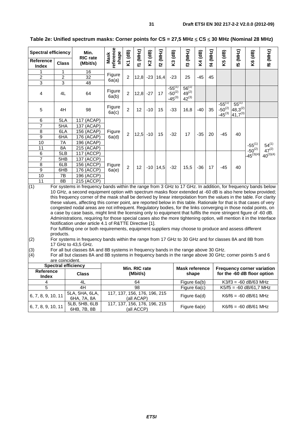| <b>Spectral efficiency</b>                                                                                                                                                                                                                                                                                                                                                                                                                                                                                                                                                                                                                                                                                                                                                                                                                                                                                                                                                                                                                                                                                                                                                                                                                                                                                                                                                                      |                 | Min.                          |                                                                                       | $\mathbf{d}$ B) | (MHz)         |         |              |                                           |                                        |         |          |                                           |                                            |               |                                   |
|-------------------------------------------------------------------------------------------------------------------------------------------------------------------------------------------------------------------------------------------------------------------------------------------------------------------------------------------------------------------------------------------------------------------------------------------------------------------------------------------------------------------------------------------------------------------------------------------------------------------------------------------------------------------------------------------------------------------------------------------------------------------------------------------------------------------------------------------------------------------------------------------------------------------------------------------------------------------------------------------------------------------------------------------------------------------------------------------------------------------------------------------------------------------------------------------------------------------------------------------------------------------------------------------------------------------------------------------------------------------------------------------------|-----------------|-------------------------------|---------------------------------------------------------------------------------------|-----------------|---------------|---------|--------------|-------------------------------------------|----------------------------------------|---------|----------|-------------------------------------------|--------------------------------------------|---------------|-----------------------------------|
| <b>Reference</b><br><b>Index</b>                                                                                                                                                                                                                                                                                                                                                                                                                                                                                                                                                                                                                                                                                                                                                                                                                                                                                                                                                                                                                                                                                                                                                                                                                                                                                                                                                                | <b>Class</b>    | <b>RIC</b> rate<br>(Mbit/s)   | eference<br>shape<br>Mask                                                             | Σ,              | $\mathcal{I}$ | K2 (dB) | f2 (MHz)     | K3 (dB)                                   | [3 (MHz)                               | K4 (dB) | f4 (MHz) | K5 (dB)                                   | E5 (MHz)                                   | K6 (dB)       | <b>f6 (MHz)</b>                   |
| 1                                                                                                                                                                                                                                                                                                                                                                                                                                                                                                                                                                                                                                                                                                                                                                                                                                                                                                                                                                                                                                                                                                                                                                                                                                                                                                                                                                                               | 1               | 16                            |                                                                                       |                 |               |         |              |                                           |                                        |         |          |                                           |                                            |               |                                   |
| $\overline{2}$                                                                                                                                                                                                                                                                                                                                                                                                                                                                                                                                                                                                                                                                                                                                                                                                                                                                                                                                                                                                                                                                                                                                                                                                                                                                                                                                                                                  | 2               | 32                            | Figure                                                                                | 2               | 12,8          | -23     | 16,4         | $-23$                                     | 25                                     | $-45$   | 45       |                                           |                                            |               |                                   |
| 3                                                                                                                                                                                                                                                                                                                                                                                                                                                                                                                                                                                                                                                                                                                                                                                                                                                                                                                                                                                                                                                                                                                                                                                                                                                                                                                                                                                               | 3               | 48                            | 6a(a)                                                                                 |                 |               |         |              |                                           |                                        |         |          |                                           |                                            |               |                                   |
| 4                                                                                                                                                                                                                                                                                                                                                                                                                                                                                                                                                                                                                                                                                                                                                                                                                                                                                                                                                                                                                                                                                                                                                                                                                                                                                                                                                                                               | 4L              | 64                            | Figure<br>6a(b)                                                                       | $\overline{2}$  | 12,8          | $-27$   | 17           | $-55^{(1)}$<br>$-50^{(2)}$<br>$-45^{(3)}$ | $56^{(1)}$<br>$49^{(2)}$<br>$42^{(3)}$ |         |          |                                           |                                            |               |                                   |
| 5                                                                                                                                                                                                                                                                                                                                                                                                                                                                                                                                                                                                                                                                                                                                                                                                                                                                                                                                                                                                                                                                                                                                                                                                                                                                                                                                                                                               | 4H              | 98                            | Figure<br>6a(c)                                                                       | $\overline{2}$  | 12            | $-10$   | 15           | $-33$                                     | 16,8                                   | $-40$   | 35       | $-55^{(1)}$<br>$-50^{(2)}$<br>$-45^{(3)}$ | $55^{(1)}$<br>$48,3^{(2)}$<br>$41,7^{(3)}$ |               |                                   |
| 6                                                                                                                                                                                                                                                                                                                                                                                                                                                                                                                                                                                                                                                                                                                                                                                                                                                                                                                                                                                                                                                                                                                                                                                                                                                                                                                                                                                               | 5LA             | 117 (ACAP)                    |                                                                                       |                 |               |         |              |                                           |                                        |         |          |                                           |                                            |               |                                   |
| $\overline{7}$                                                                                                                                                                                                                                                                                                                                                                                                                                                                                                                                                                                                                                                                                                                                                                                                                                                                                                                                                                                                                                                                                                                                                                                                                                                                                                                                                                                  | 5HA             | 137 (ACAP)                    |                                                                                       |                 |               |         |              |                                           |                                        |         |          |                                           |                                            |               |                                   |
| 8                                                                                                                                                                                                                                                                                                                                                                                                                                                                                                                                                                                                                                                                                                                                                                                                                                                                                                                                                                                                                                                                                                                                                                                                                                                                                                                                                                                               | 6LA             | 156 (ACAP)                    | Figure                                                                                | 2               | 12,5          | $-10$   | 15           | $-32$                                     | 17                                     | $-35$   | 20       | $-45$                                     | 40                                         |               |                                   |
| $\overline{9}$                                                                                                                                                                                                                                                                                                                                                                                                                                                                                                                                                                                                                                                                                                                                                                                                                                                                                                                                                                                                                                                                                                                                                                                                                                                                                                                                                                                  | 6HA             | 176 (ACAP)                    | 6a(d)                                                                                 |                 |               |         |              |                                           |                                        |         |          |                                           |                                            |               |                                   |
| 10                                                                                                                                                                                                                                                                                                                                                                                                                                                                                                                                                                                                                                                                                                                                                                                                                                                                                                                                                                                                                                                                                                                                                                                                                                                                                                                                                                                              | 7Α              | 196 (ACAP)                    |                                                                                       |                 |               |         |              |                                           |                                        |         |          |                                           |                                            | $-55^{(1)}$   | $54^{(1)}$                        |
| 11                                                                                                                                                                                                                                                                                                                                                                                                                                                                                                                                                                                                                                                                                                                                                                                                                                                                                                                                                                                                                                                                                                                                                                                                                                                                                                                                                                                              | 8A              | 215 (ACAP)                    |                                                                                       |                 |               |         |              |                                           |                                        |         |          |                                           |                                            | $-50^{(2)}$   | $47^{(2)}$                        |
| 6                                                                                                                                                                                                                                                                                                                                                                                                                                                                                                                                                                                                                                                                                                                                                                                                                                                                                                                                                                                                                                                                                                                                                                                                                                                                                                                                                                                               | 5LB             | <b>117 (ACCP)</b>             |                                                                                       |                 |               |         |              |                                           |                                        |         |          |                                           |                                            | $45^{(3)(4)}$ | $40^{(3)(4)}$                     |
| 7                                                                                                                                                                                                                                                                                                                                                                                                                                                                                                                                                                                                                                                                                                                                                                                                                                                                                                                                                                                                                                                                                                                                                                                                                                                                                                                                                                                               | 5HB             | 137 (ACCP)                    |                                                                                       |                 |               |         |              |                                           |                                        |         |          |                                           |                                            |               |                                   |
| 8                                                                                                                                                                                                                                                                                                                                                                                                                                                                                                                                                                                                                                                                                                                                                                                                                                                                                                                                                                                                                                                                                                                                                                                                                                                                                                                                                                                               | 6LB             | 156 (ACCP)                    | Figure                                                                                | $\overline{2}$  | 12            |         | $-10$   14,5 | $-32$                                     | 15,5                                   | $-36$   | 17       | $-45$                                     | 40                                         |               |                                   |
| 9                                                                                                                                                                                                                                                                                                                                                                                                                                                                                                                                                                                                                                                                                                                                                                                                                                                                                                                                                                                                                                                                                                                                                                                                                                                                                                                                                                                               | 6HB             | 176 (ACCP)                    | 6a(e)                                                                                 |                 |               |         |              |                                           |                                        |         |          |                                           |                                            |               |                                   |
| 10                                                                                                                                                                                                                                                                                                                                                                                                                                                                                                                                                                                                                                                                                                                                                                                                                                                                                                                                                                                                                                                                                                                                                                                                                                                                                                                                                                                              | 7B              | 196 (ACCP)                    |                                                                                       |                 |               |         |              |                                           |                                        |         |          |                                           |                                            |               |                                   |
| 11                                                                                                                                                                                                                                                                                                                                                                                                                                                                                                                                                                                                                                                                                                                                                                                                                                                                                                                                                                                                                                                                                                                                                                                                                                                                                                                                                                                              | 8B              | 215 (ACCP)                    |                                                                                       |                 |               |         |              |                                           |                                        |         |          |                                           |                                            |               |                                   |
| (1)<br>For systems in frequency bands within the range from 3 GHz to 17 GHz. In addition, for frequency bands below<br>10 GHz, a second equipment option with spectrum masks floor extended at -60 dB is also here below provided;<br>this frequency corner of the mask shall be derived by linear interpolation from the values in the table. For clarity<br>these values, affecting this corner point, are reported below in this table. Rationale for that is that cases of very<br>congested nodal areas are not infrequent. Regulatory bodies, for the links converging in those nodal points, on<br>a case by case basis, might limit the licensing only to equipment that fulfils the more stringent figure of -60 dB.<br>Administrations, requiring for those special cases also the more tightening option, will mention it in the Interface<br>Notification under article 4.1 of R&TTE Directive [1].<br>For fulfilling one or both requirements, equipment suppliers may choose to produce and assess different<br>products.<br>(2)<br>For systems in frequency bands within the range from 17 GHz to 30 GHz and for classes 8A and 8B from<br>17 GHz to 43,5 GHz.<br>(3)<br>For all but classes 8A and 8B systems in frequency bands in the range above 30 GHz.<br>(4)<br>For all but classes 8A and 8B systems in frequency bands in the range above 30 GHz; corner points 5 and 6 |                 |                               |                                                                                       |                 |               |         |              |                                           |                                        |         |          |                                           |                                            |               |                                   |
|                                                                                                                                                                                                                                                                                                                                                                                                                                                                                                                                                                                                                                                                                                                                                                                                                                                                                                                                                                                                                                                                                                                                                                                                                                                                                                                                                                                                 | are coincident. |                               |                                                                                       |                 |               |         |              |                                           |                                        |         |          |                                           |                                            |               |                                   |
|                                                                                                                                                                                                                                                                                                                                                                                                                                                                                                                                                                                                                                                                                                                                                                                                                                                                                                                                                                                                                                                                                                                                                                                                                                                                                                                                                                                                 |                 | <b>Spectral efficiency</b>    |                                                                                       |                 | Min. RIC rate |         |              |                                           | <b>Mask reference</b>                  |         |          |                                           |                                            |               | <b>Frequency corner variation</b> |
| <b>Reference</b><br>Index                                                                                                                                                                                                                                                                                                                                                                                                                                                                                                                                                                                                                                                                                                                                                                                                                                                                                                                                                                                                                                                                                                                                                                                                                                                                                                                                                                       |                 | <b>Class</b>                  |                                                                                       |                 | (Mbit/s)      |         |              |                                           | shape                                  |         |          |                                           | for the -60 dB floor option                |               |                                   |
| 4                                                                                                                                                                                                                                                                                                                                                                                                                                                                                                                                                                                                                                                                                                                                                                                                                                                                                                                                                                                                                                                                                                                                                                                                                                                                                                                                                                                               |                 | 4L                            |                                                                                       |                 | 64            |         |              |                                           | Figure 6a(b)                           |         |          |                                           | $K3/f3 = -60$ dB/63 MHz                    |               |                                   |
| 5                                                                                                                                                                                                                                                                                                                                                                                                                                                                                                                                                                                                                                                                                                                                                                                                                                                                                                                                                                                                                                                                                                                                                                                                                                                                                                                                                                                               |                 | 4H                            |                                                                                       |                 | 98            |         |              |                                           | Figure 6a(c)                           |         |          |                                           | $K5/f5 = -60 dB/61,7 MHz$                  |               |                                   |
| 6, 7, 8, 9, 10, 11                                                                                                                                                                                                                                                                                                                                                                                                                                                                                                                                                                                                                                                                                                                                                                                                                                                                                                                                                                                                                                                                                                                                                                                                                                                                                                                                                                              |                 | 5LA, 5HA, 6LA,<br>6HA, 7A, 8A | 117, 137, 156, 176, 196, 215                                                          |                 | (all ACAP)    |         |              |                                           | Figure 6a(d)                           |         |          |                                           | $K6/f6 = -60$ dB/61 MHz                    |               |                                   |
| 6, 7, 8, 9, 10, 11                                                                                                                                                                                                                                                                                                                                                                                                                                                                                                                                                                                                                                                                                                                                                                                                                                                                                                                                                                                                                                                                                                                                                                                                                                                                                                                                                                              |                 | 5LB, 5HB, 6LB<br>6HB, 7B, 8B  | 117, 137, 156, 176, 196, 215<br>Figure 6a(e)<br>$K6/f6 = -60$ dB/61 MHz<br>(all ACCP) |                 |               |         |              |                                           |                                        |         |          |                                           |                                            |               |                                   |

**Table 2e: Unified spectrum masks: Corner points for CS = 27,5 MHz** ≤ **CS** ≤ **30 MHz (Nominal 28 MHz)**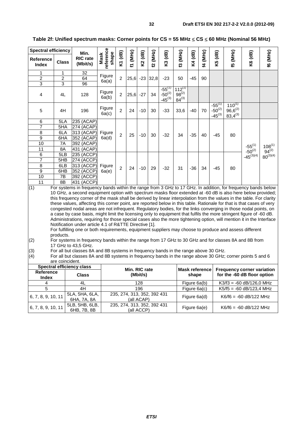| <b>Spectral efficiency</b>       |                 | Min.                                                                                                                                                                                                                        |                                                                                                                                     |                |               |          |                 |                                           |                                         |              |                       |                                           |                                             |                                   |                 |
|----------------------------------|-----------------|-----------------------------------------------------------------------------------------------------------------------------------------------------------------------------------------------------------------------------|-------------------------------------------------------------------------------------------------------------------------------------|----------------|---------------|----------|-----------------|-------------------------------------------|-----------------------------------------|--------------|-----------------------|-------------------------------------------|---------------------------------------------|-----------------------------------|-----------------|
| <b>Reference</b><br><b>Index</b> | <b>Class</b>    | <b>RIC</b> rate<br>(Mbit/s)                                                                                                                                                                                                 | eference<br>shape<br>Mask                                                                                                           | K1 (dB)        | M(MHz)        | K2 (dB)  | <b>E2 (MHz)</b> | K3 (dB)                                   | [3 (MHz)                                | K4 (dB)      | 14 (MHz)              | K5 (dB)                                   | f5 (MHz)                                    | K6 (dB)                           | <b>f6 (MHz)</b> |
| 1                                | 1               | 32                                                                                                                                                                                                                          | Figure                                                                                                                              |                |               |          |                 |                                           |                                         |              |                       |                                           |                                             |                                   |                 |
| $\overline{2}$                   | $\overline{2}$  | 64                                                                                                                                                                                                                          | 6a(a)                                                                                                                               | 2              | 25,6          | $-23$    | 32,8            | $-23$                                     | 50                                      | $-45$        | 90                    |                                           |                                             |                                   |                 |
| $\overline{3}$                   | 3               | 96                                                                                                                                                                                                                          |                                                                                                                                     |                |               |          |                 |                                           |                                         |              |                       |                                           |                                             |                                   |                 |
| 4                                | 4L              | 128                                                                                                                                                                                                                         | Figure<br>6a(b)                                                                                                                     | $\overline{2}$ | 25,6          | $-27$    | 34              | $-55^{(1)}$<br>$-50^{(2)}$<br>$-45^{(3)}$ | $112^{(1)}$<br>$98^{(2)}$<br>$84^{(3)}$ |              |                       |                                           |                                             |                                   |                 |
| 5                                | 4H              | 196                                                                                                                                                                                                                         | Figure<br>6a(c)                                                                                                                     | $\overline{2}$ | 24            | $-10$    | 30              | $-33$                                     | 33,6                                    | $-40$        | 70                    | $-55^{(1)}$<br>$-50^{(2)}$<br>$-45^{(3)}$ | $110^{(1)}$<br>$96,6^{(2)}$<br>$83,4^{(3)}$ |                                   |                 |
| 6                                | 5LA             | 235 (ACAP)                                                                                                                                                                                                                  |                                                                                                                                     |                |               |          |                 |                                           |                                         |              |                       |                                           |                                             |                                   |                 |
| 7                                | 5HA             | 274 (ACAP)                                                                                                                                                                                                                  |                                                                                                                                     |                |               |          |                 |                                           |                                         |              |                       |                                           |                                             |                                   |                 |
| 8                                | 6LA             | 313 (ACAP)                                                                                                                                                                                                                  | Figure                                                                                                                              | $\overline{2}$ | 25            | $-10$    | 30              | $-32$                                     | 34                                      | $-35$        | 40                    | $-45$                                     | 80                                          |                                   |                 |
| 9                                | 6HA             | 352 (ACAP)                                                                                                                                                                                                                  | 6a(d)                                                                                                                               |                |               |          |                 |                                           |                                         |              |                       |                                           |                                             |                                   |                 |
| 10                               | 7A              | 392 (ACAP)                                                                                                                                                                                                                  |                                                                                                                                     |                |               |          |                 |                                           |                                         |              |                       |                                           |                                             | $-55^{(1)}$                       | $108^{(1)}$     |
| 11                               | 8A              | 431 (ACAP)                                                                                                                                                                                                                  |                                                                                                                                     |                |               |          |                 |                                           |                                         |              |                       |                                           |                                             | $-50^{(2)}$                       | $94^{(2)}$      |
| $\overline{6}$                   | 5LB             | 235 (ACCP)                                                                                                                                                                                                                  |                                                                                                                                     |                |               |          |                 |                                           |                                         |              |                       |                                           |                                             | $-45^{(3)(4)}$                    | $80^{(3)(4)}$   |
| $\overline{7}$                   | 5HB             | 274 (ACCP)                                                                                                                                                                                                                  |                                                                                                                                     |                |               |          |                 |                                           |                                         |              |                       |                                           |                                             |                                   |                 |
| 8                                | 6LB             | 313 (ACCP)                                                                                                                                                                                                                  | Figure                                                                                                                              | $\overline{2}$ | 24            | -10      | 29              | -32                                       | 31                                      | -36          | 34                    | -45                                       | 80                                          |                                   |                 |
| 9                                | 6HB             | 352 (ACCP)                                                                                                                                                                                                                  | 6a(e)                                                                                                                               |                |               |          |                 |                                           |                                         |              |                       |                                           |                                             |                                   |                 |
| $\overline{10}$                  | 7B              | 392 (ACCP)                                                                                                                                                                                                                  |                                                                                                                                     |                |               |          |                 |                                           |                                         |              |                       |                                           |                                             |                                   |                 |
| 11                               | 8B              | 431 (ACCP)                                                                                                                                                                                                                  |                                                                                                                                     |                |               |          |                 |                                           |                                         |              |                       |                                           |                                             |                                   |                 |
| (1)                              |                 | For systems in frequency bands within the range from 3 GHz to 17 GHz. In addition, for frequency bands below<br>10 GHz, a second equipment option with spectrum masks floor extended at -60 dB is also here below provided; |                                                                                                                                     |                |               |          |                 |                                           |                                         |              |                       |                                           |                                             |                                   |                 |
|                                  |                 | this frequency corner of the mask shall be derived by linear interpolation from the values in the table. For clarity                                                                                                        |                                                                                                                                     |                |               |          |                 |                                           |                                         |              |                       |                                           |                                             |                                   |                 |
|                                  |                 | these values, affecting this corner point, are reported below in this table. Rationale for that is that cases of very                                                                                                       |                                                                                                                                     |                |               |          |                 |                                           |                                         |              |                       |                                           |                                             |                                   |                 |
|                                  |                 | congested nodal areas are not infrequent. Regulatory bodies, for the links converging in those nodal points, on                                                                                                             |                                                                                                                                     |                |               |          |                 |                                           |                                         |              |                       |                                           |                                             |                                   |                 |
|                                  |                 | a case by case basis, might limit the licensing only to equipment that fulfils the more stringent figure of -60 dB.                                                                                                         |                                                                                                                                     |                |               |          |                 |                                           |                                         |              |                       |                                           |                                             |                                   |                 |
|                                  |                 | Administrations, requiring for those special cases also the more tightening option, will mention it in the Interface                                                                                                        |                                                                                                                                     |                |               |          |                 |                                           |                                         |              |                       |                                           |                                             |                                   |                 |
|                                  |                 | Notification under article 4.1 of R&TTE Directive [1].                                                                                                                                                                      |                                                                                                                                     |                |               |          |                 |                                           |                                         |              |                       |                                           |                                             |                                   |                 |
|                                  |                 | For fulfilling one or both requirements, equipment suppliers may choose to produce and assess different                                                                                                                     |                                                                                                                                     |                |               |          |                 |                                           |                                         |              |                       |                                           |                                             |                                   |                 |
|                                  | products.       |                                                                                                                                                                                                                             |                                                                                                                                     |                |               |          |                 |                                           |                                         |              |                       |                                           |                                             |                                   |                 |
| (2)                              |                 | For systems in frequency bands within the range from 17 GHz to 30 GHz and for classes 8A and 8B from<br>17 GHz to 43,5 GHz.                                                                                                 |                                                                                                                                     |                |               |          |                 |                                           |                                         |              |                       |                                           |                                             |                                   |                 |
| (3)                              |                 | For all but classes 8A and 8B systems in frequency bands in the range above 30 GHz.                                                                                                                                         |                                                                                                                                     |                |               |          |                 |                                           |                                         |              |                       |                                           |                                             |                                   |                 |
| (4)                              |                 | For all but classes 8A and 8B systems in frequency bands in the range above 30 GHz; corner points 5 and 6                                                                                                                   |                                                                                                                                     |                |               |          |                 |                                           |                                         |              |                       |                                           |                                             |                                   |                 |
|                                  | are coincident. |                                                                                                                                                                                                                             |                                                                                                                                     |                |               |          |                 |                                           |                                         |              |                       |                                           |                                             |                                   |                 |
|                                  |                 | <b>Spectral efficiency class</b>                                                                                                                                                                                            |                                                                                                                                     |                | Min. RIC rate |          |                 |                                           |                                         |              | <b>Mask reference</b> |                                           |                                             | <b>Frequency corner variation</b> |                 |
| <b>Reference</b><br><b>Index</b> |                 | <b>Class</b>                                                                                                                                                                                                                |                                                                                                                                     |                |               | (Mbit/s) |                 |                                           |                                         | shape        |                       |                                           |                                             | for the -60 dB floor option       |                 |
| 4                                |                 | 4L                                                                                                                                                                                                                          |                                                                                                                                     |                |               | 128      |                 |                                           |                                         | Figure 6a(b) |                       |                                           |                                             | $K3/13 = -60$ dB/126,0 MHz        |                 |
| 5                                |                 | 4H                                                                                                                                                                                                                          |                                                                                                                                     |                |               | 196      |                 |                                           |                                         |              |                       |                                           |                                             |                                   |                 |
| 6, 7, 8, 9, 10, 11               |                 | 5LA, 5HA, 6LA,<br>6HA, 7A, 8A                                                                                                                                                                                               | Figure 6a(c)<br>$K5/f5 = -60$ dB/123,4 MHz<br>235, 274, 313, 352, 392 431<br>Figure 6a(d)<br>$K6/f6 = -60$ dB/122 MHz<br>(all ACAP) |                |               |          |                 |                                           |                                         |              |                       |                                           |                                             |                                   |                 |

**Table 2f: Unified spectrum masks: Corner points for CS = 55 MHz** ≤ **CS** ≤ **60 MHz (Nominal 56 MHz)** 

235, 274, 313, 352, 392 431 (all ACCP) Figure 6a(e) K6/f6 = -60 dB/122 MHz

6, 7, 8, 9, 10, 11

6HB, 7B, 8B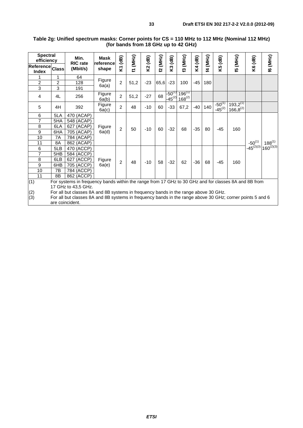| <b>Spectral</b><br>efficiency   |                 | Min.                                                                                                      | <b>Mask</b>        | $\mathbf{a}$   | (MHz) |         | (MHz) | $\overline{AB}$            | (MHz)                      |         |          |                            |                                |                |                |
|---------------------------------|-----------------|-----------------------------------------------------------------------------------------------------------|--------------------|----------------|-------|---------|-------|----------------------------|----------------------------|---------|----------|----------------------------|--------------------------------|----------------|----------------|
| Reference Class<br><b>Index</b> |                 | <b>RIC</b> rate<br>(Mbit/s)                                                                               | reference<br>shape | Σ              | ΣĪ,   | K2 (dB) | 2     | S.                         | ల్ల                        | K4 (dB) | 14 (MHz) | K5 (dB)                    | (5 (MHz)                       | K6 (dB)        | f6 (MHz)       |
| 1                               | 1               | 64                                                                                                        | Figure             |                |       |         |       |                            |                            |         |          |                            |                                |                |                |
| $\overline{c}$                  | 2               | 128                                                                                                       | 6a(a)              | $\overline{2}$ | 51,2  | $-23$   | 65,6  | $-23$                      | 100                        | -45     | 180      |                            |                                |                |                |
| 3                               | 3               | 191                                                                                                       |                    |                |       |         |       |                            |                            |         |          |                            |                                |                |                |
| 4                               | 4L              | 256                                                                                                       | Figure<br>6a(b)    | $\overline{c}$ | 51,2  | $-27$   | 68    | $-50^{(1)}$<br>$-45^{(2)}$ | $196^{(1)}$<br>$168^{(2)}$ |         |          |                            |                                |                |                |
| 5                               | 4H              | 392                                                                                                       | Figure<br>6a(c)    | 2              | 48    | $-10$   | 60    | $-33$                      | 67,2                       | $-40$   | 140      | $-50^{(1)}$<br>$-45^{(2)}$ | $193,2^{(1)}$<br>$166,8^{(2)}$ |                |                |
| 6                               | 5LA             | 470 (ACAP)                                                                                                |                    |                |       |         |       |                            |                            |         |          |                            |                                |                |                |
| 7                               | 5HA             | 548 (ACAP)                                                                                                |                    |                |       |         |       |                            |                            |         |          |                            |                                |                |                |
| 8                               | 6LA             | 627 (ACAP)                                                                                                | Figure             | 2              | 50    | $-10$   | 60    | $-32$                      | 68                         | $-35$   | 80       | $-45$                      | 160                            |                |                |
| 9                               | 6HA             | 705 (ACAP)                                                                                                | 6a(d)              |                |       |         |       |                            |                            |         |          |                            |                                |                |                |
| 10                              | 7A              | 784 (ACAP)                                                                                                |                    |                |       |         |       |                            |                            |         |          |                            |                                |                |                |
| 11                              | 8A              | 862 (ACAP)                                                                                                |                    |                |       |         |       |                            |                            |         |          |                            |                                | $-50^{(1)}$    | $188^{(1)}$    |
| 6                               | 5LB             | 470 (ACCP)                                                                                                |                    |                |       |         |       |                            |                            |         |          |                            |                                | $-45^{(2)(3)}$ | $160^{(2)(3)}$ |
| 7                               | 5HB             | 584 (ACCP)                                                                                                |                    |                |       |         |       |                            |                            |         |          |                            |                                |                |                |
| 8                               | 6LB             | 627 (ACCP)                                                                                                | Figure             | $\overline{2}$ | 48    | $-10$   | 58    | $-32$                      | 62                         | $-36$   | 68       | $-45$                      | 160                            |                |                |
| 9                               | 6HB             | 705 (ACCP)                                                                                                | 6a(e)              |                |       |         |       |                            |                            |         |          |                            |                                |                |                |
| 10                              | 7B              | 784 (ACCP)                                                                                                |                    |                |       |         |       |                            |                            |         |          |                            |                                |                |                |
| 11                              | 8B              | 862 (ACCP)                                                                                                |                    |                |       |         |       |                            |                            |         |          |                            |                                |                |                |
| (1)                             |                 | For systems in frequency bands within the range from 17 GHz to 30 GHz and for classes 8A and 8B from      |                    |                |       |         |       |                            |                            |         |          |                            |                                |                |                |
|                                 |                 | 17 GHz to 43,5 GHz.                                                                                       |                    |                |       |         |       |                            |                            |         |          |                            |                                |                |                |
| (2)                             |                 | For all but classes 8A and 8B systems in frequency bands in the range above 30 GHz.                       |                    |                |       |         |       |                            |                            |         |          |                            |                                |                |                |
| (3)                             |                 | For all but classes 8A and 8B systems in frequency bands in the range above 30 GHz; corner points 5 and 6 |                    |                |       |         |       |                            |                            |         |          |                            |                                |                |                |
|                                 | are coincident. |                                                                                                           |                    |                |       |         |       |                            |                            |         |          |                            |                                |                |                |

#### **Table 2g: Unified spectrum masks: Corner points for CS = 110 MHz to 112 MHz (Nominal 112 MHz) (for bands from 18 GHz up to 42 GHz)**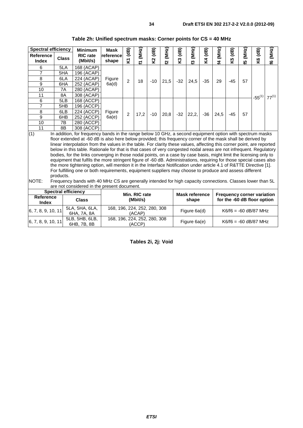| Spectral efficiency              |              | <b>Minimum</b>              | Mask               | (dB)           |            | $\overline{AB}$ |            | (dB)  |            | (dB)  |            | (dB)  |            | (dB)        |            |
|----------------------------------|--------------|-----------------------------|--------------------|----------------|------------|-----------------|------------|-------|------------|-------|------------|-------|------------|-------------|------------|
| <b>Reference</b><br><b>Index</b> | <b>Class</b> | <b>RIC</b> rate<br>(Mbit/s) | reference<br>shape | ΣĪ             | (MHz)<br>Z | δ,              | (MHz)<br>5 | Š,    | (MHz)<br>ొ | Σ4    | (MHz)<br>2 | δ     | (MHz)<br>5 | <b>SX</b>   | (MHz)<br>ڥ |
| 6                                | 5LA          | 168 (ACAP)                  |                    |                |            |                 |            |       |            |       |            |       |            |             |            |
|                                  | 5HA          | 196 (ACAP)                  |                    |                |            |                 |            |       |            |       |            |       |            |             |            |
| 8                                | 6LA          | 224 (ACAP)                  | Figure             | $\overline{2}$ | 18         | $-10$           | 21,5       | $-32$ | 24,5       | $-35$ | 29         | -45   | 57         |             |            |
| 9                                | 6HA          | 252 (ACAP)                  | 6a(d)              |                |            |                 |            |       |            |       |            |       |            |             |            |
| 10                               | 7A           | 280 (ACAP)                  |                    |                |            |                 |            |       |            |       |            |       |            |             |            |
| 11                               | 8A           | 308 (ACAP)                  |                    |                |            |                 |            |       |            |       |            |       |            | $-55^{(1)}$ | $77^{(1)}$ |
| 6                                | 5LB          | 168 (ACCP)                  |                    |                |            |                 |            |       |            |       |            |       |            |             |            |
| $\overline{7}$                   | 5HB          | 196 (ACCP)                  |                    |                |            |                 |            |       |            |       |            |       |            |             |            |
| 8                                | 6LB          | 224 (ACCP)                  | Figure             | 2              |            | $-10$           |            | $-32$ |            | $-36$ |            | $-45$ | 57         |             |            |
| 9                                | 6HB          | 252 (ACCP)                  | 6a(e)              |                | 17,2       |                 | 20,8       |       | 22,2,      |       | 24,5       |       |            |             |            |
| 10                               | 7B           | 280 (ACCP)                  |                    |                |            |                 |            |       |            |       |            |       |            |             |            |
| 11                               | 8B           | 308 (ACCP)                  |                    |                |            |                 |            |       |            |       |            |       |            |             |            |

**Table 2h: Unified spectrum masks: Corner points for CS = 40 MHz** 

(1) In addition, for frequency bands in the range below 10 GHz, a second equipment option with spectrum masks floor extended at -60 dB is also here below provided; this frequency corner of the mask shall be derived by linear interpolation from the values in the table. For clarity these values, affecting this corner point, are reported below in this table. Rationale for that is that cases of very congested nodal areas are not infrequent. Regulatory bodies, for the links converging in those nodal points, on a case by case basis, might limit the licensing only to equipment that fulfils the more stringent figure of -60 dB. Administrations, requiring for those special cases also the more tightening option, will mention it in the Interface Notification under article 4.1 of R&TTE Directive [1]. For fulfilling one or both requirements, equipment suppliers may choose to produce and assess different products.

#### NOTE: Frequency bands with 40 MHz CS are generally intended for high capacity connections. Classes lower than 5L are not considered in the present document.

|                           | <b>Spectral efficiency</b>    | Min. RIC rate                          | <b>Mask reference</b> | <b>Frequency corner variation</b> |  |  |  |  |
|---------------------------|-------------------------------|----------------------------------------|-----------------------|-----------------------------------|--|--|--|--|
| <b>Reference</b><br>Index | <b>Class</b>                  | (Mbit/s)                               | shape                 | for the -60 dB floor option       |  |  |  |  |
| 6, 7, 8, 9, 10, 11        | 5LA. 5HA. 6LA.<br>6HA, 7A, 8A | 168, 196, 224, 252, 280, 308<br>(ACAP) | Figure 6a(d)          | $K6/f6 = -60$ dB/87 MHz           |  |  |  |  |
| 6, 7, 8, 9, 10, 11        | 5LB, 5HB, 6LB.<br>6HB, 7B, 8B | 168, 196, 224, 252, 280, 308<br>(ACCP) | Figure 6a(e)          | $K6/f6 = -60$ dB/87 MHz           |  |  |  |  |

**Tables 2i, 2j: Void**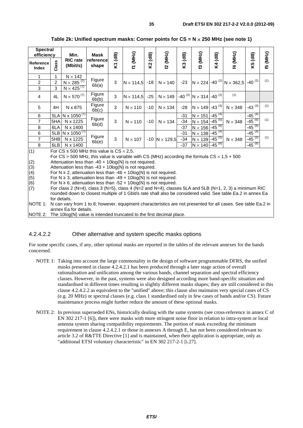| <b>Spectral</b><br>efficiency |       | Min.                          | <b>Mask</b>          | $\mathbf{d}$ |                  | (dB)           |                      | $\mathbf{d}$ |                                                      | $\mathbf{d}$ |                                                           | (dB)        | (MHz) |
|-------------------------------|-------|-------------------------------|----------------------|--------------|------------------|----------------|----------------------|--------------|------------------------------------------------------|--------------|-----------------------------------------------------------|-------------|-------|
| Reference<br>Index            | Class | <b>RIC</b> rate<br>(Mbit/s)   | Ireferencel<br>shape | Σ            | (ZHM) LJ         | K <sub>2</sub> | f2 (MHz)             | K3           | <b>(3 (MHz)</b>                                      | Κ4           | 14 (MHz)                                                  | K5          | 49    |
| 1                             | 1     | $N \times 142$                |                      |              |                  |                |                      |              |                                                      |              |                                                           |             |       |
| $\overline{2}$                | 2     | N $\times$ 285 $^{(7)}$       | Figure<br>6b(a)      | 3            | $N \times 114,5$ | $-18$          | $N \times 140$       | $-23$        |                                                      |              | $N \times 224$ -40 $^{(2)}$ N $\times$ 362,5 -40 $^{(2)}$ |             | (1)   |
| $\mathbf{3}$                  | 3     | N $\times$ 425 <sup>(7)</sup> |                      |              |                  |                |                      |              |                                                      |              |                                                           |             |       |
| $\overline{4}$                | 4L    | $N \times 570^{(7)}$          | Figure<br>6b(b)      | 3            | $N \times 114,5$ |                | $-25$ N $\times$ 149 |              | -40 <sup>(2)</sup> N $\times$ 314 -40 <sup>(2)</sup> |              | (1)                                                       |             |       |
| 5                             | 4H    | N x 875                       | Figure<br>6b(c)      | 3            | $N \times 110$   | $-10$          | $N \times 134$       | -28          | $N \times 149$ -43 <sup>(3)</sup>                    |              | $N \times 348$                                            | $-43^{(3)}$ | (1)   |
| 6                             |       | 5LA N x 1050 <sup>(7)</sup>   |                      |              |                  |                |                      | -31          | $N \times 151$                                       | $-45^{(4)}$  |                                                           | $-45^{(4)}$ |       |
| $\overline{7}$                | 5HA   | N x 1225                      | Figure<br>6b(d)      | 3            | $N \times 110$   | $-10$          | $N \times 134$       | -34          | $N \times 154$                                       | $-45^{(5)}$  | $N \times 348$                                            | $-45^{(5)}$ | (1)   |
| 8                             | 6LA   | N x 1400                      |                      |              |                  |                |                      | $-37$        | $N \times 156$                                       | $-45^{(6)}$  |                                                           | $-45^{(6)}$ |       |
| 6                             |       | 5LB N x 1050 <sup>(7)</sup>   |                      |              |                  |                |                      | $-31$        | $N \times 138 - 45^{(4)}$                            |              |                                                           | $-45^{(4)}$ |       |
| $\overline{7}$                | 5HB   | N x 1225                      | Figure               | 3            | $N \times 107$   | $-10$          | $N \times 129,5$     | -34          | $N \times 139$ -45 <sup>(5)</sup>                    |              | $N \times 348$                                            | $-45^{(5)}$ | (1)   |
| 8                             | 6LB   | N x 1400                      | 6b(e)                |              |                  |                |                      | $-37$        | $N \times 140$ -45 <sup>(6)</sup>                    |              |                                                           | $-45^{(6)}$ |       |

#### **Table 2k: Unified spectrum masks: Corner points for CS = N** × **250 MHz (see note 1)**

(1) For  $CS \le 500$  MHz this value is  $CS \times 2.5$ .

For CS  $>$  500 MHz, this value is variable with CS (MHz) according the formula CS  $\times$  1.5 + 500

(2) Attenuation less than  $-40 + 10\log(N)$  is not required.<br>(3) Attenuation less than  $-43 + 10\log(N)$  is not required.

Attenuation less than -43 + 10log(N) is not required.

(4) For N ≥ 2, attenuation less than -46 + 10log(N) is not required.<br>(5) For N ≥ 3, attenuation less than -49 + 10log(N) is not required.

(5) For N ≥ 3, attenuation less than -49 + 10log(N) is not required.<br>(6) For N ≥ 6, attenuation less than -52 + 10log(N) is not required

(6) For N ≥ 6, attenuation less than -52 + 10log(N) is not required.<br>(7) For class 2 (N=4), class 3 (N=5), class 4 (N=2 and N=4), class

For class 2 (N=4), class 3 (N=5), class 4 (N=2 and N=4), classes 5LA and 5LB (N=1, 2, 3) a minimum RIC rounded down to closest multiple of 1 Gbit/s rate shall also be considered valid. See table Ea.2 in annex Ea for details.

NOTE 1: N can vary from 1 to 8; however, equipment characteristics are not presented for all cases. See table Ea.2 in annex Ea for details.

NOTE 2: The 10log(N) value is intended truncated to the first decimal place.

#### 4.2.4.2.2 Other alternative and system specific masks options

For some specific cases, if any, other optional masks are reported in the tables of the relevant annexes for the bands concerned.

- NOTE 1: Taking into account the large commonality in the design of software programmable DFRS, the unified masks presented in clause 4.2.4.2.1 has been produced through a later stage action of overall rationalisation and unification among the various bands, channel separation and spectral efficiency classes. However, in the past, systems were also designed according more band-specific situation and standardised in different times resulting in slightly different masks shapes; they are still considered in this clause 4.2.4.2.2 as equivalent to the "unified" above; this clause also maintains very special cases of CS (e.g. 20 MHz) or spectral classes (e.g. class 1 standardised only in few cases of bands and/or CS). Future maintenance process might further reduce the amount of these optional masks.
- NOTE 2: In previous superseded ENs, historically dealing with the same systems (see cross-reference in annex C of EN 302 217-1 [6]), there were masks with more stringent noise floor in relation to intra-system or local antenna system sharing compatibility requirements. The portion of mask exceeding the minimum requirement in clause 4.2.4.2.1 or those in annexes A through E, has not been considered relevant to article 3.2 of R&TTE Directive [1] and is maintained, when their application is appropriate, only as "additional ETSI voluntary characteristic" in EN 302 217-2-1 [i.27].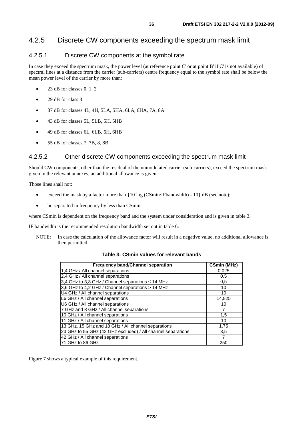## 4.2.5 Discrete CW components exceeding the spectrum mask limit

### 4.2.5.1 Discrete CW components at the symbol rate

In case they exceed the spectrum mask, the power level (at reference point C' or at point B' if C' is not available) of spectral lines at a distance from the carrier (sub-carriers) centre frequency equal to the symbol rate shall be below the mean power level of the carrier by more than:

- 23 dB for classes  $0, 1, 2$
- 29 dB for class 3
- 37 dB for classes 4L, 4H, 5LA, 5HA, 6LA, 6HA, 7A, 8A
- 43 dB for classes 5L, 5LB, 5H, 5HB
- 49 dB for classes 6L, 6LB, 6H, 6HB
- 55 dB for classes 7, 7B, 8, 8B

### 4.2.5.2 Other discrete CW components exceeding the spectrum mask limit

Should CW components, other than the residual of the unmodulated carrier (sub-carriers), exceed the spectrum mask given in the relevant annexes, an additional allowance is given.

Those lines shall not:

- exceed the mask by a factor more than  $\{10 \log (CSmin/IFbandwidth) 10\}$  dB (see note);
- be separated in frequency by less than CSmin.

where CSmin is dependent on the frequency band and the system under consideration and is given in table 3.

IF bandwidth is the recommended resolution bandwidth set out in table 6.

NOTE: In case the calculation of the allowance factor will result in a negative value, no additional allowance is then permitted.

#### **Table 3: CSmin values for relevant bands**

| <b>Frequency band/Channel separation</b>                     | <b>CSmin (MHz)</b> |
|--------------------------------------------------------------|--------------------|
| 1,4 GHz / All channel separations                            | 0,025              |
| 2,4 GHz / All channel separations                            | 0.5                |
| 3,4 GHz to 3,8 GHz / Channel separations $\leq$ 14 MHz       | 0.5                |
| 3,6 GHz to 4,2 GHz / Channel separations > 14 MHz            | 10                 |
| U4 GHz / All channel separations                             | 10                 |
| L6 GHz / All channel separations                             | 14,825             |
| U6 GHz / All channel separations                             | 10                 |
| 7 GHz and 8 GHz / All channel separations                    |                    |
| 10 GHz / All channel separations                             | 1,5                |
| 11 GHz / All channel separations                             | 10                 |
| 13 GHz, 15 GHz and 18 GHz / All channel separations          | 1,75               |
| 23 GHz to 55 GHz (42 GHz excluded) / All channel separations | 3,5                |
| 42 GHz / All channel separations                             |                    |
| 71 GHz to 86 GHz                                             | 250                |

Figure 7 shows a typical example of this requirement.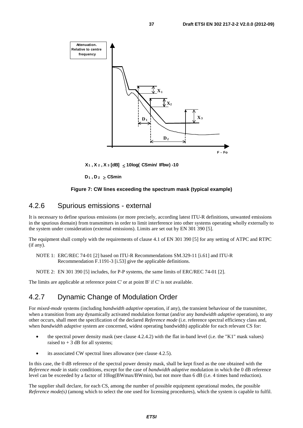

**X1 , X 2 , X 3 [dB]** ≤ **10log( CSmin/ IFbw) -10**

**D1 , D 2** ≥ **CSmin**

#### **Figure 7: CW lines exceeding the spectrum mask (typical example)**

### 4.2.6 Spurious emissions - external

It is necessary to define spurious emissions (or more precisely, according latest ITU-R definitions, unwanted emissions in the spurious domain) from transmitters in order to limit interference into other systems operating wholly externally to the system under consideration (external emissions). Limits are set out by EN 301 390 [5].

The equipment shall comply with the requirements of clause 4.1 of EN 301 390 [5] for any setting of ATPC and RTPC (if any).

NOTE 1: ERC/REC 74-01 [2] based on ITU-R Recommendations SM.329-11 [i.61] and ITU-R Recommendation F.1191-3 [i.53] give the applicable definitions.

NOTE 2: EN 301 390 [5] includes, for P-P systems, the same limits of ERC/REC 74-01 [2].

The limits are applicable at reference point C' or at point B' if C' is not available.

### 4.2.7 Dynamic Change of Modulation Order

For *mixed-mode* systems (including *bandwidth adaptive* operation, if any), the transient behaviour of the transmitter, when a transition from any dynamically activated modulation format (and/or any *bandwidth adaptive* operation), to any other occurs, shall meet the specification of the declared *Reference mode* (i.e. reference spectral efficiency class and, when *bandwidth adaptive* system are concerned, widest operating bandwidth) applicable for each relevant CS for:

- the spectral power density mask (see clause 4.2.4.2) with the flat in-band level (i.e. the "K1" mask values) raised to  $+3$  dB for all systems;
- its associated CW spectral lines allowance (see clause 4.2.5).

In this case, the 0 dB reference of the spectral power density mask, shall be kept fixed as the one obtained with the *Reference mode* in static conditions, except for the case of *bandwidth adaptive* modulation in which the 0 dB reference level can be exceeded by a factor of 10log(BWmax/BWmin), but not more than 6 dB (i.e. 4 times band reduction).

The supplier shall declare, for each CS, among the number of possible equipment operational modes, the possible *Reference mode(s)* (among which to select the one used for licensing procedures), which the system is capable to fulfil.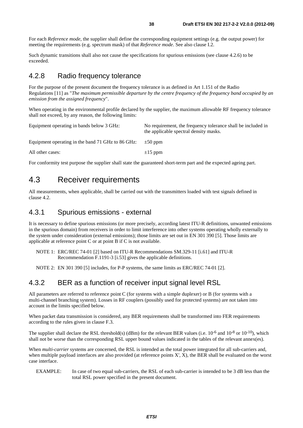For each *Reference mode*, the supplier shall define the corresponding equipment settings (e.g. the output power) for meeting the requirements (e.g. spectrum mask) of that *Reference mode*. See also clause I.2.

Such dynamic transitions shall also not cause the specifications for spurious emissions (see clause 4.2.6) to be exceeded.

### 4.2.8 Radio frequency tolerance

For the purpose of the present document the frequency tolerance is as defined in Art 1.151 of the Radio Regulations [11] as "*The maximum permissible departure by the centre frequency of the frequency band occupied by an emission from the assigned frequency*".

When operating in the environmental profile declared by the supplier, the maximum allowable RF frequency tolerance shall not exceed, by any reason, the following limits:

| Equipment operating in bands below 3 GHz:         | No requirement, the frequency tolerance shall be included in<br>the applicable spectral density masks. |  |  |  |
|---------------------------------------------------|--------------------------------------------------------------------------------------------------------|--|--|--|
| Equipment operating in the band 71 GHz to 86 GHz: | $\pm 50$ ppm                                                                                           |  |  |  |
| All other cases:                                  | $\pm 15$ ppm                                                                                           |  |  |  |

For conformity test purpose the supplier shall state the guaranteed short-term part and the expected ageing part.

## 4.3 Receiver requirements

All measurements, when applicable, shall be carried out with the transmitters loaded with test signals defined in clause 4.2.

#### 4.3.1 Spurious emissions - external

It is necessary to define spurious emissions (or more precisely, according latest ITU-R definitions, unwanted emissions in the spurious domain) from receivers in order to limit interference into other systems operating wholly externally to the system under consideration (external emissions); those limits are set out in EN 301 390 [5]. Those limits are applicable at reference point C or at point B if C is not available.

NOTE 1: ERC/REC 74-01 [2] based on ITU-R Recommendations SM.329-11 [i.61] and ITU-R Recommendation F.1191-3 [i.53] gives the applicable definitions.

NOTE 2: EN 301 390 [5] includes, for P-P systems, the same limits as ERC/REC 74-01 [2].

### 4.3.2 BER as a function of receiver input signal level RSL

All parameters are referred to reference point C (for systems with a simple duplexer) or B (for systems with a multi-channel branching system). Losses in RF couplers (possibly used for protected systems) are not taken into account in the limits specified below.

When packet data transmission is considered, any BER requirements shall be transformed into FER requirements according to the rules given in clause F.3.

The supplier shall declare the RSL threshold(s) (dBm) for the relevant BER values (i.e.  $10^{-6}$  and  $10^{-8}$  or  $10^{-10}$ ), which shall not be worse than the corresponding RSL upper bound values indicated in the tables of the relevant annex(es).

When *multi-carrier* systems are concerned, the RSL is intended as the total power integrated for all sub-carriers and, when multiple payload interfaces are also provided (at reference points X', X), the BER shall be evaluated on the worst case interface.

EXAMPLE: In case of two equal sub-carriers, the RSL of each sub-carrier is intended to be 3 dB less than the total RSL power specified in the present document.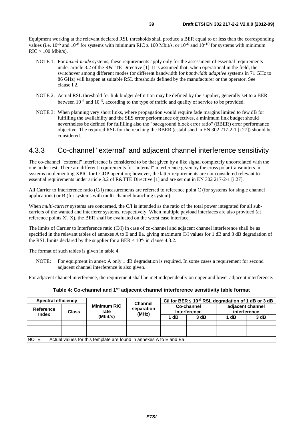Equipment working at the relevant declared RSL thresholds shall produce a BER equal to or less than the corresponding values (i.e.  $10^{-6}$  and  $10^{-8}$  for systems with minimum RIC  $\leq 100$  Mbit/s, or  $10^{-6}$  and  $10^{-10}$  for systems with minimum  $RIC > 100$  Mbit/s).

- NOTE 1: For *mixed-mode* systems, these requirements apply only for the assessment of essential requirements under article 3.2 of the R&TTE Directive [1]. It is assumed that, when operational in the field, the switchover among different modes (or different bandwidth for *bandwidth adaptive* systems in 71 GHz to 86 GHz) will happen at suitable RSL thresholds defined by the manufacturer or the operator. See clause I.2.
- NOTE 2: Actual RSL threshold for link budget definition may be defined by the supplier, generally set to a BER between  $10^{-6}$  and  $10^{-3}$ , according to the type of traffic and quality of service to be provided.
- NOTE 3: When planning very short links, where propagation would require fade margins limited to few dB for fulfilling the availability and the SES error performance objectives, a minimum link budget should nevertheless be defined for fulfilling also the "background block error ratio" (BBER) error performance objective. The required RSL for the reaching the RBER (established in EN 302 217-2-1 [i.27]) should be considered.

### 4.3.3 Co-channel "external" and adjacent channel interference sensitivity

The co-channel "external" interference is considered to be that given by a like signal completely uncorrelated with the one under test. There are different requirements for "internal" interference given by the cross polar transmitters in systems implementing XPIC for CCDP operation; however, the latter requirements are not considered relevant to essential requirements under article 3.2 of R&TTE Directive [1] and are set out in EN 302 217-2-1 [i.27].

All Carrier to Interference ratio (C/I) measurements are referred to reference point C (for systems for single channel applications) or B (for systems with multi-channel branching system).

When *multi-carrier* systems are concerned, the C/I is intended as the ratio of the total power integrated for all subcarriers of the wanted and interferer systems, respectively. When multiple payload interfaces are also provided (at reference points X', X), the BER shall be evaluated on the worst case interface.

The limits of Carrier to Interference ratio (C/I) in case of co-channel and adjacent channel interference shall be as specified in the relevant tables of annexes A to E and Ea, giving maximum C/I values for 1 dB and 3 dB degradation of the RSL limits declared by the supplier for a BER  $\leq 10^{-6}$  in clause 4.3.2.

The format of such tables is given in table 4.

NOTE: For equipment in annex A only 1 dB degradation is required. In some cases a requirement for second adjacent channel interference is also given.

For adjacent channel interference, the requirement shall be met independently on upper and lower adjacent interference.

|  | Table 4: Co-channel and 1 <sup>st</sup> adjacent channel interference sensitivity table format |  |
|--|------------------------------------------------------------------------------------------------|--|
|--|------------------------------------------------------------------------------------------------|--|

| Spectral efficiency |                                                                     |                                        | <b>Channel</b>      | C/I for BER $\leq 10^{-6}$ RSL degradation of 1 dB or 3 dB |      |                                  |      |  |  |  |
|---------------------|---------------------------------------------------------------------|----------------------------------------|---------------------|------------------------------------------------------------|------|----------------------------------|------|--|--|--|
| Reference<br>Index  | Class                                                               | <b>Minimum RIC</b><br>rate<br>(Mbit/s) | separation<br>(MHz) | <b>Co-channel</b><br>Interference                          |      | adjacent channel<br>interference |      |  |  |  |
|                     |                                                                     |                                        |                     | 1 dB                                                       | 3 dB | 1 dB                             | 3 dB |  |  |  |
|                     |                                                                     |                                        |                     |                                                            |      |                                  |      |  |  |  |
|                     |                                                                     |                                        |                     |                                                            |      |                                  |      |  |  |  |
|                     |                                                                     |                                        |                     |                                                            |      |                                  |      |  |  |  |
| NOTE:               | Actual values for this template are found in annexes A to E and Ea. |                                        |                     |                                                            |      |                                  |      |  |  |  |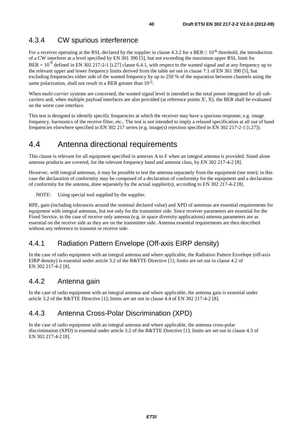### 4.3.4 CW spurious interference

For a receiver operating at the RSL declared by the supplier in clause 4.3.2 for a BER  $\leq 10^{-6}$  threshold, the introduction of a CW interferer at a level specified by EN 301 390 [5], but not exceeding the maximum upper RSL limit for BER =  $10^{-6}$  defined in EN 302 217-2-1 [i.27] clause 6.4.1, with respect to the wanted signal and at any frequency up to the relevant upper and lower frequency limits derived from the table set out in clause 7.1 of EN 301 390 [5], but excluding frequencies either side of the wanted frequency by up to 250 % of the separation between channels using the same polarization, shall not result in a BER greater than  $10^{-5}$ .

When *multi-carrier* systems are concerned, the wanted signal level is intended as the total power integrated for all subcarriers and, when multiple payload interfaces are also provided (at reference points X', X), the BER shall be evaluated on the worst case interface.

This test is designed to identify specific frequencies at which the receiver may have a spurious response; e.g. image frequency, harmonics of the receive filter, etc.. The test is not intended to imply a relaxed specification at all out of band frequencies elsewhere specified in EN 302 217 series (e.g. image(s) rejection specified in EN 302 217-2-1 [i.27]).

## 4.4 Antenna directional requirements

This clause is relevant for all equipment specified in annexes A to F when an integral antenna is provided. Stand alone antenna products are covered, for the relevant frequency band and antenna class, by EN 302 217-4-2 [8].

However, with integral antennas, it may be possible to test the antenna separately from the equipment (see note); in this case the declaration of conformity may be composed of a declaration of conformity for the equipment and a declaration of conformity for the antenna, done separately by the actual supplier(s), according to EN 302 217-4-2 [8].

NOTE: Using special tool supplied by the supplier.

RPE, gain (including tolerances around the nominal declared value) and XPD of antennas are essential requirements for equipment with integral antennas, but not only for the transmitter side. Since receiver parameters are essential for the Fixed Service, in the case of receive only antenna (e.g. in space diversity applications) antenna parameters are as essential on the receive side as they are on the transmitter side. Antenna essential requirements are then described without any reference to transmit or receive side.

### 4.4.1 Radiation Pattern Envelope (Off-axis EIRP density)

In the case of radio equipment with an integral antenna and where applicable, the Radiation Pattern Envelope (off-axis EIRP density) is essential under article 3.2 of the R&TTE Directive [1]; limits are set out in clause 4.2 of EN 302 217-4-2 [8].

### 4.4.2 Antenna gain

In the case of radio equipment with an integral antenna and where applicable, the antenna gain is essential under article 3.2 of the R&TTE Directive [1]; limits are set out in clause 4.4 of EN 302 217-4-2 [8].

### 4.4.3 Antenna Cross-Polar Discrimination (XPD)

In the case of radio equipment with an integral antenna and where applicable, the antenna cross-polar discrimination (XPD) is essential under article 3.2 of the R&TTE Directive [1]; limits are set out in clause 4.3 of EN 302 217-4-2 [8].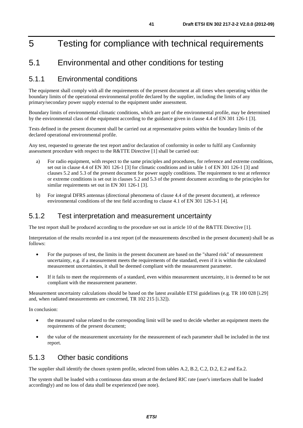# 5 Testing for compliance with technical requirements

## 5.1 Environmental and other conditions for testing

### 5.1.1 Environmental conditions

The equipment shall comply with all the requirements of the present document at all times when operating within the boundary limits of the operational environmental profile declared by the supplier, including the limits of any primary/secondary power supply external to the equipment under assessment.

Boundary limits of environmental climatic conditions, which are part of the environmental profile, may be determined by the environmental class of the equipment according to the guidance given in clause 4.4 of EN 301 126-1 [3].

Tests defined in the present document shall be carried out at representative points within the boundary limits of the declared operational environmental profile.

Any test, requested to generate the test report and/or declaration of conformity in order to fulfil any Conformity assessment procedure with respect to the R&TTE Directive [1] shall be carried out:

- a) For radio equipment, with respect to the same principles and procedures, for reference and extreme conditions, set out in clause 4.4 of EN 301 126-1 [3] for climatic conditions and in table 1 of EN 301 126-1 [3] and clauses 5.2 and 5.3 of the present document for power supply conditions. The requirement to test at reference or extreme conditions is set out in clauses 5.2 and 5.3 of the present document according to the principles for similar requirements set out in EN 301 126-1 [3].
- b) For integral DFRS antennas (directional phenomena of clause 4.4 of the present document), at reference environmental conditions of the test field according to clause 4.1 of EN 301 126-3-1 [4].

### 5.1.2 Test interpretation and measurement uncertainty

The test report shall be produced according to the procedure set out in article 10 of the R&TTE Directive [1].

Interpretation of the results recorded in a test report (of the measurements described in the present document) shall be as follows:

- For the purposes of test, the limits in the present document are based on the "shared risk" of measurement uncertainty, e.g. if a measurement meets the requirements of the standard, even if it is within the calculated measurement uncertainties, it shall be deemed compliant with the measurement parameter.
- If it fails to meet the requirements of a standard, even within measurement uncertainty, it is deemed to be not compliant with the measurement parameter.

Measurement uncertainty calculations should be based on the latest available ETSI guidelines (e.g. TR 100 028 [i.29] and, when radiated measurements are concerned, TR 102 215 [i.32]).

In conclusion:

- the measured value related to the corresponding limit will be used to decide whether an equipment meets the requirements of the present document;
- the value of the measurement uncertainty for the measurement of each parameter shall be included in the test report.

### 5.1.3 Other basic conditions

The supplier shall identify the chosen system profile, selected from tables A.2, B.2, C.2, D.2, E.2 and Ea.2.

The system shall be loaded with a continuous data stream at the declared RIC rate (user's interfaces shall be loaded accordingly) and no loss of data shall be experienced (see note).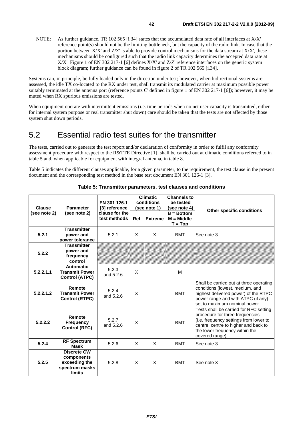NOTE: As further guidance, TR 102 565 [i.34] states that the accumulated data rate of all interfaces at X/X' reference point(s) should not be the limiting bottleneck, but the capacity of the radio link. In case that the portion between X/X' and Z/Z' is able to provide control mechanisms for the data stream at X/X', these mechanisms should be configured such that the radio link capacity determines the accepted data rate at X/X'. Figure 1 of EN 302 217-1 [6] defines X/X' and Z/Z' reference interfaces on the generic system block diagram; further guidance can be found in figure 2 of TR 102 565 [i.34].

Systems can, in principle, be fully loaded only in the direction under test; however, when bidirectional systems are assessed, the idle TX co-located to the RX under test, shall transmit its modulated carrier at maximum possible power suitably terminated at the antenna port (reference points C' defined in figure 1 of EN 302 217-1 [6]); however, it may be muted when RX spurious emissions are tested.

When equipment operate with intermittent emissions (i.e. time periods when no net user capacity is transmitted, either for internal system purpose or real transmitter shut down) care should be taken that the tests are not affected by those system shut down periods.

## 5.2 Essential radio test suites for the transmitter

The tests, carried out to generate the test report and/or declaration of conformity in order to fulfil any conformity assessment procedure with respect to the R&TTE Directive [1], shall be carried out at climatic conditions referred to in table 5 and, when applicable for equipment with integral antenna, in table 8.

Table 5 indicates the different clauses applicable, for a given parameter, to the requirement, the test clause in the present document and the corresponding test method in the base test document EN 301 126-1 [3].

| <b>Clause</b> | <b>Parameter</b>                                                              | EN 301 126-1<br>[3] reference  | <b>Climatic</b><br>conditions<br>(see note 1) |                | <b>Channels to</b><br>be tested<br>(see note 4) |                                                                                                                                                                                                                 |
|---------------|-------------------------------------------------------------------------------|--------------------------------|-----------------------------------------------|----------------|-------------------------------------------------|-----------------------------------------------------------------------------------------------------------------------------------------------------------------------------------------------------------------|
| (see note 2)  | (see note 2)                                                                  | clause for the<br>test methods | Ref                                           | <b>Extreme</b> | $B = Bottom$<br>$M = Middle$<br>$T = Top$       | Other specific conditions                                                                                                                                                                                       |
| 5.2.1         | <b>Transmitter</b><br>power and<br>power tolerance                            | 5.2.1                          | X                                             | X              | <b>BMT</b>                                      | See note 3                                                                                                                                                                                                      |
| 5.2.2         | <b>Transmitter</b><br>power and<br>frequency<br>control                       |                                |                                               |                |                                                 |                                                                                                                                                                                                                 |
| 5.2.2.1.1     | <b>Automatic</b><br><b>Transmit Power</b><br><b>Control (ATPC)</b>            | 5.2.3<br>and 5.2.6             | X                                             |                | м                                               |                                                                                                                                                                                                                 |
| 5.2.2.1.2     | Remote<br><b>Transmit Power</b><br><b>Control (RTPC)</b>                      | 5.2.4<br>and 5.2.6             | X                                             |                | <b>BMT</b>                                      | Shall be carried out at three operating<br>conditions (lowest, medium, and<br>highest delivered power) of the RTPC<br>power range and with ATPC (if any)<br>set to maximum nominal power                        |
| 5.2.2.2       | Remote<br><b>Frequency</b><br><b>Control (RFC)</b>                            | 5.2.7<br>and 5.2.6             | X                                             |                | <b>BMT</b>                                      | Tests shall be carried for RFC setting<br>procedure for three frequencies<br>(i.e. frequency settings from lower to<br>centre, centre to higher and back to<br>the lower frequency within the<br>covered range) |
| 5.2.4         | <b>RF Spectrum</b><br><b>Mask</b>                                             | 5.2.6                          | X                                             | X              | <b>BMT</b>                                      | See note 3                                                                                                                                                                                                      |
| 5.2.5         | <b>Discrete CW</b><br>components<br>exceeding the<br>spectrum masks<br>limits | 5.2.8                          | X                                             | X              | <b>BMT</b>                                      | See note 3                                                                                                                                                                                                      |

#### **Table 5: Transmitter parameters, test clauses and conditions**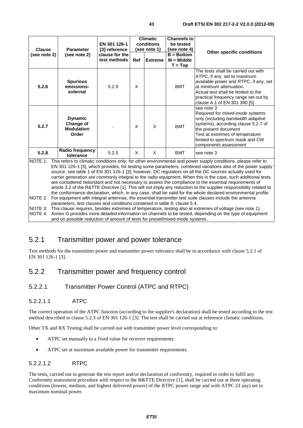| <b>Clause</b> | <b>Parameter</b><br>(see note 2)                                 | EN 301 126-1<br>[3] reference  | <b>Climatic</b><br>conditions<br>(see note 1) |                | <b>Channels to</b><br>be tested<br>(see note 4) |                                                                                                                                                                                                                                                          |
|---------------|------------------------------------------------------------------|--------------------------------|-----------------------------------------------|----------------|-------------------------------------------------|----------------------------------------------------------------------------------------------------------------------------------------------------------------------------------------------------------------------------------------------------------|
| (see note 2)  |                                                                  | clause for the<br>test methods | Ref                                           | <b>Extreme</b> | $B = Bottom$<br>$M = Middle$<br>$T = Top$       | Other specific conditions                                                                                                                                                                                                                                |
| 5.2.6         | <b>Spurious</b><br>emissions-<br>external                        | 5.2.9                          | X                                             |                | <b>BMT</b>                                      | The tests shall be carried out with<br>ATPC, if any, set to maximum<br>available power and RTPC, if any, set<br>at minimum attenuation.<br>Actual test shall be limited to the<br>practical frequency range set out by<br>clause A.1 of EN 301 390 [5]   |
| 5.2.7         | <b>Dynamic</b><br><b>Change of</b><br><b>Modulation</b><br>Order |                                | X                                             | X              | <b>BMT</b>                                      | see note 3<br>Required for <i>mixed-mode</i> systems<br>only (including bandwidth adaptive<br>systems), according clause 5.2.7 of<br>the present document<br>Test at extremes of temperature<br>limited to spectrum mask and CW<br>components assessment |
| 5.2.8         | <b>Radio frequency</b><br>tolerance                              | 5.2.5                          | X                                             | X              | <b>BMT</b>                                      | see note 3                                                                                                                                                                                                                                               |

NOTE 1: This refers to climatic conditions only; for other environmental and power supply conditions, please refer to EN 301 126-1 [3], which provides, for testing some parameters, combined variations also of the power supply source, see table 1 of EN 301 126-1 [3]; however, DC regulators on all the DC sources actually used for carrier generation are commonly integral to the radio equipment. When this is the case, such additional tests are considered redundant and not necessary to assess the compliance to the essential requirements of article 3.2 of the R&TTE Directive [1]. This will not imply any reduction to the supplier responsibility related to the conformance declaration, which, in any case, shall be valid for the whole declared environmental profile. NOTE 2: For equipment with integral antennas, the essential transmitter test suite clauses include the antenna parameters, test clauses and conditions contained in table 8, clause 5.4.

NOTE 3: This clause requires, besides extremes of temperature, testing also at extremes of voltage (see note 1). NOTE 4: Annex G provides more detailed information on channels to be tested, depending on the type of equipment and on possible reduction of amount of tests for preset/mixed-mode systems.

### 5.2.1 Transmitter power and power tolerance

Test methods for the transmitter power and transmitter power tolerance shall be in accordance with clause 5.2.1 of EN 301 126-1 [3].

### 5.2.2 Transmitter power and frequency control

#### 5.2.2.1 Transmitter Power Control (ATPC and RTPC)

#### 5.2.2.1.1 ATPC

The correct operation of the ATPC function (according to the supplier's declaration) shall be tested according to the test method described in clause 5.2.3 of EN 301 126-1 [3]. The test shall be carried out at reference climatic conditions.

Other TX and RX Testing shall be carried out with transmitter power level corresponding to:

- ATPC set manually to a fixed value for receiver requirements;
- ATPC set at maximum available power for transmitter requirements.

#### 5.2.2.1.2 RTPC

The tests, carried out to generate the test report and/or declaration of conformity, required in order to fulfil any Conformity assessment procedure with respect to the R&TTE Directive [1], shall be carried out at three operating conditions (lowest, medium, and highest delivered power) of the RTPC power range and with ATPC (if any) set to maximum nominal power.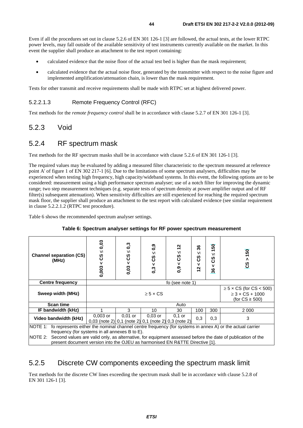Even if all the procedures set out in clause 5.2.6 of EN 301 126-1 [3] are followed, the actual tests, at the lower RTPC power levels, may fall outside of the available sensitivity of test instruments currently available on the market. In this event the supplier shall produce an attachment to the test report containing:

- calculated evidence that the noise floor of the actual test bed is higher than the mask requirement;
- calculated evidence that the actual noise floor, generated by the transmitter with respect to the noise figure and implemented amplification/attenuation chain, is lower than the mask requirement.

Tests for other transmit and receive requirements shall be made with RTPC set at highest delivered power.

#### 5.2.2.1.3 Remote Frequency Control (RFC)

Test methods for the *remote frequency control* shall be in accordance with clause 5.2.7 of EN 301 126-1 [3].

### 5.2.3 Void

### 5.2.4 RF spectrum mask

Test methods for the RF spectrum masks shall be in accordance with clause 5.2.6 of EN 301 126-1 [3].

The required values may be evaluated by adding a measured filter characteristic to the spectrum measured at reference point A' of figure 1 of EN 302 217-1 [6]. Due to the limitations of some spectrum analysers, difficulties may be experienced when testing high frequency, high capacity/wideband systems. In this event, the following options are to be considered: measurement using a high performance spectrum analyser; use of a notch filter for improving the dynamic range; two step measurement techniques (e.g. separate tests of spectrum density at power amplifier output and of RF filter(s) subsequent attenuation). When sensitivity difficulties are still experienced for reaching the required spectrum mask floor, the supplier shall produce an attachment to the test report with calculated evidence (see similar requirement in clause 5.2.2.1.2 (RTPC test procedure).

Table 6 shows the recommended spectrum analyser settings.

| <b>Channel separation (CS)</b><br>(MHz)                                                                                                                                                                                                                                                                                                                                     | 0,03<br>Ν<br>ပ္ပိ<br>v<br>0,003                                    | $\mathbf{c}^{\mathbf{c}}$<br>VI<br>ပ္ပိ<br>v<br>0,03 | $\mathbf{0.9}$<br>$\vee$<br>ပ္ပိ<br>$\mathbf v$<br>0,3 | N<br>VI<br>ပ္ပ<br>0,9 | 36<br>vı<br>ပ္ပိ<br>v<br>$\frac{2}{3}$ | 150<br>VI<br>ပ္ပိ<br>v<br>36                                                 | 50<br>$\lambda$<br>ທ<br>ပ |
|-----------------------------------------------------------------------------------------------------------------------------------------------------------------------------------------------------------------------------------------------------------------------------------------------------------------------------------------------------------------------------|--------------------------------------------------------------------|------------------------------------------------------|--------------------------------------------------------|-----------------------|----------------------------------------|------------------------------------------------------------------------------|---------------------------|
| <b>Centre frequency</b>                                                                                                                                                                                                                                                                                                                                                     | fo (see note 1)                                                    |                                                      |                                                        |                       |                                        |                                                                              |                           |
| Sweep width (MHz)                                                                                                                                                                                                                                                                                                                                                           | $\geq 5 \times CS$                                                 |                                                      |                                                        |                       |                                        | $\geq$ 5 x CS (for CS < 500)<br>$\geq$ 3 x CS + 1000<br>(for $CS \geq 500$ ) |                           |
| <b>Scan time</b>                                                                                                                                                                                                                                                                                                                                                            |                                                                    |                                                      |                                                        | Auto                  |                                        |                                                                              |                           |
| IF bandwidth (kHz)                                                                                                                                                                                                                                                                                                                                                          |                                                                    | 3                                                    | 10                                                     | 30                    | 100                                    | 300                                                                          | 2 000                     |
| Video bandwidth (kHz)                                                                                                                                                                                                                                                                                                                                                       | $0.003$ or<br>0,03 (note 2) 0,1 (note 2) 0,1 (note 2) 0,3 (note 2) | $0,01$ or                                            | $0.03$ or                                              | $0.1$ or              | 0,3                                    | 0,3                                                                          | 3                         |
| NOTE 1: fo represents either the nominal channel centre frequency (for systems in annex A) or the actual carrier<br>frequency (for systems in all annexes B to E).<br>NOTE 2:<br>Second values are valid only, as alternative, for equipment assessed before the date of publication of the<br>present document version into the OJEU as harmonised EN R&TTE Directive [1]. |                                                                    |                                                      |                                                        |                       |                                        |                                                                              |                           |

#### **Table 6: Spectrum analyser settings for RF power spectrum measurement**

### 5.2.5 Discrete CW components exceeding the spectrum mask limit

Test methods for the discrete CW lines exceeding the spectrum mask shall be in accordance with clause 5.2.8 of EN 301 126-1 [3].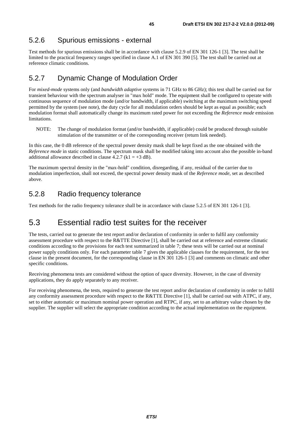## 5.2.6 Spurious emissions - external

Test methods for spurious emissions shall be in accordance with clause 5.2.9 of EN 301 126-1 [3]. The test shall be limited to the practical frequency ranges specified in clause A.1 of EN 301 390 [5]. The test shall be carried out at reference climatic conditions.

### 5.2.7 Dynamic Change of Modulation Order

For *mixed-mode* systems only (and *bandwidth adaptive* systems in 71 GHz to 86 GHz); this test shall be carried out for transient behaviour with the spectrum analyser in "max hold" mode. The equipment shall be configured to operate with continuous sequence of modulation mode (and/or bandwidth, if applicable) switching at the maximum switching speed permitted by the system (see note), the duty cycle for all modulation orders should be kept as equal as possible; each modulation format shall automatically change its maximum rated power for not exceeding the *Reference mode* emission limitations.

NOTE: The change of modulation format (and/or bandwidth, if applicable) could be produced through suitable stimulation of the transmitter or of the corresponding receiver (return link needed).

In this case, the 0 dB reference of the spectral power density mask shall be kept fixed as the one obtained with the *Reference mode* in static conditions. The spectrum mask shall be modified taking into account also the possible in-band additional allowance described in clause 4.2.7 ( $k1 = +3$  dB).

The maximum spectral density in the "max-hold" condition, disregarding, if any, residual of the carrier due to modulation imperfection, shall not exceed, the spectral power density mask of the *Reference mode*, set as described above.

### 5.2.8 Radio frequency tolerance

Test methods for the radio frequency tolerance shall be in accordance with clause 5.2.5 of EN 301 126-1 [3].

## 5.3 Essential radio test suites for the receiver

The tests, carried out to generate the test report and/or declaration of conformity in order to fulfil any conformity assessment procedure with respect to the R&TTE Directive [1], shall be carried out at reference and extreme climatic conditions according to the provisions for each test summarized in table 7; these tests will be carried out at nominal power supply conditions only. For each parameter table 7 gives the applicable clauses for the requirement, for the test clause in the present document, for the corresponding clause in EN 301 126-1 [3] and comments on climatic and other specific conditions.

Receiving phenomena tests are considered without the option of space diversity. However, in the case of diversity applications, they do apply separately to any receiver.

For receiving phenomena, the tests, required to generate the test report and/or declaration of conformity in order to fulfil any conformity assessment procedure with respect to the R&TTE Directive [1], shall be carried out with ATPC, if any, set to either automatic or maximum nominal power operation and RTPC, if any, set to an arbitrary value chosen by the supplier. The supplier will select the appropriate condition according to the actual implementation on the equipment.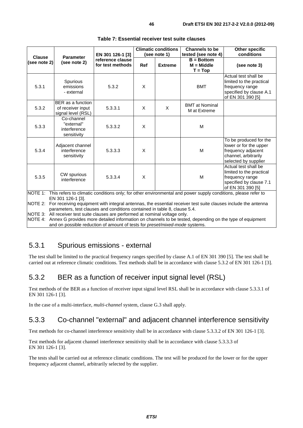|               |                                                              |                                                                           |            | <b>Climatic conditions</b> | <b>Channels to be</b>                                                                                         | <b>Other specific</b>                                                                                                  |
|---------------|--------------------------------------------------------------|---------------------------------------------------------------------------|------------|----------------------------|---------------------------------------------------------------------------------------------------------------|------------------------------------------------------------------------------------------------------------------------|
| <b>Clause</b> | <b>Parameter</b>                                             | EN 301 126-1 [3]                                                          |            | (see note 1)               | tested (see note 4)                                                                                           | conditions                                                                                                             |
| (see note 2)  | (see note 2)                                                 | reference clause<br>for test methods                                      | <b>Ref</b> | <b>Extreme</b>             | $B = Bottom$<br>$M = Middle$<br>$T = Top$                                                                     | (see note 3)                                                                                                           |
| 5.3.1         | Spurious<br>emissions<br>- external                          | 5.3.2                                                                     | X          |                            | <b>BMT</b>                                                                                                    | Actual test shall be<br>limited to the practical<br>frequency range<br>specified by clause A.1<br>of EN 301 390 [5]    |
| 5.3.2         | BER as a function<br>of receiver input<br>signal level (RSL) | 5.3.3.1                                                                   | X          | X                          | <b>BMT</b> at Nominal<br>M at Extreme                                                                         |                                                                                                                        |
| 5.3.3         | Co-channel<br>"external"<br>interference<br>sensitivity      | 5.3.3.2                                                                   | X          |                            | M                                                                                                             |                                                                                                                        |
| 5.3.4         | Adjacent channel<br>interference<br>sensitivity              | 5.3.3.3                                                                   | X          |                            | M                                                                                                             | To be produced for the<br>lower or for the upper<br>frequency adjacent<br>channel, arbitrarily<br>selected by supplier |
| 5.3.5         | CW spurious<br>interference                                  | 5.3.3.4                                                                   | X          |                            | M                                                                                                             | Actual test shall be<br>limited to the practical<br>frequency range<br>specified by clause 7.1<br>of EN 301 390 [5]    |
| NOTE 1:       | EN 301 126-1 [3].                                            |                                                                           |            |                            | This refers to climatic conditions only; for other environmental and power supply conditions, please refer to |                                                                                                                        |
| NOTE 2:       |                                                              | parameters, test clauses and conditions contained in table 8, clause 5.4. |            |                            |                                                                                                               | For receiving equipment with integral antennas, the essential receiver test suite clauses include the antenna          |
| INOTE 3:      |                                                              | All receiver test suite clauses are performed at nominal voltage only.    |            |                            |                                                                                                               |                                                                                                                        |

#### **Table 7: Essential receiver test suite clauses**

NOTE 4: Annex G provides more detailed information on channels to be tested, depending on the type of equipment and on possible reduction of amount of tests for *preset/mixed-mode* systems.

### 5.3.1 Spurious emissions - external

The test shall be limited to the practical frequency ranges specified by clause A.1 of EN 301 390 [5]. The test shall be carried out at reference climatic conditions. Test methods shall be in accordance with clause 5.3.2 of EN 301 126-1 [3].

### 5.3.2 BER as a function of receiver input signal level (RSL)

Test methods of the BER as a function of receiver input signal level RSL shall be in accordance with clause 5.3.3.1 of EN 301 126-1 [3].

In the case of a multi-interface, *multi-channel* system, clause G.3 shall apply.

### 5.3.3 Co-channel "external" and adjacent channel interference sensitivity

Test methods for co-channel interference sensitivity shall be in accordance with clause 5.3.3.2 of EN 301 126-1 [3].

Test methods for adjacent channel interference sensitivity shall be in accordance with clause 5.3.3.3 of EN 301 126-1 [3].

The tests shall be carried out at reference climatic conditions. The test will be produced for the lower or for the upper frequency adjacent channel, arbitrarily selected by the supplier.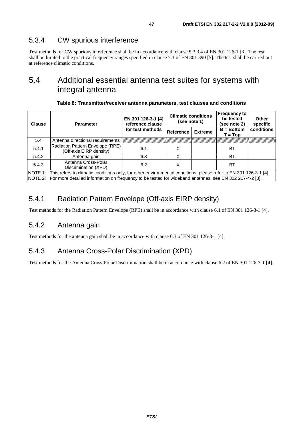### 5.3.4 CW spurious interference

Test methods for CW spurious interference shall be in accordance with clause 5.3.3.4 of EN 301 126-1 [3]. The test shall be limited to the practical frequency ranges specified in clause 7.1 of EN 301 390 [5]. The test shall be carried out at reference climatic conditions.

## 5.4 Additional essential antenna test suites for systems with integral antenna

| <b>Clause</b> | <b>Parameter</b>                                                                                                                                                                                                                            | EN 301 126-3-1 [4]<br>reference clause | <b>Climatic conditions</b><br>(see note 1) |                | <b>Frequency to</b><br>be tested<br>(see note 2) | Other<br>specific |  |
|---------------|---------------------------------------------------------------------------------------------------------------------------------------------------------------------------------------------------------------------------------------------|----------------------------------------|--------------------------------------------|----------------|--------------------------------------------------|-------------------|--|
|               |                                                                                                                                                                                                                                             | for test methods                       | Reference                                  | <b>Extreme</b> | $B = Bottom$<br>$T = Top$                        | conditions        |  |
| 5.4           | Antenna directional requirements                                                                                                                                                                                                            |                                        |                                            |                |                                                  |                   |  |
| 5.4.1         | Radiation Pattern Envelope (RPE)<br>(Off-axis EIRP density)                                                                                                                                                                                 | 6.1                                    | х                                          |                | BT                                               |                   |  |
| 5.4.2         | Antenna gain                                                                                                                                                                                                                                | 6.3                                    |                                            |                | ВT                                               |                   |  |
| 5.4.3         | Antenna Cross-Polar<br>Discrimination (XPD)                                                                                                                                                                                                 | 6.2                                    | х                                          |                | BT                                               |                   |  |
|               | NOTE 1: This refers to climatic conditions only; for other environmental conditions, please refer to EN 301 126-3-1 [4].<br>[NOTE 2: For more detailed information on frequency to be tested for wideband antennas, see EN 302 217-4-2 [8]. |                                        |                                            |                |                                                  |                   |  |

### 5.4.1 Radiation Pattern Envelope (Off-axis EIRP density)

Test methods for the Radiation Pattern Envelope (RPE) shall be in accordance with clause 6.1 of EN 301 126-3-1 [4].

### 5.4.2 Antenna gain

Test methods for the antenna gain shall be in accordance with clause 6.3 of EN 301 126-3-1 [4].

### 5.4.3 Antenna Cross-Polar Discrimination (XPD)

Test methods for the Antenna Cross-Polar Discrimination shall be in accordance with clause 6.2 of EN 301 126-3-1 [4].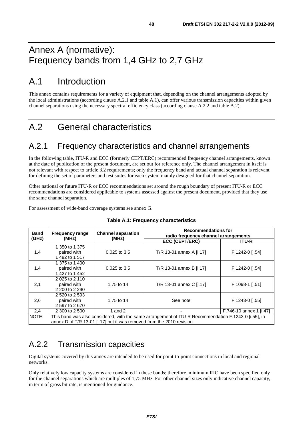# Annex A (normative): Frequency bands from 1,4 GHz to 2,7 GHz

# A.1 Introduction

This annex contains requirements for a variety of equipment that, depending on the channel arrangements adopted by the local administrations (according clause A.2.1 and table A.1), can offer various transmission capacities within given channel separations using the necessary spectral efficiency class (according clause A.2.2 and table A.2).

# A.2 General characteristics

## A.2.1 Frequency characteristics and channel arrangements

In the following table, ITU-R and ECC (formerly CEPT/ERC) recommended frequency channel arrangements, known at the date of publication of the present document, are set out for reference only. The channel arrangement in itself is not relevant with respect to article 3.2 requirements; only the frequency band and actual channel separation is relevant for defining the set of parameters and test suites for each system mainly designed for that channel separation.

Other national or future ITU-R or ECC recommendations set around the rough boundary of present ITU-R or ECC recommendations are considered applicable to systems assessed against the present document, provided that they use the same channel separation.

For assessment of wide-band coverage systems see annex G.

| <b>Band</b> | <b>Frequency range</b> | <b>Channel separation</b> | <b>Recommendations for</b><br>radio frequency channel arrangements                                   |                         |  |
|-------------|------------------------|---------------------------|------------------------------------------------------------------------------------------------------|-------------------------|--|
| (GHz)       | (MHz)                  | (MHz)                     | <b>ECC (CEPT/ERC)</b>                                                                                | <b>ITU-R</b>            |  |
|             | 1 350 to 1 375         |                           |                                                                                                      |                         |  |
| 1,4         | paired with            | $0.025$ to $3.5$          | T/R 13-01 annex A [i.17]                                                                             | F.1242-0 [i.54]         |  |
|             | 1492 to 1517           |                           |                                                                                                      |                         |  |
|             | 1 375 to 1 400         |                           |                                                                                                      |                         |  |
| 1,4         | paired with            | $0.025$ to $3.5$          | T/R 13-01 annex B [i.17]                                                                             | F.1242-0 [i.54]         |  |
|             | 1 427 to 1 452         |                           |                                                                                                      |                         |  |
|             | 2 025 to 2 110         |                           |                                                                                                      |                         |  |
| 2,1         | paired with            | 1,75 to 14                | T/R 13-01 annex C [i.17]                                                                             | F.1098-1 [i.51]         |  |
|             | 2 200 to 2 290         |                           |                                                                                                      |                         |  |
|             | 2 520 to 2 593         |                           |                                                                                                      |                         |  |
| 2,6         | paired with            | 1,75 to 14                | See note                                                                                             | F.1243-0 [i.55]         |  |
|             | 2 597 to 2 670         |                           |                                                                                                      |                         |  |
| 2,4         | 2 300 to 2 500         | 1 and 2                   |                                                                                                      | F.746-10 annex 1 [i.47] |  |
| NOTE:       |                        |                           | This band was also considered, with the same arrangement of ITU-R Recommendation F.1243-0 [i.55], in |                         |  |
|             |                        |                           | annex D of T/R 13-01 [i.17] but it was removed from the 2010 revision.                               |                         |  |

#### **Table A.1: Frequency characteristics**

A.2.2 Transmission capacities

Digital systems covered by this annex are intended to be used for point-to-point connections in local and regional networks.

Only relatively low capacity systems are considered in these bands; therefore, minimum RIC have been specified only for the channel separations which are multiples of 1,75 MHz. For other channel sizes only indicative channel capacity, in term of gross bit rate, is mentioned for guidance.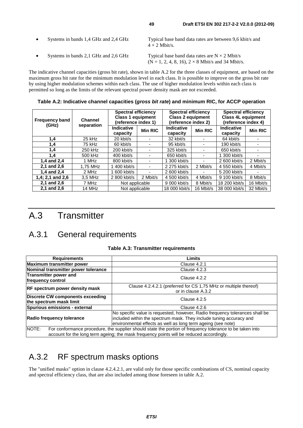| $\bullet$ | Systems in bands 1,4 GHz and 2,4 GHz | Typical base band data rates are between 9,6 kbit/s and<br>$4 \times 2$ Mbit/s.                                  |
|-----------|--------------------------------------|------------------------------------------------------------------------------------------------------------------|
| $\bullet$ | Systems in bands 2,1 GHz and 2,6 GHz | Typical base band data rates are $N \times 2$ Mbit/s<br>$(N = 1, 2, 4, 8, 16), 2 \times 8$ Mbit/s and 34 Mbit/s. |

The indicative channel capacities (gross bit rate), shown in table A.2 for the three classes of equipment, are based on the maximum gross bit rate for the minimum modulation level in each class. It is possible to improve on the gross bit rate by using higher modulation schemes within each class. The use of higher modulation levels within each class is permitted so long as the limits of the relevant spectral power density mask are not exceeded.

**Table A.2: Indicative channel capacities (***gross bit rate***) and minimum RIC, for ACCP operation** 

| <b>Frequency band</b><br>(GHz) | <b>Channel</b> | <b>Spectral efficiency</b><br><b>Class 1 equipment</b><br>(reference index 1) |                | <b>Spectral efficiency</b><br><b>Class 2 equipment</b><br>(reference index 2) |                | <b>Spectral efficiency</b><br><b>Class 4L equipment</b><br>(reference index 4) |                |
|--------------------------------|----------------|-------------------------------------------------------------------------------|----------------|-------------------------------------------------------------------------------|----------------|--------------------------------------------------------------------------------|----------------|
|                                | separation     | <b>Indicative</b><br>capacity                                                 | <b>Min RIC</b> | <b>Indicative</b><br>capacity                                                 | <b>Min RIC</b> | <b>Indicative</b><br>capacity                                                  | <b>Min RIC</b> |
| 1,4                            | 25 kHz         | 20 kbit/s                                                                     |                | 32 kbit/s                                                                     |                | 64 kbit/s                                                                      |                |
| 1,4                            | 75 kHz         | 60 kbit/s                                                                     |                | 95 kbit/s                                                                     |                | 190 kbit/s                                                                     |                |
| 1,4                            | 250 kHz        | 200 kbit/s                                                                    |                | 325 kbit/s                                                                    |                | 650 kbit/s                                                                     |                |
| 1.4                            | 500 kHz        | 400 kbit/s                                                                    |                | 650 kbit/s                                                                    |                | 1 300 kbit/s                                                                   |                |
| 1,4 and 2,4                    | 1 MHz          | 800 kbit/s                                                                    |                | 300 kbit/s                                                                    |                | 2 600 kbit/s                                                                   | 2 Mbit/s       |
| 2.1 and 2.6                    | 1,75 MHz       | 1 400 kbit/s                                                                  |                | 2 275 kbit/s                                                                  | 2 Mbit/s       | 4 550 kbit/s                                                                   | 4 Mbit/s       |
| 1,4 and 2,4                    | 2 MHz          | 1 600 kbit/s                                                                  |                | 2 600 kbit/s                                                                  |                | 5 200 kbit/s                                                                   |                |
| $1,4; 2,1$ and $2,6$           | 3.5 MHz        | 2 800 kbit/s                                                                  | 2 Mbit/s       | 4 500 kbit/s                                                                  | 4 Mbit/s       | 9 100 kbit/s                                                                   | 8 Mbit/s       |
| 2,1 and 2,6                    | 7 MHz          | Not applicable                                                                |                | 9 000 kbit/s                                                                  | 8 Mbit/s       | 18 200 kbit/s                                                                  | 16 Mbit/s      |
| 2,1 and 2,6                    | 14 MHz         | Not applicable                                                                |                | 18 000 kbit/s                                                                 | 16 Mbit/s      | 38 000 kbit/s                                                                  | 32 Mbit/s      |

# A.3 Transmitter

## A.3.1 General requirements

#### **Table A.3: Transmitter requirements**

| <b>Requirements</b>                                                                                                                                                                                           | Limits                                                                                                                                                                                                              |  |  |  |  |  |
|---------------------------------------------------------------------------------------------------------------------------------------------------------------------------------------------------------------|---------------------------------------------------------------------------------------------------------------------------------------------------------------------------------------------------------------------|--|--|--|--|--|
| <b>Maximum transmitter power</b>                                                                                                                                                                              | Clause 4.2.1                                                                                                                                                                                                        |  |  |  |  |  |
| Nominal transmitter power tolerance                                                                                                                                                                           | Clause 4.2.3                                                                                                                                                                                                        |  |  |  |  |  |
| Transmitter power and<br>frequency control                                                                                                                                                                    | Clause 4.2.2                                                                                                                                                                                                        |  |  |  |  |  |
| <b>RF</b> spectrum power density mask                                                                                                                                                                         | Clause 4.2.4.2.1 (preferred for CS 1,75 MHz or multiple thereof)<br>or in clause A.3.2                                                                                                                              |  |  |  |  |  |
| Discrete CW components exceeding<br>the spectrum mask limit                                                                                                                                                   | Clause 4.2.5                                                                                                                                                                                                        |  |  |  |  |  |
| Spurious emissions - external                                                                                                                                                                                 | Clause 4.2.6                                                                                                                                                                                                        |  |  |  |  |  |
| Radio frequency tolerance                                                                                                                                                                                     | No specific value is requested, however, Radio frequency tolerances shall be<br>included within the spectrum mask. They include tuning accuracy and<br>environmental effects as well as long term ageing (see note) |  |  |  |  |  |
| NOTE:<br>For conformance procedure, the supplier should state the portion of frequency tolerance to be taken into<br>account for the long term ageing; the mask frequency points will be reduced accordingly. |                                                                                                                                                                                                                     |  |  |  |  |  |

## A.3.2 RF spectrum masks options

The "unified masks" option in clause 4.2.4.2.1, are valid only for those specific combinations of CS, nominal capacity and spectral efficiency class, that are also included among those foreseen in table A.2.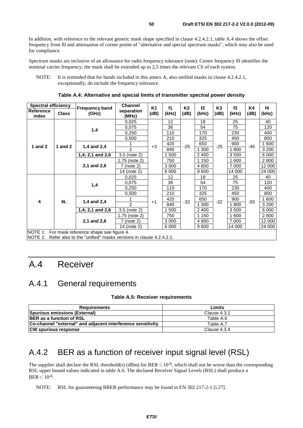In addition, with reference to the relevant generic mask shape specified in clause 4.2.4.2.1, table A.4 shows the offset frequency from f0 and attenuation of corner points of "alternative and special spectrum masks", which may also be used for compliance.

Spectrum masks are inclusive of an allowance for radio frequency tolerance (note). Centre frequency f0 identifies the nominal carrier frequency; the mask shall be extended up to 2,5 times the relevant CS of each system.

NOTE: It is reminded that for bands included in this annex A, also unified masks in clause 4.2.4.2.1, exceptionally, do include the frequency tolerance.

| <b>Spectral efficiency</b> |              |                                                                 | <b>Channel</b>      | K1   | f1      | K2    | f2      | K <sub>3</sub> | f3      | K4    | f4      |
|----------------------------|--------------|-----------------------------------------------------------------|---------------------|------|---------|-------|---------|----------------|---------|-------|---------|
| Reference<br>index         | <b>Class</b> | <b>Frequency band</b><br>(GHz)                                  | separation<br>(MHz) | (dB) | (kHz)   | (dB)  | (kHz)   | (dB)           | (kHz)   | (dB)  | (kHz)   |
|                            |              |                                                                 | 0,025               |      | 12      |       | 18      |                | 25      |       | 40      |
|                            |              | 1,4                                                             | 0,075               |      | 36      |       | 54      |                | 75      |       | 120     |
|                            |              |                                                                 | 0,250               |      | 110     |       | 170     |                | 230     |       | 400     |
|                            |              |                                                                 | 0,500               |      | 210     |       | 325     |                | 450     |       | 800     |
| 1 and $2$<br>1 and $2$     |              | 1,4 and 2,4                                                     |                     | $+3$ | 420     | $-25$ | 650     | $-25$          | 900     | $-45$ | 1 600   |
|                            |              |                                                                 | $\overline{2}$      |      | 840     |       | 1 300   |                | 1800    |       | 3 2 0 0 |
|                            |              | 1,4; 2,1 and 2,6                                                | 3,5 (note 2)        |      | 1 500   |       | 2 4 0 0 |                | 3500    |       | 6 0 0 0 |
|                            |              | 2,1 and 2,6                                                     | 1,75 (note 2)       |      | 750     |       | 1 150   |                | 1 600   |       | 2 800   |
|                            |              |                                                                 | 7 (note 2)          |      | 3 0 0 0 |       | 4 8 0 0 |                | 7 0 0 0 |       | 12 000  |
|                            |              |                                                                 | 14 (note 2)         |      | 6 0 0 0 |       | 9600    |                | 14 000  |       | 24 000  |
|                            |              | 1,4                                                             | 0,025               |      | 12      |       | 18      |                | 25      |       | 40      |
|                            |              |                                                                 | 0,075               |      | 36      |       | 54      |                | 75      |       | 120     |
|                            |              |                                                                 | 0,250               |      | 110     |       | 170     |                | 230     |       | 400     |
|                            |              |                                                                 | 0,500               |      | 210     |       | 325     |                | 450     |       | 800     |
| 4                          | 4L           | 1,4 and 2,4                                                     |                     | $+1$ | 420     | $-32$ | 650     | $-32$          | 900     | $-55$ | 1 600   |
|                            |              |                                                                 | $\mathcal{P}$       |      | 840     |       | 1 300   |                | 1800    |       | 3 200   |
|                            |              | 1,4; 2,1 and 2,6                                                | $3,5$ (note 2)      |      | 1 500   |       | 2 4 0 0 |                | 3500    |       | 6 0 0 0 |
|                            |              |                                                                 | 1,75 (note 2)       |      | 750     |       | 1 1 5 0 |                | 1 600   |       | 2 800   |
|                            |              | 2,1 and 2,6                                                     | 7 (note 2)          |      | 3 0 0 0 |       | 4 8 0 0 |                | 7 0 0 0 |       | 12 000  |
|                            |              |                                                                 | 14 (note 2)         |      | 6 0 0 0 |       | 9600    |                | 14 000  |       | 24 000  |
| <b>NOTE 1:</b>             |              | For mask reference shape see figure 4.                          |                     |      |         |       |         |                |         |       |         |
| NOTE 2:                    |              | Refer also to the "unified" masks versions in clause 4.2.4.2.1. |                     |      |         |       |         |                |         |       |         |

**Table A.4: Alternative and special limits of transmitter spectral power density** 

# A.4 Receiver

## A.4.1 General requirements

#### **Table A.5: Receiver requirements**

| <b>Requirements</b>                                         | Limits       |
|-------------------------------------------------------------|--------------|
| Spurious emissions (External)                               | Clause 4.3.1 |
| <b>BER</b> as a function of RSL                             | Table A.6    |
| Co-channel "external" and adjacent interference sensitivity | Table A.7    |
| <b>CW spurious response</b>                                 | Clause 4.3.4 |

## A.4.2 BER as a function of receiver input signal level (RSL)

The supplier shall declare the RSL threshold(s) (dBm) for BER  $\leq 10^{-6}$ , which shall not be worse than the corresponding RSL upper bound values indicated in table A.6. The declared Receiver Signal Levels (RSL) shall produce a  $BER < 10^{-6}$ .

NOTE: RSL for guaranteeing RBER performance may be found in EN 302 217-2-1 [i.27].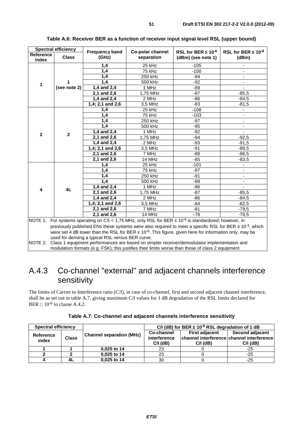| <b>Spectral efficiency</b>                                                                                                                                                                                                                                                                                                                                                                                                                                                                                    |              | <b>Frequency band</b> | Co-polar channel | RSL for BER $\leq 10^{-6}$                                                                        | RSL for BER $\leq 10^{-8}$ |  |  |
|---------------------------------------------------------------------------------------------------------------------------------------------------------------------------------------------------------------------------------------------------------------------------------------------------------------------------------------------------------------------------------------------------------------------------------------------------------------------------------------------------------------|--------------|-----------------------|------------------|---------------------------------------------------------------------------------------------------|----------------------------|--|--|
| Reference<br>index                                                                                                                                                                                                                                                                                                                                                                                                                                                                                            | <b>Class</b> | (GHz)                 | separation       | (dBm) (see note 1)                                                                                | (dBm)                      |  |  |
|                                                                                                                                                                                                                                                                                                                                                                                                                                                                                                               |              | 1,4                   | 25 kHz           | $-105$                                                                                            |                            |  |  |
|                                                                                                                                                                                                                                                                                                                                                                                                                                                                                                               |              | $\overline{1,4}$      | 75 kHz           | $-100$                                                                                            |                            |  |  |
|                                                                                                                                                                                                                                                                                                                                                                                                                                                                                                               |              | 1,4                   | 250 kHz          | $-94$                                                                                             | $\overline{\phantom{0}}$   |  |  |
| 1                                                                                                                                                                                                                                                                                                                                                                                                                                                                                                             |              | 1,4                   | 500 kHz          | $-92$                                                                                             |                            |  |  |
|                                                                                                                                                                                                                                                                                                                                                                                                                                                                                                               | (see note 2) | 1,4 and 2,4           | 1 MHz            | $-89$                                                                                             |                            |  |  |
|                                                                                                                                                                                                                                                                                                                                                                                                                                                                                                               |              | 2,1 and 2,6           | 1,75 MHz         | $-87$                                                                                             | $-85,5$                    |  |  |
|                                                                                                                                                                                                                                                                                                                                                                                                                                                                                                               |              | 1,4 and 2,4           | 2 MHz            | $-86$                                                                                             | $-84,5$                    |  |  |
|                                                                                                                                                                                                                                                                                                                                                                                                                                                                                                               |              | 1,4; 2,1 and 2,6      | 3,5 MHz          | $-83$                                                                                             | $-81,5$                    |  |  |
|                                                                                                                                                                                                                                                                                                                                                                                                                                                                                                               |              | 1,4                   | 25 kHz           | $-108$                                                                                            | $\overline{\phantom{m}}$   |  |  |
|                                                                                                                                                                                                                                                                                                                                                                                                                                                                                                               |              | 1,4                   | 75 kHz           | $-103$                                                                                            | -                          |  |  |
|                                                                                                                                                                                                                                                                                                                                                                                                                                                                                                               |              | 1,4                   | 250 kHz          | -97                                                                                               | $\overline{\phantom{a}}$   |  |  |
|                                                                                                                                                                                                                                                                                                                                                                                                                                                                                                               |              | 1,4                   | 500 kHz          | $-95$                                                                                             | $\overline{\phantom{0}}$   |  |  |
| $\mathbf{2}$                                                                                                                                                                                                                                                                                                                                                                                                                                                                                                  | $\mathbf{2}$ | 1,4 and 2,4           | 1 MHz            | $-92$                                                                                             |                            |  |  |
|                                                                                                                                                                                                                                                                                                                                                                                                                                                                                                               |              | 2,1 and 2,6           | 1,75 MHz         | $-94$                                                                                             | $-92,5$                    |  |  |
|                                                                                                                                                                                                                                                                                                                                                                                                                                                                                                               |              | 1,4 and 2,4           | 2 MHz            | $-93$                                                                                             | $-91,5$                    |  |  |
|                                                                                                                                                                                                                                                                                                                                                                                                                                                                                                               |              | 1,4; 2,1 and 2,6      | 3.5 MHz          | $-91$                                                                                             | $-89.5$                    |  |  |
|                                                                                                                                                                                                                                                                                                                                                                                                                                                                                                               |              | 2,1 and 2,6           | 7 MHz            | -88                                                                                               | $-86,5$                    |  |  |
|                                                                                                                                                                                                                                                                                                                                                                                                                                                                                                               |              | 2,1 and 2,6           | 14 MHz           | $-85$                                                                                             | $-83,5$                    |  |  |
|                                                                                                                                                                                                                                                                                                                                                                                                                                                                                                               |              | 1,4                   | 25 kHz           | $-101$                                                                                            |                            |  |  |
|                                                                                                                                                                                                                                                                                                                                                                                                                                                                                                               |              | 1,4                   | 75 kHz           | $-97$                                                                                             | $\blacksquare$             |  |  |
|                                                                                                                                                                                                                                                                                                                                                                                                                                                                                                               |              | 1,4                   | 250 kHz          | $-91$                                                                                             | $\blacksquare$             |  |  |
|                                                                                                                                                                                                                                                                                                                                                                                                                                                                                                               |              | 1,4                   | 500 kHz          | -89                                                                                               | $\overline{\phantom{m}}$   |  |  |
| 4                                                                                                                                                                                                                                                                                                                                                                                                                                                                                                             | 4L           | 1,4 and 2,4           | 1 MHz            | $-86$                                                                                             |                            |  |  |
|                                                                                                                                                                                                                                                                                                                                                                                                                                                                                                               |              | 2,1 and 2,6           | 1,75 MHz         | $-87$                                                                                             | $-85,5$                    |  |  |
|                                                                                                                                                                                                                                                                                                                                                                                                                                                                                                               |              | 1,4 and 2,4           | 2 MHz            | $-86$                                                                                             | $-84,5$                    |  |  |
|                                                                                                                                                                                                                                                                                                                                                                                                                                                                                                               |              | $1,4; 2,1$ and $2,6$  | 3,5 MHz          | -84                                                                                               | $-82,5$                    |  |  |
|                                                                                                                                                                                                                                                                                                                                                                                                                                                                                                               |              | 2,1 and 2,6           | 7 MHz            | $-81$                                                                                             | $-79,5$                    |  |  |
|                                                                                                                                                                                                                                                                                                                                                                                                                                                                                                               |              | 2,1 and 2,6           | 14 MHz           | $-78$                                                                                             | $-76,5$                    |  |  |
|                                                                                                                                                                                                                                                                                                                                                                                                                                                                                                               |              |                       |                  |                                                                                                   |                            |  |  |
| NOTE 1: For systems operating on CS < 1,75 MHz, only RSL for BER $\leq 10^{-6}$ is standardized; however, in<br>previously published ENs these systems were also required to meet a specific RSL for BER $\leq 10^{-3}$ , which<br>were set 4 dB lower than the RSL for BER $\leq 10^{-6}$ . This figure, given here for information only, may be<br>used for deriving a typical RSL versus BER curve.<br>NOTE 2: Class 1 equipment performances are based on simpler receiver/demodulator implementation and |              |                       |                  |                                                                                                   |                            |  |  |
|                                                                                                                                                                                                                                                                                                                                                                                                                                                                                                               |              |                       |                  | modulation formats (e.g. FSK); this justifies their limits worse than those of class 2 equipment. |                            |  |  |

#### **Table A.6: Receiver BER as a function of receiver input signal level RSL (upper bound)**

## A.4.3 Co-channel "external" and adjacent channels interference sensitivity

The limits of Carrier to Interference ratio (C/I), in case of co-channel, first and second adjacent channel interference, shall be as set out in table A.7, giving maximum C/I values for 1 dB degradation of the RSL limits declared for BER  $\leq 10^{-6}$  in clause A.4.2.

| <b>Spectral efficiency</b> |              |                                 | C/I (dB) for BER $\leq 10^{-6}$ RSL degradation of 1 dB |                                     |                                                                            |  |  |  |  |
|----------------------------|--------------|---------------------------------|---------------------------------------------------------|-------------------------------------|----------------------------------------------------------------------------|--|--|--|--|
| <b>Reference</b><br>index  | <b>Class</b> | <b>Channel separation (MHz)</b> | Co-channel<br>interference<br>$C/I$ ( $dB$ )            | <b>First adjacent</b><br>$C/I$ (dB) | Second adjacent<br>channel interference channel interference<br>$C/I$ (dB) |  |  |  |  |
|                            |              | 0.025 to 14                     | 23                                                      |                                     | $-25$                                                                      |  |  |  |  |
|                            |              | 0,025 to 14                     | 23                                                      |                                     | $-25$                                                                      |  |  |  |  |
|                            | -4L          | 0.025 to 14                     | 30                                                      |                                     | $-25$                                                                      |  |  |  |  |

|  | Table A.7: Co-channel and adjacent channels interference sensitivity |
|--|----------------------------------------------------------------------|
|--|----------------------------------------------------------------------|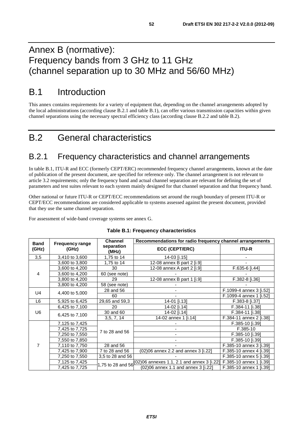# Annex B (normative): Frequency bands from 3 GHz to 11 GHz (channel separation up to 30 MHz and 56/60 MHz)

# B.1 Introduction

This annex contains requirements for a variety of equipment that, depending on the channel arrangements adopted by the local administrations (according clause B.2.1 and table B.1), can offer various transmission capacities within given channel separations using the necessary spectral efficiency class (according clause B.2.2 and table B.2).

# B.2 General characteristics

## B.2.1 Frequency characteristics and channel arrangements

In table B.1, ITU-R and ECC (formerly CEPT/ERC) recommended frequency channel arrangements, known at the date of publication of the present document, are specified for reference only. The channel arrangement is not relevant to article 3.2 requirements; only the frequency band and actual channel separation are relevant for defining the set of parameters and test suites relevant to each system mainly designed for that channel separation and that frequency band.

Other national or future ITU-R or CEPT/ECC recommendations set around the rough boundary of present ITU-R or CEPT/ECC recommendations are considered applicable to systems assessed against the present document, provided that they use the same channel separation.

For assessment of wide-band coverage systems see annex G.

| <b>Band</b>    | <b>Frequency range</b> | <b>Channel</b>      | Recommendations for radio frequency channel arrangements       |                         |  |  |  |  |
|----------------|------------------------|---------------------|----------------------------------------------------------------|-------------------------|--|--|--|--|
| (GHz)          | (GHz)                  | separation<br>(MHz) | <b>ECC (CEPT/ERC)</b>                                          | <b>ITU-R</b>            |  |  |  |  |
| 3,5            | 3,410 to 3,600         | 1,75 to 14          | 14-03 [i.15]                                                   |                         |  |  |  |  |
|                | 3,600 to 3,800         | 1,75 to 14          | 12-08 annex B part 2 [i.9]                                     |                         |  |  |  |  |
|                | 3,600 to 4,200         | 30                  | 12-08 annex A part 2 [i.9]                                     | F.635-6 [i.44]          |  |  |  |  |
| 4              | 3,600 to 4,200         | 60 (see note)       |                                                                |                         |  |  |  |  |
|                | 3,800 to 4,200         | 29                  | 12-08 annex B part 1 [i.9]                                     | F.382-8 [i.36]          |  |  |  |  |
|                | 3,800 to 4,200         | 58 (see note)       |                                                                |                         |  |  |  |  |
| U <sub>4</sub> | 4,400 to 5,000         | 28 and 56           |                                                                | F.1099-4 annex 3 [i.52] |  |  |  |  |
|                |                        | 60                  |                                                                | F.1099-4 annex 1 [i.52] |  |  |  |  |
| L6             | 5,925 to 6,425         | 29,65 and 59,3      | 14-01 [i.13]                                                   | F.383-8 [i.37]          |  |  |  |  |
|                | 6,425 to 7,100         | 20                  | 14-02 [i.14]                                                   | F.384-11 [i.38]         |  |  |  |  |
| U6             | 6,425 to 7,100         | 30 and 60           | 14-02 [i.14]                                                   | F.384-11 [i.38]         |  |  |  |  |
|                |                        | 3,5, 7, 14          | 14-02 annex 1 [i.14]                                           | F.384-11 annex 2 [i.38] |  |  |  |  |
|                | 7,125 to 7,425         |                     |                                                                | F.385-10 [i.39]         |  |  |  |  |
|                | 7,425 to 7,725         | 7 to 28 and 56      |                                                                | F.385-10                |  |  |  |  |
|                | 7,250 to 7,550         |                     |                                                                | F.385-10 [i.39]         |  |  |  |  |
|                | 7,550 to 7,850         |                     |                                                                | F.385-10 [i.39]         |  |  |  |  |
| $\overline{7}$ | 7,110 to 7,750         | 28 and 56           |                                                                | F.385-10 annex 3 [i.39] |  |  |  |  |
|                | 7,425 to 7,900         | 7 to 28 and 56      | (02)06 annex 2.2 and annex 3 [i.22]                            | F.385-10 annex 4 [i.39] |  |  |  |  |
|                | 7,250 to 7,550         | 3,5 to 28 and 56    |                                                                | F.385-10 annex 5 [i.39] |  |  |  |  |
|                | 7,125 to 7,425         |                     | 1,75 to 28 and 56 $(02)06$ annexes 1.1, 2.1 and annex 3 [i.22] | F.385-10 annex 1 [i.39] |  |  |  |  |
|                | 7,425 to 7,725         |                     | (02)06 annex 1.1 and annex 3 [i.22]                            | F.385-10 annex 1 [i.39] |  |  |  |  |

#### **Table B.1: Frequency characteristics**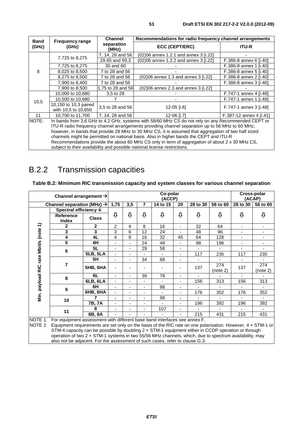|                      |                                              | <b>Channel</b>      | Recommendations for radio frequency channel arrangements                                                                                                                                                                                                                                                                                                                                                                                                                                                                                                                                |                         |  |  |  |  |  |
|----------------------|----------------------------------------------|---------------------|-----------------------------------------------------------------------------------------------------------------------------------------------------------------------------------------------------------------------------------------------------------------------------------------------------------------------------------------------------------------------------------------------------------------------------------------------------------------------------------------------------------------------------------------------------------------------------------------|-------------------------|--|--|--|--|--|
| <b>Band</b><br>(GHz) | <b>Frequency range</b><br>(GHz)              | separation<br>(MHz) | <b>ECC (CEPT/ERC)</b>                                                                                                                                                                                                                                                                                                                                                                                                                                                                                                                                                                   | <b>ITU-R</b>            |  |  |  |  |  |
|                      |                                              | 7, 14, 28 and 56    | (02)06 annex 1.2.1 and annex 3 [i.22]                                                                                                                                                                                                                                                                                                                                                                                                                                                                                                                                                   |                         |  |  |  |  |  |
|                      | 7,725 to 8,275                               | 29,65 and 59,3      | (02)06 annex 1.2.2 and annex 3 [i.22]                                                                                                                                                                                                                                                                                                                                                                                                                                                                                                                                                   | F.386-8 annex 6 [i.40]  |  |  |  |  |  |
|                      | 7,725 to 8,275                               | 30 and 60           |                                                                                                                                                                                                                                                                                                                                                                                                                                                                                                                                                                                         | F.386-8 annex 1 [i.40]  |  |  |  |  |  |
| 8                    | 8,025 to 8,500                               | 7 to 28 and 56      |                                                                                                                                                                                                                                                                                                                                                                                                                                                                                                                                                                                         | F.386-8 annex 5 [i.40]  |  |  |  |  |  |
|                      | 8,275 to 8,500                               | 7 to 28 and 56      | (02)06 annex 1.3 and annex 3 [i.22]                                                                                                                                                                                                                                                                                                                                                                                                                                                                                                                                                     | F.386-8 annex 2 [i.40]  |  |  |  |  |  |
|                      | 7,900 to 8,400                               | 7 to 28 and 56      |                                                                                                                                                                                                                                                                                                                                                                                                                                                                                                                                                                                         | F.386-8 annex 3 [i.40]  |  |  |  |  |  |
|                      | 7,900 to 8,500                               | 1,75 to 28 and 56   | (02)06 annex 2.3 and annex 3 [i.22]                                                                                                                                                                                                                                                                                                                                                                                                                                                                                                                                                     |                         |  |  |  |  |  |
|                      | 10,000 to 10,680                             | 3.5 to 28           |                                                                                                                                                                                                                                                                                                                                                                                                                                                                                                                                                                                         | F.747-1 annex 4 [i.48]  |  |  |  |  |  |
| 10,5                 | 10,500 to 10,680                             |                     |                                                                                                                                                                                                                                                                                                                                                                                                                                                                                                                                                                                         | F.747-1 annex 1 [i.48]  |  |  |  |  |  |
|                      | 10,150 to 10,3 paired<br>with 10,5 to 10,650 | 3,5 to 28 and 56    | 12-05 [i.6]                                                                                                                                                                                                                                                                                                                                                                                                                                                                                                                                                                             | F.747-1 annex 3 [i.48]  |  |  |  |  |  |
| 11                   | 10.700 to 11.700                             | 7, 14, 28 and 56    | 12-06 [i.7]                                                                                                                                                                                                                                                                                                                                                                                                                                                                                                                                                                             | F.387-12 annex 4 [i.41] |  |  |  |  |  |
| NOTE:                |                                              |                     | In bands from 3,6 GHz to 4,2 GHz, systems with 58/60 MHz CS do not rely on any Recommended CEPT or<br>ITU-R radio frequency channel arrangements providing channel separation up to 56 MHz to 60 MHz;<br>however, in bands that provide 28 MHz to 30 MHz CS, it is assumed that aggregation of two half sized<br>channels might be permitted on national basis. Also in higher bands the CEPT and ITU-R<br>Recommendations provide the about 60 MHz CS only in term of aggregation of about 2 x 30 MHz CS,<br>subject to their availability and possible national license restrictions. |                         |  |  |  |  |  |

# B.2.2 Transmission capacities

#### **Table B.2: Minimum RIC transmission capacity and system classes for various channel separation**

|                      | Channel arrangement $\rightarrow$                                                                                                                                                                       |                         |                          |                          | Cross-polar<br>(ACAP) |                          |                          |                          |                          |                |                          |
|----------------------|---------------------------------------------------------------------------------------------------------------------------------------------------------------------------------------------------------|-------------------------|--------------------------|--------------------------|-----------------------|--------------------------|--------------------------|--------------------------|--------------------------|----------------|--------------------------|
|                      | Channel separation (MHz) $\rightarrow$                                                                                                                                                                  |                         | 1,75                     | 3,5                      | 7                     | 14 to 15                 | 20                       | 28 to 30                 | 56 to 60                 | 28 to 30       | 56 to 60                 |
|                      | Spectral efficiency $\psi$                                                                                                                                                                              |                         |                          |                          |                       |                          |                          |                          |                          |                |                          |
|                      | <b>Reference</b><br><b>Index</b>                                                                                                                                                                        | <b>Class</b>            | ⊕                        | ⊕                        | ⊕                     | ⊕                        | ⊕                        | ⊕                        | ⊕                        | ⊕              | ⊕                        |
|                      | 2                                                                                                                                                                                                       | $\mathbf{2}$            | 2                        | 4                        | 8                     | 16                       | $\overline{\phantom{0}}$ | 32                       | 64                       | ٠              | -                        |
|                      | 3                                                                                                                                                                                                       | $\overline{\mathbf{3}}$ | 3                        | 6                        | 12                    | 24                       | $\blacksquare$           | 48                       | 96                       | ٠              | $\overline{\phantom{a}}$ |
| rate Mbit/s (note 1) | 4                                                                                                                                                                                                       | 4L                      | 4                        | 8                        | 16                    | 32                       | 45                       | 64                       | 128                      | ٠              | ä,                       |
|                      | 5                                                                                                                                                                                                       | 4H                      | $\frac{1}{2}$            |                          | 24                    | 49                       | $\blacksquare$           | 98                       | 196                      | $\blacksquare$ | -                        |
|                      | 6                                                                                                                                                                                                       | 5L                      | $\overline{\phantom{a}}$ |                          | 29                    | 58                       | $\overline{\phantom{a}}$ | $\overline{\phantom{a}}$ | $\overline{\phantom{a}}$ | $\blacksquare$ | ۰.                       |
|                      |                                                                                                                                                                                                         | <b>5LB, 5LA</b>         | ä,                       | ٠                        |                       | $\blacksquare$           | -                        | 117                      | 235                      | 117            | 235                      |
|                      |                                                                                                                                                                                                         | 5H                      | -                        | $\overline{\phantom{0}}$ | 34                    | 68                       | $\overline{\phantom{0}}$ | $\overline{\phantom{a}}$ | $\blacksquare$           |                | $\blacksquare$           |
| Min. payload RIC     | 7                                                                                                                                                                                                       | <b>5HB, 5HA</b>         |                          |                          |                       |                          |                          | 137                      | 274<br>(note 2)          | 137            | 274<br>(note 2)          |
|                      | 8                                                                                                                                                                                                       | 6L                      | $\blacksquare$           | ٠                        | 39                    | 78                       | $\overline{\phantom{a}}$ | $\blacksquare$           | $\blacksquare$           | ÷.             |                          |
|                      |                                                                                                                                                                                                         | 6LB, 6LA                | $\overline{\phantom{0}}$ |                          | ٠                     | $\overline{\phantom{a}}$ | $\blacksquare$           | 156                      | 313                      | 156            | 313                      |
|                      | 9                                                                                                                                                                                                       | 6H                      | $\blacksquare$           |                          | $\overline{a}$        | 88                       | $\overline{\phantom{a}}$ | ٠                        | $\overline{\phantom{a}}$ |                | $\blacksquare$           |
|                      |                                                                                                                                                                                                         | $6HB, 6H\overline{A}$   | $\overline{\phantom{0}}$ |                          | ä,                    | $\overline{\phantom{a}}$ | -                        | 176                      | 352                      | 176            | 352                      |
|                      | 10                                                                                                                                                                                                      |                         | $\blacksquare$           |                          |                       | 98                       | -                        |                          | ٠                        |                | $\blacksquare$           |
|                      |                                                                                                                                                                                                         | 7B, 7A                  | $\frac{1}{2}$            |                          | ä,                    | $\blacksquare$           | -                        | 196                      | 392                      | 196            | 392                      |
|                      | 11                                                                                                                                                                                                      | 8                       | -                        |                          |                       | 107                      | $\overline{\phantom{a}}$ |                          |                          |                |                          |
|                      |                                                                                                                                                                                                         | 8B, 8A                  |                          |                          |                       |                          |                          | 215                      | 431                      | 215            | 431                      |
| <b>INOTE 1:</b>      | For equipment assessment with different base band interfaces see annex F.<br>NOTE 2: Equipment requirements are set only on the basis of the RIC rate on one polarisation. However, $4 \times$ STM-1 or |                         |                          |                          |                       |                          |                          |                          |                          |                |                          |

STM-4 capacity can be possible by doubling 2 x STM-1 equipment either in CCDP operation or through operation of two 2 × STM-1 systems in two 55/56 MHz channels, which, due to spectrum availability, may also not be adjacent. For the assessment of such cases, refer to clause G.3.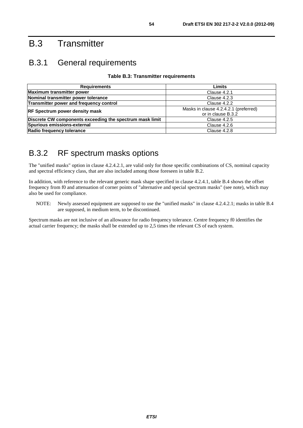# B.3 Transmitter

## B.3.1 General requirements

#### **Table B.3: Transmitter requirements**

| <b>Requirements</b>                                      | Limits                                |
|----------------------------------------------------------|---------------------------------------|
| <b>Maximum transmitter power</b>                         | Clause 4.2.1                          |
| Nominal transmitter power tolerance                      | Clause 4.2.3                          |
| Transmitter power and frequency control                  | Clause 4.2.2                          |
| <b>RF Spectrum power density mask</b>                    | Masks in clause 4.2.4.2.1 (preferred) |
|                                                          | or in clause B.3.2                    |
| Discrete CW components exceeding the spectrum mask limit | Clause 4.2.5                          |
| Spurious emissions-external                              | Clause 4.2.6                          |
| Radio frequency tolerance                                | Clause 4.2.8                          |

# B.3.2 RF spectrum masks options

The "unified masks" option in clause 4.2.4.2.1, are valid only for those specific combinations of CS, nominal capacity and spectral efficiency class, that are also included among those foreseen in table B.2.

In addition, with reference to the relevant generic mask shape specified in clause 4.2.4.1, table B.4 shows the offset frequency from f0 and attenuation of corner points of "alternative and special spectrum masks" (see note), which may also be used for compliance.

NOTE: Newly assessed equipment are supposed to use the "unified masks" in clause 4.2.4.2.1; masks in table B.4 are supposed, in medium term, to be discontinued.

Spectrum masks are not inclusive of an allowance for radio frequency tolerance. Centre frequency f0 identifies the actual carrier frequency; the masks shall be extended up to 2,5 times the relevant CS of each system.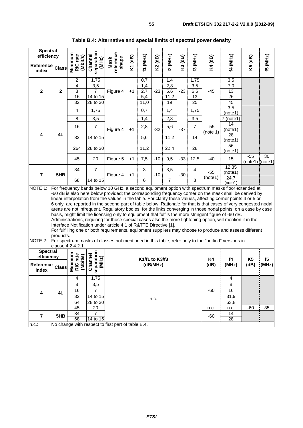| <b>Spectral</b><br>efficiency                              |                                                                                                                                                                                                                                                                                                                                                                                                                                                                                                                                                                                                                                                                                                                                                                                                                                                                                                                                                                                                                                                                                                                                     | rate                               |                                           |                            |                            |                       |         |                |                   |                         |                      |                          |                          |                 |
|------------------------------------------------------------|-------------------------------------------------------------------------------------------------------------------------------------------------------------------------------------------------------------------------------------------------------------------------------------------------------------------------------------------------------------------------------------------------------------------------------------------------------------------------------------------------------------------------------------------------------------------------------------------------------------------------------------------------------------------------------------------------------------------------------------------------------------------------------------------------------------------------------------------------------------------------------------------------------------------------------------------------------------------------------------------------------------------------------------------------------------------------------------------------------------------------------------|------------------------------------|-------------------------------------------|----------------------------|----------------------------|-----------------------|---------|----------------|-------------------|-------------------------|----------------------|--------------------------|--------------------------|-----------------|
| <b>Reference</b><br>index                                  | <b>Class</b>                                                                                                                                                                                                                                                                                                                                                                                                                                                                                                                                                                                                                                                                                                                                                                                                                                                                                                                                                                                                                                                                                                                        | Minimum<br>(Mbit/s)<br>RIC         | separation<br>Channel<br>(MHz)            | reference<br>shape<br>Mask | K1 (dB)                    | (MHz)<br>$\mathbf{r}$ | K2 (dB) | f2 (MHz)       | K3 (dB)           | f3 (MHz)                | K4 (dB)              | 14 (MHz)                 | K5 (dB)                  | <b>f5 (MHz)</b> |
|                                                            |                                                                                                                                                                                                                                                                                                                                                                                                                                                                                                                                                                                                                                                                                                                                                                                                                                                                                                                                                                                                                                                                                                                                     | $\overline{c}$                     | 1,75                                      |                            |                            | 0,7                   |         | 1,4            |                   | 1,75                    |                      | 3,5                      |                          |                 |
|                                                            |                                                                                                                                                                                                                                                                                                                                                                                                                                                                                                                                                                                                                                                                                                                                                                                                                                                                                                                                                                                                                                                                                                                                     | $\overline{4}$                     | 3,5                                       |                            |                            | 1,4                   |         | 2,8            |                   | 3,5                     |                      | 7,0                      |                          |                 |
| $\mathbf{2}$                                               | $\boldsymbol{2}$                                                                                                                                                                                                                                                                                                                                                                                                                                                                                                                                                                                                                                                                                                                                                                                                                                                                                                                                                                                                                                                                                                                    | $\overline{8}$                     | $\overline{7}$                            | Figure 4                   | $+1$                       | 2,7                   | $-23$   | 5,6            | $-23$             | 6,5                     | $-45$                | $\overline{13}$          |                          |                 |
|                                                            |                                                                                                                                                                                                                                                                                                                                                                                                                                                                                                                                                                                                                                                                                                                                                                                                                                                                                                                                                                                                                                                                                                                                     | 16<br>32                           | 14 to 15<br>28 to 30                      |                            |                            | 5,4<br>11,0           |         | 11,2<br>19     |                   | 13<br>$\overline{25}$   |                      | 26<br>45                 |                          |                 |
|                                                            |                                                                                                                                                                                                                                                                                                                                                                                                                                                                                                                                                                                                                                                                                                                                                                                                                                                                                                                                                                                                                                                                                                                                     | $\overline{4}$                     | 1,75                                      |                            |                            | 0,7                   |         | 1,4            |                   | 1,75                    |                      | 3,5<br>(note1)           |                          |                 |
|                                                            |                                                                                                                                                                                                                                                                                                                                                                                                                                                                                                                                                                                                                                                                                                                                                                                                                                                                                                                                                                                                                                                                                                                                     | 8                                  | 3,5                                       |                            |                            | 1,4                   |         | 2,8            |                   | 3,5                     |                      | $7$ (note1)              |                          |                 |
|                                                            |                                                                                                                                                                                                                                                                                                                                                                                                                                                                                                                                                                                                                                                                                                                                                                                                                                                                                                                                                                                                                                                                                                                                     | 16                                 | $\overline{7}$                            | Figure 4                   | $+1$                       | 2,8                   | $-32$   | 5,6            | $-37$             | $\overline{7}$          | $-55$                | 14<br>(note1)            |                          |                 |
| 4                                                          | 4L                                                                                                                                                                                                                                                                                                                                                                                                                                                                                                                                                                                                                                                                                                                                                                                                                                                                                                                                                                                                                                                                                                                                  | 32                                 | 14 to 15                                  |                            |                            | 5,6                   |         | 11,2           |                   | 14                      | (note 1)             | 28<br>(note1)            |                          |                 |
|                                                            |                                                                                                                                                                                                                                                                                                                                                                                                                                                                                                                                                                                                                                                                                                                                                                                                                                                                                                                                                                                                                                                                                                                                     | 264                                | 28 to 30                                  |                            |                            | 11,2                  |         | 22,4           |                   | 28                      |                      | 56<br>(note1)            |                          |                 |
|                                                            |                                                                                                                                                                                                                                                                                                                                                                                                                                                                                                                                                                                                                                                                                                                                                                                                                                                                                                                                                                                                                                                                                                                                     | 45                                 | 20                                        | Figure 5                   | $+1$                       | 7,5                   | $-10$   | 9,5            | $-33$             | 12,5                    | $-40$                | 15                       | $-55$<br>(note1) (note1) | 30              |
| $\overline{\mathbf{r}}$                                    | 5HB                                                                                                                                                                                                                                                                                                                                                                                                                                                                                                                                                                                                                                                                                                                                                                                                                                                                                                                                                                                                                                                                                                                                 | 34                                 | $\overline{7}$                            | Figure 4                   | $+1$                       | 3                     | $-10$   | 3,5            | $-30$             | 4                       | $-55$                | 12,35<br>(note1)         |                          |                 |
|                                                            |                                                                                                                                                                                                                                                                                                                                                                                                                                                                                                                                                                                                                                                                                                                                                                                                                                                                                                                                                                                                                                                                                                                                     | 68                                 | 14 to 15                                  |                            |                            | 6                     |         | $\overline{7}$ |                   | 8                       | (note1)              | 24,7<br>(note1)          |                          |                 |
|                                                            | For frequency bands below 10 GHz, a second equipment option with spectrum masks floor extended at<br>NOTE 1:<br>-60 dB is also here below provided; the corresponding frequency corner on the mask shall be derived by<br>linear interpolation from the values in the table. For clarity these values, affecting corner points 4 or 5 or<br>6 only, are reported in the second part of table below. Rationale for that is that cases of very congested nodal<br>areas are not infrequent. Regulatory bodies, for the links converging in those nodal points, on a case by case<br>basis, might limit the licensing only to equipment that fulfils the more stringent figure of -60 dB.<br>Administrations, requiring for those special cases also the more tightening option, will mention it in the<br>Interface Notification under article 4.1 of R&TTE Directive [1].<br>For fulfilling one or both requirements, equipment suppliers may choose to produce and assess different<br>products.<br>NOTE 2: For spectrum masks of classes not mentioned in this table, refer only to the "unified" versions in<br>clause 4.2.4.2.1. |                                    |                                           |                            |                            |                       |         |                |                   |                         |                      |                          |                          |                 |
| <b>Spectral</b><br>efficiency<br><b>Reference</b><br>index | <b>Class</b>                                                                                                                                                                                                                                                                                                                                                                                                                                                                                                                                                                                                                                                                                                                                                                                                                                                                                                                                                                                                                                                                                                                        | Minimum<br>rate<br>(Mbit/s)<br>RIC | separation<br>Channel<br>(MHz)            |                            | K1/f1 to K3/f3<br>(dB/MHz) |                       |         |                | <b>K4</b><br>(dB) | f <sub>4</sub><br>(MHz) | <b>K5</b><br>(dB)    | f5<br>(MHz)              |                          |                 |
| 4                                                          | 4L                                                                                                                                                                                                                                                                                                                                                                                                                                                                                                                                                                                                                                                                                                                                                                                                                                                                                                                                                                                                                                                                                                                                  | 4<br>8<br>16<br>32                 | 1,75<br>3,5<br>$\overline{7}$<br>14 to 15 |                            | n.c.                       |                       |         |                |                   | $-60$                   | 4<br>8<br>16<br>31,9 |                          |                          |                 |
| $\overline{7}$                                             | 5HB                                                                                                                                                                                                                                                                                                                                                                                                                                                                                                                                                                                                                                                                                                                                                                                                                                                                                                                                                                                                                                                                                                                                 | 64<br>45<br>34<br>68               | 28 to 30<br>20<br>7<br>14 to 15           |                            |                            |                       |         |                |                   |                         | n.c.<br>$-60$        | 63,8<br>n.c.<br>14<br>28 | $-60$                    | 35              |
| $n.c.$ :                                                   | No change with respect to first part of table B.4.                                                                                                                                                                                                                                                                                                                                                                                                                                                                                                                                                                                                                                                                                                                                                                                                                                                                                                                                                                                                                                                                                  |                                    |                                           |                            |                            |                       |         |                |                   |                         |                      |                          |                          |                 |

### **Table B.4: Alternative and special limits of spectral power density**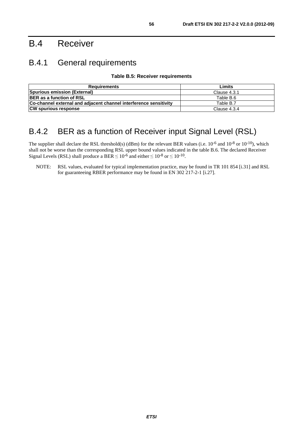# B.4 Receiver

## B.4.1 General requirements

**Table B.5: Receiver requirements** 

| Requirements                                                      | Limits       |
|-------------------------------------------------------------------|--------------|
| Spurious emission (External)                                      | Clause 4.3.1 |
| <b>BER</b> as a function of RSL                                   | Table B.6    |
| Co-channel external and adjacent channel interference sensitivity | Table B.7    |
| <b>CW spurious response</b>                                       | Clause 4.3.4 |

## B.4.2 BER as a function of Receiver input Signal Level (RSL)

The supplier shall declare the RSL threshold(s) (dBm) for the relevant BER values (i.e.  $10^{-6}$  and  $10^{-8}$  or  $10^{-10}$ ), which shall not be worse than the corresponding RSL upper bound values indicated in the table B.6. The declared Receiver Signal Levels (RSL) shall produce a BER  $\leq 10^{-6}$  and either  $\leq 10^{-8}$  or  $\leq 10^{-10}$ .

NOTE: RSL values, evaluated for typical implementation practice, may be found in TR 101 854 [i.31] and RSL for guaranteeing RBER performance may be found in EN 302 217-2-1 [i.27].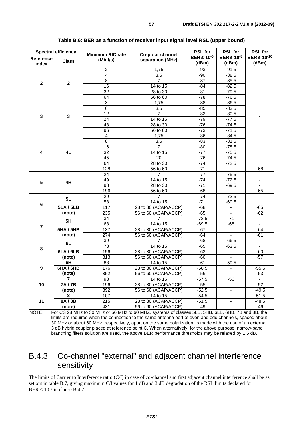| <b>Spectral efficiency</b> |                  | <b>Minimum RIC rate</b> | Co-polar channel                                                                                                                                                                                                     |                             | <b>RSL for</b><br>BER $\leq 10^{-8}$ | <b>RSL for</b><br><b>BER <math>\leq 10^{-10}</math></b> |
|----------------------------|------------------|-------------------------|----------------------------------------------------------------------------------------------------------------------------------------------------------------------------------------------------------------------|-----------------------------|--------------------------------------|---------------------------------------------------------|
| <b>Reference</b><br>index  | <b>Class</b>     | (Mbit/s)                | separation (MHz)                                                                                                                                                                                                     | BER $\leq 10^{-6}$<br>(dBm) | (dBm)                                | (dBm)                                                   |
|                            |                  | $\overline{\mathbf{c}}$ | 1,75                                                                                                                                                                                                                 | $-93$                       | $-91,5$                              |                                                         |
|                            |                  | $\overline{\mathbf{4}}$ | 3,5                                                                                                                                                                                                                  | $-90$                       | $-88,5$                              |                                                         |
|                            |                  | $\overline{8}$          | $\overline{7}$                                                                                                                                                                                                       | $-87$                       | $-85,5$                              |                                                         |
| $\mathbf{2}$               | $\mathbf 2$      | $\overline{16}$         | 14 to 15                                                                                                                                                                                                             | $-84$                       | $-82,5$                              |                                                         |
|                            |                  | 32                      | 28 to 30                                                                                                                                                                                                             | $-81$                       | $-79,5$                              |                                                         |
|                            |                  | 64                      | 56 to 60                                                                                                                                                                                                             | $-78$                       | $-76,5$                              |                                                         |
|                            |                  | 3                       | 1,75                                                                                                                                                                                                                 | -88                         | $-86,5$                              |                                                         |
|                            |                  | $\overline{6}$          | 3,5                                                                                                                                                                                                                  | $-85$                       | $-83,5$                              |                                                         |
|                            |                  | 12                      | $\overline{7}$                                                                                                                                                                                                       | $-82$                       | $-80,5$                              |                                                         |
| 3                          | $\mathbf{3}$     | 24                      | 14 to 15                                                                                                                                                                                                             | $-79$                       | $-77,5$                              |                                                         |
|                            |                  | 48                      | 28 to 30                                                                                                                                                                                                             | $-76$                       | $-74,5$                              |                                                         |
|                            |                  | 96                      | 56 to 60                                                                                                                                                                                                             | $-73$                       | $-71,5$                              |                                                         |
|                            |                  | 4                       | 1,75                                                                                                                                                                                                                 | $-86$                       | $-84,5$                              |                                                         |
|                            |                  | $\overline{8}$          | 3,5                                                                                                                                                                                                                  | $-83$                       | $-81,5$                              |                                                         |
|                            |                  | $\overline{16}$         | $\overline{7}$                                                                                                                                                                                                       | $-80$                       | $-78,5$                              |                                                         |
| 4                          | 4L               | 32                      | 14 to 15                                                                                                                                                                                                             | $-77$                       | $-75,5$                              |                                                         |
|                            |                  | 45                      | 20                                                                                                                                                                                                                   | -76                         | $-74,5$                              |                                                         |
|                            |                  | 64                      | 28 to 30                                                                                                                                                                                                             | $-74$                       | $-72,5$                              |                                                         |
|                            |                  | $\overline{128}$        | 56 to 60                                                                                                                                                                                                             | $-71$                       |                                      | -68                                                     |
|                            |                  | 24                      | $\overline{7}$                                                                                                                                                                                                       | $-77$                       | $-75,5$                              |                                                         |
|                            |                  | 49                      | 14 to 15                                                                                                                                                                                                             | $-74$                       | $-72,5$                              | $\blacksquare$                                          |
| 5                          | 4H               | 98                      | 28 to 30                                                                                                                                                                                                             | $-71$                       | $-69,5$                              | $\overline{\phantom{a}}$                                |
|                            |                  | 196                     | 56 to 60                                                                                                                                                                                                             | $-68$                       | $\blacksquare$                       | $-65$                                                   |
|                            |                  | 29                      | 7                                                                                                                                                                                                                    | $-74$                       | $-72,5$                              |                                                         |
|                            | 5L               | $\overline{58}$         | $\overline{14}$ to $\overline{15}$                                                                                                                                                                                   | $-71$                       | $-69,5$                              |                                                         |
| 6                          | <b>5LA/5LB</b>   | 117                     | 28 to 30 (ACAP/ACCP)                                                                                                                                                                                                 | $-68$                       | $\blacksquare$                       | $-65$                                                   |
|                            | (note)           | 235                     | 56 to 60 (ACAP/ACCP)                                                                                                                                                                                                 | $-65$                       | $\overline{\phantom{a}}$             | $-62$                                                   |
|                            |                  | 34                      | 7                                                                                                                                                                                                                    | $-72,5$                     | $-71$                                | $\blacksquare$                                          |
|                            | 5H               | 68                      | 14 to 15                                                                                                                                                                                                             | $-69,5$                     | $-68$                                | $\blacksquare$                                          |
| 7                          | <b>5HA/5HB</b>   | 137                     | 28 to 30 (ACAP/ACCP)                                                                                                                                                                                                 | $-67$                       |                                      | -64                                                     |
|                            | (note)           | 274                     | 56 to 60 (ACAP/ACCP)                                                                                                                                                                                                 | $-64$                       | $\blacksquare$                       | $-61$                                                   |
|                            |                  | 39                      | 7                                                                                                                                                                                                                    | $-68$                       | $-66.5$                              | $\sim$                                                  |
|                            | 6L               | 78                      | 14 to 15                                                                                                                                                                                                             | $-65$                       | $-63,5$                              |                                                         |
| 8                          | 6LA/6LB          | 156                     | 28 to 30 (ACAP/ACCP)                                                                                                                                                                                                 | $-63$                       | $\overline{\phantom{a}}$             | -60                                                     |
|                            | (note)           | $\overline{313}$        | 56 to 60 (ACAP/ACCP)                                                                                                                                                                                                 | $-60$                       |                                      | $-57$                                                   |
|                            | 6H               | 88                      | 14 to 15                                                                                                                                                                                                             | $-61$                       | $-59,5$                              |                                                         |
| 9                          | <b>6HA / 6HB</b> | 176                     | 28 to 30 (ACAP/ACCP)                                                                                                                                                                                                 | $-58,5$                     | $\blacksquare$                       | $-55,5$                                                 |
|                            | (note)           | 352                     | 56 to 60 (ACAP/ACCP)                                                                                                                                                                                                 | $-56$                       | ۰                                    | $-53$                                                   |
|                            | 7                | 98                      | 14 to 15                                                                                                                                                                                                             | $-57,5$                     | $-56$                                | $\blacksquare$                                          |
| 10                         | 7A/7B            | 196                     | 28 to 30 (ACAP/ACCP)                                                                                                                                                                                                 | $-55$                       |                                      | $-52$                                                   |
|                            | (note)           | 392                     | 56 to 60 (ACAP/ACCP)                                                                                                                                                                                                 | $-52,5$                     |                                      | $-49,5$                                                 |
|                            | 8                | 107                     | 14 to 15                                                                                                                                                                                                             | $-54,5$                     | $\overline{\phantom{a}}$             | $-51,5$                                                 |
| 11                         | 8A/8B            | 215                     | 28 to 30 (ACAP/ACCP)                                                                                                                                                                                                 | $-51,5$                     | ۰                                    | $-48,5$                                                 |
|                            | (note)           | 431                     | 56 to 60 (ACAP/ACCP)                                                                                                                                                                                                 | $-49$                       |                                      | -46                                                     |
| NOTE:                      |                  |                         | For CS 28 MHz to 30 MHz or 56 MHz to 60 MHZ, systems of classes 5LB, 5HB, 6LB, 6HB, 7B and 8B, the                                                                                                                   |                             |                                      |                                                         |
|                            |                  |                         | limits are required when the connection to the same antenna port of even and odd channels, spaced about<br>30 MHz or about 60 MHz, respectively, apart on the same polarization, is made with the use of an external |                             |                                      |                                                         |

#### **Table B.6: BER as a function of receiver input signal level RSL (upper bound)**

3 dB hybrid coupler placed at reference point C. When alternatively, for the above purpose, narrow-band branching filters solution are used, the above BER performance thresholds may be relaxed by 1,5 dB.

## B.4.3 Co-channel "external" and adjacent channel interference sensitivity

The limits of Carrier to Interference ratio (C/I) in case of co-channel and first adjacent channel interference shall be as set out in table B.7, giving maximum C/I values for 1 dB and 3 dB degradation of the RSL limits declared for BER  $\leq 10^{-6}$  in clause B.4.2.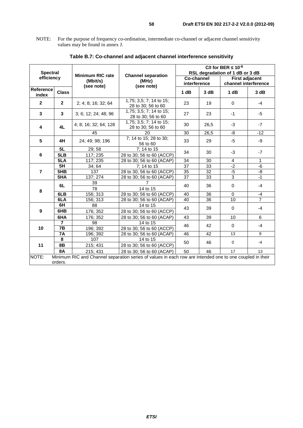NOTE: For the purpose of frequency co-ordination, intermediate co-channel or adjacent channel sensitivity values may be found in annex J.

| <b>Spectral</b><br>efficiency |                 |                                                   |                                                                                                          | C/I for BER $\leq 10^{-6}$<br>RSL degradation of 1 dB or 3 dB |      |                                               |                |  |
|-------------------------------|-----------------|---------------------------------------------------|----------------------------------------------------------------------------------------------------------|---------------------------------------------------------------|------|-----------------------------------------------|----------------|--|
|                               |                 | <b>Minimum RIC rate</b><br>(Mbit/s)<br>(see note) | <b>Channel separation</b><br>(MHz)<br>(see note)                                                         | Co-channel<br>interference                                    |      | <b>First adjacent</b><br>channel interference |                |  |
| Reference<br>index            | <b>Class</b>    |                                                   |                                                                                                          | 1 dB                                                          | 3 dB | 1 dB                                          | 3 dB           |  |
| $\mathbf{2}$                  | $\mathbf{2}$    | 2; 4; 8; 16; 32; 64                               | 1,75; 3,5; 7; 14 to 15;<br>28 to 30; 56 to 60                                                            | 23                                                            | 19   | $\mathbf 0$                                   | $-4$           |  |
| 3                             | $\mathbf{3}$    | 3; 6; 12; 24; 48; 96                              | 1,75; 3,5; 7; 14 to 15;<br>28 to 30; 56 to 60                                                            | 27                                                            | 23   | $-1$                                          | -5             |  |
| 4L<br>4                       |                 | 4; 8; 16; 32; 64; 128                             | 1,75; 3,5; 7; 14 to 15;<br>28 to 30; 56 to 60                                                            | 30                                                            | 26,5 | $-3$                                          | $-7$           |  |
|                               |                 | 45                                                | 20                                                                                                       | 30                                                            | 26,5 | -8                                            | $-12$          |  |
| 5                             | 4H              | 24; 49; 98; 196                                   | 7; 14 to 15; 28 to 30;<br>56 to 60                                                                       | 33                                                            | 29   | $-5$                                          | -9             |  |
| 5L<br>6<br>5LB                |                 | 29; 58                                            | 7; 14 to 15                                                                                              | 34                                                            | 30   | $-3$                                          | $-7$           |  |
|                               |                 | 117; 235                                          | 28 to 30; 56 to 60 (ACCP)                                                                                |                                                               |      |                                               |                |  |
|                               | 5LA<br>117; 235 |                                                   | 28 to 30; 56 to 60 (ACAP)                                                                                | 34                                                            | 30   | $\overline{4}$                                | $\mathbf{1}$   |  |
|                               | 5H              | 34;64                                             | 7; 14 to 15                                                                                              | $\overline{37}$                                               | 33   | $-2$                                          | -6             |  |
| $\overline{7}$                | 5HB             | 137                                               | 28 to 30; 56 to 60 (ACCP)                                                                                | 35                                                            | 32   | $-5$                                          | -8             |  |
|                               | 5HA             | $\overline{137}$ ; 274                            | 28 to 30; 56 to 60 (ACAP)                                                                                | 37                                                            | 33   | $\overline{3}$                                | $-1$           |  |
|                               | 6L              | 39                                                | 7                                                                                                        | 40                                                            | 36   | $\mathbf 0$                                   | -4             |  |
| 8                             |                 | 78                                                | 14 to 15                                                                                                 |                                                               |      |                                               |                |  |
|                               | 6LB             | 156; 313                                          | 28 to 30; 56 to 60 (ACCP)                                                                                | 40                                                            | 36   | $\mathbf 0$                                   | $-4$           |  |
|                               | 6LA             | 156; 313                                          | 28 to 30; 56 to 60 (ACAP)                                                                                | 40                                                            | 36   | 10                                            | $\overline{7}$ |  |
|                               | 6H              | 88                                                | 14 to 15                                                                                                 | 43                                                            | 39   | $\mathbf 0$                                   | $-4$           |  |
| 9                             | 6HB             | 176; 352                                          | 28 to 30; 56 to 60 (ACCP)                                                                                |                                                               |      |                                               |                |  |
|                               | 6HA             | 176; 352                                          | 28 to 30; 56 to 60 (ACAP)                                                                                | 43                                                            | 39   | 10                                            | 6              |  |
|                               | $\overline{7}$  | 98                                                | 14 to 15                                                                                                 |                                                               |      |                                               |                |  |
| 10                            | 7B              | 196; 392                                          | 28 to 30; 56 to 60 (ACCP)                                                                                | 46                                                            | 42   | $\mathbf 0$                                   | $-4$           |  |
|                               | 7A              | 196; 392                                          | 28 to 30; 56 to 60 (ACAP)                                                                                | 46                                                            | 42   | 13                                            | 9              |  |
|                               | 8               | 107                                               | 14 to 15                                                                                                 | 50                                                            | 46   |                                               | $-4$           |  |
| 11                            | 8B              | 215; 431                                          | 28 to 30; 56 to 60 (ACCP)                                                                                |                                                               |      | $\mathbf 0$                                   |                |  |
|                               | <b>8A</b>       | 215; 431                                          | 28 to 30; 56 to 60 (ACAP)                                                                                | 50                                                            | 46   | 17                                            | 13             |  |
| NOTE:                         |                 |                                                   | Minimum RIC and Channel separation series of values in each row are intended one to one coupled in their |                                                               |      |                                               |                |  |
|                               | orders.         |                                                   |                                                                                                          |                                                               |      |                                               |                |  |

### **Table B.7: Co-channel and adjacent channel interference sensitivity**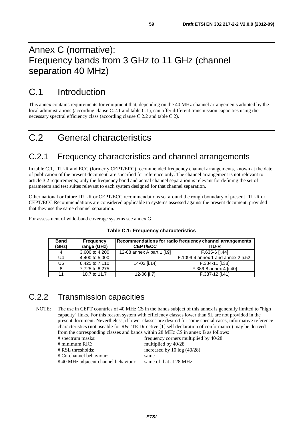# Annex C (normative): Frequency bands from 3 GHz to 11 GHz (channel separation 40 MHz)

# C.1 Introduction

This annex contains requirements for equipment that, depending on the 40 MHz channel arrangements adopted by the local administrations (according clause C.2.1 and table C.1), can offer different transmission capacities using the necessary spectral efficiency class (according clause C.2.2 and table C.2).

# C.2 General characteristics

## C.2.1 Frequency characteristics and channel arrangements

In table C.1, ITU-R and ECC (formerly CEPT/ERC) recommended frequency channel arrangements, known at the date of publication of the present document, are specified for reference only. The channel arrangement is not relevant to article 3.2 requirements; only the frequency band and actual channel separation is relevant for defining the set of parameters and test suites relevant to each system designed for that channel separation.

Other national or future ITU-R or CEPT/ECC recommendations set around the rough boundary of present ITU-R or CEPT/ECC Recommendations are considered applicable to systems assessed against the present document, provided that they use the same channel separation.

For assessment of wide-band coverage systems see annex G.

| <b>Band</b>    | <b>Frequency</b> |                            | Recommendations for radio frequency channel arrangements |  |  |
|----------------|------------------|----------------------------|----------------------------------------------------------|--|--|
| (GHz)          | range (GHz)      | <b>CEPT/ECC</b>            | <b>ITU-R</b>                                             |  |  |
| 4              | 3,600 to 4,200   | 12-08 annex A part 1 [i.9] | F.635-6 li.441                                           |  |  |
| U4             | 4,400 to 5,000   |                            | F.1099-4 annex 1 and annex 2 [i.52]                      |  |  |
| U <sub>6</sub> | 6,425 to 7,110   | 14-02 li.141               | F.384-11 [i.38]                                          |  |  |
| 8              | 7,725 to 8,275   |                            | F.386-8 annex 4 [i.40]                                   |  |  |
| 11             | 10,7 to 11,7     | 12-06 [i.7]                | F.387-12 li.411                                          |  |  |

#### **Table C.1: Frequency characteristics**

## C.2.2 Transmission capacities

NOTE: The use in CEPT countries of 40 MHz CS in the bands subject of this annex is generally limited to "high capacity" links. For this reason system with efficiency classes lower than 5L are not provided in the present document. Nevertheless, if lower classes are desired for some special cases, informative reference characteristics (not useable for R&TTE Directive [1] self declaration of conformance) may be derived from the corresponding classes and bands within 28 MHz CS in annex B as follows:

| # spectrum masks:                   | frequency corners multiplied by 40/28 |
|-------------------------------------|---------------------------------------|
| # minimum RIC:                      | multiplied by 40/28                   |
| # RSL thresholds:                   | increased by 10 $log(40/28)$          |
| # Co-channel behaviour:             | same                                  |
| #40 MHz adjacent channel behaviour: | same of that at 28 MHz.               |
|                                     |                                       |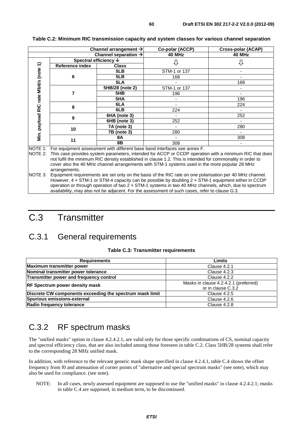|                                  |                                                                          | Channel arrangement $\rightarrow$ | Co-polar (ACCP) | <b>Cross-polar (ACAP)</b> |  |  |  |
|----------------------------------|--------------------------------------------------------------------------|-----------------------------------|-----------------|---------------------------|--|--|--|
| Channel separation $\rightarrow$ |                                                                          | 40 MHz                            | 40 MHz          |                           |  |  |  |
|                                  |                                                                          | Spectral efficiency $\downarrow$  |                 |                           |  |  |  |
| $\widehat{\mathbf{t}}$           | <b>Reference index</b>                                                   | Class                             |                 |                           |  |  |  |
| (note                            |                                                                          | 5LB                               | STM-1 or 137    |                           |  |  |  |
|                                  | 6                                                                        | 5LB                               | 168             |                           |  |  |  |
| Mbit/s                           |                                                                          | 5LA                               |                 | 168                       |  |  |  |
|                                  |                                                                          | 5HB/28 (note 2)                   | STM-1 or 137    |                           |  |  |  |
|                                  |                                                                          | 5HB                               | 196             |                           |  |  |  |
| rate                             |                                                                          | 5HA                               |                 | 196                       |  |  |  |
|                                  | 8                                                                        | 6LA                               |                 | 224                       |  |  |  |
| 2IR                              |                                                                          | 6LB                               | 224             |                           |  |  |  |
|                                  | 9                                                                        | 6HA (note 3)                      |                 | 252                       |  |  |  |
| payload                          |                                                                          | 6HB (note 3)                      | 252             |                           |  |  |  |
|                                  | 10                                                                       | <b>7A</b> (note 3)                |                 | 280                       |  |  |  |
|                                  |                                                                          | 7B (note 3)                       | 280             |                           |  |  |  |
| Min.                             | 11                                                                       | 8A                                |                 | 308                       |  |  |  |
|                                  |                                                                          | 8B                                | 308             |                           |  |  |  |
| NOTF 1.                          | For equipment assessment with different base band interfaces see annex F |                                   |                 |                           |  |  |  |

#### **Table C.2: Minimum RIC transmission capacity and system classes for various channel separation**

NOTE 1: For equipment assessment with different base band interfaces see annex F.

NOTE 2: This case provides system parameters, intended for ACCP or CCDP operation with a minimum RIC that does not fulfil the minimum RIC density established in clause 1.2. This is intended for commonality in order to cover also the 40 MHz channel arrangements with STM-1 systems used in the more popular 28 MHz arrangements.

NOTE 3: Equipment requirements are set only on the basis of the RIC rate on one polarisation per 40 MHz channel. However, 4 × STM-1 or STM-4 capacity can be possible by doubling 2 × STM-1 equipment either in CCDP operation or through operation of two  $2 \times$  STM-1 systems in two 40 MHz channels, which, due to spectrum availability, may also not be adjacent. For the assessment of such cases, refer to clause G.3.

# C.3 Transmitter

## C.3.1 General requirements

#### **Table C.3: Transmitter requirements**

| <b>Requirements</b>                                      | Limits                                |  |
|----------------------------------------------------------|---------------------------------------|--|
| Maximum transmitter power                                | Clause 4.2.1                          |  |
| Nominal transmitter power tolerance                      | Clause 4.2.3                          |  |
| Transmitter power and frequency control                  | Clause 4.2.2                          |  |
| <b>RF Spectrum power density mask</b>                    | Masks in clause 4.2.4.2.1 (preferred) |  |
|                                                          | or in clause C.3.2                    |  |
| Discrete CW components exceeding the spectrum mask limit | Clause 4.2.5                          |  |
| Spurious emissions-external                              | Clause 4.2.6                          |  |
| Radio frequency tolerance                                | Clause 4.2.8                          |  |

## C.3.2 RF spectrum masks

The "unified masks" option in clause 4.2.4.2.1, are valid only for those specific combinations of CS, nominal capacity and spectral efficiency class, that are also included among those foreseen in table C.2. Class 5HB/28 systems shall refer to the corresponding 28 MHz unified mask.

In addition, with reference to the relevant generic mask shape specified in clause 4.2.4.1, table C.4 shows the offset frequency from f0 and attenuation of corner points of "alternative and special spectrum masks" (see note), which may also be used for compliance. (see note).

NOTE: In all cases, newly assessed equipment are supposed to use the "unified masks" in clause 4.2.4.2.1; masks in table C.4 are supposed, in medium term, to be discontinued.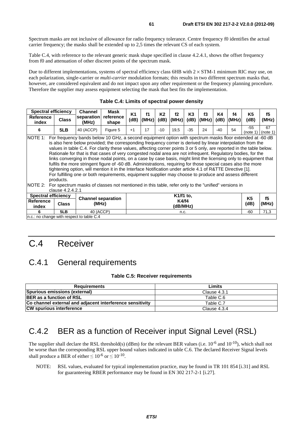Spectrum masks are not inclusive of allowance for radio frequency tolerance. Centre frequency f0 identifies the actual carrier frequency; the masks shall be extended up to 2,5 times the relevant CS of each system.

Table C.4, with reference to the relevant generic mask shape specified in clause 4.2.4.1, shows the offset frequency from f0 and attenuation of other discreet points of the spectrum mask.

Due to different implementations, systems of spectral efficiency class 6HB with  $2 \times STM-1$  minimum RIC may use, on each polarization, single-carrier or *multi-carrier* modulation formats; this results in two different spectrum masks that, however, are considered equivalent and do not impact upon any other requirement or the frequency planning procedure. Therefore the supplier may assess equipment selecting the mask that best fits the implementation.

| <b>Spectral efficiency</b>                                                                                                                                                                                                                                                                                                                                                                                                                                                                                                                                                                                                                                                                                                                                                                                                                                                                                                                                                      |              | <b>Channel</b>            | Mask               | K1   | f1               | K2    | f2                | K <sub>3</sub> | f3    | Κ4    | f4    | K5   | f5    |
|---------------------------------------------------------------------------------------------------------------------------------------------------------------------------------------------------------------------------------------------------------------------------------------------------------------------------------------------------------------------------------------------------------------------------------------------------------------------------------------------------------------------------------------------------------------------------------------------------------------------------------------------------------------------------------------------------------------------------------------------------------------------------------------------------------------------------------------------------------------------------------------------------------------------------------------------------------------------------------|--------------|---------------------------|--------------------|------|------------------|-------|-------------------|----------------|-------|-------|-------|------|-------|
| <b>Reference</b><br>index                                                                                                                                                                                                                                                                                                                                                                                                                                                                                                                                                                                                                                                                                                                                                                                                                                                                                                                                                       | <b>Class</b> | separation<br>(MHz)       | reference<br>shape | (dB) | $ (\text{MHz}) $ | (dB)  | (MHz)             | (dB)           | (MHz) | (dB)  | (MHz) | (dB) | (MHz) |
| 6                                                                                                                                                                                                                                                                                                                                                                                                                                                                                                                                                                                                                                                                                                                                                                                                                                                                                                                                                                               | 5LB          | 40 (ACCP)                 | Figure 5           | $+1$ | 17               | $-10$ | 19.5              | $-35$          | 24    | $-40$ | 54    | -55  | 67    |
| (note 1) $ $ (note 1)<br>For frequency bands below 10 GHz, a second equipment option with spectrum masks floor extended at -60 dB<br>INOTE 1:<br>is also here below provided; the corresponding frequency corner is derived by linear interpolation from the<br>values in table C.4. For clarity these values, affecting corner points 3 or 5 only, are reported in the table below.<br>Rationale for that is that cases of very congested nodal area are not infrequent. Regulatory bodies, for the<br>links converging in those nodal points, on a case by case basis, might limit the licensing only to equipment that<br>fulfils the more stringent figure of -60 dB. Administrations, requiring for those special cases also the more<br>tightening option, will mention it in the Interface Notification under article 4.1 of R&TTE Directive [1].<br>For fulfilling one or both requirements, equipment supplier may choose to produce and assess different<br>products. |              |                           |                    |      |                  |       |                   |                |       |       |       |      |       |
| INOTE 2:<br>For spectrum masks of classes not mentioned in this table, refer only to the "unified" versions in<br>clause 4.2.4.2.1                                                                                                                                                                                                                                                                                                                                                                                                                                                                                                                                                                                                                                                                                                                                                                                                                                              |              |                           |                    |      |                  |       |                   |                |       |       |       |      |       |
| <b>Spectral efficiency</b>                                                                                                                                                                                                                                                                                                                                                                                                                                                                                                                                                                                                                                                                                                                                                                                                                                                                                                                                                      |              | <b>Channel separation</b> |                    |      |                  |       | K1/f1 to,         |                |       |       |       | K5   | f5    |
| <b>Reference</b><br>index                                                                                                                                                                                                                                                                                                                                                                                                                                                                                                                                                                                                                                                                                                                                                                                                                                                                                                                                                       | <b>Class</b> | (MHz)                     |                    |      |                  |       | K4/f4<br>(dB/MHz) |                |       |       |       | (dB) | (MHz) |
| 6                                                                                                                                                                                                                                                                                                                                                                                                                                                                                                                                                                                                                                                                                                                                                                                                                                                                                                                                                                               | 5LB          | 40 (ACCP)                 |                    |      |                  |       | n.c.              |                |       |       |       | -60  | 71,3  |
| n.c.: no change with respect to table C.4                                                                                                                                                                                                                                                                                                                                                                                                                                                                                                                                                                                                                                                                                                                                                                                                                                                                                                                                       |              |                           |                    |      |                  |       |                   |                |       |       |       |      |       |

#### **Table C.4: Limits of spectral power density**

# C.4 Receiver

## C.4.1 General requirements

#### **Table C.5: Receiver requirements**

| <b>Requirements</b>                                              | Limits       |
|------------------------------------------------------------------|--------------|
| Spurious emissions (external)                                    | Clause 4.3.1 |
| <b>BER</b> as a function of RSL                                  | Table C.6    |
| <b>Co channel external and adiacent interference sensitivity</b> | Table C.7    |
| <b>CW spurious interference</b>                                  | Clause 4.3.4 |

## C.4.2 BER as a function of Receiver input Signal Level (RSL)

The supplier shall declare the RSL threshold(s) (dBm) for the relevant BER values (i.e.  $10^{-6}$  and  $10^{-10}$ ), which shall not be worse than the corresponding RSL upper bound values indicated in table C.6. The declared Receiver Signal levels shall produce a BER of either  $\leq 10^{-6}$  or  $\leq 10^{-10}$ .

NOTE: RSL values, evaluated for typical implementation practice, may be found in TR 101 854 [i.31] and RSL for guaranteeing RBER performance may be found in EN 302 217-2-1 [i.27].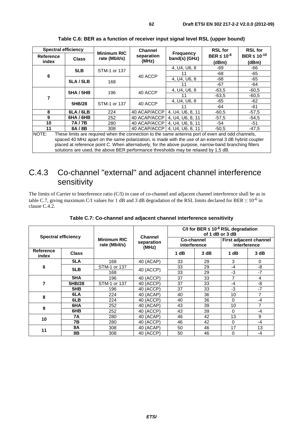| <b>Spectral efficiency</b>                                                                                                                                                                                         |                  |                                     | <b>Channel</b>      |                                   | <b>RSL for</b>              | <b>RSL for</b>               |  |
|--------------------------------------------------------------------------------------------------------------------------------------------------------------------------------------------------------------------|------------------|-------------------------------------|---------------------|-----------------------------------|-----------------------------|------------------------------|--|
| <b>Reference</b><br>index                                                                                                                                                                                          | <b>Class</b>     | <b>Minimum RIC</b><br>rate (Mbit/s) | separation<br>(MHz) | <b>Frequency</b><br>band(s) (GHz) | BER $\leq 10^{-6}$<br>(dBm) | BER $\leq 10^{-10}$<br>(dBm) |  |
|                                                                                                                                                                                                                    | 5LB              | STM-1 or 137                        |                     | 4. U4. U6. 8                      | -69                         | -66                          |  |
| 6                                                                                                                                                                                                                  |                  |                                     | 40 ACCP             | 11                                | -68                         | -65                          |  |
|                                                                                                                                                                                                                    | 5LA/5LB          | 168                                 |                     | 4, U4, U6, 8                      | -68                         | -65                          |  |
|                                                                                                                                                                                                                    |                  |                                     |                     | 11                                | -67                         | -64                          |  |
|                                                                                                                                                                                                                    | <b>5HA / 5HB</b> | 196                                 | 40 ACCP             | 4. U4. U6. 8                      | $-63.5$                     | $-60,5$                      |  |
| 7                                                                                                                                                                                                                  |                  |                                     |                     |                                   | $-63.5$                     | $-60.5$                      |  |
|                                                                                                                                                                                                                    | 5HB/28           | STM-1 or 137                        | 40 ACCP             | 4, U4, U6, 8                      | -65                         | $-62$                        |  |
|                                                                                                                                                                                                                    |                  |                                     |                     | 11                                | -64                         | -61                          |  |
| 8                                                                                                                                                                                                                  | 6LA/6LB          | 224                                 | 40 ACAP/ACCP        | 4, U4, U6, 8, 11                  | $-60.5$                     | $-57,5$                      |  |
| 9                                                                                                                                                                                                                  | 6HA/6HB          | 252                                 | 40 ACAP/ACCP        | 4, U4, U6, 8, 11                  | $-57.5$                     | $-54,5$                      |  |
| 10                                                                                                                                                                                                                 | 7A/7B            | 280                                 | 40 ACAP/ACCP        | 4, U4, U6, 8, 11                  | -54                         | $-51$                        |  |
| 11                                                                                                                                                                                                                 | 8A/8B            | 308                                 | 40 ACAP/ACCP        | 4. U4. U6. 8. 11                  | $-50.5$                     | $-47.5$                      |  |
| NOTE:<br>These limits are required when the connection to the same antenna port of even and odd channels,<br>spaced 40 MHz apart on the same polarization, is made with the use of an external 3 dB hybrid coupler |                  |                                     |                     |                                   |                             |                              |  |

**Table C.6: BER as a function of receiver input signal level RSL (upper bound)** 

spaced 40 MHz apart on the same polarization, is made with the use of an external 3 dB hybrid coupler placed at reference point C. When alternatively, for the above purpose, narrow-band branching filters solutions are used, the above BER performance thresholds may be relaxed by 1,5 dB.

## C.4.3 Co-channel "external" and adjacent channel interference sensitivity

The limits of Carrier to Interference ratio (C/I) in case of co-channel and adjacent channel interference shall be as in table C.7, giving maximum C/I values for 1 dB and 3 dB degradation of the RSL limits declared for BER  $\leq 10^{-6}$  in clause C.4.2.

| <b>Spectral efficiency</b> |              |                                     | <b>Channel</b> | C/I for BER $\leq 10^{-6}$ RSL degradation<br>of 1 dB or 3 dB |      |                                        |      |  |
|----------------------------|--------------|-------------------------------------|----------------|---------------------------------------------------------------|------|----------------------------------------|------|--|
|                            |              | <b>Minimum RIC</b><br>rate (Mbit/s) | separation     | Co-channel<br>interference                                    |      | First adjacent channel<br>interference |      |  |
| <b>Reference</b><br>index  | <b>Class</b> |                                     | (MHz)          | 1 dB                                                          | 3 dB | 1 dB                                   | 3 dB |  |
|                            | 5LA          | 168                                 | 40 (ACAP)      | 33                                                            | 29   | 3                                      | 0    |  |
| 6                          | 5LB          | STM-1 or 137                        | 40 (ACCP)      | 33                                                            | 29   | $-4$                                   | -8   |  |
|                            |              | 168                                 |                | 33                                                            | 29   | $-3$                                   | $-7$ |  |
|                            | 5HA          | 196                                 | 40 (ACCP)      | 37                                                            | 33   | 7                                      | 4    |  |
| 7                          | 5HB/28       | STM-1 or 137                        | 40 (ACCP)      | 37                                                            | 33   | $-4$                                   | -8   |  |
|                            | 5HB          | 196                                 | 40 (ACCP)      | 37                                                            | 33   | -3                                     | $-7$ |  |
| 8                          | 6LA          | 224                                 | 40 (ACAP)      | 40                                                            | 36   | 10                                     | 7    |  |
|                            | 6LB          | 224                                 | 40 (ACCP)      | 40                                                            | 36   | 0                                      | -4   |  |
| 9                          | 6HA          | 252                                 | 40 (ACAP)      | 43                                                            | 39   | 10                                     | 7    |  |
|                            | 6HB          | 252                                 | 40 (ACCP)      | 43                                                            | 39   | 0                                      | $-4$ |  |
| 10                         | 7Α           | 280                                 | 40 (ACAP)      | 46                                                            | 42   | 13                                     | 9    |  |
|                            | 7В           | 280                                 | 40 (ACCP)      | 46                                                            | 42   | 0                                      | $-4$ |  |
| 11                         | 8Α           | 308                                 | 40 (ACAP)      | 50                                                            | 46   | 17                                     | 13   |  |
|                            | 8B           | 308                                 | 40 (ACCP)      | 50                                                            | 46   | 0                                      | $-4$ |  |

**Table C.7: Co-channel and adjacent channel interference sensitivity**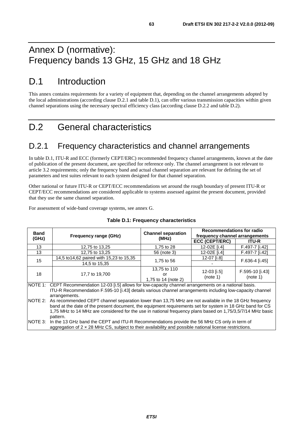# Annex D (normative): Frequency bands 13 GHz, 15 GHz and 18 GHz

# D.1 Introduction

This annex contains requirements for a variety of equipment that, depending on the channel arrangements adopted by the local administrations (according clause D.2.1 and table D.1), can offer various transmission capacities within given channel separations using the necessary spectral efficiency class (according clause D.2.2 and table D.2).

# D.2 General characteristics

## D.2.1 Frequency characteristics and channel arrangements

In table D.1, ITU-R and ECC (formerly CEPT/ERC) recommended frequency channel arrangements, known at the date of publication of the present document, are specified for reference only. The channel arrangement is not relevant to article 3.2 requirements; only the frequency band and actual channel separation are relevant for defining the set of parameters and test suites relevant to each system designed for that channel separation.

Other national or future ITU-R or CEPT/ECC recommendations set around the rough boundary of present ITU-R or CEPT/ECC recommendations are considered applicable to systems assessed against the present document, provided that they use the same channel separation.

For assessment of wide-band coverage systems, see annex G.

| <b>Band</b>                                                                                                                                                                                                                                                                                                                                          |                                                                                                                                                                                                        |                                           | <b>Recommendations for radio</b> |                             |  |  |  |
|------------------------------------------------------------------------------------------------------------------------------------------------------------------------------------------------------------------------------------------------------------------------------------------------------------------------------------------------------|--------------------------------------------------------------------------------------------------------------------------------------------------------------------------------------------------------|-------------------------------------------|----------------------------------|-----------------------------|--|--|--|
| (GHz)                                                                                                                                                                                                                                                                                                                                                | <b>Frequency range (GHz)</b>                                                                                                                                                                           | <b>Channel separation</b><br>(MHz)        | frequency channel arrangements   |                             |  |  |  |
|                                                                                                                                                                                                                                                                                                                                                      |                                                                                                                                                                                                        |                                           | <b>ECC (CEPT/ERC)</b>            | <b>ITU-R</b>                |  |  |  |
| 13                                                                                                                                                                                                                                                                                                                                                   | 12,75 to 13,25                                                                                                                                                                                         | 1,75 to 28                                | 12-02E [i.4]                     | F.497-7 [i.42]              |  |  |  |
| 13                                                                                                                                                                                                                                                                                                                                                   | 12,75 to 13,25                                                                                                                                                                                         | 56 (note 3)                               | 12-02E [i.4]                     | F.497-7 [i.42]              |  |  |  |
|                                                                                                                                                                                                                                                                                                                                                      | 14,5 to 14,62 paired with 15,23 to 15,35                                                                                                                                                               |                                           | 12-07 [i.8]                      |                             |  |  |  |
| 15                                                                                                                                                                                                                                                                                                                                                   | 14,5 to 15,35                                                                                                                                                                                          | 1,75 to 56                                |                                  | F.636-4 [i.45]              |  |  |  |
| 18                                                                                                                                                                                                                                                                                                                                                   | 17,7 to 19,700                                                                                                                                                                                         | 13,75 to 110<br>or<br>1.75 to 14 (note 2) | 12-03 [i.5]<br>(note 1)          | F.595-10 [i.43]<br>(note 1) |  |  |  |
| NOTE 1: CEPT Recommendation 12-03 [i.5] allows for low-capacity channel arrangements on a national basis.<br>ITU-R Recommendation F.595-10 [i.43] details various channel arrangements including low-capacity channel<br>arrangements.                                                                                                               |                                                                                                                                                                                                        |                                           |                                  |                             |  |  |  |
| NOTE 2: As recommended CEPT channel separation lower than 13,75 MHz are not available in the 18 GHz frequency<br>band at the date of the present document, the equipment requirements set for system in 18 GHz band for CS<br>1,75 MHz to 14 MHz are considered for the use in national frequency plans based on 1,75/3,5/7/14 MHz basic<br>pattern. |                                                                                                                                                                                                        |                                           |                                  |                             |  |  |  |
| NOTE 3:                                                                                                                                                                                                                                                                                                                                              | In the 13 GHz band the CEPT and ITU-R Recommendations provide the 56 MHz CS only in term of<br>aggregation of 2 x 28 MHz CS, subject to their availability and possible national license restrictions. |                                           |                                  |                             |  |  |  |

#### **Table D.1: Frequency characteristics**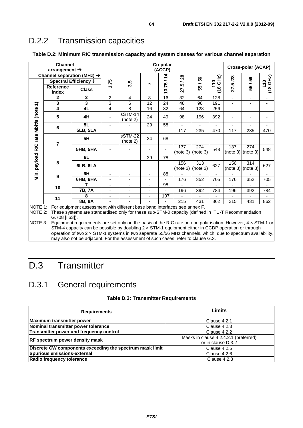# D.2.2 Transmission capacities

| Table D.2: Minimum RIC transmission capacity and system classes for various channel separation |  |  |
|------------------------------------------------------------------------------------------------|--|--|
|------------------------------------------------------------------------------------------------|--|--|

|                                       | Channel<br>arrangement $\rightarrow$                                                                                                                                                                                                                                                                                                                                                                                                                                 |                 |                              |                          |                          | Co-polar<br>(ACCP) |                            |     |                                     |                          | Cross-polar (ACAP)       |                   |
|---------------------------------------|----------------------------------------------------------------------------------------------------------------------------------------------------------------------------------------------------------------------------------------------------------------------------------------------------------------------------------------------------------------------------------------------------------------------------------------------------------------------|-----------------|------------------------------|--------------------------|--------------------------|--------------------|----------------------------|-----|-------------------------------------|--------------------------|--------------------------|-------------------|
|                                       | Channel separation (MHz) $\rightarrow$<br>Spectral Efficiency $\downarrow$                                                                                                                                                                                                                                                                                                                                                                                           |                 |                              |                          |                          | $\dot{4}$          | 28<br>∽                    | 56  | GH <sub>2</sub> )<br>$\overline{a}$ | /28                      | 56                       |                   |
|                                       | <b>Reference</b><br>index                                                                                                                                                                                                                                                                                                                                                                                                                                            | <b>Class</b>    | 1,75                         | 3,5                      | r                        | 13,75              | rů<br>27                   | 55/ | $\infty$<br>E                       | 27,5                     | 55/                      | $(18$ GHz)<br>110 |
|                                       | $\mathbf{2}$                                                                                                                                                                                                                                                                                                                                                                                                                                                         | $\mathbf{2}$    | $\overline{c}$               | 4                        | 8                        | 16                 | 32                         | 64  | 128                                 | $\overline{\phantom{a}}$ | $\overline{\phantom{a}}$ |                   |
|                                       | 3                                                                                                                                                                                                                                                                                                                                                                                                                                                                    | 3               | 3                            | 6                        | 12                       | 24                 | 48                         | 96  | 191                                 | $\overline{\phantom{a}}$ | $\overline{\phantom{m}}$ | -                 |
|                                       | 4                                                                                                                                                                                                                                                                                                                                                                                                                                                                    | 4L              | $\overline{4}$               | 8                        | 16                       | 32                 | 64                         | 128 | 256                                 | $\overline{\phantom{a}}$ | ä,                       | ٠                 |
| Min. payload RIC rate Mbit/s (note 1) | 5                                                                                                                                                                                                                                                                                                                                                                                                                                                                    | 4H              |                              | sSTM-14<br>(note 2)      | 24                       | 49                 | 98                         | 196 | 392                                 |                          |                          |                   |
|                                       | $\bf 6$                                                                                                                                                                                                                                                                                                                                                                                                                                                              | 5L              |                              |                          | 29                       | 58                 |                            |     |                                     |                          | ٠                        |                   |
|                                       |                                                                                                                                                                                                                                                                                                                                                                                                                                                                      | <b>5LB, 5LA</b> | $\blacksquare$               |                          | $\mathbf{r}$             |                    | 117                        | 235 | 470                                 | 117                      | 235                      | 470               |
|                                       | 7                                                                                                                                                                                                                                                                                                                                                                                                                                                                    | 5H              |                              | sSTM-22<br>(note 2)      | 34                       | 68                 |                            |     |                                     |                          |                          |                   |
|                                       |                                                                                                                                                                                                                                                                                                                                                                                                                                                                      | <b>5HB, 5HA</b> |                              |                          |                          |                    | 137<br>$(note 3)$ (note 3) | 274 | 548                                 | 137<br>(note 3)          | 274<br>(note 3)          | 548               |
|                                       |                                                                                                                                                                                                                                                                                                                                                                                                                                                                      | 6L              | $\overline{\phantom{a}}$     | $\overline{\phantom{a}}$ | 39                       | 78                 |                            |     |                                     |                          |                          | $\blacksquare$    |
|                                       | 8                                                                                                                                                                                                                                                                                                                                                                                                                                                                    | 6LB, 6LA        |                              |                          |                          |                    | 156<br>(note 3) (note 3)   | 313 | 627                                 | 156<br>(note 3)          | 314<br>(note 3)          | 627               |
|                                       | 9                                                                                                                                                                                                                                                                                                                                                                                                                                                                    | 6H              | $\overline{\phantom{a}}$     | $\overline{\phantom{a}}$ | $\overline{\phantom{a}}$ | 88                 |                            |     |                                     |                          |                          |                   |
|                                       |                                                                                                                                                                                                                                                                                                                                                                                                                                                                      | 6HB, 6HA        | $\qquad \qquad \blacksquare$ | $\overline{\phantom{a}}$ |                          |                    | 176                        | 352 | 705                                 | 176                      | 352                      | 705               |
|                                       | 10                                                                                                                                                                                                                                                                                                                                                                                                                                                                   | 7               | $\blacksquare$               |                          | $\overline{\phantom{a}}$ | 98                 |                            |     |                                     |                          |                          |                   |
|                                       |                                                                                                                                                                                                                                                                                                                                                                                                                                                                      | 7B, 7A          | $\blacksquare$               | $\blacksquare$           | $\blacksquare$           |                    | 196                        | 392 | 784                                 | 196                      | 392                      | 784               |
|                                       | 11                                                                                                                                                                                                                                                                                                                                                                                                                                                                   | 8               | $\overline{\phantom{0}}$     |                          |                          | 107                |                            |     |                                     |                          | ٠                        |                   |
| 8B, 8A<br>215<br>215<br>431<br>862    |                                                                                                                                                                                                                                                                                                                                                                                                                                                                      |                 |                              |                          |                          |                    | 431                        | 862 |                                     |                          |                          |                   |
|                                       | NOTE 1:<br>For equipment assessment with different base band interfaces see annex F.<br><b>NOTE 2:</b><br>These systems are standardised only for these sub-STM-0 capacity (defined in ITU-T Recommendation<br>G.708 [i.63]).<br>NOTE 3:<br>Equipment requirements are set only on the basis of the RIC rate on one polarisation. However, $4 \times STM-1$ or<br>STM-4 capacity can be possible by doubling 2 x STM-1 equipment either in CCDP operation or through |                 |                              |                          |                          |                    |                            |     |                                     |                          |                          |                   |

operation of two 2 × STM-1 systems in two separate 55/56 MHz channels, which, due to spectrum availability, may also not be adjacent. For the assessment of such cases, refer to clause G.3.

# D.3 Transmitter

## D.3.1 General requirements

#### **Table D.3: Transmitter Requirements**

| <b>Requirements</b>                                      | Limits                                |  |  |  |  |
|----------------------------------------------------------|---------------------------------------|--|--|--|--|
| Maximum transmitter power                                | Clause 4.2.1                          |  |  |  |  |
| Nominal transmitter power tolerance                      | Clause 4.2.3                          |  |  |  |  |
| Transmitter power and frequency control                  | Clause 4.2.2                          |  |  |  |  |
| <b>RF</b> spectrum power density mask                    | Masks in clause 4.2.4.2.1 (preferred) |  |  |  |  |
|                                                          | or in clause D.3.2                    |  |  |  |  |
| Discrete CW components exceeding the spectrum mask limit | Clause 4.2.5                          |  |  |  |  |
| Spurious emissions-external                              | Clause 4.2.6                          |  |  |  |  |
| Radio frequency tolerance                                | Clause 4.2.8                          |  |  |  |  |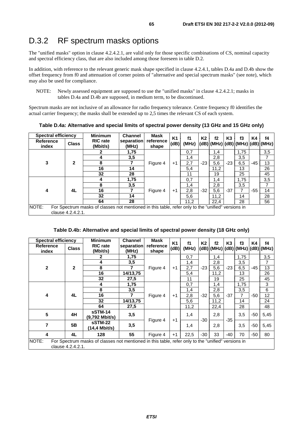## D.3.2 RF spectrum masks options

The "unified masks" option in clause 4.2.4.2.1, are valid only for those specific combinations of CS, nominal capacity and spectral efficiency class, that are also included among those foreseen in table D.2.

In addition, with reference to the relevant generic mask shape specified in clause 4.2.4.1, tables D.4a and D.4b show the offset frequency from f0 and attenuation of corner points of "alternative and special spectrum masks" (see note), which may also be used for compliance.

Spectrum masks are not inclusive of an allowance for radio frequency tolerance. Centre frequency f0 identifies the actual carrier frequency; the masks shall be extended up to 2,5 times the relevant CS of each system.

|                           | <b>Spectral efficiency</b>                                                                                              |                             | <b>Channel</b>      | Mask               | <b>K1</b> | f1    | K2    | f2                                           |                | f3   |       | f4  |
|---------------------------|-------------------------------------------------------------------------------------------------------------------------|-----------------------------|---------------------|--------------------|-----------|-------|-------|----------------------------------------------|----------------|------|-------|-----|
| <b>Reference</b><br>index | <b>Class</b>                                                                                                            | <b>RIC</b> rate<br>(Mbit/s) | separation<br>(MHz) | reference<br>shape | (dB)      | (MHz) |       | $(dB)$ $(dHz)$ $(dB)$ $(dHz)$ $(dB)$ $(dHz)$ | K <sub>3</sub> |      | K4    |     |
|                           |                                                                                                                         |                             | 1,75                |                    |           | 0,7   |       | 1,4                                          |                | 1,75 |       | 3,5 |
|                           |                                                                                                                         | 4                           | 3,5                 |                    |           | 1,4   |       | 2,8                                          |                | 3,5  |       |     |
| 3                         | $\mathbf{2}$                                                                                                            | 8                           |                     | Figure 4           | $+1$      | 2,7   | $-23$ | 5,6                                          | $-23$          | 6,5  | $-45$ | 13  |
|                           |                                                                                                                         | 16                          | 14                  |                    |           | 5,4   |       | 11,2                                         |                | 13   | 26    |     |
|                           |                                                                                                                         | 32                          | 28                  |                    |           | 11    |       | 19                                           |                | 25   |       | 45  |
|                           |                                                                                                                         | 4                           | 1,75                |                    |           | 0,7   |       | 1,4                                          |                | 1,75 |       | 3,5 |
|                           |                                                                                                                         | 8                           | 3,5                 |                    |           | 1,4   |       | 2,8                                          |                | 3,5  |       | 7   |
| 4                         | 4L                                                                                                                      | 16                          |                     | Figure 4           | $+1$      | 2,8   | $-32$ | 5,6                                          | $-37$          |      | $-55$ | 14  |
|                           |                                                                                                                         | 32                          | 14                  |                    |           | 5,6   |       | 11,2                                         |                | 14   |       | 28  |
|                           |                                                                                                                         | 64                          | 28                  |                    |           | 11,2  |       | 22.4                                         |                | 28   |       | 56  |
| NOTE:                     | For Spectrum masks of classes not mentioned in this table, refer only to the "unified" versions in<br>clause 4.2.4.2.1. |                             |                     |                    |           |       |       |                                              |                |      |       |     |

**Table D.4a: Alternative and special limits of spectral power density (13 GHz and 15 GHz only)** 

#### **Table D.4b: Alternative and special limits of spectral power density (18 GHz only)**

| <b>Spectral efficiency</b> |                                                                                                                         | <b>Minimum</b>              | <b>Channel</b>      | Mask               | <b>K1</b> | f1    | K2    | f2                                           | K <sub>3</sub> | f3   | K4    | f4   |
|----------------------------|-------------------------------------------------------------------------------------------------------------------------|-----------------------------|---------------------|--------------------|-----------|-------|-------|----------------------------------------------|----------------|------|-------|------|
| <b>Reference</b><br>index  | <b>Class</b>                                                                                                            | <b>RIC</b> rate<br>(Mbit/s) | separation<br>(MHz) | reference<br>shape | (dB)      | (MHz) |       | $(dB)$ $(dHz)$ $(dB)$ $(dHz)$ $(dB)$ $(dHz)$ |                |      |       |      |
|                            |                                                                                                                         | 2                           | 1,75                |                    |           | 0,7   |       | 1,4                                          |                | 1,75 |       | 3,5  |
|                            |                                                                                                                         | 4                           | 3,5                 |                    |           | 1,4   |       | 2,8                                          |                | 3,5  |       | 7    |
| $\overline{2}$             | $\overline{2}$                                                                                                          | 8                           | 7                   | Figure 4           | $+1$      | 2,7   | $-23$ | 5,6                                          | $-23$          | 6,5  | $-45$ | 13   |
|                            |                                                                                                                         | 16                          | 14/13,75            |                    |           | 5,4   |       | 11,2                                         |                | 13   |       | 26   |
|                            |                                                                                                                         | 32                          | 27,5                |                    |           | 11    |       | 19                                           |                | 25   |       | 45   |
|                            |                                                                                                                         | 4                           | 1,75                |                    |           | 0,7   |       | 1,4                                          |                | 1,75 |       | 3    |
|                            |                                                                                                                         | 8                           | 3,5                 |                    |           | 1,4   |       | 2,8                                          |                | 3,5  |       | 6    |
| 4                          | 4L                                                                                                                      | 16                          |                     | Figure 4           | $+1$      | 2,8   | $-32$ | 5,6                                          | $-37$          | 7    | -50   | 12   |
|                            |                                                                                                                         | 32                          | 14/13,75            |                    |           | 5,6   |       | 11,2                                         |                | 14   |       | 24   |
|                            |                                                                                                                         | 64                          | 27,5                |                    |           | 11,2  |       | 22,4                                         |                | 28   |       | 48   |
| 5                          | 4H                                                                                                                      | sSTM-14<br>$(9,792$ Mbit/s) | 3,5                 |                    | $+1$      | 1,4   | $-30$ | 2,8                                          | $-35$          | 3,5  | -50   | 5,45 |
| $\overline{7}$             | 5B                                                                                                                      | sSTM-22<br>14,4 Mbit/s)     | 3,5                 | Figure 4           |           | 1,4   |       | 2,8                                          |                | 3,5  | $-50$ | 5,45 |
| 4                          | 4L                                                                                                                      | 128                         | 55                  | Figure 4           | $+1$      | 22,5  | $-30$ | 33                                           | -40            | 70   | -50   | 80   |
| NOTE:                      | For Spectrum masks of classes not mentioned in this table, refer only to the "unified" versions in<br>clause 4.2.4.2.1. |                             |                     |                    |           |       |       |                                              |                |      |       |      |

NOTE: Newly assessed equipment are supposed to use the "unified masks" in clause 4.2.4.2.1; masks in tables D.4a and D.4b are supposed, in medium term, to be discontinued.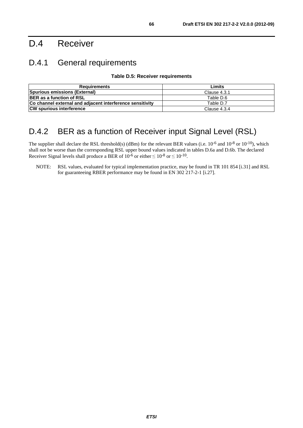# D.4 Receiver

## D.4.1 General requirements

**Table D.5: Receiver requirements** 

| Requirements                                              | Limits       |
|-----------------------------------------------------------|--------------|
| Spurious emissions (External)                             | Clause 4.3.1 |
| <b>BER</b> as a function of RSL                           | Table D.6    |
| Co channel external and adjacent interference sensitivity | Table D.7    |
| <b>CW spurious interference</b>                           | Clause 4.3.4 |

## D.4.2 BER as a function of Receiver input Signal Level (RSL)

The supplier shall declare the RSL threshold(s) (dBm) for the relevant BER values (i.e.  $10^{-6}$  and  $10^{-8}$  or  $10^{-10}$ ), which shall not be worse than the corresponding RSL upper bound values indicated in tables D.6a and D.6b. The declared Receiver Signal levels shall produce a BER of  $10^{-6}$  or either  $\leq 10^{-8}$  or  $\leq 10^{-10}$ .

NOTE: RSL values, evaluated for typical implementation practice, may be found in TR 101 854 [i.31] and RSL for guaranteeing RBER performance may be found in EN 302 217-2-1 [i.27].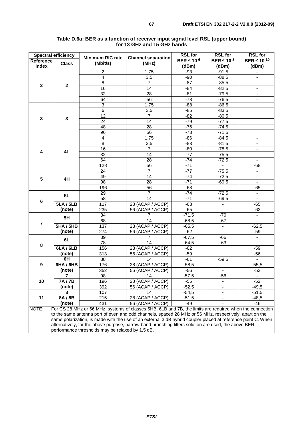| <b>Spectral efficiency</b> |                  | <b>Minimum RIC rate</b>                                                                                      | <b>Channel separation</b> | <b>RSL for</b>     | <b>RSL for</b>               | <b>RSL for</b>           |
|----------------------------|------------------|--------------------------------------------------------------------------------------------------------------|---------------------------|--------------------|------------------------------|--------------------------|
| Reference                  | <b>Class</b>     | (Mbit/s)                                                                                                     | (MHz)                     | BER $\leq 10^{-6}$ | BER $\leq 10^{-8}$           | BER $\leq 10^{-10}$      |
| index                      |                  |                                                                                                              |                           | (dBm)              | (dBm)                        | (dBm)                    |
|                            |                  | $\overline{c}$                                                                                               | 1,75                      | $-93$              | $-91,5$                      | $\blacksquare$           |
|                            |                  | 4                                                                                                            | 3,5                       | $-90$              | $-88,5$                      |                          |
| $\mathbf{2}$               | $\mathbf{2}$     | 8                                                                                                            | 7                         | $-87$              | $-85,5$                      | $\blacksquare$           |
|                            |                  | 16                                                                                                           | 14                        | $-84$              | $-82,5$                      | $\overline{\phantom{a}}$ |
|                            |                  | 32                                                                                                           | 28                        | $-81$              | $-79,5$                      | $\blacksquare$           |
|                            |                  | 64                                                                                                           | 56                        | $-78$              | $-76,5$                      | $\blacksquare$           |
|                            |                  | 3                                                                                                            | 1,75                      | $-88$              | $-86,5$                      |                          |
|                            |                  | $\,6$                                                                                                        | 3,5                       | $-85$              | $-83,5$                      |                          |
| 3                          | $\mathbf 3$      | $\overline{12}$                                                                                              | $\overline{7}$            | $-82$              | $-80,5$                      |                          |
|                            |                  | 24                                                                                                           | 14                        | $-79$              | $-77,5$                      |                          |
|                            |                  | 48                                                                                                           | 28                        | $-76$              | $-74,5$                      |                          |
|                            |                  | 96                                                                                                           | 56                        | $-73$              | $-71,5$                      |                          |
|                            |                  | $\overline{4}$                                                                                               | 1,75                      | $-86$              | $-84,5$                      | $\overline{\phantom{a}}$ |
|                            |                  | $\,8\,$                                                                                                      | 3,5                       | $-83$              | $-81,5$                      | $\overline{\phantom{a}}$ |
| 4                          | 4L               | $\overline{16}$                                                                                              | $\overline{7}$            | $-80$              | $-78,5$                      |                          |
|                            |                  | 32                                                                                                           | 14                        | $-77$              | $-75,5$                      | $\blacksquare$           |
|                            |                  | 64                                                                                                           | 28                        | $-74$              | $-72,5$                      | $\overline{\phantom{a}}$ |
|                            |                  | 128                                                                                                          | 56                        | $-71$              |                              | $-68$                    |
|                            |                  | 24                                                                                                           | $\overline{7}$            | $-77$              | $-75,5$                      | $\overline{\phantom{a}}$ |
| 5                          | 4H               | 49                                                                                                           | 14                        | $-74$              | $-72,5$                      | $\blacksquare$           |
|                            |                  | $\overline{98}$                                                                                              | $\overline{28}$           | $-71$              | $-69,5$                      | ÷,                       |
|                            |                  | 196                                                                                                          | 56                        | $-68$              | $\omega$                     | $-65$                    |
|                            | 5L               | 29                                                                                                           | 7                         | $-74$              | $-72,5$                      | $\blacksquare$           |
| 6                          |                  | 58                                                                                                           | 14                        | $-71$              | $-69,5$                      | $\blacksquare$           |
|                            | 5LA/5LB          | $\overline{117}$                                                                                             | 28 (ACAP / ACCP)          | $-68$              | $\blacksquare$               | $-65$                    |
|                            | (note)           | 235                                                                                                          | 56 (ACAP / ACCP)          | $-65$              |                              | $-62$                    |
|                            | 5H               | 34                                                                                                           | 7                         | $-71,5$            | $-70$                        | $\blacksquare$           |
| $\overline{7}$             |                  | 68                                                                                                           | 14                        | $-68,5$            | $-67$                        |                          |
|                            | <b>5HA / 5HB</b> | 137                                                                                                          | 28 (ACAP / ACCP)          | $-65,5$            | $\overline{\phantom{a}}$     | $-62,5$                  |
|                            | (note)           | 274                                                                                                          | 56 (ACAP / ACCP)          | $-62$              | $\blacksquare$               | $-59$                    |
|                            | 6L               | 39                                                                                                           | 7                         | $-67,5$            | -66                          |                          |
| 8                          |                  | 78                                                                                                           | $\overline{14}$           | $-64,5$            | $-63$                        | $\blacksquare$           |
|                            | 6LA/6LB          | 156                                                                                                          | 28 (ACAP / ACCP)          | -62                |                              | $-59$                    |
|                            | (note)           | 313                                                                                                          | 56 (ACAP / ACCP)          | $-59$              |                              | $-56$                    |
|                            | 6H               | 88                                                                                                           | 14                        | $-61$              | $-59,5$                      | $\blacksquare$           |
| 9                          | <b>6HA / 6HB</b> | 176                                                                                                          | 28 (ACAP / ACCP)          | $-58,5$            | $\overline{\phantom{a}}$     | $-55,5$                  |
|                            | (note)           | 352                                                                                                          | 56 (ACAP / ACCP)          | $-56$              | ÷.                           | $-53$                    |
|                            | $\overline{7}$   | 98                                                                                                           | 14                        | $-57,5$            | $-56$                        | $\blacksquare$           |
| 10                         | 7A/7B            | 196                                                                                                          | 28 (ACAP / ACCP)          | -55                | $\qquad \qquad \blacksquare$ | $-52$                    |
|                            | (note)           | 392                                                                                                          | 56 (ACAP / ACCP)          | $-52,5$            | $\overline{\phantom{a}}$     | $-49,5$                  |
|                            | 8                | 107                                                                                                          | 14                        | $-54,5$            | $\overline{\phantom{a}}$     | $-51,5$                  |
| 11                         | 8A/8B            | 215                                                                                                          | 28 (ACAP / ACCP)          | $-51,5$            |                              | $-48,5$                  |
|                            | (note)           | 431                                                                                                          | 56 (ACAP / ACCP)          | $-49$              |                              | $-46$                    |
| NOTE:                      |                  | For CS 28 MHz or 56 MHz, systems of classes 5HB, 6LB and 7B, the limits are required when the connection     |                           |                    |                              |                          |
|                            |                  | to the same antenna port of even and odd channels, spaced 28 MHz or 56 MHz, respectively, apart on the       |                           |                    |                              |                          |
|                            |                  | same polarization, is made with the use of an external 3 dB hybrid coupler placed at reference point C. When |                           |                    |                              |                          |
|                            |                  | alternatively, for the above purpose, narrow-band branching filters solution are used, the above BER         |                           |                    |                              |                          |

#### **Table D.6a: BER as a function of receiver input signal level RSL (upper bound) for 13 GHz and 15 GHz bands**

performance thresholds may be relaxed by 1,5 dB.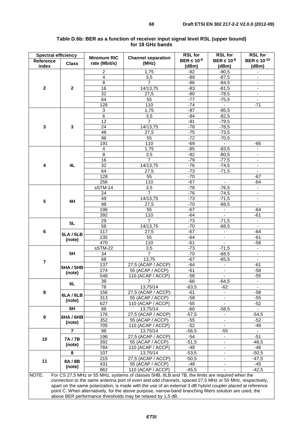| <b>Spectral efficiency</b> |                                                                                                                                                                                                           | <b>Minimum RIC</b> | <b>Channel separation</b>     | <b>RSL for</b>              | <b>RSL for</b>                             | <b>RSL for</b>               |  |  |  |  |
|----------------------------|-----------------------------------------------------------------------------------------------------------------------------------------------------------------------------------------------------------|--------------------|-------------------------------|-----------------------------|--------------------------------------------|------------------------------|--|--|--|--|
| <b>Reference</b><br>index  | <b>Class</b>                                                                                                                                                                                              | rate (Mbit/s)      | (MHz)                         | BER $\leq 10^{-6}$<br>(dBm) | BER $\leq 10^{-8}$<br>(dBm)                | BER $\leq 10^{-10}$<br>(dBm) |  |  |  |  |
|                            |                                                                                                                                                                                                           | 2                  | 1,75                          | $-92$                       | $-90,5$                                    | $\blacksquare$               |  |  |  |  |
|                            |                                                                                                                                                                                                           | 4                  | 3,5                           | $-89$                       | $-87,5$                                    |                              |  |  |  |  |
|                            |                                                                                                                                                                                                           | $\overline{8}$     | $\overline{7}$                | $-86$                       | $-84,5$                                    | $\omega$                     |  |  |  |  |
| $\mathbf{2}$               | $\mathbf{2}$                                                                                                                                                                                              | 16                 | 14/13,75                      | $-83$                       | $-81,5$                                    | $\overline{\phantom{a}}$     |  |  |  |  |
|                            |                                                                                                                                                                                                           | 32                 | 27,5                          | $-80$                       | $-78,5$                                    | $\overline{\phantom{a}}$     |  |  |  |  |
|                            |                                                                                                                                                                                                           | 64                 | 55                            | $-77$                       | $-75,5$                                    |                              |  |  |  |  |
|                            |                                                                                                                                                                                                           | 128                | 110                           | $-74$                       | $\blacksquare$                             | $-71$                        |  |  |  |  |
|                            |                                                                                                                                                                                                           | $\overline{3}$     | 1,75                          | $-87$                       | $-85,5$                                    |                              |  |  |  |  |
|                            |                                                                                                                                                                                                           | 6                  | 3,5                           | $-84$                       | $-82,5$                                    |                              |  |  |  |  |
|                            |                                                                                                                                                                                                           | 12                 | $\overline{7}$                | $-81$                       | $-79,5$                                    |                              |  |  |  |  |
| 3                          | $\mathbf{3}$                                                                                                                                                                                              | 24                 | 14/13,75                      | $-78$                       | $-76,5$                                    |                              |  |  |  |  |
|                            |                                                                                                                                                                                                           | 48                 | 27,5                          | $-75$                       | $-73,5$                                    |                              |  |  |  |  |
|                            |                                                                                                                                                                                                           | $\overline{96}$    | 55                            | $-72$                       | $-70,5$                                    |                              |  |  |  |  |
|                            |                                                                                                                                                                                                           | 191                | 110                           | $-69$                       | $\omega$                                   | $-66$                        |  |  |  |  |
|                            |                                                                                                                                                                                                           | 4                  | 1,75                          | $-85$                       | $-83,5$                                    | $\overline{\phantom{a}}$     |  |  |  |  |
|                            |                                                                                                                                                                                                           | 8                  | 3,5                           | $-82$                       | $-80,5$                                    | $\blacksquare$               |  |  |  |  |
|                            | 4L                                                                                                                                                                                                        | $\overline{16}$    | $\overline{7}$                | $-79$                       | $-77,5$                                    | $\overline{\phantom{a}}$     |  |  |  |  |
| 4                          |                                                                                                                                                                                                           | 32                 | 14/13,75                      | $-76$                       | $-74,5$                                    | $\overline{\phantom{a}}$     |  |  |  |  |
|                            |                                                                                                                                                                                                           | 64                 | 27,5                          | $-73$                       | $-71,5$                                    | $\omega$                     |  |  |  |  |
|                            |                                                                                                                                                                                                           | 128                | 55<br>110                     | $-70$<br>$-67$              |                                            | $-67$                        |  |  |  |  |
|                            |                                                                                                                                                                                                           | 256                |                               |                             |                                            | $-64$                        |  |  |  |  |
| 5                          |                                                                                                                                                                                                           | sSTM-14            | 3,5<br>$\overline{7}$         | $-78$<br>$-76$              | $-76,5$                                    | $\blacksquare$               |  |  |  |  |
|                            | 4H                                                                                                                                                                                                        | 24<br>49           |                               | $-73$                       | $-74,5$                                    | $\omega$                     |  |  |  |  |
|                            |                                                                                                                                                                                                           | 98                 | 14/13,75                      | $-70$                       | $-71,5$                                    |                              |  |  |  |  |
|                            |                                                                                                                                                                                                           |                    | 27,5                          |                             | $-68,5$                                    | $\blacksquare$               |  |  |  |  |
|                            |                                                                                                                                                                                                           | 196<br>392         | 55<br>110                     | $-67$                       | $\overline{\phantom{a}}$<br>$\blacksquare$ | $-64$                        |  |  |  |  |
|                            |                                                                                                                                                                                                           | 29                 | $\overline{7}$                | $-64$<br>$-73$              | $-71,5$                                    | $-61$                        |  |  |  |  |
|                            | 5L                                                                                                                                                                                                        | $\overline{58}$    | 14/13,75                      | $-70$                       | $-68,5$                                    | $\overline{\phantom{a}}$     |  |  |  |  |
| 6                          | <b>5LA/5LB</b>                                                                                                                                                                                            | 117                | 27,5                          | $-67$                       | $\overline{\phantom{a}}$                   | $-64$                        |  |  |  |  |
|                            |                                                                                                                                                                                                           | 235                | 55                            | $-64$                       |                                            | $-61$                        |  |  |  |  |
|                            | (note)                                                                                                                                                                                                    | 470                | 110                           | $-61$                       | $\overline{\phantom{a}}$<br>$\blacksquare$ | $-58$                        |  |  |  |  |
|                            |                                                                                                                                                                                                           | sSTM-22            | 3,5                           | $-73$                       | $-71,5$                                    | $\blacksquare$               |  |  |  |  |
|                            | 5H                                                                                                                                                                                                        | 34                 | $\overline{7}$                | $-70$                       | $-68,5$                                    |                              |  |  |  |  |
|                            |                                                                                                                                                                                                           | 68                 | 13,75                         | $-67$                       | $-65,5$                                    | $\blacksquare$               |  |  |  |  |
| $\overline{\mathbf{r}}$    |                                                                                                                                                                                                           | 137                | 27,5 (ACAP / ACCP)            | $-64$                       | $\blacksquare$                             | $-61$                        |  |  |  |  |
|                            | <b>5HA / 5HB</b>                                                                                                                                                                                          | 274                | $\overline{55}$ (ACAP / ACCP) | $-61$                       | $\overline{\phantom{a}}$                   | -58                          |  |  |  |  |
|                            | (note)                                                                                                                                                                                                    | $\overline{548}$   | 110 (ACAP / ACCP)             | $-58$                       | $\overline{\phantom{a}}$                   | $-55$                        |  |  |  |  |
|                            |                                                                                                                                                                                                           | 39                 | 7                             | -66                         | $-64,5$                                    |                              |  |  |  |  |
|                            | 6L                                                                                                                                                                                                        | 78                 | 13,75/14                      | $-63,5$                     | $-62$                                      |                              |  |  |  |  |
| 8                          |                                                                                                                                                                                                           | 156                | 27,5 (ACAP / ACCP)            | $-61$                       | ٠                                          | $-58$                        |  |  |  |  |
|                            | 6LA/6LB                                                                                                                                                                                                   | 313                | 55 (ACAP / ACCP)              | $-58$                       |                                            | $-55$                        |  |  |  |  |
|                            | (note)                                                                                                                                                                                                    | 627                | 110 (ACAP / ACCP)             | $-55$                       |                                            | $-52$                        |  |  |  |  |
|                            | 6H                                                                                                                                                                                                        | 88                 | 13,75/14                      | $-60$                       | $-58,5$                                    |                              |  |  |  |  |
|                            |                                                                                                                                                                                                           | 176                | 27,5 (ACAP / ACCP)            | $-57,5$                     |                                            | $-54,5$                      |  |  |  |  |
| 9                          | <b>6HA / 6HB</b>                                                                                                                                                                                          | 352                | 55 (ACAP / ACCP)              | $-55$                       | $\overline{\phantom{a}}$                   | $-52$                        |  |  |  |  |
|                            | (note)                                                                                                                                                                                                    | 705                | 110 (ACAP / ACCP)             | $-52$                       |                                            | -49                          |  |  |  |  |
|                            |                                                                                                                                                                                                           | 98                 | 13,75/14                      | $-56,5$                     | $-55$                                      |                              |  |  |  |  |
| 10                         |                                                                                                                                                                                                           | 196                | 27,5 (ACAP / ACCP)            | $-54$                       |                                            | $-51$                        |  |  |  |  |
|                            | 7A/7B                                                                                                                                                                                                     | 392                | 55 (ACAP / ACCP)              | $-51,5$                     |                                            | $-48,5$                      |  |  |  |  |
|                            | (note)                                                                                                                                                                                                    | 784                | 110 (ACAP / ACCP)             | $-49$                       | $\overline{\phantom{a}}$                   | $-46$                        |  |  |  |  |
|                            | 8                                                                                                                                                                                                         | 107                | 13,75/14                      | $-53,5$                     | $\overline{\phantom{a}}$                   | $-50,5$                      |  |  |  |  |
|                            |                                                                                                                                                                                                           | 215                | 27,5 (ACAP / ACCP)            | $-50,5$                     | $\overline{\phantom{a}}$                   | $-47,5$                      |  |  |  |  |
| 11                         | 8A/8B                                                                                                                                                                                                     | 431                | 55 (ACAP / ACCP)              | $-48$                       | $\overline{\phantom{a}}$                   | $-45$                        |  |  |  |  |
|                            | (note)                                                                                                                                                                                                    | 862                | 110 (ACAP / ACCP)             | $-45,5$                     |                                            | $-42,5$                      |  |  |  |  |
| NOTE:                      |                                                                                                                                                                                                           |                    |                               |                             |                                            |                              |  |  |  |  |
|                            | For CS 27,5 MHz or 55 MHz, systems of classes 5HB, 6LB and 7B, the limits are required when the<br>connection to the same antenna port of even and odd channels, spaced 27,5 MHz or 55 MHz, respectively, |                    |                               |                             |                                            |                              |  |  |  |  |

#### **Table D.6b: BER as a function of receiver input signal level RSL (upper bound) for 18 GHz bands**

apart on the same polarization, is made with the use of an external 3 dB hybrid coupler placed at reference point C. When alternatively, for the above purpose, narrow-band branching filters solution are used, the above BER performance thresholds may be relaxed by 1,5 dB.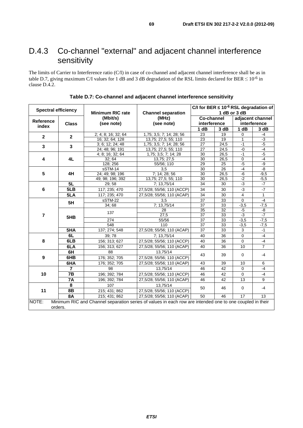# D.4.3 Co-channel "external" and adjacent channel interference sensitivity

The limits of Carrier to Interference ratio (C/I) in case of co-channel and adjacent channel interference shall be as in table D.7, giving maximum C/I values for 1 dB and 3 dB degradation of the RSL limits declared for BER  $\leq 10^{-6}$  in clause D.4.2.

| <b>Spectral efficiency</b> |                         |                         |                                                                                                          | C/I for BER $\leq 10^{-6}$ RSL degradation of |                 |                      |                  |
|----------------------------|-------------------------|-------------------------|----------------------------------------------------------------------------------------------------------|-----------------------------------------------|-----------------|----------------------|------------------|
|                            |                         | <b>Minimum RIC rate</b> | <b>Channel separation</b>                                                                                |                                               |                 | 1 dB or 3 dB         |                  |
|                            |                         | (Mbit/s)                | (MHz)                                                                                                    | <b>Co-channel</b>                             |                 |                      | adjacent channel |
| <b>Reference</b>           | <b>Class</b>            | (see note)              | (see note)                                                                                               | interference                                  |                 |                      | interference     |
| index                      |                         |                         |                                                                                                          | 1 dB                                          | 3 dB            | 1 dB                 | 3 dB             |
| $\mathbf{2}$               | $\overline{\mathbf{2}}$ | 2; 4; 8; 16; 32; 64     | 1,75; 3,5; 7; 14; 28; 56                                                                                 | 23                                            | 19              | 0                    | $-4$             |
|                            |                         | 16; 32; 64; 128         | 13,75; 27,5; 55; 110                                                                                     | 23                                            | 19              | $\overline{1}$       | $-3$             |
| 3                          | 3                       | 3; 6; 12; 24; 48        | 1,75; 3,5; 7; 14; 28; 56                                                                                 | $\overline{27}$                               | 24,5            | $-1$                 | $-5$             |
|                            |                         | 24; 48; 96; 191         | 13,75; 27,5; 55; 110                                                                                     | $\overline{27}$                               | 24,5            | $-0$                 | $-4$             |
|                            |                         | 4; 8; 16; 32; 64        | 1,75; 3,5; 7; 14; 28                                                                                     | 30                                            | 26,5            | $-1$                 | $-5$             |
| 4                          | 4L                      | 32; 64                  | 13,75; 27,5                                                                                              | 30                                            | 26,5            | $\overline{0}$       | $-4$             |
|                            |                         | 128; 256                | 55/56; 110                                                                                               | 29                                            | 25              | $-5$                 | $-9$             |
|                            |                         | sSTM-14                 | $\overline{3.5}$                                                                                         | $\overline{30}$                               | $\overline{26}$ | $-4$                 | $-8$             |
| 5                          | 4H                      | 24; 49; 98; 196         | 7; 14; 28; 56                                                                                            | 30                                            | 26,5            | $-6$                 | $-9,5$           |
|                            |                         | 49; 98; 196; 392        | 13,75; 27,5; 55; 110                                                                                     | 30                                            | 26,5            | $-2$                 | $-5,5$           |
|                            | 5L                      | 29; 58                  | 7; 13,75/14                                                                                              | 34                                            | 30              | $\overline{\cdot}$ 3 | $-7$             |
| 6                          | 5LB                     | 117; 235; 470           | 27,5/28; 55/56; 110 (ACCP)                                                                               | 34                                            | 30              | $-3$                 | $-7$             |
|                            | 5LA                     | 117; 235; 470           | 27,5/28; 55/56; 110 (ACAP)                                                                               | $\overline{34}$                               | 30              | $\overline{4}$       | $\mathbf{1}$     |
|                            | 5H                      | sSTM-22                 | 3,5                                                                                                      | $\overline{37}$                               | 33              | 0                    | $-4$             |
|                            |                         | 34; 68                  | 7; 13,75/14                                                                                              | $\overline{37}$                               | 33              | $-3,5$               | $-7,5$           |
|                            |                         | 137                     | 28                                                                                                       | 35                                            | 32              | $-5$                 | $\frac{-8}{-7}$  |
| $\overline{7}$             | 5HB                     |                         | 27,5                                                                                                     | $\overline{37}$                               | 33              | $-3$                 |                  |
|                            |                         | 274                     | 55/56                                                                                                    | $\overline{37}$                               | 33              | $-3,5$               | $-7,5$           |
|                            |                         | 548                     | 110                                                                                                      | $\overline{37}$                               | 33              | $-3,5$               | $-7,5$           |
|                            | 5HA                     | 137; 274; 548           | 27,5/28; 55/56; 110 (ACAP)                                                                               | 37                                            | 33              | $\overline{3}$       | $-1$             |
|                            | 6L                      | 39;78                   | 7; 13,75/14                                                                                              | 40                                            | 36              | 0                    | $-4$             |
| 8                          | 6LB                     | 156; 313; 627           | 27,5/28; 55/56; 110 (ACCP)                                                                               | 40                                            | 36              | 0                    | $-4$             |
|                            | 6LA                     | 156; 313; 627           | 27,5/28; 55/56; 110 (ACAP)                                                                               | 40                                            | 36              | 10                   | $\overline{7}$   |
|                            | 6H                      | 88                      | 13,75/14                                                                                                 | 43                                            | 39              | 0                    | $-4$             |
| 9                          | 6HB                     | 176; 352; 705           | 27,5/28; 55/56; 110 (ACCP)                                                                               |                                               |                 |                      |                  |
|                            | 6HA                     | 176; 352; 705           | 27,5/28; 55/56; 110 (ACAP)                                                                               | 43                                            | 39              | 10                   | 6                |
|                            | 7                       | 98                      | 13,75/14                                                                                                 | 46                                            | 42              | 0                    | $-4$             |
| 10                         | 7B                      | 196; 392; 784           | 27,5/28; 55/56; 110 (ACCP)                                                                               | 46                                            | 42              | 0                    | $-4$             |
|                            | <b>7A</b>               | 196; 392; 784           | 27,5/28; 55/56; 110 (ACAP)                                                                               | 46                                            | 42              | 13                   | 9                |
|                            | 8                       | 107                     | 13,75/14                                                                                                 |                                               |                 |                      |                  |
| 11                         | 8B                      | 215; 431; 862           | 27,5/28; 55/56; 110 (ACCP)                                                                               | 50                                            | 46              | 0                    | $-4$             |
|                            | <b>8A</b>               | 215; 431; 862           | 27,5/28; 55/56; 110 (ACAP)                                                                               | 50                                            | 46              | 17                   | 13               |
| NOTE:                      |                         |                         | Minimum RIC and Channel separation series of values in each row are intended one to one coupled in their |                                               |                 |                      |                  |
|                            | orders.                 |                         |                                                                                                          |                                               |                 |                      |                  |

**Table D.7: Co-channel and adjacent channel interference sensitivity**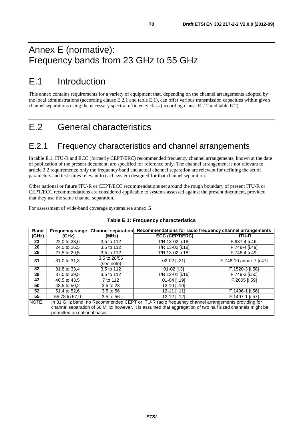# Annex E (normative): Frequency bands from 23 GHz to 55 GHz

# E.1 Introduction

This annex contains requirements for a variety of equipment that, depending on the channel arrangements adopted by the local administrations (according clause E.2.1 and table E.1), can offer various transmission capacities within given channel separations using the necessary spectral efficiency class (according clause E.2.2 and table E.2).

# E.2 General characteristics

## E.2.1 Frequency characteristics and channel arrangements

In table E.1, ITU-R and ECC (formerly CEPT/ERC) recommended frequency channel arrangements, known at the date of publication of the present document, are specified for reference only. The channel arrangement is not relevant to article 3.2 requirements; only the frequency band and actual channel separation are relevant for defining the set of parameters and test suites relevant to each system designed for that channel separation.

Other national or future ITU-R or CEPT/ECC recommendations set around the rough boundary of present ITU-R or CEPT/ECC recommendations are considered applicable to systems assessed against the present document, provided that they use the same channel separation.

For assessment of wide-band coverage systems see annex G.

| <b>Band</b> | <b>Frequency range</b>                                                                                                                    | <b>Channel separation</b>  | Recommendations for radio frequency channel arrangements |                         |  |  |  |  |  |
|-------------|-------------------------------------------------------------------------------------------------------------------------------------------|----------------------------|----------------------------------------------------------|-------------------------|--|--|--|--|--|
| (GHz)       | (GHz)                                                                                                                                     | (MHz)                      | <b>ECC (CEPT/ERC)</b>                                    | <b>ITU-R</b>            |  |  |  |  |  |
| 23          | 22,0 to 23,6                                                                                                                              | 3,5 to 112                 | T/R 13-02 [i.18]                                         | F.637-4 [i.46]          |  |  |  |  |  |
| 26          | 24,5 to 26,5                                                                                                                              | 3,5 to 112                 | T/R 13-02 [i.18]                                         | F.748-4 [i.49]          |  |  |  |  |  |
| 28          | 27,5 to 29,5                                                                                                                              | 3,5 to 112                 | T/R 13-02 [i.18]                                         | F.748-4 [i.49]          |  |  |  |  |  |
| 31          | 31,0 to 31,3                                                                                                                              | 3.5 to 28/56<br>(see note) | 02-02 [i.21]                                             | F.746-10 annex 7 [i.47] |  |  |  |  |  |
| 32          | 31.8 to 33.4                                                                                                                              | 3,5 to 112                 | 01-02 [i.3]                                              | F.1520-3 [i.58]         |  |  |  |  |  |
| 38          | 37,0 to 39,5                                                                                                                              | 3.5 to 112                 | T/R 12-01 [i.16]                                         | F.749-3 [i.50]          |  |  |  |  |  |
| 42          | 40.5 to 43.5                                                                                                                              | 7 to 112                   | 01-04 li.191                                             | F.2005 [i.59]           |  |  |  |  |  |
| 50          | 48,5 to 50,2                                                                                                                              | 3,5 to 28                  | 12-10 [i.10]                                             |                         |  |  |  |  |  |
| 52          | 51.4 to 52.6                                                                                                                              | 3.5 to 56                  | 12-11 li.111                                             | F.1496-1 [i.56]         |  |  |  |  |  |
| 55          | 55,78 to 57,0                                                                                                                             | 3.5 to 56                  | 12-12 [i.12]                                             | F.1497-1 [i.57]         |  |  |  |  |  |
| NOTE:       | In 31 GHz band, no Recommended CEPT or ITU-R radio frequency channel arrangements providing for                                           |                            |                                                          |                         |  |  |  |  |  |
|             | channel separation of 56 MHz; however, it is assumed that aggregation of two half sized channels might be<br>permitted on national basis. |                            |                                                          |                         |  |  |  |  |  |

#### **Table E.1: Frequency characteristics**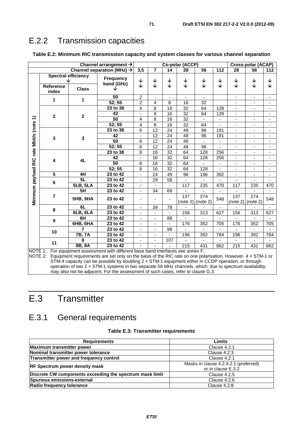## E.2.2 Transmission capacities

|                      |                           |                 | Channel arrangement $\rightarrow$                                                                                                                                                               | Co-polar (ACCP)          |                              |                   |                              |                 |                                 | <b>Cross-polar (ACAP)</b>    |                                 |                          |
|----------------------|---------------------------|-----------------|-------------------------------------------------------------------------------------------------------------------------------------------------------------------------------------------------|--------------------------|------------------------------|-------------------|------------------------------|-----------------|---------------------------------|------------------------------|---------------------------------|--------------------------|
|                      |                           |                 | Channel separation (MHz) $\rightarrow$                                                                                                                                                          | 3,5                      | $\overline{7}$               | 14                | 28                           | 56              | 112                             | 28                           | 56                              | 112                      |
|                      | Spectral efficiency<br>◡  |                 | <b>Frequency</b><br>band (GHz)                                                                                                                                                                  | $\downarrow$<br>↓        | $\downarrow$<br>$\downarrow$ | $\downarrow$<br>↓ | $\downarrow$<br>$\downarrow$ | ↓<br>业          | $\blacklozenge$<br>$\downarrow$ | ↓<br>J                       | $\blacklozenge$<br>$\downarrow$ | ↓<br>J                   |
|                      | <b>Reference</b><br>index | <b>Class</b>    | ◡                                                                                                                                                                                               |                          |                              |                   |                              |                 |                                 |                              |                                 |                          |
|                      | 1                         | 1               | 50                                                                                                                                                                                              | $\overline{c}$           | $\blacksquare$               | $\blacksquare$    | $\sim$                       |                 |                                 | ä,                           | $\overline{\phantom{a}}$        |                          |
|                      |                           |                 | 52; 55                                                                                                                                                                                          | $\overline{2}$           | 4                            | 8                 | 16                           | 32              |                                 | $\blacksquare$               | $\overline{\phantom{0}}$        |                          |
|                      |                           |                 | 23 to 38                                                                                                                                                                                        | $\overline{4}$           | 8                            | $\overline{16}$   | $\overline{32}$              | 64              | 128                             | $\overline{\phantom{a}}$     | $\overline{\phantom{a}}$        |                          |
|                      | $\mathbf{2}$              | $\mathbf{2}$    | 42                                                                                                                                                                                              |                          | $\overline{8}$               | 16                | 32                           | 64              | 128                             | $\blacksquare$               | $\blacksquare$                  |                          |
|                      |                           |                 | $\overline{50}$                                                                                                                                                                                 | 4                        | $\overline{8}$               | 16                | $\overline{32}$              |                 |                                 | $\frac{1}{2}$                | $\overline{\phantom{a}}$        |                          |
|                      |                           |                 | 52; 55                                                                                                                                                                                          | 4                        | $\overline{8}$               | 16                | $\overline{32}$              | 64              |                                 | $\overline{\phantom{0}}$     | $\overline{\phantom{a}}$        |                          |
|                      |                           |                 | 23 to 38                                                                                                                                                                                        | 6                        | $\overline{12}$              | $\overline{24}$   | 48                           | 96              | 191                             | $\overline{\phantom{a}}$     | $\blacksquare$                  |                          |
|                      | $\mathbf{3}$              | $\mathbf{3}$    | 42                                                                                                                                                                                              |                          | $\overline{12}$              | $\overline{24}$   | 48                           | $\overline{96}$ | 191                             | $\frac{1}{2}$                | $\overline{\phantom{0}}$        |                          |
|                      |                           |                 | 50                                                                                                                                                                                              | 6                        | 12                           | 24                | 48                           |                 |                                 | $\overline{\phantom{0}}$     | $\qquad \qquad \blacksquare$    | $\overline{\phantom{a}}$ |
|                      |                           |                 | 52; 55                                                                                                                                                                                          | $\overline{6}$           | $\overline{12}$              | 24                | $\overline{48}$              | 96              | $\blacksquare$                  | $\overline{\phantom{a}}$     | $\overline{\phantom{a}}$        | $\overline{\phantom{a}}$ |
| rate Mbit/s (note 1) | 4                         |                 | 23 to $38$                                                                                                                                                                                      | 8                        | 16                           | $\overline{32}$   | 64                           | 128             | 256                             | $\qquad \qquad \blacksquare$ | $\blacksquare$                  | $\overline{\phantom{a}}$ |
|                      |                           | 4L              | 42                                                                                                                                                                                              |                          | $\overline{16}$              | $\overline{32}$   | 64                           | 128             | 256                             | $\frac{1}{2}$                | $\overline{\phantom{a}}$        | $\blacksquare$           |
|                      |                           |                 | 50                                                                                                                                                                                              | 8                        | 16                           | $\overline{32}$   | 64                           |                 |                                 | $\overline{\phantom{0}}$     | $\overline{\phantom{a}}$        | $\blacksquare$           |
|                      |                           |                 | 52; 55                                                                                                                                                                                          | 8                        | $\overline{16}$              | $\overline{32}$   | 64                           | 128             |                                 | $\frac{1}{2}$                | $\overline{\phantom{a}}$        |                          |
|                      | $\overline{5}$            | 4H              | 23 to 42                                                                                                                                                                                        | ä,                       | $\overline{24}$              | 49                | 98                           | 196             | 392                             | $\frac{1}{2}$                | $\blacksquare$                  | $\overline{\phantom{a}}$ |
|                      | 6                         | 5L              | 23 to 42                                                                                                                                                                                        | ÷,                       | $\overline{29}$              | $\overline{58}$   |                              |                 |                                 |                              |                                 |                          |
|                      |                           | 5LB, 5LA        | 23 to 42                                                                                                                                                                                        | $\blacksquare$           |                              |                   | 117                          | 235             | 470                             | 117                          | 235                             | 470                      |
|                      |                           | 5H              | 23 to 42                                                                                                                                                                                        | $\blacksquare$           | $\overline{34}$              | 68                |                              |                 |                                 |                              |                                 |                          |
| Minimum payload RIC  | $\overline{7}$            | <b>5HB, 5HA</b> | 23 to 42                                                                                                                                                                                        | ٠                        | $\blacksquare$               |                   | 137<br>(note 2)              | 274<br>(note 2) | 548                             | $\overline{137}$<br>(note 2) | $\overline{274}$<br>(note 2)    | 548                      |
|                      | 8                         | 6L              | 23 to 42                                                                                                                                                                                        |                          | 39                           | 78                |                              |                 |                                 |                              |                                 |                          |
|                      |                           | 6LB, 6LA        | 23 to 42                                                                                                                                                                                        |                          | $\qquad \qquad \blacksquare$ |                   | 156                          | 313             | 627                             | 156                          | 313                             | 627                      |
|                      | 9                         | 6H              | 23 to 42                                                                                                                                                                                        | $\overline{\phantom{a}}$ | $\overline{\phantom{a}}$     | 88                |                              |                 |                                 |                              |                                 |                          |
|                      |                           | <b>6HB, 6HA</b> | 23 to 42                                                                                                                                                                                        | $\blacksquare$           | $\overline{\phantom{a}}$     |                   | 176                          | 352             | 705                             | 176                          | 352                             | 705                      |
|                      | 10                        | 7               | 23 to 42                                                                                                                                                                                        | $\blacksquare$           | $\overline{\phantom{a}}$     | 98                |                              |                 |                                 | $\blacksquare$               | ÷.                              |                          |
|                      |                           | <b>7B, 7A</b>   | 23 to 42                                                                                                                                                                                        | ÷.                       | $\blacksquare$               |                   | 196                          | 392             | 784                             | 196                          | 392                             | 784                      |
|                      | 11                        | 8               | 23 to $42$                                                                                                                                                                                      |                          | $\overline{\phantom{a}}$     | 107               |                              |                 |                                 |                              |                                 |                          |
|                      |                           | 8B, 8A          | 23 to 42                                                                                                                                                                                        |                          |                              |                   | $\overline{215}$             | 431             | 862                             | $\overline{215}$             | 431                             | 862                      |
| NOTE 1:<br>NOTE 2:   |                           |                 | For equipment assessment with different base band interfaces see annex F.<br>Equipment requirements are set only on the basis of the RIC rate on one polarisation. However, $4 \times STM-1$ or |                          |                              |                   |                              |                 |                                 |                              |                                 |                          |

#### **Table E.2: Minimum RIC transmission capacity and system classes for various channel separation**

STM-4 capacity can be possible by doubling 2 × STM-1 equipment either in CCDP operation, or through operation of two 2 × STM-1 systems in two separate 56 MHz channels, which, due to spectrum availability, may also not be adjacent. For the assessment of such cases, refer to clause G.3.

# E.3 Transmitter

## E.3.1 General requirements

|  |  | Table E.3: Transmitter requirements |
|--|--|-------------------------------------|
|--|--|-------------------------------------|

| <b>Requirements</b>                                      | Limits                                |  |  |  |  |
|----------------------------------------------------------|---------------------------------------|--|--|--|--|
| Maximum transmitter power                                | Clause 4.2.1                          |  |  |  |  |
| Nominal transmitter power tolerance                      | Clause 4.2.3                          |  |  |  |  |
| Transmitter power and frequency control                  | Clause 4.2.1                          |  |  |  |  |
| <b>RF Spectrum power density mask</b>                    | Masks in clause 4.2.4.2.1 (preferred) |  |  |  |  |
|                                                          | or in clause E.3.2                    |  |  |  |  |
| Discrete CW components exceeding the spectrum mask limit | <b>Clause 4.2.5</b>                   |  |  |  |  |
| Spurious emissions-external                              | Clause 4.2.6                          |  |  |  |  |
| Radio frequency tolerance                                | Clause 4.2.8                          |  |  |  |  |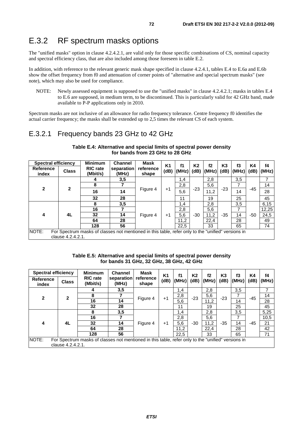## E.3.2 RF spectrum masks options

The "unified masks" option in clause 4.2.4.2.1, are valid only for those specific combinations of CS, nominal capacity and spectral efficiency class, that are also included among those foreseen in table E.2.

In addition, with reference to the relevant generic mask shape specified in clause 4.2.4.1, tables E.4 to E.6a and E.6b show the offset frequency from f0 and attenuation of corner points of "alternative and special spectrum masks" (see note), which may also be used for compliance.

NOTE: Newly assessed equipment is supposed to use the "unified masks" in clause 4.2.4.2.1; masks in tables E.4 to E.6 are supposed, in medium term, to be discontinued. This is particularly valid for 42 GHz band, made available to P-P applications only in 2010.

Spectrum masks are not inclusive of an allowance for radio frequency tolerance. Centre frequency f0 identifies the actual carrier frequency; the masks shall be extended up to 2,5 times the relevant CS of each system.

### E.3.2.1 Frequency bands 23 GHz to 42 GHz

| Spectral efficiency                                                                                                              |              | <b>Minimum</b>              | <b>Channel</b>      | <b>Mask</b>        | <b>K1</b> | f1    | K <sub>2</sub> | f2           | K <sub>3</sub> | f3    | K4    | f4    |
|----------------------------------------------------------------------------------------------------------------------------------|--------------|-----------------------------|---------------------|--------------------|-----------|-------|----------------|--------------|----------------|-------|-------|-------|
| Reference<br>index                                                                                                               | <b>Class</b> | <b>RIC</b> rate<br>(Mbit/s) | separation<br>(MHz) | reference<br>shape | (dB)      | (MHz) | (dB)           | $(MHz)$ (dB) |                | (MHz) | (dB)  | (MHz) |
| $\overline{2}$                                                                                                                   | 2            | 4                           | 3,5                 | Figure 4           | +1        | 1,4   | -23            | 2,8          | $-23$          | 3,5   | -45   |       |
|                                                                                                                                  |              | 8                           |                     |                    |           | 2,8   |                | 5,6          |                | 7     |       | 14    |
|                                                                                                                                  |              | 16                          | 14                  |                    |           | 5,6   |                | 11,2         |                | 14    |       | 28    |
|                                                                                                                                  |              | 32                          | 28                  |                    |           | 11    |                | 19           |                | 25    |       | 45    |
| 4                                                                                                                                | 4L           | 8                           | 3,5                 | Figure 4           | +1        | 1,4   |                | 2,8          | $-35$          | 3,5   |       | 6, 15 |
|                                                                                                                                  |              | 16                          |                     |                    |           | 2,8   |                | 5,6          |                | 7     |       | 12,25 |
|                                                                                                                                  |              | 32                          | 14                  |                    |           | 5,6   | -30            | 11,2         |                | 14    | $-50$ | 24,5  |
|                                                                                                                                  |              | 64                          | 28                  |                    |           | 11,2  |                | 22,4         |                | 28    |       | 49    |
|                                                                                                                                  |              | 128                         | 56                  |                    |           | 22.5  |                | 33           |                | 65    |       | 74    |
| NOTE:<br>For Spectrum masks of classes not mentioned in this table, refer only to the "unified" versions in<br>clause 4.2.4.2.1. |              |                             |                     |                    |           |       |                |              |                |       |       |       |

#### **Table E.4: Alternative and special limits of spectral power density for bands from 23 GHz to 28 GHz**

| Table E.5: Alternative and special limits of spectral power density |
|---------------------------------------------------------------------|
| for bands 31 GHz, 32 GHz, 38 GHz, 42 GHz                            |

| <b>Spectral efficiency</b>                                                                                  |              | <b>Minimum</b>              | <b>Channel</b>      | Mask               | <b>K1</b> | f1    | K2    | f2                         | K3    | f3    | K4    | f4    |
|-------------------------------------------------------------------------------------------------------------|--------------|-----------------------------|---------------------|--------------------|-----------|-------|-------|----------------------------|-------|-------|-------|-------|
| <b>Reference</b><br>index                                                                                   | <b>Class</b> | <b>RIC</b> rate<br>(Mbit/s) | separation<br>(MHz) | reference<br>shape | (dB)      | (MHz) | (dB)  | (MHz)                      | (dB)  | (MHz) | (dB)  | (MHz) |
| $\mathbf{2}$                                                                                                | $\mathbf{2}$ | 4                           | 3,5                 | Figure 4           | +1        | 1,4   |       | 2,8                        |       | 3,5   | $-45$ | ⇁     |
|                                                                                                             |              | 8                           |                     |                    |           | 2,8   | $-23$ | 5,6<br>11,2                | $-23$ | 7     |       | 14    |
|                                                                                                             |              | 16                          | 14                  |                    |           | 5,6   |       |                            |       | 14    |       | 28    |
|                                                                                                             |              | 32                          | 28                  |                    |           | 11    |       | 19                         |       | 25    |       | 45    |
| 4                                                                                                           | 4L           | 8                           | 3,5                 | Figure 4           | $+1$      | 1,4   |       | 2,8<br>5,6<br>11,2<br>22.4 | $-35$ | 3,5   | $-45$ | 5,25  |
|                                                                                                             |              | 16                          |                     |                    |           | 2,8   |       |                            |       | 7     |       | 10,5  |
|                                                                                                             |              | 32                          | 14                  |                    |           | 5,6   | $-30$ |                            |       | 14    |       | 21    |
|                                                                                                             |              | 64                          | 28                  |                    |           | 11,2  |       |                            |       | 28    |       | 42    |
|                                                                                                             |              | 128                         | 56                  |                    |           | 22.5  |       | 33                         |       | 65    |       | 71    |
| NOTE:<br>For Spectrum masks of classes not mentioned in this table, refer only to the "unified" versions in |              |                             |                     |                    |           |       |       |                            |       |       |       |       |
| clause 4.2.4.2.1.                                                                                           |              |                             |                     |                    |           |       |       |                            |       |       |       |       |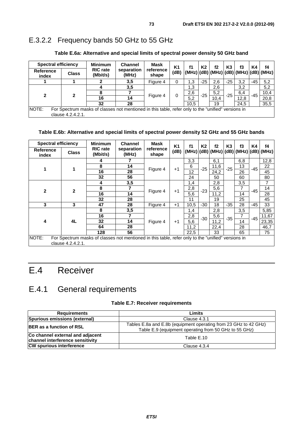## E.3.2.2 Frequency bands 50 GHz to 55 GHz

| <b>Spectral efficiency</b>                                                                                                       |              | <b>Minimum</b>              | <b>Channel</b>      | Mask               | K1   | f1                                         | K2    | f2   | K3    | f3   | K4    | f4   |
|----------------------------------------------------------------------------------------------------------------------------------|--------------|-----------------------------|---------------------|--------------------|------|--------------------------------------------|-------|------|-------|------|-------|------|
| <b>Reference</b><br>index                                                                                                        | <b>Class</b> | <b>RIC</b> rate<br>(Mbit/s) | separation<br>(MHz) | reference<br>shape | (dB) | $ (MHz) (dB) (MHz) (dB) (MHz) (dB) (MHz) $ |       |      |       |      |       |      |
|                                                                                                                                  |              |                             | 3,5                 | Figure 4           |      | 1.3                                        | $-25$ | 2.6  | $-25$ | 3,2  | -45   | 5,2  |
|                                                                                                                                  |              |                             | 3,5                 |                    |      | 1,3                                        |       | 2,6  |       | 3,2  |       | 5,2  |
| $\mathbf{c}$                                                                                                                     | 2            |                             |                     |                    |      | 2,6                                        | $-25$ | 5,2  | $-25$ | 6,4  | $-45$ | 10,4 |
|                                                                                                                                  |              | 16                          | 14                  | Figure 4           | 0    | 5,2                                        |       | 10.4 |       | 12,8 |       | 20,8 |
|                                                                                                                                  |              | 32                          | 28                  |                    |      | 10.5                                       |       | 19   |       | 24.5 |       | 35,5 |
| NOTE:<br>For Spectrum masks of classes not mentioned in this table, refer only to the "unified" versions in<br>clause 4.2.4.2.1. |              |                             |                     |                    |      |                                            |       |      |       |      |       |      |

**Table E.6a: Alternative and special limits of spectral power density 50 GHz band** 

#### **Table E.6b: Alternative and special limits of spectral power density 52 GHz and 55 GHz bands**

| <b>Spectral efficiency</b>                                                                                                       |              | <b>Minimum</b>              | <b>Channel</b>      | Mask               | <b>K1</b> | f1   | K2    | f2   | K <sub>3</sub> | f3  | K4    | f <sub>4</sub>                                       |
|----------------------------------------------------------------------------------------------------------------------------------|--------------|-----------------------------|---------------------|--------------------|-----------|------|-------|------|----------------|-----|-------|------------------------------------------------------|
| Reference<br>index                                                                                                               | <b>Class</b> | <b>RIC</b> rate<br>(Mbit/s) | separation<br>(MHz) | reference<br>shape | (dB)      |      |       |      |                |     |       | $(MHz)$ $(dB)$ $(MHz)$ $(dB)$ $(MHz)$ $(dB)$ $(MHz)$ |
|                                                                                                                                  |              | 4                           | 7                   |                    |           | 3,3  |       | 6,1  |                | 6,8 |       | 12,8                                                 |
| 1                                                                                                                                |              | 8                           | 14                  | Figure 4           | $+1$      | 6    | $-25$ | 11,6 | $-25$          | 13  | $-45$ | 22                                                   |
|                                                                                                                                  |              | 16                          | 28                  |                    |           | 12   |       | 24,2 |                | 26  |       | 45                                                   |
|                                                                                                                                  |              | 32                          | 56                  |                    |           | 24   |       | 50   |                | 60  |       | 80                                                   |
|                                                                                                                                  |              | 4                           | 3,5                 |                    |           | 1,4  |       | 2,8  |                | 3,5 |       | 7                                                    |
| $\mathbf{2}$                                                                                                                     | $\mathbf{2}$ | 8                           | 7                   | Figure 4           | $+1$      | 2,8  | $-23$ | 5,6  |                | 7   | $-45$ | 14                                                   |
|                                                                                                                                  |              | 16                          | 14                  |                    |           | 5,6  |       | 11,2 |                | 14  |       | 28                                                   |
|                                                                                                                                  |              | 32                          | 28                  |                    |           | 11   |       | 19   |                | 25  |       | 45                                                   |
| 3                                                                                                                                | 3            | 47                          | 28                  | Figure 4           | $+1$      | 10,5 | $-30$ | 18   | $-35$          | 28  | $-45$ | 33                                                   |
|                                                                                                                                  |              | 8                           | 3,5                 |                    |           | 1,4  |       | 2,8  |                | 3,5 |       | 5,85                                                 |
|                                                                                                                                  |              | 16                          | 7                   |                    |           | 2,8  | $-30$ | 5,6  | $-35$          | 7   | $-45$ | 11,67                                                |
| 4                                                                                                                                | 4L           | 32                          | 14                  | Figure 4           | $+1$      | 5,6  |       | 11,2 |                | 14  |       | 23,35                                                |
|                                                                                                                                  |              | 64                          | 28                  |                    |           | 11,2 |       | 22,4 |                | 28  |       | 46,7                                                 |
|                                                                                                                                  |              | 128                         | 56                  |                    |           | 22,5 |       | 33   |                | 65  |       | 75                                                   |
| NOTE:<br>For Spectrum masks of classes not mentioned in this table, refer only to the "unified" versions in<br>clause 4.2.4.2.1. |              |                             |                     |                    |           |      |       |      |                |     |       |                                                      |

# E.4 Receiver

## E.4.1 General requirements

#### **Table E.7: Receiver requirements**

| <b>Requirements</b>                                                  | Limits                                                                                                                    |
|----------------------------------------------------------------------|---------------------------------------------------------------------------------------------------------------------------|
| Spurious emissions (external)                                        | Clause 4.3.1                                                                                                              |
| <b>BER</b> as a function of RSL                                      | Tables E.8a and E.8b (equipment operating from 23 GHz to 42 GHz)<br>Table E.9 (equipment operating from 50 GHz to 55 GHz) |
| Co channel external and adjacent<br>channel interference sensitivity | Table E.10                                                                                                                |
| <b>CW spurious interference</b>                                      | Clause 4.3.4                                                                                                              |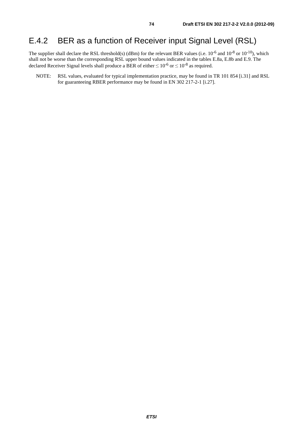## E.4.2 BER as a function of Receiver input Signal Level (RSL)

The supplier shall declare the RSL threshold(s) (dBm) for the relevant BER values (i.e.  $10^{-6}$  and  $10^{-8}$  or  $10^{-10}$ ), which shall not be worse than the corresponding RSL upper bound values indicated in the tables E.8a, E.8b and E.9. The declared Receiver Signal levels shall produce a BER of either  $\leq 10^{-6}$  or  $\leq 10^{-8}$  as required.

NOTE: RSL values, evaluated for typical implementation practice, may be found in TR 101 854 [i.31] and RSL for guaranteeing RBER performance may be found in EN 302 217-2-1 [i.27].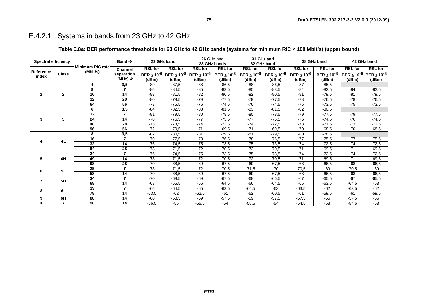## E.4.2.1 Systems in bands from 23 GHz to 42 GHz

|                            |                |                  |                          |                    |                     |                    | 26 GHz and         |                    | 31 GHz and      |                    |                    |                | 42 GHz band                                        |  |
|----------------------------|----------------|------------------|--------------------------|--------------------|---------------------|--------------------|--------------------|--------------------|-----------------|--------------------|--------------------|----------------|----------------------------------------------------|--|
| <b>Spectral efficiency</b> |                |                  | Band $\rightarrow$       | 23 GHz band        |                     |                    | 28 GHz bands       |                    | 32 GHz band     |                    | 38 GHz band        |                |                                                    |  |
|                            |                | Minimum RIC rate | <b>Channel</b>           | <b>RSL for</b>     | <b>RSL for</b>      | <b>RSL for</b>     | <b>RSL for</b>     | <b>RSL for</b>     | <b>RSL for</b>  | <b>RSL for</b>     | <b>RSL for</b>     | <b>RSL for</b> | <b>RSL for</b>                                     |  |
| Reference<br>index         | <b>Class</b>   | (Mbit/s)         | separation               | BER $\leq 10^{-6}$ | $ BER \le 10^{-8} $ | BER $\leq 10^{-6}$ | BER $\leq 10^{-8}$ | BER $\leq 10^{-6}$ | BER ≤ $10^{-8}$ | BER $\leq 10^{-6}$ | BER $\leq 10^{-8}$ |                | <b>BER ≤ 10<sup>-6</sup> BER ≤ 10<sup>-8</sup></b> |  |
|                            |                |                  | (MHz) $\downarrow$       | (dBm)              | (dBm)               | (dBm)              | (dBm)              | (dBm)              | (dBm)           | (dBm)              | (dBm)              | (dBm)          | (dBm)                                              |  |
|                            |                | 4                | 3,5                      | $-89$              | $-87.5$             | -88                | $-86,5$            | $-88$              | $-86,5$         | $-87$              | $-85,5$            |                |                                                    |  |
|                            |                | 8                | $\overline{\phantom{a}}$ | $-86$              | $-84,5$             | $-85$              | $-83,5$            | $-85$              | $-83,5$         | $-84$              | $-82,5$            | $-84$          | $-82,5$                                            |  |
| $\mathbf{2}$               | $\mathbf{2}$   | 16               | 14                       | $-83$              | $-81,5$             | $-82$              | $-80,5$            | $-82$              | $-80,5$         | $-81$              | $-79.5$            | $-81$          | $-79,5$                                            |  |
|                            |                | $\overline{32}$  | 28                       | $-80$              | $-78,5$             | $-79$              | $-77,5$            | $-79$              | $-77,5$         | $-78$              | $-76,5$            | $-78$          | $-76,5$                                            |  |
|                            |                | 64               | 56                       | $-77$              | $-75.5$             | $-76$              | $-74,5$            | $-76$              | $-74.5$         | $-75$              | $-73.5$            | $-75$          | $-73,5$                                            |  |
|                            |                | 6                | 3,5                      | $-84$              | $-82,5$             | $-83$              | $-81,5$            | $-83$              | $-81,5$         | $-82$              | $-80,5$            |                |                                                    |  |
|                            |                | $\overline{12}$  | $\overline{ }$           | $-81$              | $-79,5$             | $-80$              | $-78,5$            | $-80$              | $-78,5$         | $-79$              | $-77,5$            | $-79$          | $-77,5$                                            |  |
| 3                          | 3              | 24               | 14                       | $-78$              | $-76,5$             | $-77$              | $-75,5$            | $-77$              | $-75,5$         | $-76$              | $-74,5$            | $-76$          | $-74,5$                                            |  |
|                            |                | 48               | $\overline{28}$          | $-75$              | $-73,5$             | $-74$              | $-72,5$            | $-74$              | $-72,5$         | $-73$              | $-71,5$            | $-73$          | $-71,5$                                            |  |
|                            |                | 96               | 56                       | $-72$              | $-70,5$             | $-71$              | $-69,5$            | $-71$              | $-69,5$         | $-70$              | $-68,5$            | $-70$          | $-68,5$                                            |  |
|                            |                | 8                | 3,5                      | $-82$              | $-80,5$             | $-81$              | $-79,5$            | $-81$              | $-79,5$         | $-80$              | $-78,5$            |                |                                                    |  |
| 4                          | 4L             | 16               |                          | $-79$              | $-77,5$             | $-78$              | $-76,5$            | $-78$              | $-76,5$         | $-77$              | $-75,5$            | $-77$          | $-75,5$                                            |  |
|                            |                | $\overline{32}$  | $\overline{14}$          | $-76$              | $-74,5$             | $-75$              | $-73,5$            | $-75$              | $-73,5$         | $-74$              | $-72,5$            | $-74$          | $-72,5$                                            |  |
|                            |                | 64               | 28                       | $-73$              | $-71,5$             | $-72$              | $-70,5$            | $-72$              | $-70,5$         | $-71$              | $-69.5$            | $-71$          | $-69,5$                                            |  |
|                            |                | 24               | $\overline{\phantom{a}}$ | $-76$              | $-74,5$             | $-75$              | $-73,5$            | $-75$              | $-73,5$         | $-74$              | $-72,5$            | $-74$          | $-72,5$                                            |  |
| 5                          | 4H             | 49               | 14                       | $-73$              | $-71,5$             | $-72$              | $-70,5$            | $-72$              | $-70,5$         | $-71$              | $-69.5$            | $-71$          | $-69,5$                                            |  |
|                            |                | 98               | 28                       | $-70$              | $-68,5$             | $-69$              | $-67,5$            | $-69$              | $-67,5$         | $-68$              | $-66,5$            | $-68$          | $-66,5$                                            |  |
| 6                          | 5L             | 29               | 7                        | $-73$              | $-71,5$             | $-72$              | $-70,5$            | $-71,5$            | $-70$           | $-70,5$            | $-69$              | $-70,5$        | $-69$                                              |  |
|                            |                | 58               | $\overline{14}$          | $-70$              | $-68,5$             | $-69$              | $-67,5$            | $-69$              | $-67,5$         | $-68$              | $-66,5$            | $-68$          | $-66,5$                                            |  |
| $\overline{7}$             | 5H             | 34               |                          | $-70$              | $-68,5$             | $-69$              | $-67.5$            | $-68$              | $-66,5$         | $-67$              | $-65,5$            | $-67$          | $-65,5$                                            |  |
|                            |                | 68               | 14                       | $-67$              | $-65,5$             | $-66$              | $-64,5$            | $-66$              | $-64,5$         | $-65$              | $-63.5$            | $-64,5$        | $-63$                                              |  |
| 8                          | 6L             | 39               |                          | $-66$              | $-64,5$             | $-65$              | $-63,5$            | $-64,5$            | $-63$           | $-63.5$            | $-62$              | $-63,5$        | $-62$                                              |  |
|                            |                | $\overline{78}$  | $\overline{14}$          | $-63,5$            | $-62$               | $-62,5$            | $-61$              | $-62$              | $-60,5$         | $-61$              | $-59,5$            | $-61$          | $-59,5$                                            |  |
| 9                          | 6H             | 88               | 14                       | $-60$              | -58,5               | $-59$              | $-57,5$            | $-59$              | $-57,5$         | $-57,5$            | $-56$              | $-57,5$        | $-56$                                              |  |
| 10                         | $\overline{7}$ | 98               | 14                       | $-56,5$            | $-55$               | $-55,5$            | $-54$              | $-55,5$            | $-54$           | $-54.5$            | $-53$              | $-54.5$        | $-53$                                              |  |

### **Table E.8a: BER performance thresholds for 23 GHz to 42 GHz bands (systems for minimum RIC < 100 Mbit/s) (upper bound)**

**75**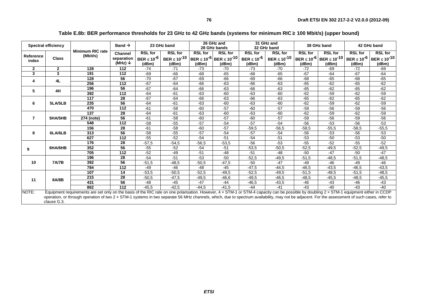| <b>Spectral efficiency</b> |              | <b>Minimum RIC rate</b>                                                                                                                                                                   | Band $\rightarrow$               |                             | 23 GHz band                  |                | 26 GHz and<br>28 GHz bands                              |                             | 31 GHz and<br>32 GHz band    |                | 38 GHz band                                     | 42 GHz band                 |                              |
|----------------------------|--------------|-------------------------------------------------------------------------------------------------------------------------------------------------------------------------------------------|----------------------------------|-----------------------------|------------------------------|----------------|---------------------------------------------------------|-----------------------------|------------------------------|----------------|-------------------------------------------------|-----------------------------|------------------------------|
|                            |              |                                                                                                                                                                                           | <b>Channel</b>                   | <b>RSL for</b>              | <b>RSL for</b>               | <b>RSL for</b> | <b>RSL for</b>                                          | <b>RSL for</b>              | <b>RSL for</b>               | <b>RSL for</b> | <b>RSL for</b>                                  | <b>RSL for</b>              | <b>RSL for</b>               |
| Reference<br>index         | <b>Class</b> | (Mbit/s)                                                                                                                                                                                  | separation<br>(MHz) $\downarrow$ | BER $\leq 10^{-6}$<br>(dBm) | BER $\leq 10^{-10}$<br>(dBm) | (dBm)          | BER ≤ 10 <sup>-6</sup> BER ≤ 10 <sup>-10</sup><br>(dBm) | BER $\leq 10^{-6}$<br>(dBm) | BER $\leq 10^{-10}$<br>(dBm) | (dBm)          | BER $\leq 10^{-6}$ BER $\leq 10^{-10}$<br>(dBm) | BER $\leq 10^{-6}$<br>(dBm) | BER $\leq 10^{-10}$<br>(dBm) |
| $\mathbf{2}$               | $\mathbf{2}$ | 128                                                                                                                                                                                       | 112                              | $-74$                       | $-71$                        | $-73$          | $-70$                                                   | $-73$                       | $-70$                        | $-72$          | $-69$                                           | $-72$                       | $-69$                        |
| $\mathbf{3}$               | 3            | 191                                                                                                                                                                                       | 112                              | $-69$                       | $-66$                        | $-68$          | $-65$                                                   | $-68$                       | $-65$                        | $-67$          | $-64$                                           | $-67$                       | $-64$                        |
|                            |              | 128                                                                                                                                                                                       | 56                               | $-70$                       | $-67$                        | $-69$          | $-66$                                                   | $-69$                       | $-66$                        | $-68$          | $-65$                                           | $-68$                       | $-65$                        |
| 4                          | 4L           | 256                                                                                                                                                                                       | $\overline{112}$                 | $-67$                       | $-64$                        | $-66$          | -63                                                     | $-66$                       | $-63$                        | $-65$          | $-62$                                           | $-65$                       | $-62$                        |
| 5                          | 4H           | 196                                                                                                                                                                                       | 56                               | $-67$                       | $-64$                        | $-66$          | $-63$                                                   | $-66$                       | $-63$                        | $-65$          | $-62$                                           | $-65$                       | $-62$                        |
|                            |              | 392                                                                                                                                                                                       | 112                              | $-64$                       | $-61$                        | $-63$          | -60                                                     | $-63$                       | $-60$                        | $-62$          | $-59$                                           | $-62$                       | $-59$                        |
|                            |              | 117                                                                                                                                                                                       | 28                               | $-67$                       | $-64$                        | $-66$          | $-63$                                                   | $-66$                       | $-63$                        | $-65$          | $-62$                                           | $-65$                       | $-62$                        |
| 5LA/5LB<br>6               | 235          | 56                                                                                                                                                                                        | $-64$                            | $-61$                       | $-63$                        | $-60$          | $-63$                                                   | $-60$                       | $-62$                        | $-59$          | $-62$                                           | $-59$                       |                              |
|                            |              | 470                                                                                                                                                                                       | 112                              | $-61$                       | $-58$                        | $-60$          | $-57$                                                   | $-60$                       | $-57$                        | $-59$          | $-56$                                           | $-59$                       | $-56$                        |
| 7                          |              | 137                                                                                                                                                                                       | 28                               | $-64$                       | $-61$                        | $-63$          | $-60$                                                   | $-63$                       | $-60$                        | $-62$          | $-59$                                           | $-62$                       | $-59$                        |
|                            | 5HA/5HB      | 274 (note)                                                                                                                                                                                | 56                               | $-61$                       | $-58$                        | $-60$          | $-57$                                                   | $-60$                       | $-57$                        | $-59$          | $-56$                                           | $-59$                       | $-56$                        |
|                            |              | 548                                                                                                                                                                                       | 112                              | $-58$                       | $-55$                        | $-57$          | $-54$                                                   | $-57$                       | $-54$                        | $-56$          | $-53$                                           | $-56$                       | $-53$                        |
|                            |              | 156                                                                                                                                                                                       | 28                               | $-61$                       | $-58$                        | $-60$          | $-57$                                                   | $-59.5$                     | $-56,5$                      | $-58,5$        | $-55,5$                                         | $-58.5$                     | $-55,5$                      |
| 8                          | 6LA/6LB      | 313                                                                                                                                                                                       | 56                               | $-58$                       | $-55$                        | $-57$          | $-54$                                                   | $-57$                       | $-54$                        | $-56$          | $-53$                                           | $-56$                       | $-53$                        |
|                            |              | 627                                                                                                                                                                                       | 112                              | $-55$                       | $-52$                        | $-54$          | $-51$                                                   | $-54$                       | $-51$                        | $-53$          | $-50$                                           | $-53$                       | $-50$                        |
|                            |              | 176                                                                                                                                                                                       | 28                               | $-57,5$                     | $-54,5$                      | $-56,5$        | $-53,5$                                                 | $-56$                       | $-53$                        | $-55$          | $-52$                                           | $-55$                       | $-52$                        |
| 9                          | 6HA/6HB      | 352                                                                                                                                                                                       | 56                               | $-55$                       | $-52$                        | $-54$          | $-51$                                                   | $-53,5$                     | $-50,5$                      | $-52,5$        | $-49,5$                                         | $-52,5$                     | $-49,5$                      |
|                            |              | 705                                                                                                                                                                                       | 112                              | $-52$                       | -49                          | $-51$          | -48                                                     | $-51$                       | $-48$                        | $-50$          | $-47$                                           | $-50$                       | $-47$                        |
|                            |              | 196                                                                                                                                                                                       | 28                               | $-54$                       | $-51$                        | $-53$          | $-50$                                                   | $-52,5$                     | $-49,5$                      | $-51,5$        | $-48,5$                                         | $-51,5$                     | $-48,5$                      |
| 10                         | <b>7A/7B</b> | 392                                                                                                                                                                                       | $\overline{56}$                  | $-51,5$                     | $-48,5$                      | $-50,5$        | $-47,5$                                                 | $-50$                       | $-47$                        | $-49$          | $-46$                                           | $-49$                       | $-46$                        |
|                            |              | 784                                                                                                                                                                                       | 112                              | -49                         | -46                          | $-48$          | -45                                                     | $-47,5$                     | $-44,5$                      | $-46,5$        | $-43,5$                                         | $-46,5$                     | $-43,5$                      |
|                            |              | 107                                                                                                                                                                                       | 14                               | $-53,5$                     | $-50,5$                      | $-52,5$        | $-49.5$                                                 | $-52,5$                     | $-49,5$                      | $-51,5$        | $-48,5$                                         | $-51,5$                     | $-48,5$                      |
| 11                         | 8A/8B        | 215                                                                                                                                                                                       | 28                               | $-50,5$                     | $-47,5$                      | $-49.5$        | $-46,6$                                                 | $-49.5$                     | $-46,5$                      | $-48.5$        | $-45,5$                                         | $-48,5$                     | $-45,5$                      |
|                            |              | 431                                                                                                                                                                                       | 56                               | -48                         | $-45$                        | $-47$          | $-44$                                                   | $-46,5$                     | $-43,5$                      | $-46$          | $-43$                                           | $-46$                       | $-43$                        |
|                            |              | 862                                                                                                                                                                                       | 112                              | $-45,5$                     | $-42.5$                      | $-44,5$        | $-41,5$                                                 | $-44$                       | $-41$                        | $-43$          | $-40$                                           | $-43$                       | $-40$                        |
| NOTE:                      |              | Equipment requirements are set only on the basis of the RIC rate on one polarisation. However, 4 x STM-1 or STM-4 capacity can be possible by doubling 2 x STM-1 equipment either in CCDP |                                  |                             |                              |                |                                                         |                             |                              |                |                                                 |                             |                              |

#### **Table E.8b: BER performance thresholds for 23 GHz to 42 GHz bands (systems for minimum RIC** ≥ **100 Mbit/s) (upper bound)**

operation, or through operation of two 2 × STM-1 systems in two separate 56 MHz channels, which, due to spectrum availability, may not be adjacent. For the assessment of such cases, refer to<br>clause G.3.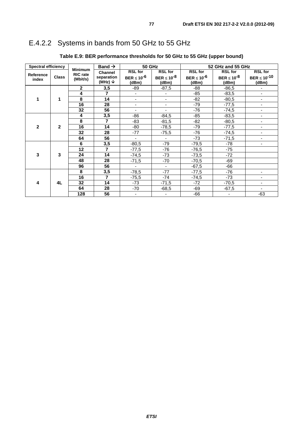## E.4.2.2 Systems in bands from 50 GHz to 55 GHz

| <b>Spectral efficiency</b> |              |                                   | Band $\rightarrow$      | <b>50 GHz</b>            |                          |                    | 52 GHz and 55 GHz  |                          |
|----------------------------|--------------|-----------------------------------|-------------------------|--------------------------|--------------------------|--------------------|--------------------|--------------------------|
|                            |              | <b>Minimum</b><br><b>RIC</b> rate | Channel                 | <b>RSL for</b>           | <b>RSL for</b>           | <b>RSL for</b>     | <b>RSL for</b>     | <b>RSL for</b>           |
| Reference<br>index         | <b>Class</b> | (Mbit/s)                          | separation              | BER $\leq 10^{-6}$       | BER $\leq 10^{-8}$       | BER $\leq 10^{-6}$ | BER $\leq 10^{-8}$ | BER $\leq 10^{-10}$      |
|                            |              |                                   | (MHz) $\downarrow$      | (dBm)                    | (dBm)                    | (dBm)              | (dBm)              | (dBm)                    |
|                            |              | $\mathbf{2}$                      | 3,5                     | -89                      | $-87,5$                  | $-88$              | $-86,5$            | $\frac{1}{2}$            |
|                            |              | 4                                 | $\overline{\mathbf{z}}$ | $\blacksquare$           |                          | $-85$              | $-83,5$            | -                        |
| 1                          | 1            | 8                                 | 14                      | $\blacksquare$           | $\blacksquare$           | $-82$              | $-80,5$            | $\overline{\phantom{0}}$ |
|                            |              | $\overline{16}$                   | 28                      | $\overline{\phantom{a}}$ | $\blacksquare$           | $-79$              | $-77,5$            | $\overline{\phantom{0}}$ |
|                            |              | 32                                | 56                      | $\blacksquare$           | $\blacksquare$           | $-76$              | $-74,5$            | $\overline{\phantom{a}}$ |
|                            |              | 4                                 | 3,5                     | -86                      | $-84,5$                  | $-85$              | $-83,5$            | ÷,                       |
|                            |              | 8                                 | $\overline{7}$          | -83                      | $-81,5$                  | -82                | $-80,5$            | ۰.                       |
| $\mathbf{2}$               | $\mathbf 2$  | 16                                | 14                      | -80                      | $-78,5$                  | $-79$              | $-77,5$            | ÷,                       |
|                            |              |                                   | 32                      | 28                       | $-77$                    | $-75,5$            | -76                | $-74,5$                  |
|                            |              | 64                                | 56                      | $\blacksquare$           |                          | $-73$              | $-71,5$            | ٠                        |
|                            |              | 6                                 | 3,5                     | $-80,5$                  | -79                      | $-79,5$            | -78                | -                        |
|                            |              | 12                                | $\overline{7}$          | $-77,5$                  | $-76$                    | $-76,5$            | $-75$              |                          |
| 3                          | 3            | 24                                | 14                      | $-74,5$                  | $-73$                    | $-73,5$            | $-72$              |                          |
|                            |              | 48                                | 28                      | $-71,5$                  | -70                      | $-70,5$            | $-69$              |                          |
|                            |              | 96                                | 56                      | $\overline{\phantom{a}}$ | $\overline{\phantom{a}}$ | $-67,5$            | $-66$              |                          |
|                            |              | 8                                 | 3,5                     | $-78,5$                  | $-77$                    | $-77,5$            | -76                |                          |
| 4                          |              | 16                                | $\overline{7}$          | $-75,5$                  | -74                      | $-74,5$            | -73                | $\overline{\phantom{0}}$ |
|                            | 4L           | 32                                | 14                      | $-73$                    | $-71,5$                  | $-72$              | $-70,5$            | -                        |
|                            |              | 64                                | 28                      | -70                      | $-68,5$                  | -69                | $-67,5$            | $\overline{\phantom{a}}$ |
|                            |              |                                   | 128                     | 56                       | $\overline{\phantom{a}}$ |                    | $-66$              | $\overline{\phantom{0}}$ |

### **Table E.9: BER performance thresholds for 50 GHz to 55 GHz (upper bound)**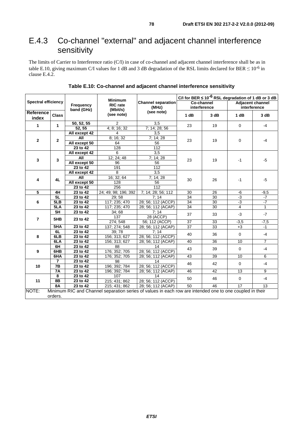## E.4.3 Co-channel "external" and adjacent channel interference sensitivity

The limits of Carrier to Interference ratio (C/I) in case of co-channel and adjacent channel interference shall be as in table E.10, giving maximum C/I values for 1 dB and 3 dB degradation of the RSL limits declared for BER  $\leq 10^{-6}$  in clause E.4.2.

|                            |                               |                         |                                               |                                                                                                          |                 | C/I for BER $\leq 10^{-6}$ RSL degradation of 1 dB or 3 dB |                                         |                 |
|----------------------------|-------------------------------|-------------------------|-----------------------------------------------|----------------------------------------------------------------------------------------------------------|-----------------|------------------------------------------------------------|-----------------------------------------|-----------------|
| <b>Spectral efficiency</b> |                               | Frequency<br>band (GHz) | <b>Minimum</b><br><b>RIC</b> rate<br>(Mbit/s) | <b>Channel separation</b><br>(MHz)                                                                       |                 | Co-channel<br>interference                                 | <b>Adjacent channel</b><br>interference |                 |
| Reference<br>index         | <b>Class</b>                  |                         | (see note)                                    | (see note)                                                                                               | 1 dB            | 3 dB                                                       | 1 dB                                    | 3 dB            |
| $\mathbf{1}$               | $\mathbf{1}$                  | 50, 52, 55              | $\overline{2}$                                | $\overline{3,5}$                                                                                         | 23              | 19                                                         | $\mathbf 0$                             | $-4$            |
|                            |                               | 52, 55                  | 4; 8; 16; 32                                  | 7; 14; 28; 56                                                                                            |                 |                                                            |                                         |                 |
|                            |                               | All except 42           | 4                                             | 3.5                                                                                                      |                 |                                                            |                                         |                 |
| $\mathbf{2}$               |                               | <b>All</b>              | 8; 16; 32                                     | 7; 14; 28                                                                                                | 23              | 19                                                         | $\mathbf 0$                             | $-4$            |
|                            | $\mathbf{2}$<br>All except 50 |                         | 64                                            | 56                                                                                                       |                 |                                                            |                                         |                 |
|                            |                               | 23 to 42                | 128                                           | $\overline{112}$                                                                                         |                 |                                                            |                                         |                 |
|                            |                               | All except 42           | 6                                             | $\overline{3,5}$                                                                                         |                 |                                                            |                                         |                 |
| 3                          | 3                             | All                     | 12; 24; 48                                    | 7; 14; 28                                                                                                | 23              | 19                                                         | $-1$                                    | $-5$            |
|                            |                               | All except 50           | 96                                            | 56                                                                                                       |                 |                                                            |                                         |                 |
|                            |                               | $23$ to $42$            | 191                                           | $\overline{112}$                                                                                         |                 |                                                            |                                         |                 |
|                            |                               | All except 42           | 8                                             | $\overline{3,5}$                                                                                         |                 |                                                            |                                         |                 |
| 4                          | 4L                            | All                     | 16; 32; 64                                    | 7; 14; 28                                                                                                | 30              | 26                                                         | $-1$                                    | $-5$            |
|                            |                               | All except 50           | 128                                           | 56                                                                                                       |                 |                                                            |                                         |                 |
|                            |                               | 23 to 42                | 256                                           | $\overline{112}$                                                                                         |                 |                                                            |                                         |                 |
| $\overline{\mathbf{5}}$    | 4H                            | $23$ to $42$            | 24; 49; 98; 196; 392                          | 7; 14; 28; 56; 112                                                                                       | 30              | 26                                                         | -6                                      | $-9,5$          |
|                            | 5L                            | 23 to 42                | 29; 58                                        | 7:14                                                                                                     | 34              | 30                                                         | $-3$                                    | $-7$            |
| 6                          | 5LB                           | 23 to 42                | 117; 235; 470                                 | 28; 56; 112 (ACCP)                                                                                       | 34              | 30                                                         | $-3$                                    | $-7$            |
|                            | 5LA                           | 23 to 42                | 117; 235; 470                                 | 28; 56; 112 (ACAP)                                                                                       | 34              | 30                                                         | $\overline{4}$                          | $\mathbf{1}$    |
|                            | 5H                            | 23 to 42                | 34; 68                                        | 7; 14                                                                                                    | 37              | 33                                                         | $-3$                                    | $-7$            |
| $\overline{\mathbf{r}}$    | 5HB                           | 23 to 42                | 137                                           | 28 (ACCP)                                                                                                |                 |                                                            |                                         |                 |
|                            |                               |                         | 274; 548                                      | 56; 112 (ACCP)                                                                                           | $\overline{37}$ | 33                                                         | $-3,5$                                  | $-7,5$          |
|                            | 5 <sub>HA</sub>               | 23 to 42                | 137; 274; 548                                 | 28; 56; 112 (ACAP)                                                                                       | $\overline{37}$ | 33                                                         | $+3$                                    | $-1$            |
|                            | 6L                            | 23 to 42                | 39;78                                         | 7:14                                                                                                     | 40              | 36                                                         | $\mathbf 0$                             | $-4$            |
| 8                          | 6LB                           | 23 to 42                | 156; 313; 627                                 | 28; 56; 112 (ACCP)                                                                                       |                 |                                                            |                                         |                 |
|                            | 6LA                           | 23 to 42                | 156; 313; 627                                 | 28; 56; 112 (ACAP)                                                                                       | 40              | 36                                                         | 10                                      | $\overline{7}$  |
|                            | 6H                            | 23 to 42                | 88                                            | 14                                                                                                       | 43              | 39                                                         | $\mathbf 0$                             | $-4$            |
| 9                          | 6HB                           | 23 to 42                | 176; 352; 705                                 | 28; 56; 112 (ACCP)                                                                                       |                 |                                                            |                                         |                 |
|                            | 6HA                           | 23 to 42                | 176; 352; 705                                 | 28; 56; 112 (ACAP)                                                                                       | 43              | 39                                                         | 10                                      | 6               |
|                            | $\overline{7}$                | 23 to 42                | 98                                            | 14                                                                                                       | 46              | 42                                                         | $\mathbf 0$                             | $-4$            |
| 10                         | 7B                            | 23 to 42                | 196; 392; 784                                 | 28; 56; 112 (ACCP)                                                                                       |                 |                                                            |                                         |                 |
|                            | 7A                            | 23 to 42                | 196; 392; 784                                 | 28; 56; 112 (ACAP)                                                                                       | 46              | 42                                                         | $\overline{13}$                         | 9               |
|                            | 8<br>23 to 42                 |                         | 107                                           | 14                                                                                                       | 50              | 46                                                         | $\mathbf 0$                             | $-4$            |
| 11                         | 8B                            | 23 to 42                | 215; 431; 862                                 | 28; 56; 112 (ACCP)                                                                                       |                 |                                                            |                                         |                 |
|                            | 8A                            | 23 to 42                | 215; 431; 862                                 | 28; 56; 112 (ACAP)                                                                                       | 50              | 46                                                         | $\overline{17}$                         | $\overline{13}$ |
| NOTE:                      | orders.                       |                         |                                               | Minimum RIC and Channel separation series of values in each row are intended one to one coupled in their |                 |                                                            |                                         |                 |

**Table E.10: Co-channel and adjacent channel interference sensitivity**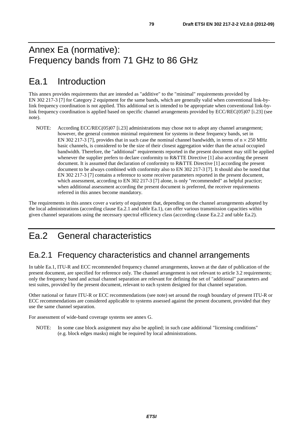# Annex Ea (normative): Frequency bands from 71 GHz to 86 GHz

# Ea.1 Introduction

This annex provides requirements that are intended as "additive" to the "minimal" requirements provided by EN 302 217-3 [7] for Category 2 equipment for the same bands, which are generally valid when conventional link-bylink frequency coordination is not applied. This additional set is intended to be appropriate when conventional link-bylink frequency coordination is applied based on specific channel arrangements provided by ECC/REC(05)07 [i.23] (see note).

NOTE: According ECC/REC(05)07 [i.23] administrations may chose not to adopt any channel arrangement; however, the general common minimal requirement for systems in these frequency bands, set in EN 302 217-3 [7], provides that in such case the nominal channel bandwidth, in terms of  $n \times 250$  MHz basic channels, is considered to be the size of their closest aggregation wider than the actual occupied bandwidth. Therefore, the "additional" requirements reported in the present document may still be applied whenever the supplier prefers to declare conformity to R&TTE Directive [1] also according the present document. It is assumed that declaration of conformity to R&TTE Directive [1] according the present document to be always combined with conformity also to EN 302 217-3 [7]. It should also be noted that EN 302 217-3 [7] contains a reference to some receiver parameters reported in the present document, which assessment, according to EN 302 217-3 [7] alone, is only "recommended" as helpful practice; when additional assessment according the present document is preferred, the receiver requirements referred in this annex become mandatory.

The requirements in this annex cover a variety of equipment that, depending on the channel arrangements adopted by the local administrations (according clause Ea.2.1 and table Ea.1), can offer various transmission capacities within given channel separations using the necessary spectral efficiency class (according clause Ea.2.2 and table Ea.2).

# Ea.2 General characteristics

## Ea.2.1 Frequency characteristics and channel arrangements

In table Ea.1, ITU-R and ECC recommended frequency channel arrangements, known at the date of publication of the present document, are specified for reference only. The channel arrangement is not relevant to article 3.2 requirements; only the frequency band and actual channel separation are relevant for defining the set of "additional" parameters and test suites, provided by the present document, relevant to each system designed for that channel separation.

Other national or future ITU-R or ECC recommendations (see note) set around the rough boundary of present ITU-R or ECC recommendations are considered applicable to systems assessed against the present document, provided that they use the same channel separation.

For assessment of wide-band coverage systems see annex G.

NOTE: In some case block assignment may also be applied; in such case additional "licensing conditions" (e.g. block edges masks) might be required by local administrations.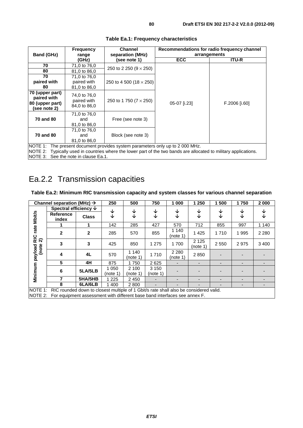| <b>Frequency</b><br><b>Band (GHz)</b><br>range                    |                                                                                                 | <b>Channel</b><br>separation (MHz) | arrangements | Recommendations for radio frequency channel |  |  |  |  |  |
|-------------------------------------------------------------------|-------------------------------------------------------------------------------------------------|------------------------------------|--------------|---------------------------------------------|--|--|--|--|--|
|                                                                   | (GHz)                                                                                           | (see note 1)                       | <b>ECC</b>   | <b>ITU-R</b>                                |  |  |  |  |  |
| 70                                                                | 71,0 to 76,0                                                                                    |                                    |              |                                             |  |  |  |  |  |
| 80                                                                | 81,0 to 86,0                                                                                    | 250 to 2 250 ( $9 \times 250$ )    |              |                                             |  |  |  |  |  |
| 70                                                                | 71,0 to 76,0                                                                                    |                                    |              |                                             |  |  |  |  |  |
| paired with<br>80                                                 | paired with<br>81,0 to 86,0                                                                     | 250 to 4 500 (18 $\times$ 250)     |              |                                             |  |  |  |  |  |
| 70 (upper part)<br>paired with<br>80 (upper part)<br>(see note 2) | 74,0 to 76,0<br>paired with<br>84,0 to 86,0                                                     | 250 to 1 750 (7 $\times$ 250)      | 05-07 [i.23] | F.2006 [i.60]                               |  |  |  |  |  |
| 70 and 80                                                         | 71,0 to 76,0<br>and<br>81,0 to 86,0                                                             | Free (see note 3)                  |              |                                             |  |  |  |  |  |
| 70 and 80                                                         | 71,0 to 76,0<br>and<br>81,0 to 86,0                                                             | Block (see note 3)                 |              |                                             |  |  |  |  |  |
|                                                                   | NOTE 1: The present document provides system parameters only up to 2 000 MHz.<br>$\blacksquare$ |                                    |              |                                             |  |  |  |  |  |

#### **Table Ea.1: Frequency characteristics**

NOTE 2: Typically used in countries where the lower part of the two bands are allocated to military applications. NOTE 3: See the note in clause Ea.1.

## Ea.2.2 Transmission capacities

### **Table Ea.2: Minimum RIC transmission capacity and system classes for various channel separation**

|                    | Channel separation (MHz) $\rightarrow$                                                |              | 250                    | 500               | 750                 | 1 000               | 1 250               | 1500                     | 1750                     | 2000    |
|--------------------|---------------------------------------------------------------------------------------|--------------|------------------------|-------------------|---------------------|---------------------|---------------------|--------------------------|--------------------------|---------|
|                    | Spectral efficiency $\psi$                                                            |              | ↓                      | ↓                 | ↓                   | ↓                   | ↓                   | ↓                        | ↓                        | J       |
| <b>Mbit/s</b>      | Reference<br>index                                                                    | <b>Class</b> | ↓                      | ↓                 | ↓                   | ↓                   | ↓                   | ↓                        | ↓                        | V       |
|                    |                                                                                       |              | 142                    | 285               | 427                 | 570                 | 712                 | 855                      | 997                      | 1 1 4 0 |
| rate<br><b>RIC</b> | $\mathbf{2}$                                                                          | $\mathbf{2}$ | 285                    | 570               | 855                 | 1 140<br>(note 1)   | 1 4 2 5             | 1710                     | 995                      | 2 2 8 0 |
| ন                  | 3                                                                                     | 3            | 425                    | 850               | 1 2 7 5             | 1700                | 2 1 2 5<br>(note 1) | 2 5 5 0                  | 2975                     | 3 4 0 0 |
| payload<br>(note   | 4                                                                                     | 4L           | 570                    | 1 140<br>(note 1) | 1710                | 2 2 8 0<br>(note 1) | 2850                |                          |                          |         |
|                    | 5                                                                                     | 4H           | 875                    | 1750              | 2625                |                     |                     | $\overline{\phantom{a}}$ | $\overline{\phantom{0}}$ | -       |
| Minimum            | 6                                                                                     | 5LA/5LB      | 1 0 5 0<br>(note $1$ ) | 2 100<br>(note 1) | 3 1 5 0<br>(note 1) |                     |                     |                          |                          |         |
|                    |                                                                                       | 5HA/5HB      | 1 2 2 5                | 2 4 5 0           |                     |                     |                     | -                        |                          |         |
|                    | 8                                                                                     | 6LA/6LB      | 1400                   | 2800              |                     |                     |                     |                          |                          |         |
| NOTE 1:            | RIC rounded down to closest multiple of 1 Gbit/s rate shall also be considered valid. |              |                        |                   |                     |                     |                     |                          |                          |         |

NOTE 2: For equipment assessment with different base band interfaces see annex F.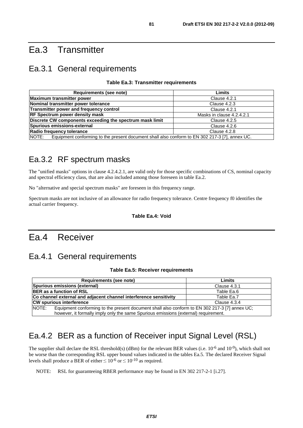## Ea.3 Transmitter

## Ea.3.1 General requirements

#### **Table Ea.3: Transmitter requirements**

| Requirements (see note)                                                                                  | Limits                    |
|----------------------------------------------------------------------------------------------------------|---------------------------|
| Maximum transmitter power                                                                                | Clause 4.2.1              |
| Nominal transmitter power tolerance                                                                      | Clause 4.2.3              |
| Transmitter power and frequency control                                                                  | Clause 4.2.1              |
| <b>RF Spectrum power density mask</b>                                                                    | Masks in clause 4.2.4.2.1 |
| Discrete CW components exceeding the spectrum mask limit                                                 | Clause 4.2.5              |
| Spurious emissions-external                                                                              | Clause 4.2.6              |
| Radio frequency tolerance                                                                                | Clause 4.2.8              |
| INOTE:<br>Equipment conforming to the present document shall also conform to EN 302 217-3 [7], annex UC. |                           |

## Ea.3.2 RF spectrum masks

The "unified masks" options in clause 4.2.4.2.1, are valid only for those specific combinations of CS, nominal capacity and spectral efficiency class, that are also included among those foreseen in table Ea.2.

No "alternative and special spectrum masks" are foreseen in this frequency range.

Spectrum masks are not inclusive of an allowance for radio frequency tolerance. Centre frequency f0 identifies the actual carrier frequency.

#### **Table Ea.4: Void**

## Ea.4 Receiver

## Ea.4.1 General requirements

#### **Table Ea.5: Receiver requirements**

|       | Requirements (see note)                                                                       | Limits       |
|-------|-----------------------------------------------------------------------------------------------|--------------|
|       | Spurious emissions (external)                                                                 | Clause 4.3.1 |
|       | <b>BER</b> as a function of RSL                                                               | Table Ea.6   |
|       | Co channel external and adjacent channel interference sensitivity                             | Table Ea.7   |
|       | <b>CW spurious interference</b>                                                               | Clause 4.3.4 |
| NOTE: | Equipment conforming to the present document shall also conform to EN 302 217-3 [7] annex UC; |              |
|       | however, it formally imply only the same Spurious emissions (external) requirement.           |              |

## Ea.4.2 BER as a function of Receiver input Signal Level (RSL)

The supplier shall declare the RSL threshold(s) (dBm) for the relevant BER values (i.e.  $10^{-6}$  and  $10^{-9}$ ), which shall not be worse than the corresponding RSL upper bound values indicated in the tables Ea.5. The declared Receiver Signal levels shall produce a BER of either  $\leq 10^{-6}$  or  $\leq 10^{-10}$  as required.

NOTE: RSL for guaranteeing RBER performance may be found in EN 302 217-2-1 [i.27].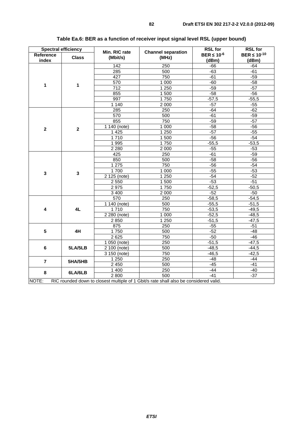|                | <b>Spectral efficiency</b> | Min. RIC rate            | <b>Channel separation</b>                                                             | <b>RSL for</b>     | <b>RSL for</b>      |
|----------------|----------------------------|--------------------------|---------------------------------------------------------------------------------------|--------------------|---------------------|
| Reference      | <b>Class</b>               | (Mbit/s)                 | (MHz)                                                                                 | BER $\leq 10^{-6}$ | BER $\leq 10^{-10}$ |
| index          |                            |                          |                                                                                       | (dBm)              | (dBm)               |
|                |                            | $\overline{142}$         | $\overline{250}$                                                                      | $-66$              | $-64$               |
|                |                            | 285                      | 500                                                                                   | $-63$              | $-61$               |
|                |                            | 427                      | 750                                                                                   | $-61$              | $-59$               |
| 1              | 1                          | 570                      | 1 0 0 0                                                                               | $-60$              | $-58$               |
|                |                            | 712                      | 1 2 5 0                                                                               | $-59$              | $-57$               |
|                |                            | 855                      | 1 500                                                                                 | $-58$              | $-56$               |
|                |                            | 997                      | 1750                                                                                  | $-57,5$            | $-55,5$             |
|                |                            | 1 1 4 0                  | 2 0 0 0                                                                               | $-57$              | $-55$               |
|                |                            | 285                      | 250                                                                                   | -64                | $-62$               |
|                |                            | 570                      | $\overline{500}$                                                                      | $-61$              | $-59$               |
|                |                            | 855                      | 750                                                                                   | $-59$              | $-57$               |
| $\mathbf{2}$   | $\overline{\mathbf{2}}$    | $\overline{1140}$ (note) | 1000                                                                                  | $-58$              | $-56$               |
|                |                            | 1 4 2 5                  | 1 2 5 0                                                                               | $-57$              | $-55$               |
|                |                            | 1710                     | 1500                                                                                  | $-56$              | $-54$               |
|                |                            | 1995                     | 1750                                                                                  | $-55,5$            | $-53,5$             |
|                |                            | 2 2 8 0                  | 2 0 0 0                                                                               | $-55$              | $-53$               |
|                |                            | 425                      | 250                                                                                   | $-61$              | $-59$               |
|                |                            | 850                      | 500                                                                                   | $-58$              | $-56$               |
|                |                            | 1 2 7 5                  | 750                                                                                   | $-56$              | $-54$               |
| $\mathbf{3}$   | 3                          | 1700                     | 1 0 0 0                                                                               | $-55$              | $-53$               |
|                |                            | 2 125 (note)             | 1 2 5 0                                                                               | $-54$              | $-52$               |
|                |                            | 2 5 5 0                  | 1500                                                                                  | $-53$              | $-51$               |
|                |                            | 2975                     | 1750                                                                                  | $-52,5$            | $-50,5$             |
|                |                            | 3 4 0 0                  | 2 0 0 0                                                                               | $-52$              | $-50$               |
|                |                            | 570                      | 250                                                                                   | $-58,5$            | $-54,5$             |
|                |                            | $\overline{1140}$ (note) | 500                                                                                   | $-55,5$            | $-51,5$             |
| 4              | 4L                         | 1710                     | 750                                                                                   | $-53,5$            | $-49,5$             |
|                |                            | 2 280 (note)             | 1 0 0 0                                                                               | $-52,5$            | $-48,5$             |
|                |                            | 2850                     | 1250                                                                                  | $-51,5$            | $-47,5$             |
|                |                            | 875                      | 250                                                                                   | $-55$              | $-51$               |
| $5\phantom{1}$ | 4H                         | 1750                     | 500                                                                                   | $-52$              | $-48$               |
|                |                            | 2 6 2 5                  | 750                                                                                   | $-50$              | $-46$               |
|                |                            | 1 050 (note)             | 250                                                                                   | $-51,5$            | $-47,5$             |
| 6              | 5LA/5LB                    | 2 100 (note)             | 500                                                                                   | $-48,5$            | $-44,5$             |
|                |                            | 3 150 (note)             | 750                                                                                   | $-46,5$            | $-42,5$             |
| $\overline{7}$ | 5HA/5HB                    | 1 2 5 0                  | 250                                                                                   | $-48$              | $-44$               |
|                |                            | 2 4 5 0                  | 500                                                                                   | $-45$              | $-41$               |
| 8              | 6LA/6LB                    | 1 400                    | 250                                                                                   | $-44$              | $-40$               |
|                |                            | 2 800                    | 500                                                                                   | $-41$              | $-37$               |
| NOTE:          |                            |                          | RIC rounded down to closest multiple of 1 Gbit/s rate shall also be considered valid. |                    |                     |

### **Table Ea.6: BER as a function of receiver input signal level RSL (upper bound)**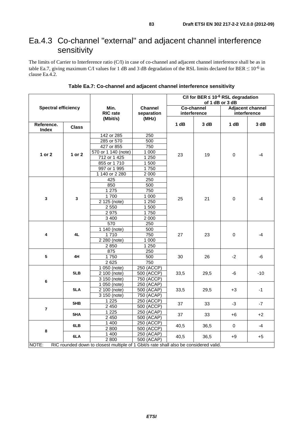## Ea.4.3 Co-channel "external" and adjacent channel interference sensitivity

The limits of Carrier to Interference ratio (C/I) in case of co-channel and adjacent channel interference shall be as in table Ea.7, giving maximum C/I values for 1 dB and 3 dB degradation of the RSL limits declared for BER  $\leq 10^{-6}$  in clause Ea.4.2.

|                                                                                                |                            |                           |                              | C/I for BER $\leq 10^{-6}$ RSL degradation<br>of 1 dB or 3 dB |                            |                                         |       |  |
|------------------------------------------------------------------------------------------------|----------------------------|---------------------------|------------------------------|---------------------------------------------------------------|----------------------------|-----------------------------------------|-------|--|
|                                                                                                | <b>Spectral efficiency</b> |                           | <b>Channel</b><br>separation |                                                               | Co-channel<br>interference | <b>Adjacent channel</b><br>interference |       |  |
| Reference.<br>Index                                                                            | <b>Class</b>               | (Mbit/s)                  | (MHz)                        | 1 dB                                                          | 3 dB                       | 1 dB                                    | 3 dB  |  |
|                                                                                                |                            | 142 or 285                | 250                          |                                                               |                            |                                         |       |  |
|                                                                                                |                            | 285 or 570                | 500                          |                                                               |                            |                                         |       |  |
|                                                                                                |                            | 427 or 855                | 750                          |                                                               |                            |                                         |       |  |
|                                                                                                |                            | 570 or 1 140 (note)       | 1 0 0 0                      |                                                               |                            |                                         |       |  |
| 1 or 2                                                                                         | 1 or 2                     | 712 or 1 425              | 1 2 5 0                      | 23                                                            | 19                         | 0                                       | $-4$  |  |
|                                                                                                |                            | 855 or 1710               | 1 500                        |                                                               |                            |                                         |       |  |
|                                                                                                |                            | 997 or 1 995              | 1750                         |                                                               |                            |                                         |       |  |
|                                                                                                |                            | 1 140 or 2 280            | 2 0 0 0                      |                                                               |                            |                                         |       |  |
|                                                                                                |                            | 425                       | 250                          |                                                               |                            | 0                                       | $-4$  |  |
|                                                                                                |                            | 850                       | 500                          |                                                               | 21                         |                                         |       |  |
|                                                                                                |                            | 1 2 7 5                   | 750                          |                                                               |                            |                                         |       |  |
|                                                                                                |                            | 1700                      | 1 0 0 0                      |                                                               |                            |                                         |       |  |
| $\overline{\mathbf{3}}$                                                                        | 3                          | 2 125 (note)              | 1 2 5 0                      | 25                                                            |                            |                                         |       |  |
|                                                                                                |                            | 2 5 5 0                   | 1 500                        |                                                               |                            |                                         |       |  |
|                                                                                                |                            | 2975                      | 1750                         |                                                               |                            |                                         |       |  |
|                                                                                                |                            | 3 4 0 0                   | 2 0 0 0                      |                                                               |                            |                                         |       |  |
|                                                                                                |                            | 570                       | 250                          |                                                               |                            |                                         | $-4$  |  |
|                                                                                                | 4L                         | 1 140 (note)              | 500                          | 27                                                            | 23                         | $\pmb{0}$                               |       |  |
| 4                                                                                              |                            | 1710                      | 750                          |                                                               |                            |                                         |       |  |
|                                                                                                |                            | 2 280 (note)              | 1 0 0 0                      |                                                               |                            |                                         |       |  |
|                                                                                                |                            | 2850                      | 1 250                        |                                                               |                            |                                         |       |  |
|                                                                                                |                            | 875                       | 250                          |                                                               |                            |                                         |       |  |
| $\overline{\mathbf{5}}$                                                                        | 4H                         | 1750                      | 500                          | 30                                                            | 26                         | $-2$                                    | -6    |  |
|                                                                                                |                            | 2 6 2 5                   | 750                          |                                                               |                            |                                         |       |  |
|                                                                                                |                            | 1 050 (note)              | 250 (ACCP)                   |                                                               |                            |                                         | $-10$ |  |
|                                                                                                | 5LB                        | 2 100 (note)              | 500 (ACCP)                   | 33,5                                                          | 29,5                       | -6                                      |       |  |
| 6                                                                                              |                            | 3 150 (note)              | 750 (ACCP)                   |                                                               |                            |                                         |       |  |
|                                                                                                |                            | 1 050 (note)              | 250 (ACAP)                   |                                                               |                            |                                         |       |  |
|                                                                                                | 5LA                        | 2 100 (note)              | 500 (ACAP)                   | 33,5                                                          | 29,5                       | $+3$                                    | $-1$  |  |
|                                                                                                |                            | $\overline{3}$ 150 (note) | 750 (ACAP)                   |                                                               |                            |                                         |       |  |
|                                                                                                | 5HB                        | 1 2 2 5                   | 250 (ACCP)                   | 37                                                            | 33                         | $-3$                                    | $-7$  |  |
| $\overline{7}$                                                                                 |                            | 2 4 5 0                   | 500 (ACCP)                   |                                                               |                            |                                         |       |  |
|                                                                                                | 5HA                        | 1 2 2 5                   | 250 (ACAP)                   | 37                                                            | 33                         |                                         |       |  |
|                                                                                                |                            | 2 4 5 0                   | 500 (ACAP)                   |                                                               |                            | +6                                      | $+2$  |  |
|                                                                                                | 6LB                        | 1 400                     | 250 (ACCP)                   | 40,5                                                          |                            | 36,5<br>0<br>$+9$                       | $-4$  |  |
| 8                                                                                              |                            | 2800                      | 500 (ACCP)                   |                                                               |                            |                                         |       |  |
|                                                                                                | 6LA                        | 1 400                     | 250 (ACAP)                   | 40,5                                                          |                            |                                         |       |  |
|                                                                                                |                            | 2 800                     | 500 (ACAP)                   |                                                               | 36,5                       |                                         | +5    |  |
| RIC rounded down to closest multiple of 1 Gbit/s rate shall also be considered valid.<br>NOTE: |                            |                           |                              |                                                               |                            |                                         |       |  |

#### **Table Ea.7: Co-channel and adjacent channel interference sensitivity**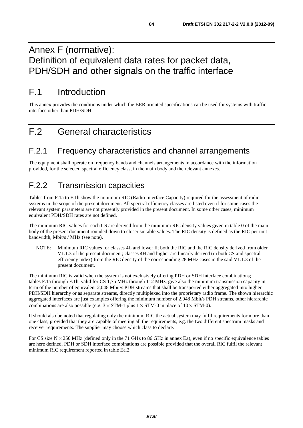## Annex F (normative): Definition of equivalent data rates for packet data, PDH/SDH and other signals on the traffic interface

# F.1 Introduction

This annex provides the conditions under which the BER oriented specifications can be used for systems with traffic interface other than PDH/SDH.

# F.2 General characteristics

## F.2.1 Frequency characteristics and channel arrangements

The equipment shall operate on frequency bands and channels arrangements in accordance with the information provided, for the selected spectral efficiency class, in the main body and the relevant annexes.

## F.2.2 Transmission capacities

Tables from F.1a to F.1h show the minimum RIC (Radio Interface Capacity) required for the assessment of radio systems in the scope of the present document. All spectral efficiency classes are listed even if for some cases the relevant system parameters are not presently provided in the present document. In some other cases, minimum equivalent PDH/SDH rates are not defined.

The minimum RIC values for each CS are derived from the minimum RIC density values given in table 0 of the main body of the present document rounded down to closer suitable values. The RIC density is defined as the RIC per unit bandwidth, Mbit/s / MHz (see note).

NOTE: Minimum RIC values for classes 4L and lower fit both the RIC and the RIC density derived from older V1.1.3 of the present document; classes 4H and higher are linearly derived (in both CS and spectral efficiency index) from the RIC density of the corresponding 28 MHz cases in the said V1.1.3 of the present document.

The minimum RIC is valid when the system is not exclusively offering PDH or SDH interface combinations; tables F.1a through F.1h, valid for CS 1,75 MHz through 112 MHz, give also the minimum transmission capacity in term of the number of equivalent 2,048 Mbit/s PDH streams that shall be transported either aggregated into higher PDH/SDH hierarchy or as separate streams, directly multiplexed into the proprietary radio frame. The shown hierarchic aggregated interfaces are just examples offering the minimum number of 2,048 Mbit/s PDH streams, other hierarchic combinations are also possible (e.g.  $3 \times STM-1$  plus  $1 \times STM-0$  in place of  $10 \times STM-0$ ).

It should also be noted that regulating only the minimum RIC the actual system may fulfil requirements for more than one class, provided that they are capable of meeting all the requirements, e.g. the two different spectrum masks and receiver requirements. The supplier may choose which class to declare.

For CS size  $N \times 250$  MHz (defined only in the 71 GHz to 86 GHz in annex Ea), even if no specific equivalence tables are here defined, PDH or SDH interface combinations are possible provided that the overall RIC fulfil the relevant minimum RIC requirement reported in table Ea.2.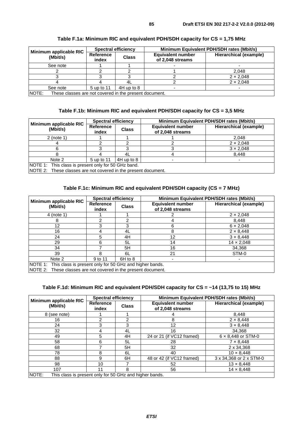|                                    | <b>Spectral efficiency</b> |              | Minimum Equivalent PDH/SDH rates (Mbit/s)    |                        |  |
|------------------------------------|----------------------------|--------------|----------------------------------------------|------------------------|--|
| Minimum applicable RIC<br>(Mbit/s) | Reference<br>index         | <b>Class</b> | <b>Equivalent number</b><br>of 2,048 streams | Hierarchical (example) |  |
| See note                           |                            |              |                                              |                        |  |
|                                    |                            |              |                                              | 2.048                  |  |
|                                    |                            |              |                                              | $2 \times 2,048$       |  |
|                                    |                            |              |                                              | $2 \times 2.048$       |  |
| See note                           | 5 up to 11                 | $4H$ up to 8 |                                              |                        |  |

#### **Table F.1a: Minimum RIC and equivalent PDH/SDH capacity for CS = 1,75 MHz**

NOTE: These classes are not covered in the present document.

#### **Table F.1b: Minimum RIC and equivalent PDH/SDH capacity for CS = 3,5 MHz**

| Minimum applicable RIC                                   | <b>Spectral efficiency</b> |              | Minimum Equivalent PDH/SDH rates (Mbit/s)    |                        |  |
|----------------------------------------------------------|----------------------------|--------------|----------------------------------------------|------------------------|--|
| (Mbit/s)                                                 | Reference<br>index         | <b>Class</b> | <b>Equivalent number</b><br>of 2,048 streams | Hierarchical (example) |  |
| $2$ (note 1)                                             |                            |              |                                              | 2,048                  |  |
|                                                          |                            |              |                                              | $2 \times 2.048$       |  |
|                                                          |                            |              |                                              | $3 \times 2.048$       |  |
|                                                          |                            | 41.          |                                              | 8.448                  |  |
| Note 2                                                   | 5 up to 11                 | $4H$ up to 8 |                                              |                        |  |
| NOTE 1: This class is present only for 50 GHz band.<br>. |                            |              |                                              |                        |  |

NOTE 2: These classes are not covered in the present document.

### **Table F.1c: Minimum RIC and equivalent PDH/SDH capacity (CS = 7 MHz)**

|                                                                 | <b>Spectral efficiency</b> |              | Minimum Equivalent PDH/SDH rates (Mbit/s)    |                               |  |
|-----------------------------------------------------------------|----------------------------|--------------|----------------------------------------------|-------------------------------|--|
| Minimum applicable RIC<br>(Mbit/s)                              | Reference<br>index         | <b>Class</b> | <b>Equivalent number</b><br>of 2,048 streams | <b>Hierarchical (example)</b> |  |
| 4 (note 1)                                                      |                            |              |                                              | $2 \times 2,048$              |  |
| 8                                                               |                            | າ            |                                              | 8,448                         |  |
| 12                                                              |                            | 3            | 6                                            | $6 \times 2,048$              |  |
| 16                                                              |                            | 4L           | 8                                            | $2 \times 8,448$              |  |
| 24                                                              | 5.                         | 4H           | 12                                           | $3 \times 8,448$              |  |
| 29                                                              | հ                          | 5L           | 14                                           | $14 \times 2,048$             |  |
| 34                                                              |                            | 5H           | 16                                           | 34,368                        |  |
| 39                                                              | 8                          | 6L           | 21                                           | STM-0                         |  |
| Note 2                                                          | 9 to 11                    | $6H$ to 8    |                                              |                               |  |
| NOTE 1: This class is present only for 50 GHz and higher bands. |                            |              |                                              |                               |  |
| NOTE 2: These classes are not covered in the present document.  |                            |              |                                              |                               |  |

### **Table F.1d: Minimum RIC and equivalent PDH/SDH capacity for CS = ~14 (13,75 to 15) MHz**

|                                                                  | <b>Spectral efficiency</b> |              | Minimum Equivalent PDH/SDH rates (Mbit/s)    |                               |  |
|------------------------------------------------------------------|----------------------------|--------------|----------------------------------------------|-------------------------------|--|
| Minimum applicable RIC<br>(Mbit/s)                               | Reference<br>index         | <b>Class</b> | <b>Equivalent number</b><br>of 2,048 streams | <b>Hierarchical (example)</b> |  |
| 8 (see note)                                                     |                            |              |                                              | 8,448                         |  |
| 16                                                               | 2                          | 2            | 8                                            | $2 \times 8,448$              |  |
| 24                                                               | 3                          | 3            | 12                                           | $3 \times 8,448$              |  |
| 32                                                               | 4                          | 4L           | 16                                           | 34.368                        |  |
| 49                                                               | 5                          | 4H           | 24 or 21 (if VC12 framed)                    | $6 \times 8,448$ or STM-0     |  |
| 58                                                               | 6                          | 5L           | 28                                           | $7 \times 8.448$              |  |
| 68                                                               |                            | 5H           | 32                                           | 2 x 34,368                    |  |
| 78                                                               | 8                          | 6L           | 40                                           | $10 \times 8.448$             |  |
| 88                                                               | 9                          | 6H           | 48 or 42 (if VC12 framed)                    | 3 x 34,368 or 2 x STM-0       |  |
| 98                                                               | 10                         |              | 52                                           | $13 \times 8,448$             |  |
| 107                                                              |                            | 8            | 56                                           | $14 \times 8,448$             |  |
| NOTE:<br>This class is present only for 50 GHz and higher bands. |                            |              |                                              |                               |  |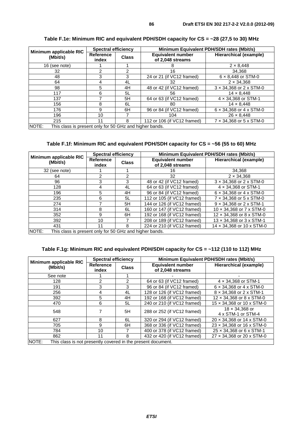|                                                                  | <b>Spectral efficiency</b> |              | Minimum Equivalent PDH/SDH rates (Mbit/s)    |                                       |  |
|------------------------------------------------------------------|----------------------------|--------------|----------------------------------------------|---------------------------------------|--|
| Minimum applicable RIC<br>(Mbit/s)                               | <b>Reference</b><br>index  | <b>Class</b> | <b>Equivalent number</b><br>of 2,048 streams | <b>Hierarchical (example)</b>         |  |
| 16 (see note)                                                    |                            |              | 8                                            | $2 \times 8,448$                      |  |
| 32                                                               |                            | 2            | 16                                           | 34.368                                |  |
| 48                                                               | 3                          | 3            | 24 or 21 (if VC12 framed)                    | $6 \times 8,448$ or STM-0             |  |
| 64                                                               | 4                          | 4L           | 32                                           | $2 \times 34.368$                     |  |
| 98                                                               | 5                          | 4H           | 48 or 42 (if VC12 framed)                    | $3 \times 34,368$ or $2 \times$ STM-0 |  |
| 117                                                              | 6                          | 5L           | 56                                           | $14 \times 8.448$                     |  |
| 137                                                              |                            | 5H           | 64 or 63 (if VC12 framed)                    | 4 x 34,368 or STM-1                   |  |
| 156                                                              | 8                          | 6L           | 80                                           | $14 \times 8,448$                     |  |
| 176                                                              | 9                          | 6H           | 96 or 84 (if VC12 framed)                    | $6 \times 34,368$ or $4 \times$ STM-0 |  |
| 196                                                              | 10                         |              | 104                                          | $26 \times 8,448$                     |  |
| 215                                                              |                            | 8            | 112 or 106 (if VC12 framed)                  | 7 x 34,368 or 5 x STM-0               |  |
| NOTE:<br>This class is present only for 50 GHz and higher bands. |                            |              |                                              |                                       |  |

#### **Table F.1e: Minimum RIC and equivalent PDH/SDH capacity for CS = ~28 (27,5 to 30) MHz**

**Table F.1f: Minimum RIC and equivalent PDH/SDH capacity for CS = ~56 (55 to 60) MHz** 

|                                                                  | <b>Spectral efficiency</b> |              | Minimum Equivalent PDH/SDH rates (Mbit/s)    |                                       |  |
|------------------------------------------------------------------|----------------------------|--------------|----------------------------------------------|---------------------------------------|--|
| Minimum applicable RIC<br>(Mbit/s)                               | Reference<br>index         | <b>Class</b> | <b>Equivalent number</b><br>of 2,048 streams | Hierarchical (example)                |  |
| 32 (see note)                                                    |                            |              | 16                                           | 34.368                                |  |
| 64                                                               | 2                          | 2            | 32                                           | $2 \times 34.368$                     |  |
| 96                                                               | 3                          | 3            | 48 or 42 (if VC12 framed)                    | $3 \times 34,368$ or $2 \times STM-0$ |  |
| 128                                                              | 4                          | 4L           | 64 or 63 (if VC12 framed)                    | $4 \times 34,368$ or STM-1            |  |
| 196                                                              | 5                          | 4H           | 96 or 84 (if VC12 framed)                    | $6 \times 34.368$ or $4 \times$ STM-0 |  |
| 235                                                              | 6                          | 5L           | 112 or 105 (if VC12 framed)                  | 7 x 34.368 or 5 x STM-0               |  |
| 274                                                              |                            | 5H           | 144 or 126 (if VC12 framed)                  | 9 x 34,368 or 2 x STM-1               |  |
| 314                                                              | 8                          | 6L           | 160 or 147 (if VC12 framed)                  | 10 x 34,368 or 7 x STM-0              |  |
| 352                                                              | 9                          | 6H           | 192 or 168 (if VC12 framed)                  | 12 x 34,368 or 8 x STM-0              |  |
| 392                                                              | 10                         |              | 208 or 189 (if VC12 framed)                  | 13 x 34,368 or 3 x STM-1              |  |
| 431                                                              | 11                         | 8            | 224 or 210 (if VC12 framed)                  | 14 x 34,368 or 10 x STM-0             |  |
| NOTE:<br>This class is present only for 50 GHz and higher bands. |                            |              |                                              |                                       |  |

#### **Table F.1g: Minimum RIC and equivalent PDH/SDH capacity for CS = ~112 (110 to 112) MHz**

|                                                                       | <b>Spectral efficiency</b> |                | Minimum Equivalent PDH/SDH rates (Mbit/s)    |                                             |  |
|-----------------------------------------------------------------------|----------------------------|----------------|----------------------------------------------|---------------------------------------------|--|
| Minimum applicable RIC<br>(Mbit/s)                                    | Reference<br>index         | <b>Class</b>   | <b>Equivalent number</b><br>of 2,048 streams | Hierarchical (example)                      |  |
| See note                                                              |                            |                |                                              |                                             |  |
| 128                                                                   | $\overline{2}$             | $\mathfrak{p}$ | 64 or 63 (if VC12 framed)                    | $4 \times 34,368$ or STM-1                  |  |
| 191                                                                   | 3                          | 3              | 96 or 84 (if VC12 framed)                    | $6 \times 34,368$ or $4 \times$ STM-0       |  |
| 256                                                                   | 4                          | 4L             | 128 or 126 (if VC12 framed)                  | $8 \times 34.368$ or $2 \times STM-1$       |  |
| 392                                                                   | 5                          | 4H             | 192 or 168 (if VC12 framed)                  | 12 x 34,368 or 8 x STM-0                    |  |
| 470                                                                   | 6                          | 5L             | 240 or 210 (if VC12 framed)                  | 15 x 34,368 or 10 x STM-0                   |  |
| 548                                                                   |                            | 5H             | 288 or 252 (if VC12 framed)                  | $18 \times 34.368$ or<br>4 x STM-1 or STM-4 |  |
| 627                                                                   | 8                          | 6L             | 320 or 294 (if VC12 framed)                  | 20 x 34,368 or 14 x STM-0                   |  |
| 705                                                                   | 9                          | 6H             | 368 or 336 (if VC12 framed)                  | 23 x 34.368 or 16 x STM-0                   |  |
| 784                                                                   | 10                         |                | 400 or 378 (if VC12 framed)                  | 25 x 34,368 or 6 x STM-1                    |  |
| 862                                                                   | 11                         | 8              | 432 or 420 (if VC12 framed)                  | 27 x 34.368 or 20 x STM-0                   |  |
| NOTE:<br>This class is not presently covered in the present document. |                            |                |                                              |                                             |  |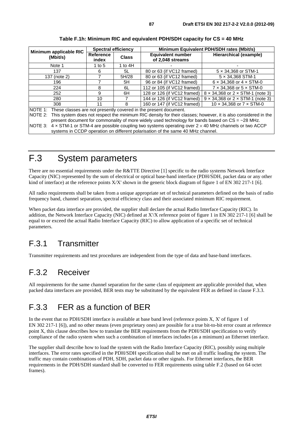| Minimum applicable RIC | <b>Spectral efficiency</b>                                                                                        |              | Minimum Equivalent PDH/SDH rates (Mbit/s)                                       |                                                |  |
|------------------------|-------------------------------------------------------------------------------------------------------------------|--------------|---------------------------------------------------------------------------------|------------------------------------------------|--|
| (Mbit/s)               | Reference<br>index                                                                                                | <b>Class</b> | <b>Equivalent number</b><br>of 2,048 streams                                    | Hierarchical (example)                         |  |
| Note 1                 | 1 to $5$                                                                                                          | 1 to $4H$    |                                                                                 |                                                |  |
| 137                    | 6                                                                                                                 | 5L           | 80 or 63 (if VC12 framed)                                                       | $5 \times 34,368$ or STM-1                     |  |
| 137 (note 2)           |                                                                                                                   | 5H/28        | 80 or 63 (if VC12 framed)                                                       | $5 \times 34,368$ STM-1                        |  |
| 196                    |                                                                                                                   | 5H           | 96 or 84 (if VC12 framed)                                                       | $6 \times 34.368$ or $4 \times$ STM-0          |  |
| 224                    | 8                                                                                                                 | 6L           | 112 or 105 (if VC12 framed)                                                     | $7 \times 34,368$ or $5 \times$ STM-0          |  |
| 252                    | 9                                                                                                                 | 6H           | 128 or 126 (if VC12 framed)                                                     | $8 \times 34,368$ or $2 \times$ STM-1 (note 3) |  |
| 280                    | 10                                                                                                                |              | 144 or 126 (if VC12 framed)                                                     | $9 \times 34.368$ or $2 \times$ STM-1 (note 3) |  |
| 308                    | 11                                                                                                                | 8            | 160 or 147 (if VC12 framed)                                                     | 10 $\times$ 34,368 or 7 $\times$ STM-0         |  |
|                        | NOTE 1: These classes are not presently covered in the present document.                                          |              |                                                                                 |                                                |  |
| NOTE 2:                | This system does not respect the minimum RIC density for their classes; however, it is also considered in the     |              |                                                                                 |                                                |  |
|                        | present document for commonality of more widely used technology for bands based on $CS = -28$ MHz.                |              |                                                                                 |                                                |  |
| NOTE 3:                | $4 \times$ STM-1 or STM-4 are possible coupling two systems operating over 2 $\times$ 40 MHz channels or two ACCP |              |                                                                                 |                                                |  |
|                        |                                                                                                                   |              | systems in CCDP operation on different polarisation of the same 40 MHz channel. |                                                |  |

#### **Table F.1h: Minimum RIC and equivalent PDH/SDH capacity for CS = 40 MHz**

## F.3 System parameters

There are no essential requirements under the R&TTE Directive [1] specific to the radio systems Network Interface Capacity (NIC) represented by the sum of electrical or optical base-band interface (PDH/SDH, packet data or any other kind of interface) at the reference points  $X/X'$  shown in the generic block diagram of figure 1 of EN 302 217-1 [6].

All radio requirements shall be taken from a unique appropriate set of technical parameters defined on the basis of radio frequency band, channel separation, spectral efficiency class and their associated minimum RIC requirement.

When packet data interface are provided, the supplier shall declare the actual Radio Interface Capacity (RIC). In addition, the Network Interface Capacity (NIC) defined at X'/X reference point of figure 1 in EN 302 217-1 [6] shall be equal to or exceed the actual Radio Interface Capacity (RIC) to allow application of a specific set of technical parameters.

## F.3.1 Transmitter

Transmitter requirements and test procedures are independent from the type of data and base-band interfaces.

## F.3.2 Receiver

All requirements for the same channel separation for the same class of equipment are applicable provided that, when packed data interfaces are provided, BER tests may be substituted by the equivalent FER as defined in clause F.3.3.

## F.3.3 FER as a function of BER

In the event that no PDH/SDH interface is available at base band level (reference points X, X' of figure 1 of EN 302 217-1 [6]), and no other means (even proprietary ones) are possible for a true bit-to-bit error count at reference point X, this clause describes how to translate the BER requirements from the PDH/SDH specification to verify compliance of the radio system when such a combination of interfaces includes (as a minimum) an Ethernet interface.

The supplier shall describe how to load the system with the Radio Interface Capacity (RIC), possibly using multiple interfaces. The error rates specified in the PDH/SDH specification shall be met on all traffic loading the system. The traffic may contain combinations of PDH, SDH, packet data or other signals. For Ethernet interfaces, the BER requirements in the PDH/SDH standard shall be converted to FER requirements using table F.2 (based on 64 octet frames).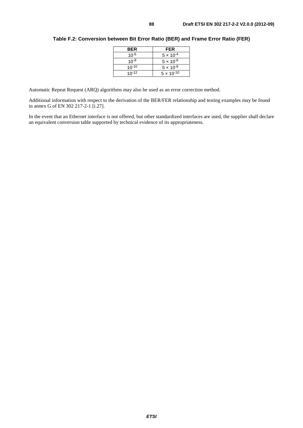| <b>BER</b> | <b>FER</b>          |
|------------|---------------------|
| $10^{-6}$  | $5 \times 10^{-4}$  |
| $10^{-8}$  | $5 \times 10^{-6}$  |
| $10^{-10}$ | $5 \times 10^{-8}$  |
| $10^{-12}$ | $5 \times 10^{-10}$ |

#### **Table F.2: Conversion between Bit Error Ratio (BER) and Frame Error Ratio (FER)**

Automatic Repeat Request (ARQ) algorithms may also be used as an error correction method.

Additional information with respect to the derivation of the BER/FER relationship and testing examples may be found in annex G of EN 302 217-2-1 [i.27].

In the event that an Ethernet interface is not offered, but other standardized interfaces are used, the supplier shall declare an equivalent conversion table supported by technical evidence of its appropriateness.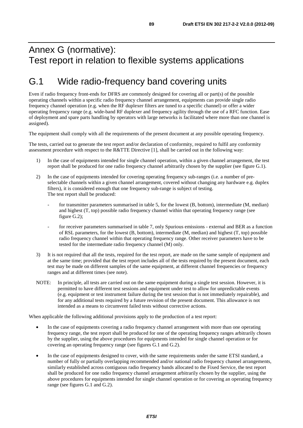## Annex G (normative): Test report in relation to flexible systems applications

# G.1 Wide radio-frequency band covering units

Even if radio frequency front-ends for DFRS are commonly designed for covering all or part(s) of the possible operating channels within a specific radio frequency channel arrangement, equipments can provide single radio frequency channel operation (e.g. when the RF duplexer filters are tuned to a specific channel) or offer a wider operating frequency range (e.g. wide-band RF duplexer and frequency agility through the use of a RFC function. Ease of deployment and spare parts handling by operators with large networks is facilitated where more than one channel is assigned).

The equipment shall comply with all the requirements of the present document at any possible operating frequency.

The tests, carried out to generate the test report and/or declaration of conformity, required to fulfil any conformity assessment procedure with respect to the R&TTE Directive [1], shall be carried out in the following way:

- 1) In the case of equipments intended for single channel operation, within a given channel arrangement, the test report shall be produced for one radio frequency channel arbitrarily chosen by the supplier (see figure G.1).
- 2) In the case of equipments intended for covering operating frequency sub-ranges (i.e. a number of preselectable channels within a given channel arrangement, covered without changing any hardware e.g. duplex filters), it is considered enough that one frequency sub-range is subject of testing. The test report shall be produced:
	- for transmitter parameters summarised in table 5, for the lowest (B, bottom), intermediate (M, median) and highest (T, top) possible radio frequency channel within that operating frequency range (see figure G.2);
	- for receiver parameters summarised in table 7, only Spurious emissions external and BER as a function of RSL parameters, for the lowest (B, bottom), intermediate (M, median) and highest (T, top) possible radio frequency channel within that operating frequency range. Other receiver parameters have to be tested for the intermediate radio frequency channel (M) only.
- 3) It is not required that all the tests, required for the test report, are made on the same sample of equipment and at the same time; provided that the test report includes all of the tests required by the present document, each test may be made on different samples of the same equipment, at different channel frequencies or frequency ranges and at different times (see note).
- NOTE: In principle, all tests are carried out on the same equipment during a single test session. However, it is permitted to have different test sessions and equipment under test to allow for unpredictable events (e.g. equipment or test instrument failure during the test session that is not immediately repairable), and for any additional tests required by a future revision of the present document. This allowance is not intended as a means to circumvent failed tests without corrective actions.

When applicable the following additional provisions apply to the production of a test report:

- In the case of equipments covering a radio frequency channel arrangement with more than one operating frequency range, the test report shall be produced for one of the operating frequency ranges arbitrarily chosen by the supplier, using the above procedures for equipments intended for single channel operation or for covering an operating frequency range (see figures G.1 and G.2).
- In the case of equipments designed to cover, with the same requirements under the same ETSI standard, a number of fully or partially overlapping recommended and/or national radio frequency channel arrangements, similarly established across contiguous radio frequency bands allocated to the Fixed Service, the test report shall be produced for one radio frequency channel arrangement arbitrarily chosen by the supplier, using the above procedures for equipments intended for single channel operation or for covering an operating frequency range (see figures G.1 and G.2).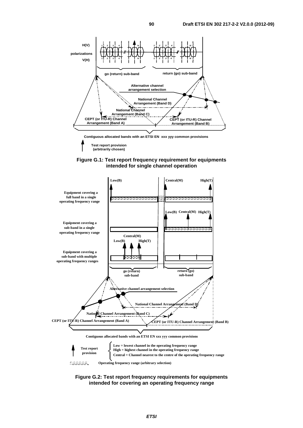



**(arbitrarily chosen)**



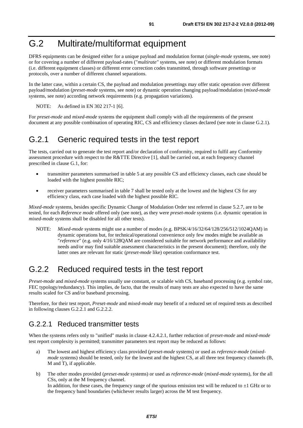# G.2 Multirate/multiformat equipment

DFRS equipments can be designed either for a unique payload and modulation format (*single-mode* systems, see note) or for covering a number of different payload-rates ("*multirate"* systems, see note) or different modulation formats (i.e. different equipment classes) or different error correction codes transmitted, through software presettings or protocols, over a number of different channel separations.

In the latter case, within a certain CS, the payload and modulation presettings may offer static operation over different payload/modulation (*preset-mode* systems, see note) or dynamic operation changing payload/modulation (*mixed-mode* systems, see note) according network requirements (e.g. propagation variations).

NOTE: As defined in EN 302 217-1 [6].

For *preset-mode* and *mixed-mode* systems the equipment shall comply with all the requirements of the present document at any possible combination of operating RIC, CS and efficiency classes declared (see note in clause G.2.1).

### G.2.1 Generic required tests in the test report

The tests, carried out to generate the test report and/or declaration of conformity, required to fulfil any Conformity assessment procedure with respect to the R&TTE Directive [1], shall be carried out, at each frequency channel prescribed in clause G.1, for:

- transmitter parameters summarised in table 5 at any possible CS and efficiency classes, each case should be loaded with the highest possible RIC;
- receiver parameters summarised in table 7 shall be tested only at the lowest and the highest CS for any efficiency class, each case loaded with the highest possible RIC.

*Mixed-mode* systems, besides specific Dynamic Change of Modulation Order test referred in clause 5.2.7, are to be tested, for each *Reference mode* offered only (see note), as they were *preset-mode* systems (i.e. dynamic operation in *mixed-mode* systems shall be disabled for all other tests).

NOTE: *Mixed-mode* systems might use a number of modes (e.g. BPSK/4/16/32/64/128/256/512/1024QAM) in dynamic operations but, for technical/operational convenience only few modes might be available as "*reference*" (e.g. only 4/16/128QAM are considered suitable for network performance and availability needs and/or may find suitable assessment characteristics in the present document); therefore, only the latter ones are relevant for static (*preset-mode* like) operation conformance test.

## G.2.2 Reduced required tests in the test report

*Preset-mode* and *mixed-mode* systems usually use constant, or scalable with CS, baseband processing (e.g. symbol rate, FEC typology/redundancy). This implies, de facto, that the results of many tests are also expected to have the same results scaled for CS and/or baseband processing.

Therefore, for their test report, *Preset-mode* and *mixed-mode* may benefit of a reduced set of required tests as described in following clauses G.2.2.1 and G.2.2.2.

### G.2.2.1 Reduced transmitter tests

When the systems refers only to "unified" masks in clause 4.2.4.2.1, further reduction of *preset-mode* and *mixed-mode*  test report complexity is permitted; transmitter parameters test report may be reduced as follows:

- a) The lowest and highest efficiency class provided (*preset-mode* systems) or used as *reference-mode* (*mixedmode* systems) should be tested, only for the lowest and the highest CS, at all three test frequency channels (B, M and T), if applicable.
- b) The other modes provided (*preset-mode* systems) or used as *reference-mode* (*mixed-mode* systems), for the all CSs, only at the M frequency channel. In addition, for these cases, the frequency range of the spurious emission test will be reduced to  $\pm 1$  GHz or to the frequency band boundaries (whichever results larger) across the M test frequency.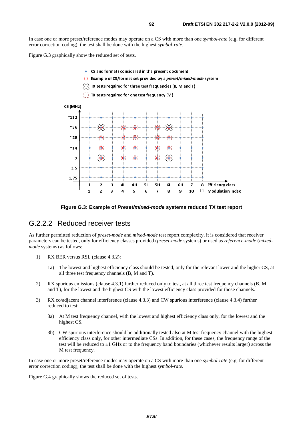In case one or more preset/reference modes may operate on a CS with more than one *symbol-rate* (e.g. for different error correction coding), the test shall be done with the highest *symbol-rate*.

Figure G.3 graphically show the reduced set of tests.

- CS and formats considered in the present document
- Example of CS/format set provided by a preset/mixed-mode system  $\bigcap$
- $\hat{p}\hat{p}\hat{p}$  TX tests required for three test frequencies (B, M and T)
- $T_1$  TX tests required for one test frequency (M)



**Figure G.3: Example of** *Preset/mixed-mode* **systems reduced TX test report** 

### G.2.2.2 Reduced receiver tests

As further permitted reduction of *preset-mode* and *mixed-mode* test report complexity, it is considered that receiver parameters can be tested, only for efficiency classes provided (*preset-mode* systems) or used as *reference-mode* (*mixedmode* systems) as follows:

- 1) RX BER versus RSL (clause 4.3.2):
	- 1a) The lowest and highest efficiency class should be tested, only for the relevant lower and the higher CS, at all three test frequency channels (B, M and T).
- 2) RX spurious emissions (clause 4.3.1) further reduced only to test, at all three test frequency channels (B, M and T), for the lowest and the highest CS with the lowest efficiency class provided for those channels.
- 3) RX co/adjacent channel interference (clause 4.3.3) and CW spurious interference (clause 4.3.4) further reduced to test:
	- 3a) At M test frequency channel, with the lowest and highest efficiency class only, for the lowest and the highest CS.
	- 3b) CW spurious interference should be additionally tested also at M test frequency channel with the highest efficiency class only, for other intermediate CSs. In addition, for these cases, the frequency range of the test will be reduced to  $\pm 1$  GHz or to the frequency band boundaries (whichever results larger) across the M test frequency.

In case one or more preset/reference modes may operate on a CS with more than one *symbol-rate* (e.g. for different error correction coding), the test shall be done with the highest *symbol-rate*.

Figure G.4 graphically shows the reduced set of tests.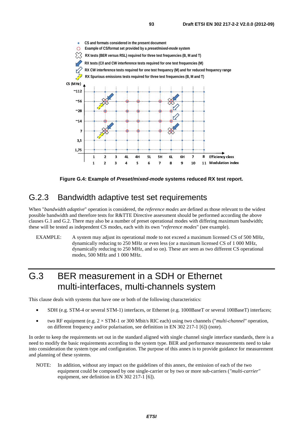

**Figure G.4: Example of** *Preset/mixed-mode* **systems reduced RX test report.** 

## G.2.3 Bandwidth adaptive test set requirements

When "*bandwidth adaptive*" operation is considered, the *reference modes* are defined as those relevant to the widest possible bandwidth and therefore tests for R&TTE Directive assessment should be performed according the above clauses G.1 and G.2. There may also be a number of preset operational modes with differing maximum bandwidth; these will be tested as independent CS modes, each with its own "*reference modes*" (see example).

#### EXAMPLE: A system may adjust its operational mode to not exceed a maximum licensed CS of 500 MHz, dynamically reducing to 250 MHz or even less (or a maximum licensed CS of 1 000 MHz, dynamically reducing to 250 MHz, and so on). These are seen as two different CS operational modes, 500 MHz and 1 000 MHz.

# G.3 BER measurement in a SDH or Ethernet multi-interfaces, multi-channels system

This clause deals with systems that have one or both of the following characteristics:

- SDH (e.g. STM-4 or several STM-1) interfaces, or Ethernet (e.g. 1000BaseT or several 100BaseT) interfaces;
- two RF equipment (e.g. 2 × STM-1 or 300 Mbit/s RIC each) using two channels ("*multi-channel"* operation, on different frequency and/or polarisation, see definition in EN 302 217-1 [6]) (note).

In order to keep the requirements set out in the standard aligned with single channel single interface standards, there is a need to modify the basic requirements according to the system type. BER and performance measurements need to take into consideration the system type and configuration. The purpose of this annex is to provide guidance for measurement and planning of these systems.

NOTE: In addition, without any impact on the guidelines of this annex, the emission of each of the two equipment could be composed by one single-carrier or by two or more sub-carriers (*"multi-carrier"*  equipment, see definition in EN 302 217-1 [6]).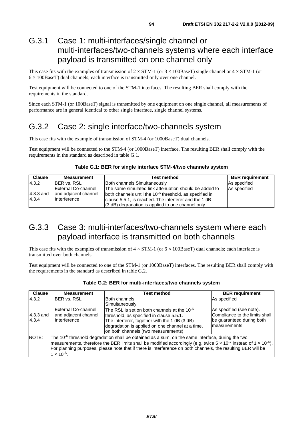## G.3.1 Case 1: multi-interfaces/single channel or multi-interfaces/two-channels systems where each interface payload is transmitted on one channel only

This case fits with the examples of transmission of  $2 \times STM-1$  (or  $3 \times 100BaseT$ ) single channel or  $4 \times STM-1$  (or  $6 \times 100$ BaseT) dual channels; each interface is transmitted only over one channel.

Test equipment will be connected to one of the STM-1 interfaces. The resulting BER shall comply with the requirements in the standard.

Since each STM-1 (or 100BaseT) signal is transmitted by one equipment on one single channel, all measurements of performance are in general identical to other single interface, single channel systems.

## G.3.2 Case 2: single interface/two-channels system

This case fits with the example of transmission of STM-4 (or 1000BaseT) dual channels.

Test equipment will be connected to the STM-4 (or 1000BaseT) interface. The resulting BER shall comply with the requirements in the standard as described in table G.1.

#### **Table G.1: BER for single interface STM-4/two channels system**

| <b>Clause</b>        | Measurement                                                 | <b>Test method</b>                                                                                                                                                                                                                            | <b>BER</b> requirement |
|----------------------|-------------------------------------------------------------|-----------------------------------------------------------------------------------------------------------------------------------------------------------------------------------------------------------------------------------------------|------------------------|
| 4.3.2                | <b>BER vs. RSL</b>                                          | Both channels Simultaneously                                                                                                                                                                                                                  | As specified           |
| $4.3.3$ and<br>4.3.4 | External Co-channel<br>and adjacent channel<br>Interference | The same simulated link attenuation should be added to<br>both channels until the 10 <sup>-6</sup> threshold, as specified in<br>clause 5.5.1, is reached. The interferer and the 1 dB<br>$(3 dB)$ degradation is applied to one channel only | As specified           |

## G.3.3 Case 3: multi-interfaces/two-channels system where each payload interface is transmitted on both channels

This case fits with the examples of transmission of  $4 \times$  STM-1 (or  $6 \times 100$ BaseT) dual channels; each interface is transmitted over both channels.

Test equipment will be connected to one of the STM-1 (or 1000BaseT) interfaces. The resulting BER shall comply with the requirements in the standard as described in table G.2.

| <b>Clause</b>      | <b>Measurement</b>                                                                                                                                                                                                                                                                                                                                                                           | Test method                                                                                                                                                                                                                                     | <b>BER</b> requirement                                                                                  |  |  |  |
|--------------------|----------------------------------------------------------------------------------------------------------------------------------------------------------------------------------------------------------------------------------------------------------------------------------------------------------------------------------------------------------------------------------------------|-------------------------------------------------------------------------------------------------------------------------------------------------------------------------------------------------------------------------------------------------|---------------------------------------------------------------------------------------------------------|--|--|--|
| 4.3.2              | <b>IBER vs. RSL</b>                                                                                                                                                                                                                                                                                                                                                                          | Both channels                                                                                                                                                                                                                                   | As specified                                                                                            |  |  |  |
|                    |                                                                                                                                                                                                                                                                                                                                                                                              | Simultaneously                                                                                                                                                                                                                                  |                                                                                                         |  |  |  |
| 4.3.3 and<br>4.3.4 | External Co-channel<br>and adjacent channel<br>Interference                                                                                                                                                                                                                                                                                                                                  | The RSL is set on both channels at the 10 <sup>-6</sup><br>threshold, as specified in clause 5.5.1.<br>The interferer, together with the 1 dB (3 dB)<br>degradation is applied on one channel at a time,<br>on both channels (two measurements) | As specified (see note).<br>Compliance to the limits shall<br>be guaranteed during both<br>measurements |  |  |  |
| NOTE:              | The 10 <sup>-6</sup> threshold degradation shall be obtained as a sum, on the same interface, during the two<br>measurements, therefore the BER limits shall be modified accordingly (e.g. twice $5 \times 10^{-7}$ instead of $1 \times 10^{-6}$ ).<br>For planning purposes, please note that if there is interference on both channels, the resulting BER will be<br>$1 \times 10^{-6}$ . |                                                                                                                                                                                                                                                 |                                                                                                         |  |  |  |

#### **Table G.2: BER for multi-interfaces/two channels system**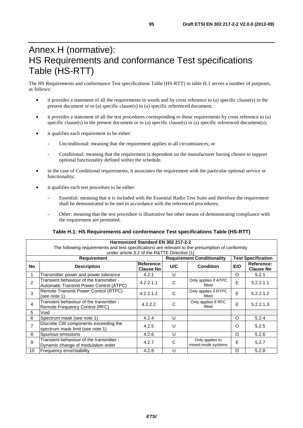# Annex H (normative): HS Requirements and conformance Test specifications Table (HS-RTT)

The HS Requirements and conformance Test specifications Table (HS-RTT) in table H.1 serves a number of purposes, as follows:

- it provides a statement of all the requirements in words and by cross reference to (a) specific clause(s) in the present document or to (a) specific clause(s) in (a) specific referenced document;
- it provides a statement of all the test procedures corresponding to those requirements by cross reference to (a) specific clause(s) in the present document or to (a) specific clause(s) in (a) specific referenced document(s);
- it qualifies each requirement to be either:
	- Unconditional: meaning that the requirement applies in all circumstances; or
	- Conditional: meaning that the requirement is dependent on the manufacturer having chosen to support optional functionality defined within the schedule.
- in the case of Conditional requirements, it associates the requirement with the particular optional service or functionality;
- it qualifies each test procedure to be either:
	- Essential: meaning that it is included with the Essential Radio Test Suite and therefore the requirement shall be demonstrated to be met in accordance with the referenced procedures;
	- Other: meaning that the test procedure is illustrative but other means of demonstrating compliance with the requirement are permitted.

#### **Table H.1: HS Requirements and conformance Test specifications Table (HS-RTT)**

| Harmonized Standard EN 302 217-2-2                                                               |                                                                                     |                                |                                   |                                       |                           |                                |  |
|--------------------------------------------------------------------------------------------------|-------------------------------------------------------------------------------------|--------------------------------|-----------------------------------|---------------------------------------|---------------------------|--------------------------------|--|
| The following requirements and test specifications are relevant to the presumption of conformity |                                                                                     |                                |                                   |                                       |                           |                                |  |
| under article 3.2 of the R&TTE Directive [1]                                                     |                                                                                     |                                |                                   |                                       |                           |                                |  |
| <b>Requirement</b>                                                                               |                                                                                     |                                | <b>Requirement Conditionality</b> |                                       | <b>Test Specification</b> |                                |  |
| <b>No</b>                                                                                        | <b>Description</b>                                                                  | Reference:<br><b>Clause No</b> | U/C<br><b>Condition</b>           |                                       | E/O                       | Reference:<br><b>Clause No</b> |  |
|                                                                                                  | Transmitter power and power tolerance                                               | 4.2.1                          | U                                 |                                       | $\Omega$                  | 5.2.1                          |  |
| $\overline{2}$                                                                                   | Transient behaviour of the transmitter -<br>Automatic Transmit Power Control (ATPC) | 4.2.2.1.1                      | C                                 | Only applies if ATPC<br>fitted        | E                         | 5.2.2.1.1                      |  |
| 3                                                                                                | Remote Transmit Power Control (RTPC)<br>(see note 1)                                | 4.2.2.1.2                      | C                                 | Only applies if RTPC<br>fitted        | E                         | 5.2.2.1.2                      |  |
| 4                                                                                                | Transient behaviour of the transmitter -<br>Remote Frequency Control (RFC)          | 4.2.2.2                        | C                                 | Only applies if RFC<br>fitted         | E                         | 5.2.2.1.3                      |  |
| 5                                                                                                | Void                                                                                |                                |                                   |                                       |                           |                                |  |
| 6                                                                                                | Spectrum mask (see note 1)                                                          | 4.2.4                          | U                                 |                                       | O                         | 5.2.4                          |  |
| $\overline{7}$                                                                                   | Discrete CW components exceeding the<br>spectrum mask limit (see note 1)            | 4.2.5                          | U                                 |                                       | Ω                         | 5.2.5                          |  |
| 8                                                                                                | Spurious emissions                                                                  | 4.2.6                          | U                                 |                                       | $\Omega$                  | 5.2.6                          |  |
| 9                                                                                                | Transient behaviour of the transmitter -<br>Dynamic change of modulation order      | 4.2.7                          | C                                 | Only applies to<br>mixed-mode systems | E                         | 5.2.7                          |  |
| 10                                                                                               | Frequency error/stability                                                           | 4.2.8                          | U                                 |                                       | O                         | 5.2.8                          |  |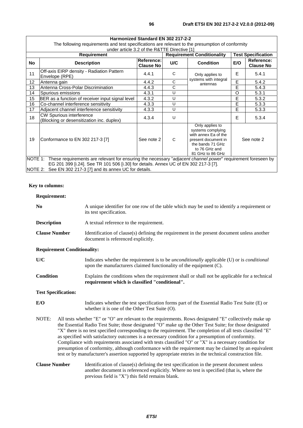| Harmonized Standard EN 302 217-2-2                                                                                                                                                                                                                                          |                                                                              |                                |                                   |                                                                                                                                              |                           |                                |
|-----------------------------------------------------------------------------------------------------------------------------------------------------------------------------------------------------------------------------------------------------------------------------|------------------------------------------------------------------------------|--------------------------------|-----------------------------------|----------------------------------------------------------------------------------------------------------------------------------------------|---------------------------|--------------------------------|
| The following requirements and test specifications are relevant to the presumption of conformity                                                                                                                                                                            |                                                                              |                                |                                   |                                                                                                                                              |                           |                                |
|                                                                                                                                                                                                                                                                             | under article 3.2 of the R&TTE Directive [1]                                 |                                |                                   |                                                                                                                                              |                           |                                |
| <b>Requirement</b>                                                                                                                                                                                                                                                          |                                                                              |                                | <b>Requirement Conditionality</b> |                                                                                                                                              | <b>Test Specification</b> |                                |
| No                                                                                                                                                                                                                                                                          | <b>Description</b>                                                           | Reference:<br><b>Clause No</b> | U/C                               | <b>Condition</b>                                                                                                                             | E/O                       | Reference:<br><b>Clause No</b> |
| 11                                                                                                                                                                                                                                                                          | Off-axis EIRP density - Radiation Pattern<br>Envelope (RPE)                  | 4.4.1                          | C                                 | Only applies to<br>systems with integral                                                                                                     | E                         | 5.4.1                          |
| 12                                                                                                                                                                                                                                                                          | Antenna gain                                                                 | 4.4.2                          | C                                 | antennas                                                                                                                                     | E                         | 5.4.2                          |
| 13                                                                                                                                                                                                                                                                          | Antenna Cross-Polar Discrimination                                           | 4.4.3                          | C                                 |                                                                                                                                              | E                         | 5.4.3                          |
| 14                                                                                                                                                                                                                                                                          | Spurious emissions                                                           | 4.3.1                          | U                                 |                                                                                                                                              | $\Omega$                  | 5.3.1                          |
| 15                                                                                                                                                                                                                                                                          | BER as a function of receiver input signal level                             | 4.3.2                          | U                                 |                                                                                                                                              | E                         | 5.3.2                          |
| 16                                                                                                                                                                                                                                                                          | Co-channel interference sensitivity                                          | 4.3.3                          | U                                 |                                                                                                                                              | E                         | 5.3.3                          |
| 17                                                                                                                                                                                                                                                                          | Adjacent channel interference sensitivity                                    | 4.3.3                          | U                                 |                                                                                                                                              | E                         | 5.3.3                          |
| 18                                                                                                                                                                                                                                                                          | <b>CW Spurious interference</b><br>(Blocking or desensitization inc. duplex) | 4.3.4                          | U                                 |                                                                                                                                              | E                         | 5.3.4                          |
| 19                                                                                                                                                                                                                                                                          | Conformance to EN 302 217-3 [7]                                              | See note 2                     | C                                 | Only applies to<br>systems complying<br>with annex Ea of the<br>present document in<br>the bands 71 GHz<br>to 76 GHz and<br>81 GHz to 86 GHz | See note 2                |                                |
| NOTE 1: These requirements are relevant for ensuring the necessary "adjacent channel power" requirement foreseen by<br>EG 201 399 [i.24]. See TR 101 506 [i.30] for details. Annex UC of EN 302 217-3 [7].<br>NOTE 2:<br>See EN 302 217-3 [7] and its annex UC for details. |                                                                              |                                |                                   |                                                                                                                                              |                           |                                |

#### **Key to columns:**

#### **Requirement:**

| N <sub>0</sub>       | A unique identifier for one row of the table which may be used to identify a requirement or<br>its test specification.            |  |  |
|----------------------|-----------------------------------------------------------------------------------------------------------------------------------|--|--|
| <b>Description</b>   | A textual reference to the requirement.                                                                                           |  |  |
| <b>Clause Number</b> | Identification of clause(s) defining the requirement in the present document unless another<br>document is referenced explicitly. |  |  |
|                      |                                                                                                                                   |  |  |

#### **Requirement Conditionality:**

| U/C              | Indicates whether the requirement is to be <i>unconditionally</i> applicable (U) or is <i>conditional</i><br>upon the manufacturers claimed functionality of the equipment (C). |  |  |  |
|------------------|---------------------------------------------------------------------------------------------------------------------------------------------------------------------------------|--|--|--|
| <b>Condition</b> | Explains the conditions when the requirement shall or shall not be applicable for a technical                                                                                   |  |  |  |

**requirement which is classified "conditional".** 

#### **Test Specification:**

- **E/O** Indicates whether the test specification forms part of the Essential Radio Test Suite (E) or whether it is one of the Other Test Suite (O).
- NOTE: All tests whether "E" or "O" are relevant to the requirements. Rows designated "E" collectively make up the Essential Radio Test Suite; those designated "O" make up the Other Test Suite; for those designated "X" there is no test specified corresponding to the requirement. The completion of all tests classified "E" as specified with satisfactory outcomes is a necessary condition for a presumption of conformity. Compliance with requirements associated with tests classified "O" or "X" is a necessary condition for presumption of conformity, although conformance with the requirement may be claimed by an equivalent test or by manufacturer's assertion supported by appropriate entries in the technical construction file.

#### **Clause Number** Identification of clause(s) defining the test specification in the present document unless another document is referenced explicitly. Where no test is specified (that is, where the previous field is "X") this field remains blank.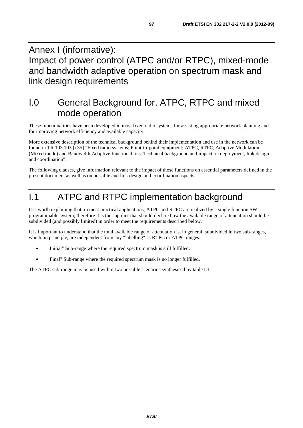## Annex I (informative): Impact of power control (ATPC and/or RTPC), mixed-mode and bandwidth adaptive operation on spectrum mask and link design requirements

# I.0 General Background for, ATPC, RTPC and mixed mode operation

These functionalities have been developed in most fixed radio systems for assisting appropriate network planning and for improving network efficiency and available capacity.

More extensive description of the technical background behind their implementation and use in the network can be found in TR 103 103 [i.35] "Fixed radio systems; Point-to-point equipment; ATPC, RTPC, Adaptive Modulation (Mixed mode) and Bandwidth Adaptive functionalities. Technical background and impact on deployment, link design and coordination".

The following clauses, give information relevant to the impact of those functions on essential parameters defined in the present document as well as on possible and link design and coordination aspects.

# I.1 ATPC and RTPC implementation background

It is worth explaining that, in most practical applications, ATPC and RTPC are realized by a single function SW programmable system; therefore it is the supplier that should declare how the available range of attenuation should be subdivided (and possibly limited) in order to meet the requirements described below.

It is important to understand that the total available range of attenuation is, in general, subdivided in two sub-ranges, which, in principle, are independent from any "labelling" as RTPC or ATPC ranges:

- "Initial" Sub-range where the required spectrum mask is still fulfilled.
- "Final" Sub-range where the required spectrum mask is no longer fulfilled.

The ATPC sub-range may be used within two possible scenarios synthesised by table I.1.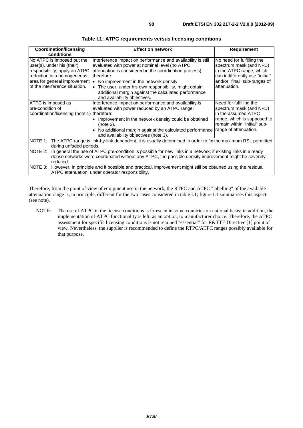| <b>Coordination/licensing</b>                                                                                                                                                             | <b>Effect on network</b>                                                                                                                                                                                                                                                                                                                                                             | <b>Requirement</b>                                                                                                                                                   |  |
|-------------------------------------------------------------------------------------------------------------------------------------------------------------------------------------------|--------------------------------------------------------------------------------------------------------------------------------------------------------------------------------------------------------------------------------------------------------------------------------------------------------------------------------------------------------------------------------------|----------------------------------------------------------------------------------------------------------------------------------------------------------------------|--|
| conditions                                                                                                                                                                                |                                                                                                                                                                                                                                                                                                                                                                                      |                                                                                                                                                                      |  |
| No ATPC is imposed but the<br>user(s), under his (their)<br>responsibility, apply an ATPC<br>reduction in a homogeneous<br>area for general improvement<br>of the interference situation. | Interference impact on performance and availability is still<br>evaluated with power at nominal level (no ATPC<br>attenuation is considered in the coordination process);<br>therefore:<br>• No improvement in the network density<br>• The user, under his own responsibility, might obtain<br>additional margin against the calculated performance<br>and availability objectives. | No need for fulfilling the<br>spectrum mask (and NFD)<br>in the ATPC range, which<br>can indifferently use "initial"<br>and/or "final" sub-ranges of<br>attenuation. |  |
| ATPC is imposed as                                                                                                                                                                        | Interference impact on performance and availability is                                                                                                                                                                                                                                                                                                                               | Need for fulfilling the                                                                                                                                              |  |
| pre-condition of                                                                                                                                                                          | evaluated with power reduced by an ATPC range;                                                                                                                                                                                                                                                                                                                                       | spectrum mask (and NFD)                                                                                                                                              |  |
| coordination/licensing (note 1) therefore:                                                                                                                                                |                                                                                                                                                                                                                                                                                                                                                                                      | in the assumed ATPC                                                                                                                                                  |  |
|                                                                                                                                                                                           | • Improvement in the network density could be obtained<br>(note 2).                                                                                                                                                                                                                                                                                                                  | range, which is supposed to<br>remain within "initial" sub-                                                                                                          |  |
|                                                                                                                                                                                           | • No additional margin against the calculated performance<br>and availability objectives (note 3).                                                                                                                                                                                                                                                                                   | range of attenuation.                                                                                                                                                |  |
| NOTE 1:                                                                                                                                                                                   | The ATPC range is link-by-link dependent, it is usually determined in order to fix the maximum RSL permitted                                                                                                                                                                                                                                                                         |                                                                                                                                                                      |  |
| during unfaded periods.                                                                                                                                                                   |                                                                                                                                                                                                                                                                                                                                                                                      |                                                                                                                                                                      |  |
| NOTE 2:<br>In general the use of ATPC pre-condition is possible for new links in a network; if existing links in already                                                                  |                                                                                                                                                                                                                                                                                                                                                                                      |                                                                                                                                                                      |  |
|                                                                                                                                                                                           | dense networks were coordinated without any ATPC, the possible density improvement might be severely                                                                                                                                                                                                                                                                                 |                                                                                                                                                                      |  |
| reduced.<br>NOTE 3:                                                                                                                                                                       |                                                                                                                                                                                                                                                                                                                                                                                      |                                                                                                                                                                      |  |
| However, in principle and if possible and practical, improvement might still be obtained using the residual<br>ATPC attenuation, under operator responsibility.                           |                                                                                                                                                                                                                                                                                                                                                                                      |                                                                                                                                                                      |  |

Therefore, from the point of view of equipment use in the network, the RTPC and ATPC "labelling" of the available attenuation range is, in principle, different for the two cases considered in table I.1; figure I.1 summarises this aspect (see note).

NOTE: The use of ATPC in the license conditions is foreseen in some countries on national basis; in addition, the implementation of ATPC functionality is left, as an option, to manufacturer choice. Therefore, the ATPC assessment for specific licensing conditions is not retained "essential" for R&TTE Directive [1] point of view. Nevertheless, the supplier is recommended to define the RTPC/ATPC ranges possibly available for that purpose.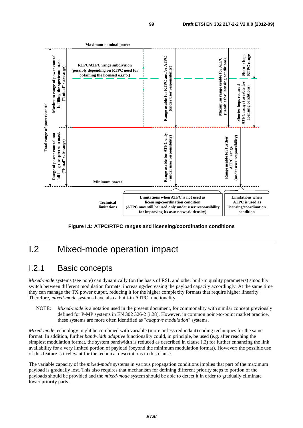

**Figure I.1: ATPC/RTPC ranges and licensing/coordination conditions** 

# I.2 Mixed-mode operation impact

### I.2.1 Basic concepts

*Mixed-mode* systems (see note) can dynamically (on the basis of RSL and other built-in quality parameters) smoothly switch between different modulation formats, increasing/decreasing the payload capacity accordingly. At the same time they can manage the TX power output, reducing it for the higher complexity formats that require higher linearity. Therefore, *mixed-mode* systems have also a built-in ATPC functionality.

NOTE: *Mixed-mode* is a notation used in the present document, for commonality with similar concept previously defined for P-MP systems in EN 302 326-2 [i.28]. However, in common point-to-point market practice, these systems are more often identified as "*adaptive modulation*" systems.

*Mixed-mode* technology might be combined with variable (more or less redundant) coding techniques for the same format. In addition, further *bandwidth adaptive* functionality could, in principle, be used (e.g. after reaching the simplest modulation format, the system bandwidth is reduced as described in clause I.3) for further enhancing the link availability for a very limited portion of payload (beyond the minimum modulation format). However; the possible use of this feature is irrelevant for the technical descriptions in this clause.

The variable capacity of the *mixed-mode* systems in various propagation conditions implies that part of the maximum payload is gradually lost. This also requires that mechanism for defining different priority steps to portion of the payloads should be provided and the *mixed-mode* system should be able to detect it in order to gradually eliminate lower priority parts.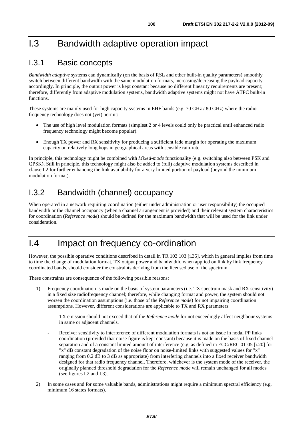# I.3 Bandwidth adaptive operation impact

### I.3.1 Basic concepts

*Bandwidth adaptive* systems can dynamically (on the basis of RSL and other built-in quality parameters) smoothly switch between different bandwidth with the same modulation formats, increasing/decreasing the payload capacity accordingly. In principle, the output power is kept constant because no different linearity requirements are present; therefore, differently from adaptive modulation systems, bandwidth adaptive systems might not have ATPC built-in functions.

These systems are mainly used for high capacity systems in EHF bands (e.g. 70 GHz / 80 GHz) where the radio frequency technology does not (yet) permit:

- The use of high level modulation formats (simplest 2 or 4 levels could only be practical until enhanced radio frequency technology might become popular).
- Enough TX power and RX sensitivity for producing a sufficient fade margin for operating the maximum capacity on relatively long hops in geographical areas with sensible rain-rate.

In principle, this technology might be combined with *Mixed-mode* functionality (e.g. switching also between PSK and QPSK). Still in principle, this technology might also be added to (full) adaptive modulation systems described in clause I.2 for further enhancing the link availability for a very limited portion of payload (beyond the minimum modulation format).

## I.3.2 Bandwidth (channel) occupancy

When operated in a network requiring coordination (either under administration or user responsibility) the occupied bandwidth or the channel occupancy (when a channel arrangement is provided) and their relevant system characteristics for coordination (*Reference mode*) should be defined for the maximum bandwidth that will be used for the link under consideration.

# I.4 Impact on frequency co-ordination

However, the possible operative conditions described in detail in TR 103 103 [i.35], which in general implies from time to time the change of modulation format, TX output power and bandwidth, when applied on link by link frequency coordinated bands, should consider the constraints deriving from the licensed use of the spectrum.

These constraints are consequence of the following possible reasons:

- 1) Frequency coordination is made on the basis of system parameters (i.e. TX spectrum mask and RX sensitivity) in a fixed size radiofrequency channel; therefore, while changing format and power, the system should not worsen the coordination assumptions (i.e. those of the *Reference mode*) for not impairing coordination assumptions. However, different considerations are applicable to TX and RX parameters:
	- TX emission should not exceed that of the *Reference mode* for not exceedingly affect neighbour systems in same or adjacent channels.
	- Receiver sensitivity to interference of different modulation formats is not an issue in nodal PP links coordination (provided that noise figure is kept constant) because it is made on the basis of fixed channel separation and of a constant limited amount of interference (e.g. as defined in ECC/REC 01-05 [i.20] for "x" dB constant degradation of the noise floor on noise-limited links with suggested values for "x" ranging from 0,2 dB to 3 dB as appropriate) from interfering channels into a fixed receiver bandwidth designed for that radio frequency channel. Therefore, whichever is the system mode of the receiver, the originally planned threshold degradation for the *Reference mode* will remain unchanged for all modes (see figures I.2 and I.3).
- 2) In some cases and for some valuable bands, administrations might require a minimum spectral efficiency (e.g. minimum 16 states formats).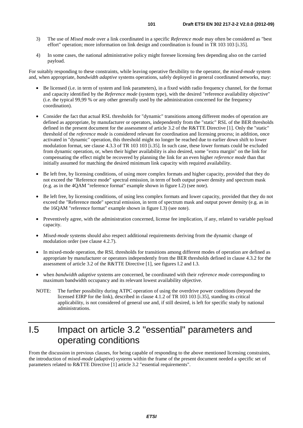- 3) The use of *Mixed mode* over a link coordinated in a specific *Reference mode* may often be considered as "best effort" operation; more information on link design and coordination is found in TR 103 103 [i.35].
- 4) In some cases, the national administrative policy might foresee licensing fees depending also on the carried payload.

For suitably responding to these constraints, while leaving operative flexibility to the operator, the *mixed-mode* system and, when appropriate, *bandwidth adaptive* systems operations, safely deployed in general coordinated networks, may:

- Be licensed (i.e. in term of system and link parameters), in a fixed width radio frequency channel, for the format and capacity identified by the *Reference mode* (system type), with the desired "reference availability objective" (i.e. the typical 99,99 % or any other generally used by the administration concerned for the frequency coordination).
- Consider the fact that actual RSL thresholds for "dynamic" transitions among different modes of operation are defined as appropriate, by manufacturer or operators, independently from the "static" RSL of the BER thresholds defined in the present document for the assessment of article 3.2 of the R&TTE Directive [1]. Only the "static" threshold of the *reference mode* is considered relevant for coordination and licensing process; in addition, once activated in "dynamic" operation, this threshold might no longer be reached due to earlier down shift to lower modulation format, see clause 4.3.3 of TR 103 103 [i.35]. In such case, these lower formats could be excluded from dynamic operation, or, when their higher availability is also desired, some "extra margin" on the link for compensating the effect might be recovered by planning the link for an even higher *reference mode* than that initially assumed for matching the desired minimum link capacity with required availability.
- Be left free, by licensing conditions, of using more complex formats and higher capacity, provided that they do not exceed the "Reference mode" spectral emission, in term of both output power density and spectrum mask (e.g. as in the 4QAM "reference format" example shown in figure I.2) (see note).
- Be left free, by licensing conditions, of using less complex formats and lower capacity, provided that they do not exceed the "Reference mode" spectral emission, in term of spectrum mask and output power density (e.g. as in the 16QAM "reference format" example shown in figure I.3) (see note).
- Preventively agree, with the administration concerned, license fee implication, if any, related to variable payload capacity.
- *Mixed-mode* systems should also respect additional requirements deriving from the dynamic change of modulation order (see clause 4.2.7).
- In mixed-mode operation, the RSL thresholds for transitions among different modes of operation are defined as appropriate by manufacturer or operators independently from the BER thresholds defined in clause 4.3.2 for the assessment of article 3.2 of the R&TTE Directive [1], see figures I.2 and I.3.
- when *bandwidth adaptive* systems are concerned, be coordinated with their *reference mode* corresponding to maximum bandwidth occupancy and its relevant lowest availability objective.
- NOTE: The further possibility during ATPC operation of using the overdrive power conditions (beyond the licensed EIRP for the link), described in clause 4.1.2 of TR 103 103 [i.35], standing its critical applicability, is not considered of general use and, if still desired, is left for specific study by national administrations.

# I.5 Impact on article 3.2 "essential" parameters and operating conditions

From the discussion in previous clauses, for being capable of responding to the above mentioned licensing constraints, the introduction of *mixed-mode* (adaptive) systems within the frame of the present document needed a specific set of parameters related to R&TTE Directive [1] article 3.2 "essential requirements".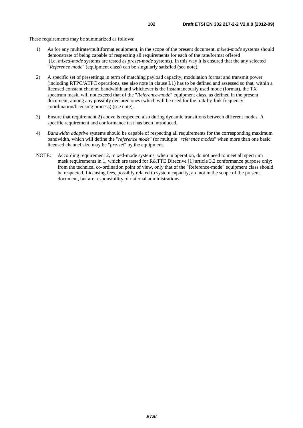These requirements may be summarized as follows:

- 1) As for any multirate/multiformat equipment, in the scope of the present document, *mixed-mode* systems should demonstrate of being capable of respecting all requirements for each of the rate/format offered (i.e. *mixed-mode* systems are tested as *preset-mode* systems). In this way it is ensured that the any selected "*Reference mode*" (equipment class) can be singularly satisfied (see note).
- 2) A specific set of presettings in term of matching payload capacity, modulation format and transmit power (including RTPC/ATPC operations, see also note in clause I.1) has to be defined and assessed so that, within a licensed constant channel bandwidth and whichever is the instantaneously used mode (format), the TX spectrum mask, will not exceed that of the "*Reference-mode*" equipment class, as defined in the present document, among any possibly declared ones (which will be used for the link-by-link frequency coordination/licensing process) (see note).
- 3) Ensure that requirement 2) above is respected also during dynamic transitions between different modes. A specific requirement and conformance test has been introduced.
- 4) *Bandwidth adaptive* systems should be capable of respecting all requirements for the corresponding maximum bandwidth, which will define the "*reference mode*" (or multiple "*reference modes*" when more than one basic licensed channel size may be "*pre-set*" by the equipment.
- NOTE: According requirement 2, mixed-mode systems, when in operation, do not need to meet all spectrum mask requirements in 1, which are tested for R&TTE Directive [1] article 3.2 conformance purpose only; from the technical co-ordination point of view, only that of the "Reference-mode" equipment class should be respected. Licensing fees, possibly related to system capacity, are not in the scope of the present document, but are responsibility of national administrations.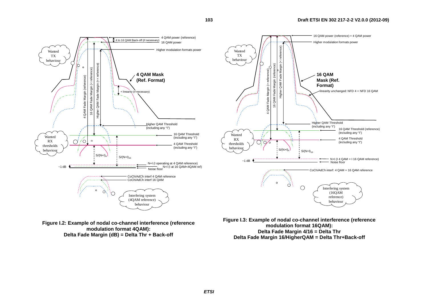

**103**

**Figure I.2: Example of nodal co-channel interference (reference modulation format 4QAM): Delta Fade Margin (dB) = Delta Thr + Back-off** 

**modulation format 16QAM): Delta Fade Margin 4/16 = Delta Thr Delta Fade Margin 16/HigherQAM = Delta Thr+Back-off**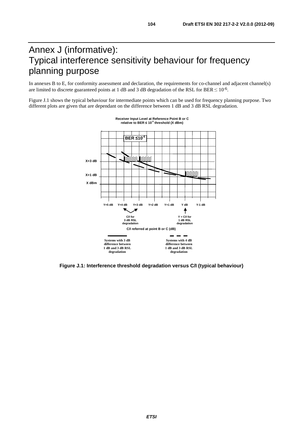# Annex J (informative): Typical interference sensitivity behaviour for frequency planning purpose

In annexes B to E, for conformity assessment and declaration, the requirements for co-channel and adjacent channel(s) are limited to discrete guaranteed points at 1 dB and 3 dB degradation of the RSL for BER  $\leq 10^{-6}$ .

Figure J.1 shows the typical behaviour for intermediate points which can be used for frequency planning purpose. Two different plots are given that are dependant on the difference between 1 dB and 3 dB RSL degradation.





**Figure J.1: Interference threshold degradation versus C/I (typical behaviour)**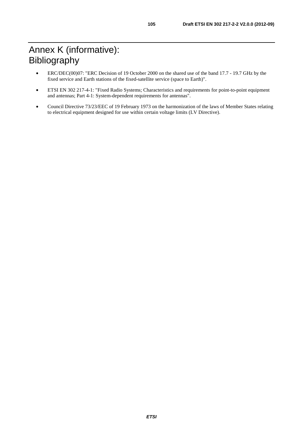# Annex K (informative): Bibliography

- ERC/DEC(00)07: "ERC Decision of 19 October 2000 on the shared use of the band 17.7 19.7 GHz by the fixed service and Earth stations of the fixed-satellite service (space to Earth)".
- ETSI EN 302 217-4-1: "Fixed Radio Systems; Characteristics and requirements for point-to-point equipment and antennas; Part 4-1: System-dependent requirements for antennas".
- Council Directive 73/23/EEC of 19 February 1973 on the harmonization of the laws of Member States relating to electrical equipment designed for use within certain voltage limits (LV Directive).